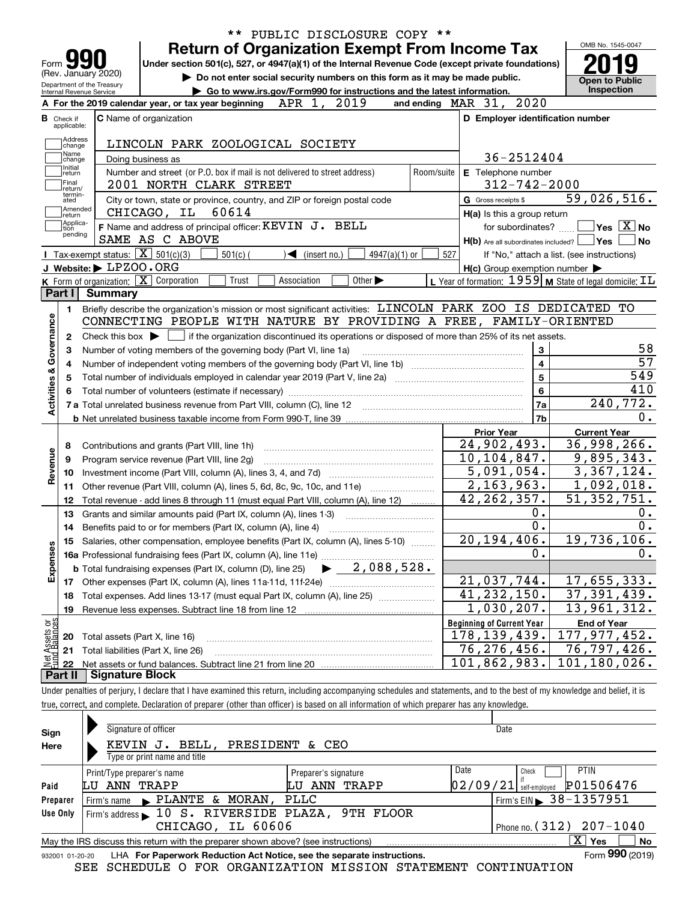| <b>Return of Organization Exempt From Income Tax</b><br>Under section 501(c), 527, or 4947(a)(1) of the Internal Revenue Code (except private foundations)<br>Form<br>(Rev. January 2020)<br>Do not enter social security numbers on this form as it may be made public.<br><b>Open to Public</b><br>Department of the Treasury<br>Inspection<br>Go to www.irs.gov/Form990 for instructions and the latest information.<br>Internal Revenue Service<br>APR 1, 2019<br>and ending MAR 31, 2020<br>A For the 2019 calendar year, or tax year beginning<br>C Name of organization<br>D Employer identification number<br><b>B</b> Check if<br>applicable:<br>Address<br>LINCOLN PARK ZOOLOGICAL SOCIETY<br>change<br>Name<br>36-2512404<br>Doing business as<br>change<br>Initial<br>Number and street (or P.O. box if mail is not delivered to street address)<br>Room/suite<br>E Telephone number<br>return<br>Final<br>$312 - 742 - 2000$<br>2001 NORTH CLARK STREET<br>return/<br>termin-<br>59,026,516.<br>City or town, state or province, country, and ZIP or foreign postal code<br>G Gross receipts \$<br>ated<br>Amended<br>CHICAGO, IL 60614<br>H(a) Is this a group return<br>return<br>Applica-<br>F Name and address of principal officer: KEVIN J. BELL<br>$\sqrt{}$ Yes $\sqrt{}$ X $\sqrt{}$ No<br>for subordinates?<br>tion<br>pending<br>SAME AS C ABOVE<br>$H(b)$ Are all subordinates included? $\Box$ Yes<br>Tax-exempt status: $\boxed{\mathbf{X}}$ 501(c)(3)<br>$501(c)$ (<br>$\blacktriangleleft$ (insert no.)<br>527<br>$4947(a)(1)$ or<br>If "No," attach a list. (see instructions)<br>J Website: LPZOO.ORG<br>$H(c)$ Group exemption number $\blacktriangleright$<br>K Form of organization: X Corporation<br>L Year of formation: 1959 M State of legal domicile: IL<br>Trust<br>Other $\blacktriangleright$<br>Association<br>Part I<br>Summary<br>Briefly describe the organization's mission or most significant activities: LINCOLN PARK ZOO IS DEDICATED TO<br>1.<br>Activities & Governance<br>CONNECTING PEOPLE WITH NATURE BY PROVIDING A FREE, FAMILY-ORIENTED<br>Check this box $\blacktriangleright$ $\Box$ if the organization discontinued its operations or disposed of more than 25% of its net assets.<br>2<br>58<br>3<br>Number of voting members of the governing body (Part VI, line 1a)<br>з<br>$\overline{\mathbf{4}}$<br>4<br>$\overline{\mathbf{5}}$<br>549<br>5<br>$\bf{6}$<br>240,772.<br>7a<br>7 a Total unrelated business revenue from Part VIII, column (C), line 12 [11] [12] [11] [12] [11] [11] [12] [1<br>7b<br><b>Current Year</b><br><b>Prior Year</b><br>36,998,266.<br>24,902,493.<br>Contributions and grants (Part VIII, line 1h)<br>8<br>Revenue<br>$\overline{10}$ , 104, 847.<br>9,895,343.<br>Program service revenue (Part VIII, line 2g)<br>9<br>5,091,054.<br>10<br>2, 163, 963.<br>1,092,018.<br>Other revenue (Part VIII, column (A), lines 5, 6d, 8c, 9c, 10c, and 11e)<br>11<br>42, 262, 357.<br>Total revenue - add lines 8 through 11 (must equal Part VIII, column (A), line 12)<br>12<br>0.<br>Grants and similar amounts paid (Part IX, column (A), lines 1-3)<br>13<br>0.<br>Benefits paid to or for members (Part IX, column (A), line 4)<br>14<br>20, 194, 406.<br>Salaries, other compensation, employee benefits (Part IX, column (A), lines 5-10)<br>15<br>Expenses<br>$\mathbf 0$ .<br>16a Professional fundraising fees (Part IX, column (A), line 11e)<br>$\blacktriangleright$ 2,088,528.<br><b>b</b> Total fundraising expenses (Part IX, column (D), line 25)<br>21,037,744.<br>17<br>$\overline{41,232,150}$ .<br>37,391,439.<br>Total expenses. Add lines 13-17 (must equal Part IX, column (A), line 25) [11, 11, 1201, 1301, 1301, 1301, 130<br>18<br>$\overline{1}$ , 030, 207.<br>13,961,312.<br>Revenue less expenses. Subtract line 18 from line 12<br>19<br>Net Assets or<br><b>Beginning of Current Year</b><br><b>End of Year</b><br>178,139,439.<br>Total assets (Part X, line 16)<br>20<br>$\overline{76}$ , 797, 426.<br>76, 276, 456.<br>Total liabilities (Part X, line 26)<br>21<br>101,180,026.<br>101,862,983。<br>22 |  |  | ** PUBLIC DISCLOSURE COPY ** |  |     | OMB No. 1545-0047 |  |
|---------------------------------------------------------------------------------------------------------------------------------------------------------------------------------------------------------------------------------------------------------------------------------------------------------------------------------------------------------------------------------------------------------------------------------------------------------------------------------------------------------------------------------------------------------------------------------------------------------------------------------------------------------------------------------------------------------------------------------------------------------------------------------------------------------------------------------------------------------------------------------------------------------------------------------------------------------------------------------------------------------------------------------------------------------------------------------------------------------------------------------------------------------------------------------------------------------------------------------------------------------------------------------------------------------------------------------------------------------------------------------------------------------------------------------------------------------------------------------------------------------------------------------------------------------------------------------------------------------------------------------------------------------------------------------------------------------------------------------------------------------------------------------------------------------------------------------------------------------------------------------------------------------------------------------------------------------------------------------------------------------------------------------------------------------------------------------------------------------------------------------------------------------------------------------------------------------------------------------------------------------------------------------------------------------------------------------------------------------------------------------------------------------------------------------------------------------------------------------------------------------------------------------------------------------------------------------------------------------------------------------------------------------------------------------------------------------------------------------------------------------------------------------------------------------------------------------------------------------------------------------------------------------------------------------------------------------------------------------------------------------------------------------------------------------------------------------------------------------------------------------------------------------------------------------------------------------------------------------------------------------------------------------------------------------------------------------------------------------------------------------------------------------------------------------------------------------------------------------------------------------------------------------------------------------------------------------------------------------------------------------------------------------------------------------------------------------------------------------------------------------------------------------------------------------------------------------------------------------------------------------------------------------------------------------------------------------------------------------------------------------------------------------------------------------------------------------------------------------------------------------------|--|--|------------------------------|--|-----|-------------------|--|
|                                                                                                                                                                                                                                                                                                                                                                                                                                                                                                                                                                                                                                                                                                                                                                                                                                                                                                                                                                                                                                                                                                                                                                                                                                                                                                                                                                                                                                                                                                                                                                                                                                                                                                                                                                                                                                                                                                                                                                                                                                                                                                                                                                                                                                                                                                                                                                                                                                                                                                                                                                                                                                                                                                                                                                                                                                                                                                                                                                                                                                                                                                                                                                                                                                                                                                                                                                                                                                                                                                                                                                                                                                                                                                                                                                                                                                                                                                                                                                                                                                                                                                                                       |  |  |                              |  |     |                   |  |
|                                                                                                                                                                                                                                                                                                                                                                                                                                                                                                                                                                                                                                                                                                                                                                                                                                                                                                                                                                                                                                                                                                                                                                                                                                                                                                                                                                                                                                                                                                                                                                                                                                                                                                                                                                                                                                                                                                                                                                                                                                                                                                                                                                                                                                                                                                                                                                                                                                                                                                                                                                                                                                                                                                                                                                                                                                                                                                                                                                                                                                                                                                                                                                                                                                                                                                                                                                                                                                                                                                                                                                                                                                                                                                                                                                                                                                                                                                                                                                                                                                                                                                                                       |  |  |                              |  |     |                   |  |
|                                                                                                                                                                                                                                                                                                                                                                                                                                                                                                                                                                                                                                                                                                                                                                                                                                                                                                                                                                                                                                                                                                                                                                                                                                                                                                                                                                                                                                                                                                                                                                                                                                                                                                                                                                                                                                                                                                                                                                                                                                                                                                                                                                                                                                                                                                                                                                                                                                                                                                                                                                                                                                                                                                                                                                                                                                                                                                                                                                                                                                                                                                                                                                                                                                                                                                                                                                                                                                                                                                                                                                                                                                                                                                                                                                                                                                                                                                                                                                                                                                                                                                                                       |  |  |                              |  |     |                   |  |
|                                                                                                                                                                                                                                                                                                                                                                                                                                                                                                                                                                                                                                                                                                                                                                                                                                                                                                                                                                                                                                                                                                                                                                                                                                                                                                                                                                                                                                                                                                                                                                                                                                                                                                                                                                                                                                                                                                                                                                                                                                                                                                                                                                                                                                                                                                                                                                                                                                                                                                                                                                                                                                                                                                                                                                                                                                                                                                                                                                                                                                                                                                                                                                                                                                                                                                                                                                                                                                                                                                                                                                                                                                                                                                                                                                                                                                                                                                                                                                                                                                                                                                                                       |  |  |                              |  |     |                   |  |
|                                                                                                                                                                                                                                                                                                                                                                                                                                                                                                                                                                                                                                                                                                                                                                                                                                                                                                                                                                                                                                                                                                                                                                                                                                                                                                                                                                                                                                                                                                                                                                                                                                                                                                                                                                                                                                                                                                                                                                                                                                                                                                                                                                                                                                                                                                                                                                                                                                                                                                                                                                                                                                                                                                                                                                                                                                                                                                                                                                                                                                                                                                                                                                                                                                                                                                                                                                                                                                                                                                                                                                                                                                                                                                                                                                                                                                                                                                                                                                                                                                                                                                                                       |  |  |                              |  |     |                   |  |
|                                                                                                                                                                                                                                                                                                                                                                                                                                                                                                                                                                                                                                                                                                                                                                                                                                                                                                                                                                                                                                                                                                                                                                                                                                                                                                                                                                                                                                                                                                                                                                                                                                                                                                                                                                                                                                                                                                                                                                                                                                                                                                                                                                                                                                                                                                                                                                                                                                                                                                                                                                                                                                                                                                                                                                                                                                                                                                                                                                                                                                                                                                                                                                                                                                                                                                                                                                                                                                                                                                                                                                                                                                                                                                                                                                                                                                                                                                                                                                                                                                                                                                                                       |  |  |                              |  |     |                   |  |
|                                                                                                                                                                                                                                                                                                                                                                                                                                                                                                                                                                                                                                                                                                                                                                                                                                                                                                                                                                                                                                                                                                                                                                                                                                                                                                                                                                                                                                                                                                                                                                                                                                                                                                                                                                                                                                                                                                                                                                                                                                                                                                                                                                                                                                                                                                                                                                                                                                                                                                                                                                                                                                                                                                                                                                                                                                                                                                                                                                                                                                                                                                                                                                                                                                                                                                                                                                                                                                                                                                                                                                                                                                                                                                                                                                                                                                                                                                                                                                                                                                                                                                                                       |  |  |                              |  |     |                   |  |
|                                                                                                                                                                                                                                                                                                                                                                                                                                                                                                                                                                                                                                                                                                                                                                                                                                                                                                                                                                                                                                                                                                                                                                                                                                                                                                                                                                                                                                                                                                                                                                                                                                                                                                                                                                                                                                                                                                                                                                                                                                                                                                                                                                                                                                                                                                                                                                                                                                                                                                                                                                                                                                                                                                                                                                                                                                                                                                                                                                                                                                                                                                                                                                                                                                                                                                                                                                                                                                                                                                                                                                                                                                                                                                                                                                                                                                                                                                                                                                                                                                                                                                                                       |  |  |                              |  |     |                   |  |
|                                                                                                                                                                                                                                                                                                                                                                                                                                                                                                                                                                                                                                                                                                                                                                                                                                                                                                                                                                                                                                                                                                                                                                                                                                                                                                                                                                                                                                                                                                                                                                                                                                                                                                                                                                                                                                                                                                                                                                                                                                                                                                                                                                                                                                                                                                                                                                                                                                                                                                                                                                                                                                                                                                                                                                                                                                                                                                                                                                                                                                                                                                                                                                                                                                                                                                                                                                                                                                                                                                                                                                                                                                                                                                                                                                                                                                                                                                                                                                                                                                                                                                                                       |  |  |                              |  |     |                   |  |
|                                                                                                                                                                                                                                                                                                                                                                                                                                                                                                                                                                                                                                                                                                                                                                                                                                                                                                                                                                                                                                                                                                                                                                                                                                                                                                                                                                                                                                                                                                                                                                                                                                                                                                                                                                                                                                                                                                                                                                                                                                                                                                                                                                                                                                                                                                                                                                                                                                                                                                                                                                                                                                                                                                                                                                                                                                                                                                                                                                                                                                                                                                                                                                                                                                                                                                                                                                                                                                                                                                                                                                                                                                                                                                                                                                                                                                                                                                                                                                                                                                                                                                                                       |  |  |                              |  |     |                   |  |
|                                                                                                                                                                                                                                                                                                                                                                                                                                                                                                                                                                                                                                                                                                                                                                                                                                                                                                                                                                                                                                                                                                                                                                                                                                                                                                                                                                                                                                                                                                                                                                                                                                                                                                                                                                                                                                                                                                                                                                                                                                                                                                                                                                                                                                                                                                                                                                                                                                                                                                                                                                                                                                                                                                                                                                                                                                                                                                                                                                                                                                                                                                                                                                                                                                                                                                                                                                                                                                                                                                                                                                                                                                                                                                                                                                                                                                                                                                                                                                                                                                                                                                                                       |  |  |                              |  |     |                   |  |
|                                                                                                                                                                                                                                                                                                                                                                                                                                                                                                                                                                                                                                                                                                                                                                                                                                                                                                                                                                                                                                                                                                                                                                                                                                                                                                                                                                                                                                                                                                                                                                                                                                                                                                                                                                                                                                                                                                                                                                                                                                                                                                                                                                                                                                                                                                                                                                                                                                                                                                                                                                                                                                                                                                                                                                                                                                                                                                                                                                                                                                                                                                                                                                                                                                                                                                                                                                                                                                                                                                                                                                                                                                                                                                                                                                                                                                                                                                                                                                                                                                                                                                                                       |  |  |                              |  |     |                   |  |
|                                                                                                                                                                                                                                                                                                                                                                                                                                                                                                                                                                                                                                                                                                                                                                                                                                                                                                                                                                                                                                                                                                                                                                                                                                                                                                                                                                                                                                                                                                                                                                                                                                                                                                                                                                                                                                                                                                                                                                                                                                                                                                                                                                                                                                                                                                                                                                                                                                                                                                                                                                                                                                                                                                                                                                                                                                                                                                                                                                                                                                                                                                                                                                                                                                                                                                                                                                                                                                                                                                                                                                                                                                                                                                                                                                                                                                                                                                                                                                                                                                                                                                                                       |  |  |                              |  |     |                   |  |
|                                                                                                                                                                                                                                                                                                                                                                                                                                                                                                                                                                                                                                                                                                                                                                                                                                                                                                                                                                                                                                                                                                                                                                                                                                                                                                                                                                                                                                                                                                                                                                                                                                                                                                                                                                                                                                                                                                                                                                                                                                                                                                                                                                                                                                                                                                                                                                                                                                                                                                                                                                                                                                                                                                                                                                                                                                                                                                                                                                                                                                                                                                                                                                                                                                                                                                                                                                                                                                                                                                                                                                                                                                                                                                                                                                                                                                                                                                                                                                                                                                                                                                                                       |  |  |                              |  |     | No                |  |
|                                                                                                                                                                                                                                                                                                                                                                                                                                                                                                                                                                                                                                                                                                                                                                                                                                                                                                                                                                                                                                                                                                                                                                                                                                                                                                                                                                                                                                                                                                                                                                                                                                                                                                                                                                                                                                                                                                                                                                                                                                                                                                                                                                                                                                                                                                                                                                                                                                                                                                                                                                                                                                                                                                                                                                                                                                                                                                                                                                                                                                                                                                                                                                                                                                                                                                                                                                                                                                                                                                                                                                                                                                                                                                                                                                                                                                                                                                                                                                                                                                                                                                                                       |  |  |                              |  |     |                   |  |
|                                                                                                                                                                                                                                                                                                                                                                                                                                                                                                                                                                                                                                                                                                                                                                                                                                                                                                                                                                                                                                                                                                                                                                                                                                                                                                                                                                                                                                                                                                                                                                                                                                                                                                                                                                                                                                                                                                                                                                                                                                                                                                                                                                                                                                                                                                                                                                                                                                                                                                                                                                                                                                                                                                                                                                                                                                                                                                                                                                                                                                                                                                                                                                                                                                                                                                                                                                                                                                                                                                                                                                                                                                                                                                                                                                                                                                                                                                                                                                                                                                                                                                                                       |  |  |                              |  |     |                   |  |
|                                                                                                                                                                                                                                                                                                                                                                                                                                                                                                                                                                                                                                                                                                                                                                                                                                                                                                                                                                                                                                                                                                                                                                                                                                                                                                                                                                                                                                                                                                                                                                                                                                                                                                                                                                                                                                                                                                                                                                                                                                                                                                                                                                                                                                                                                                                                                                                                                                                                                                                                                                                                                                                                                                                                                                                                                                                                                                                                                                                                                                                                                                                                                                                                                                                                                                                                                                                                                                                                                                                                                                                                                                                                                                                                                                                                                                                                                                                                                                                                                                                                                                                                       |  |  |                              |  |     |                   |  |
|                                                                                                                                                                                                                                                                                                                                                                                                                                                                                                                                                                                                                                                                                                                                                                                                                                                                                                                                                                                                                                                                                                                                                                                                                                                                                                                                                                                                                                                                                                                                                                                                                                                                                                                                                                                                                                                                                                                                                                                                                                                                                                                                                                                                                                                                                                                                                                                                                                                                                                                                                                                                                                                                                                                                                                                                                                                                                                                                                                                                                                                                                                                                                                                                                                                                                                                                                                                                                                                                                                                                                                                                                                                                                                                                                                                                                                                                                                                                                                                                                                                                                                                                       |  |  |                              |  |     |                   |  |
|                                                                                                                                                                                                                                                                                                                                                                                                                                                                                                                                                                                                                                                                                                                                                                                                                                                                                                                                                                                                                                                                                                                                                                                                                                                                                                                                                                                                                                                                                                                                                                                                                                                                                                                                                                                                                                                                                                                                                                                                                                                                                                                                                                                                                                                                                                                                                                                                                                                                                                                                                                                                                                                                                                                                                                                                                                                                                                                                                                                                                                                                                                                                                                                                                                                                                                                                                                                                                                                                                                                                                                                                                                                                                                                                                                                                                                                                                                                                                                                                                                                                                                                                       |  |  |                              |  |     |                   |  |
|                                                                                                                                                                                                                                                                                                                                                                                                                                                                                                                                                                                                                                                                                                                                                                                                                                                                                                                                                                                                                                                                                                                                                                                                                                                                                                                                                                                                                                                                                                                                                                                                                                                                                                                                                                                                                                                                                                                                                                                                                                                                                                                                                                                                                                                                                                                                                                                                                                                                                                                                                                                                                                                                                                                                                                                                                                                                                                                                                                                                                                                                                                                                                                                                                                                                                                                                                                                                                                                                                                                                                                                                                                                                                                                                                                                                                                                                                                                                                                                                                                                                                                                                       |  |  |                              |  |     |                   |  |
|                                                                                                                                                                                                                                                                                                                                                                                                                                                                                                                                                                                                                                                                                                                                                                                                                                                                                                                                                                                                                                                                                                                                                                                                                                                                                                                                                                                                                                                                                                                                                                                                                                                                                                                                                                                                                                                                                                                                                                                                                                                                                                                                                                                                                                                                                                                                                                                                                                                                                                                                                                                                                                                                                                                                                                                                                                                                                                                                                                                                                                                                                                                                                                                                                                                                                                                                                                                                                                                                                                                                                                                                                                                                                                                                                                                                                                                                                                                                                                                                                                                                                                                                       |  |  |                              |  |     |                   |  |
|                                                                                                                                                                                                                                                                                                                                                                                                                                                                                                                                                                                                                                                                                                                                                                                                                                                                                                                                                                                                                                                                                                                                                                                                                                                                                                                                                                                                                                                                                                                                                                                                                                                                                                                                                                                                                                                                                                                                                                                                                                                                                                                                                                                                                                                                                                                                                                                                                                                                                                                                                                                                                                                                                                                                                                                                                                                                                                                                                                                                                                                                                                                                                                                                                                                                                                                                                                                                                                                                                                                                                                                                                                                                                                                                                                                                                                                                                                                                                                                                                                                                                                                                       |  |  |                              |  |     | $\overline{57}$   |  |
|                                                                                                                                                                                                                                                                                                                                                                                                                                                                                                                                                                                                                                                                                                                                                                                                                                                                                                                                                                                                                                                                                                                                                                                                                                                                                                                                                                                                                                                                                                                                                                                                                                                                                                                                                                                                                                                                                                                                                                                                                                                                                                                                                                                                                                                                                                                                                                                                                                                                                                                                                                                                                                                                                                                                                                                                                                                                                                                                                                                                                                                                                                                                                                                                                                                                                                                                                                                                                                                                                                                                                                                                                                                                                                                                                                                                                                                                                                                                                                                                                                                                                                                                       |  |  |                              |  |     |                   |  |
|                                                                                                                                                                                                                                                                                                                                                                                                                                                                                                                                                                                                                                                                                                                                                                                                                                                                                                                                                                                                                                                                                                                                                                                                                                                                                                                                                                                                                                                                                                                                                                                                                                                                                                                                                                                                                                                                                                                                                                                                                                                                                                                                                                                                                                                                                                                                                                                                                                                                                                                                                                                                                                                                                                                                                                                                                                                                                                                                                                                                                                                                                                                                                                                                                                                                                                                                                                                                                                                                                                                                                                                                                                                                                                                                                                                                                                                                                                                                                                                                                                                                                                                                       |  |  |                              |  | 410 |                   |  |
|                                                                                                                                                                                                                                                                                                                                                                                                                                                                                                                                                                                                                                                                                                                                                                                                                                                                                                                                                                                                                                                                                                                                                                                                                                                                                                                                                                                                                                                                                                                                                                                                                                                                                                                                                                                                                                                                                                                                                                                                                                                                                                                                                                                                                                                                                                                                                                                                                                                                                                                                                                                                                                                                                                                                                                                                                                                                                                                                                                                                                                                                                                                                                                                                                                                                                                                                                                                                                                                                                                                                                                                                                                                                                                                                                                                                                                                                                                                                                                                                                                                                                                                                       |  |  |                              |  |     |                   |  |
|                                                                                                                                                                                                                                                                                                                                                                                                                                                                                                                                                                                                                                                                                                                                                                                                                                                                                                                                                                                                                                                                                                                                                                                                                                                                                                                                                                                                                                                                                                                                                                                                                                                                                                                                                                                                                                                                                                                                                                                                                                                                                                                                                                                                                                                                                                                                                                                                                                                                                                                                                                                                                                                                                                                                                                                                                                                                                                                                                                                                                                                                                                                                                                                                                                                                                                                                                                                                                                                                                                                                                                                                                                                                                                                                                                                                                                                                                                                                                                                                                                                                                                                                       |  |  |                              |  |     | 0.                |  |
|                                                                                                                                                                                                                                                                                                                                                                                                                                                                                                                                                                                                                                                                                                                                                                                                                                                                                                                                                                                                                                                                                                                                                                                                                                                                                                                                                                                                                                                                                                                                                                                                                                                                                                                                                                                                                                                                                                                                                                                                                                                                                                                                                                                                                                                                                                                                                                                                                                                                                                                                                                                                                                                                                                                                                                                                                                                                                                                                                                                                                                                                                                                                                                                                                                                                                                                                                                                                                                                                                                                                                                                                                                                                                                                                                                                                                                                                                                                                                                                                                                                                                                                                       |  |  |                              |  |     |                   |  |
|                                                                                                                                                                                                                                                                                                                                                                                                                                                                                                                                                                                                                                                                                                                                                                                                                                                                                                                                                                                                                                                                                                                                                                                                                                                                                                                                                                                                                                                                                                                                                                                                                                                                                                                                                                                                                                                                                                                                                                                                                                                                                                                                                                                                                                                                                                                                                                                                                                                                                                                                                                                                                                                                                                                                                                                                                                                                                                                                                                                                                                                                                                                                                                                                                                                                                                                                                                                                                                                                                                                                                                                                                                                                                                                                                                                                                                                                                                                                                                                                                                                                                                                                       |  |  |                              |  |     |                   |  |
|                                                                                                                                                                                                                                                                                                                                                                                                                                                                                                                                                                                                                                                                                                                                                                                                                                                                                                                                                                                                                                                                                                                                                                                                                                                                                                                                                                                                                                                                                                                                                                                                                                                                                                                                                                                                                                                                                                                                                                                                                                                                                                                                                                                                                                                                                                                                                                                                                                                                                                                                                                                                                                                                                                                                                                                                                                                                                                                                                                                                                                                                                                                                                                                                                                                                                                                                                                                                                                                                                                                                                                                                                                                                                                                                                                                                                                                                                                                                                                                                                                                                                                                                       |  |  |                              |  |     |                   |  |
|                                                                                                                                                                                                                                                                                                                                                                                                                                                                                                                                                                                                                                                                                                                                                                                                                                                                                                                                                                                                                                                                                                                                                                                                                                                                                                                                                                                                                                                                                                                                                                                                                                                                                                                                                                                                                                                                                                                                                                                                                                                                                                                                                                                                                                                                                                                                                                                                                                                                                                                                                                                                                                                                                                                                                                                                                                                                                                                                                                                                                                                                                                                                                                                                                                                                                                                                                                                                                                                                                                                                                                                                                                                                                                                                                                                                                                                                                                                                                                                                                                                                                                                                       |  |  |                              |  |     | 3,367,124.        |  |
|                                                                                                                                                                                                                                                                                                                                                                                                                                                                                                                                                                                                                                                                                                                                                                                                                                                                                                                                                                                                                                                                                                                                                                                                                                                                                                                                                                                                                                                                                                                                                                                                                                                                                                                                                                                                                                                                                                                                                                                                                                                                                                                                                                                                                                                                                                                                                                                                                                                                                                                                                                                                                                                                                                                                                                                                                                                                                                                                                                                                                                                                                                                                                                                                                                                                                                                                                                                                                                                                                                                                                                                                                                                                                                                                                                                                                                                                                                                                                                                                                                                                                                                                       |  |  |                              |  |     |                   |  |
|                                                                                                                                                                                                                                                                                                                                                                                                                                                                                                                                                                                                                                                                                                                                                                                                                                                                                                                                                                                                                                                                                                                                                                                                                                                                                                                                                                                                                                                                                                                                                                                                                                                                                                                                                                                                                                                                                                                                                                                                                                                                                                                                                                                                                                                                                                                                                                                                                                                                                                                                                                                                                                                                                                                                                                                                                                                                                                                                                                                                                                                                                                                                                                                                                                                                                                                                                                                                                                                                                                                                                                                                                                                                                                                                                                                                                                                                                                                                                                                                                                                                                                                                       |  |  |                              |  |     | 51, 352, 751.     |  |
|                                                                                                                                                                                                                                                                                                                                                                                                                                                                                                                                                                                                                                                                                                                                                                                                                                                                                                                                                                                                                                                                                                                                                                                                                                                                                                                                                                                                                                                                                                                                                                                                                                                                                                                                                                                                                                                                                                                                                                                                                                                                                                                                                                                                                                                                                                                                                                                                                                                                                                                                                                                                                                                                                                                                                                                                                                                                                                                                                                                                                                                                                                                                                                                                                                                                                                                                                                                                                                                                                                                                                                                                                                                                                                                                                                                                                                                                                                                                                                                                                                                                                                                                       |  |  |                              |  |     | 0.                |  |
|                                                                                                                                                                                                                                                                                                                                                                                                                                                                                                                                                                                                                                                                                                                                                                                                                                                                                                                                                                                                                                                                                                                                                                                                                                                                                                                                                                                                                                                                                                                                                                                                                                                                                                                                                                                                                                                                                                                                                                                                                                                                                                                                                                                                                                                                                                                                                                                                                                                                                                                                                                                                                                                                                                                                                                                                                                                                                                                                                                                                                                                                                                                                                                                                                                                                                                                                                                                                                                                                                                                                                                                                                                                                                                                                                                                                                                                                                                                                                                                                                                                                                                                                       |  |  |                              |  |     | 0.                |  |
|                                                                                                                                                                                                                                                                                                                                                                                                                                                                                                                                                                                                                                                                                                                                                                                                                                                                                                                                                                                                                                                                                                                                                                                                                                                                                                                                                                                                                                                                                                                                                                                                                                                                                                                                                                                                                                                                                                                                                                                                                                                                                                                                                                                                                                                                                                                                                                                                                                                                                                                                                                                                                                                                                                                                                                                                                                                                                                                                                                                                                                                                                                                                                                                                                                                                                                                                                                                                                                                                                                                                                                                                                                                                                                                                                                                                                                                                                                                                                                                                                                                                                                                                       |  |  |                              |  |     | 19,736,106.       |  |
|                                                                                                                                                                                                                                                                                                                                                                                                                                                                                                                                                                                                                                                                                                                                                                                                                                                                                                                                                                                                                                                                                                                                                                                                                                                                                                                                                                                                                                                                                                                                                                                                                                                                                                                                                                                                                                                                                                                                                                                                                                                                                                                                                                                                                                                                                                                                                                                                                                                                                                                                                                                                                                                                                                                                                                                                                                                                                                                                                                                                                                                                                                                                                                                                                                                                                                                                                                                                                                                                                                                                                                                                                                                                                                                                                                                                                                                                                                                                                                                                                                                                                                                                       |  |  |                              |  |     | 0.                |  |
|                                                                                                                                                                                                                                                                                                                                                                                                                                                                                                                                                                                                                                                                                                                                                                                                                                                                                                                                                                                                                                                                                                                                                                                                                                                                                                                                                                                                                                                                                                                                                                                                                                                                                                                                                                                                                                                                                                                                                                                                                                                                                                                                                                                                                                                                                                                                                                                                                                                                                                                                                                                                                                                                                                                                                                                                                                                                                                                                                                                                                                                                                                                                                                                                                                                                                                                                                                                                                                                                                                                                                                                                                                                                                                                                                                                                                                                                                                                                                                                                                                                                                                                                       |  |  |                              |  |     |                   |  |
|                                                                                                                                                                                                                                                                                                                                                                                                                                                                                                                                                                                                                                                                                                                                                                                                                                                                                                                                                                                                                                                                                                                                                                                                                                                                                                                                                                                                                                                                                                                                                                                                                                                                                                                                                                                                                                                                                                                                                                                                                                                                                                                                                                                                                                                                                                                                                                                                                                                                                                                                                                                                                                                                                                                                                                                                                                                                                                                                                                                                                                                                                                                                                                                                                                                                                                                                                                                                                                                                                                                                                                                                                                                                                                                                                                                                                                                                                                                                                                                                                                                                                                                                       |  |  |                              |  |     | 17,655,333.       |  |
|                                                                                                                                                                                                                                                                                                                                                                                                                                                                                                                                                                                                                                                                                                                                                                                                                                                                                                                                                                                                                                                                                                                                                                                                                                                                                                                                                                                                                                                                                                                                                                                                                                                                                                                                                                                                                                                                                                                                                                                                                                                                                                                                                                                                                                                                                                                                                                                                                                                                                                                                                                                                                                                                                                                                                                                                                                                                                                                                                                                                                                                                                                                                                                                                                                                                                                                                                                                                                                                                                                                                                                                                                                                                                                                                                                                                                                                                                                                                                                                                                                                                                                                                       |  |  |                              |  |     |                   |  |
|                                                                                                                                                                                                                                                                                                                                                                                                                                                                                                                                                                                                                                                                                                                                                                                                                                                                                                                                                                                                                                                                                                                                                                                                                                                                                                                                                                                                                                                                                                                                                                                                                                                                                                                                                                                                                                                                                                                                                                                                                                                                                                                                                                                                                                                                                                                                                                                                                                                                                                                                                                                                                                                                                                                                                                                                                                                                                                                                                                                                                                                                                                                                                                                                                                                                                                                                                                                                                                                                                                                                                                                                                                                                                                                                                                                                                                                                                                                                                                                                                                                                                                                                       |  |  |                              |  |     |                   |  |
|                                                                                                                                                                                                                                                                                                                                                                                                                                                                                                                                                                                                                                                                                                                                                                                                                                                                                                                                                                                                                                                                                                                                                                                                                                                                                                                                                                                                                                                                                                                                                                                                                                                                                                                                                                                                                                                                                                                                                                                                                                                                                                                                                                                                                                                                                                                                                                                                                                                                                                                                                                                                                                                                                                                                                                                                                                                                                                                                                                                                                                                                                                                                                                                                                                                                                                                                                                                                                                                                                                                                                                                                                                                                                                                                                                                                                                                                                                                                                                                                                                                                                                                                       |  |  |                              |  |     |                   |  |
|                                                                                                                                                                                                                                                                                                                                                                                                                                                                                                                                                                                                                                                                                                                                                                                                                                                                                                                                                                                                                                                                                                                                                                                                                                                                                                                                                                                                                                                                                                                                                                                                                                                                                                                                                                                                                                                                                                                                                                                                                                                                                                                                                                                                                                                                                                                                                                                                                                                                                                                                                                                                                                                                                                                                                                                                                                                                                                                                                                                                                                                                                                                                                                                                                                                                                                                                                                                                                                                                                                                                                                                                                                                                                                                                                                                                                                                                                                                                                                                                                                                                                                                                       |  |  |                              |  |     | 177,977,452.      |  |
|                                                                                                                                                                                                                                                                                                                                                                                                                                                                                                                                                                                                                                                                                                                                                                                                                                                                                                                                                                                                                                                                                                                                                                                                                                                                                                                                                                                                                                                                                                                                                                                                                                                                                                                                                                                                                                                                                                                                                                                                                                                                                                                                                                                                                                                                                                                                                                                                                                                                                                                                                                                                                                                                                                                                                                                                                                                                                                                                                                                                                                                                                                                                                                                                                                                                                                                                                                                                                                                                                                                                                                                                                                                                                                                                                                                                                                                                                                                                                                                                                                                                                                                                       |  |  |                              |  |     |                   |  |
|                                                                                                                                                                                                                                                                                                                                                                                                                                                                                                                                                                                                                                                                                                                                                                                                                                                                                                                                                                                                                                                                                                                                                                                                                                                                                                                                                                                                                                                                                                                                                                                                                                                                                                                                                                                                                                                                                                                                                                                                                                                                                                                                                                                                                                                                                                                                                                                                                                                                                                                                                                                                                                                                                                                                                                                                                                                                                                                                                                                                                                                                                                                                                                                                                                                                                                                                                                                                                                                                                                                                                                                                                                                                                                                                                                                                                                                                                                                                                                                                                                                                                                                                       |  |  |                              |  |     |                   |  |
| Part II<br>Under penalties of perjury, I declare that I have examined this return, including accompanying schedules and statements, and to the best of my knowledge and belief, it is                                                                                                                                                                                                                                                                                                                                                                                                                                                                                                                                                                                                                                                                                                                                                                                                                                                                                                                                                                                                                                                                                                                                                                                                                                                                                                                                                                                                                                                                                                                                                                                                                                                                                                                                                                                                                                                                                                                                                                                                                                                                                                                                                                                                                                                                                                                                                                                                                                                                                                                                                                                                                                                                                                                                                                                                                                                                                                                                                                                                                                                                                                                                                                                                                                                                                                                                                                                                                                                                                                                                                                                                                                                                                                                                                                                                                                                                                                                                                 |  |  | <b>Signature Block</b>       |  |     |                   |  |

true, correct, and complete. Declaration of preparer (other than officer) is based on all information of which preparer has any knowledge.

| Sign     | Signature of officer                                                                                         |                      | Date                                     |  |  |  |  |  |  |  |
|----------|--------------------------------------------------------------------------------------------------------------|----------------------|------------------------------------------|--|--|--|--|--|--|--|
| Here     | BELL, PRESIDENT & CEO<br>KEVIN J.                                                                            |                      |                                          |  |  |  |  |  |  |  |
|          | Type or print name and title                                                                                 |                      |                                          |  |  |  |  |  |  |  |
|          | Print/Type preparer's name                                                                                   | Preparer's signature | Date<br>PTIN<br>Check                    |  |  |  |  |  |  |  |
| Paid     | ANN TRAPP<br>LU                                                                                              | TRAPP<br>LU ANN      | P01506476<br> 02/09/21 <br>self-emploved |  |  |  |  |  |  |  |
| Preparer | Firm's name PLANTE & MORAN, PLLC                                                                             |                      | Firm's EIN $\triangleright$ 38-1357951   |  |  |  |  |  |  |  |
| Use Only | Firm's address 10 S. RIVERSIDE PLAZA, 9TH FLOOR                                                              |                      |                                          |  |  |  |  |  |  |  |
|          | CHICAGO, IL 60606                                                                                            |                      | Phone no. $(312)$ 207-1040               |  |  |  |  |  |  |  |
|          | ΧI<br>Yes<br><b>No</b><br>May the IRS discuss this return with the preparer shown above? (see instructions)  |                      |                                          |  |  |  |  |  |  |  |
|          | Form 990 (2019)<br>LHA For Paperwork Reduction Act Notice, see the separate instructions.<br>932001 01-20-20 |                      |                                          |  |  |  |  |  |  |  |
|          | SEE SCHEDULE O FOR ORGANIZATION MISSION STATEMENT CONTINUATION                                               |                      |                                          |  |  |  |  |  |  |  |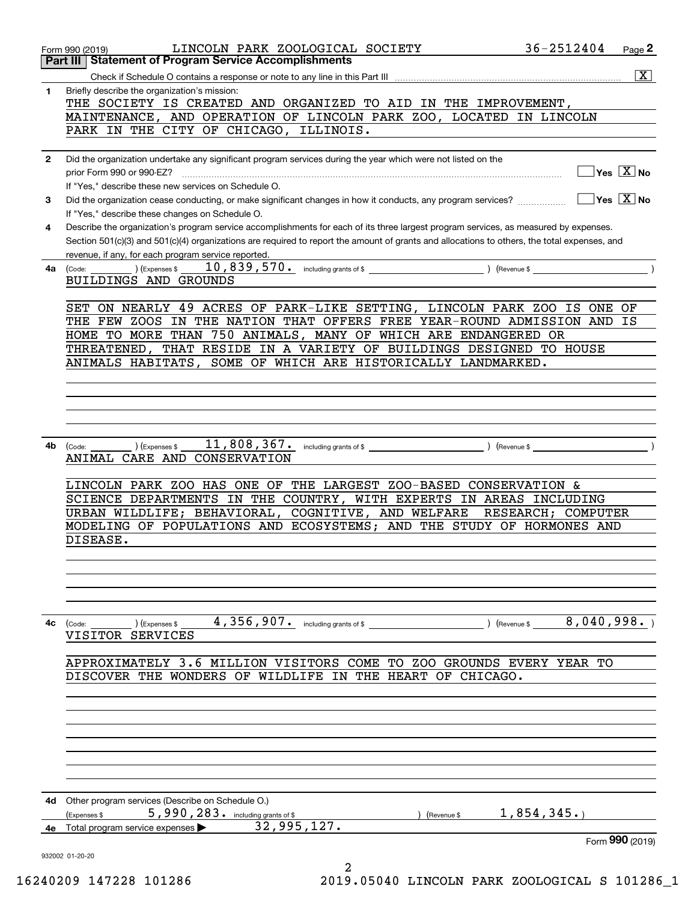|              | 36-2512404<br>LINCOLN PARK ZOOLOGICAL SOCIETY<br>Page 2<br>Form 990 (2019)                                                                                                                                |
|--------------|-----------------------------------------------------------------------------------------------------------------------------------------------------------------------------------------------------------|
|              | <b>Statement of Program Service Accomplishments</b><br>Part III                                                                                                                                           |
|              | $\boxed{\text{X}}$                                                                                                                                                                                        |
| $\mathbf{1}$ | Briefly describe the organization's mission:<br>THE SOCIETY IS CREATED AND ORGANIZED TO AID IN THE IMPROVEMENT,                                                                                           |
|              | MAINTENANCE, AND OPERATION OF LINCOLN PARK ZOO, LOCATED IN LINCOLN                                                                                                                                        |
|              | PARK IN THE CITY OF CHICAGO, ILLINOIS.                                                                                                                                                                    |
| $\mathbf{2}$ | Did the organization undertake any significant program services during the year which were not listed on the                                                                                              |
|              | $\overline{\ }$ Yes $\overline{\phantom{X}}$ No                                                                                                                                                           |
|              | If "Yes," describe these new services on Schedule O.                                                                                                                                                      |
| 3            | $\sqrt{}$ Yes $\sqrt{}$ X $\sqrt{}$ No<br>Did the organization cease conducting, or make significant changes in how it conducts, any program services?<br>If "Yes," describe these changes on Schedule O. |
| 4            | Describe the organization's program service accomplishments for each of its three largest program services, as measured by expenses.                                                                      |
|              | Section 501(c)(3) and 501(c)(4) organizations are required to report the amount of grants and allocations to others, the total expenses, and<br>revenue, if any, for each program service reported.       |
| 4a           | (Expenses \$<br>$\int$ (Revenue \$<br>(Code:                                                                                                                                                              |
|              | BUILDINGS AND GROUNDS                                                                                                                                                                                     |
|              |                                                                                                                                                                                                           |
|              | SET ON NEARLY 49 ACRES OF PARK-LIKE SETTING, LINCOLN PARK ZOO IS ONE OF                                                                                                                                   |
|              | THE FEW ZOOS IN THE NATION THAT OFFERS FREE YEAR-ROUND ADMISSION AND IS                                                                                                                                   |
|              | HOME TO MORE THAN 750 ANIMALS, MANY OF WHICH ARE ENDANGERED OR                                                                                                                                            |
|              | THREATENED, THAT RESIDE IN A VARIETY OF BUILDINGS DESIGNED TO HOUSE                                                                                                                                       |
|              | SOME OF WHICH ARE HISTORICALLY LANDMARKED.<br>ANIMALS HABITATS,                                                                                                                                           |
|              |                                                                                                                                                                                                           |
|              |                                                                                                                                                                                                           |
|              |                                                                                                                                                                                                           |
|              |                                                                                                                                                                                                           |
|              |                                                                                                                                                                                                           |
| 4b           | 11,808,367.<br>including grants of \$<br>) (Revenue \$<br>(Code:<br>(Expenses \$                                                                                                                          |
|              | ANIMAL CARE AND CONSERVATION                                                                                                                                                                              |
|              |                                                                                                                                                                                                           |
|              | LINCOLN PARK ZOO HAS ONE OF THE LARGEST ZOO-BASED CONSERVATION &                                                                                                                                          |
|              | SCIENCE DEPARTMENTS IN THE COUNTRY, WITH EXPERTS IN AREAS INCLUDING                                                                                                                                       |
|              | URBAN WILDLIFE; BEHAVIORAL,<br>COGNITIVE, AND WELFARE<br>RESEARCH; COMPUTER                                                                                                                               |
|              | MODELING OF POPULATIONS AND ECOSYSTEMS; AND THE STUDY OF HORMONES AND                                                                                                                                     |
|              | DISEASE.                                                                                                                                                                                                  |
|              |                                                                                                                                                                                                           |
|              |                                                                                                                                                                                                           |
|              |                                                                                                                                                                                                           |
|              |                                                                                                                                                                                                           |
|              |                                                                                                                                                                                                           |
| 4с           | ) (Revenue \$ $8,040,998.$ )<br>) (Expenses \$<br>(Code:                                                                                                                                                  |
|              | VISITOR SERVICES                                                                                                                                                                                          |
|              | APPROXIMATELY 3.6 MILLION VISITORS COME TO ZOO GROUNDS EVERY YEAR TO                                                                                                                                      |
|              | DISCOVER THE WONDERS OF WILDLIFE IN THE HEART OF CHICAGO.                                                                                                                                                 |
|              |                                                                                                                                                                                                           |
|              |                                                                                                                                                                                                           |
|              |                                                                                                                                                                                                           |
|              |                                                                                                                                                                                                           |
|              |                                                                                                                                                                                                           |
|              |                                                                                                                                                                                                           |
|              |                                                                                                                                                                                                           |
|              |                                                                                                                                                                                                           |
|              |                                                                                                                                                                                                           |
| 4d           | Other program services (Describe on Schedule O.)<br>5,990,283. including grants of \$<br>1,854,345.                                                                                                       |
|              | (Expenses \$<br>) (Revenue \$<br>32,995,127.                                                                                                                                                              |
| 4e           | Total program service expenses ><br>Form 990 (2019)                                                                                                                                                       |
|              | 932002 01-20-20                                                                                                                                                                                           |
|              | 2                                                                                                                                                                                                         |

16240209 147228 101286 2019.05040 LINCOLN PARK ZOOLOGICAL S 101286\_1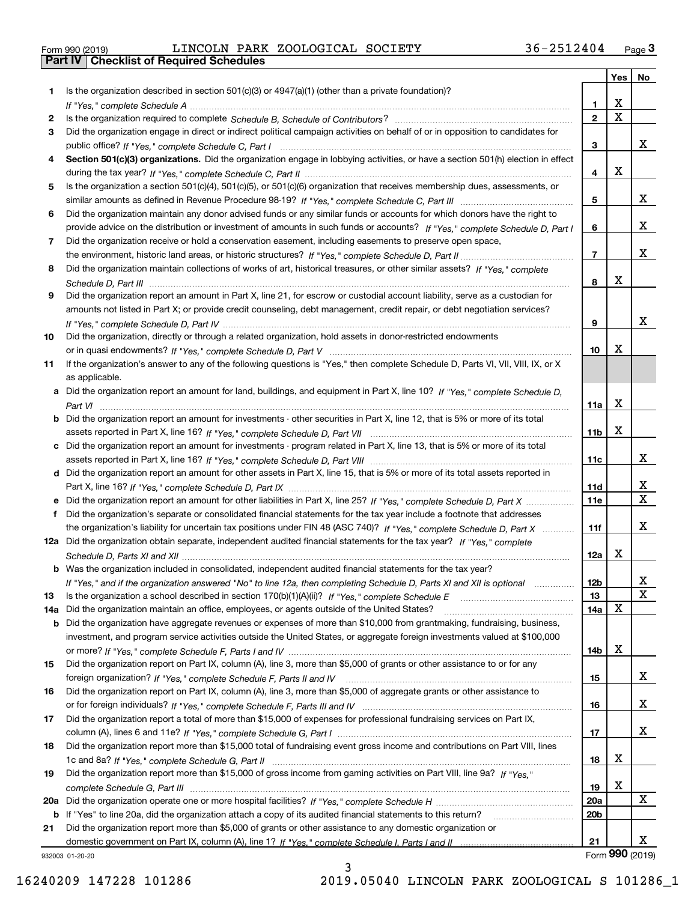| Form 990 (2019) |  |  |
|-----------------|--|--|

Form 990 (2019) LINCOLN PARK ZOOLOGICAL SOCIETY 36-2512404 <sub>Page</sub> 3<br>**Part IV | Checklist of Required Schedules** 

|     |                                                                                                                                       |                | Yes                   | No                      |
|-----|---------------------------------------------------------------------------------------------------------------------------------------|----------------|-----------------------|-------------------------|
| 1.  | Is the organization described in section $501(c)(3)$ or $4947(a)(1)$ (other than a private foundation)?                               |                |                       |                         |
|     |                                                                                                                                       | 1              | х                     |                         |
| 2   |                                                                                                                                       | $\mathbf{2}$   | $\overline{\text{x}}$ |                         |
| 3   | Did the organization engage in direct or indirect political campaign activities on behalf of or in opposition to candidates for       |                |                       |                         |
|     |                                                                                                                                       | 3              |                       | x                       |
| 4   | Section 501(c)(3) organizations. Did the organization engage in lobbying activities, or have a section 501(h) election in effect      |                |                       |                         |
|     |                                                                                                                                       | 4              | X                     |                         |
| 5   | Is the organization a section 501(c)(4), 501(c)(5), or 501(c)(6) organization that receives membership dues, assessments, or          |                |                       |                         |
|     |                                                                                                                                       | 5              |                       | x                       |
| 6   | Did the organization maintain any donor advised funds or any similar funds or accounts for which donors have the right to             |                |                       |                         |
|     | provide advice on the distribution or investment of amounts in such funds or accounts? If "Yes," complete Schedule D, Part I          | 6              |                       | x                       |
| 7   | Did the organization receive or hold a conservation easement, including easements to preserve open space,                             |                |                       |                         |
|     |                                                                                                                                       | $\overline{7}$ |                       | x                       |
| 8   | Did the organization maintain collections of works of art, historical treasures, or other similar assets? If "Yes," complete          |                |                       |                         |
|     |                                                                                                                                       | 8              | X                     |                         |
| 9   | Did the organization report an amount in Part X, line 21, for escrow or custodial account liability, serve as a custodian for         |                |                       |                         |
|     | amounts not listed in Part X; or provide credit counseling, debt management, credit repair, or debt negotiation services?             |                |                       |                         |
|     |                                                                                                                                       | 9              |                       | x                       |
| 10  | Did the organization, directly or through a related organization, hold assets in donor-restricted endowments                          |                |                       |                         |
|     |                                                                                                                                       | 10             | х                     |                         |
| 11  | If the organization's answer to any of the following questions is "Yes," then complete Schedule D, Parts VI, VIII, VIII, IX, or X     |                |                       |                         |
|     | as applicable.                                                                                                                        |                |                       |                         |
|     | a Did the organization report an amount for land, buildings, and equipment in Part X, line 10? If "Yes," complete Schedule D,         |                |                       |                         |
|     | Part VI                                                                                                                               | 11a            | X                     |                         |
|     | <b>b</b> Did the organization report an amount for investments - other securities in Part X, line 12, that is 5% or more of its total |                | X                     |                         |
|     |                                                                                                                                       | 11b            |                       |                         |
|     | c Did the organization report an amount for investments - program related in Part X, line 13, that is 5% or more of its total         |                |                       | x                       |
|     | d Did the organization report an amount for other assets in Part X, line 15, that is 5% or more of its total assets reported in       | 11c            |                       |                         |
|     |                                                                                                                                       | 11d            |                       | x                       |
|     |                                                                                                                                       | <b>11e</b>     |                       | $\overline{\mathbf{x}}$ |
| f   | Did the organization's separate or consolidated financial statements for the tax year include a footnote that addresses               |                |                       |                         |
|     | the organization's liability for uncertain tax positions under FIN 48 (ASC 740)? If "Yes," complete Schedule D, Part X                | 11f            |                       | x                       |
|     | 12a Did the organization obtain separate, independent audited financial statements for the tax year? If "Yes," complete               |                |                       |                         |
|     |                                                                                                                                       | 12a            | x                     |                         |
|     | <b>b</b> Was the organization included in consolidated, independent audited financial statements for the tax year?                    |                |                       |                         |
|     | If "Yes," and if the organization answered "No" to line 12a, then completing Schedule D, Parts XI and XII is optional                 | 12b            |                       | A                       |
| 13  |                                                                                                                                       | 13             |                       | $\mathbf X$             |
| 14a | Did the organization maintain an office, employees, or agents outside of the United States?                                           | 14a            | X                     |                         |
| b   | Did the organization have aggregate revenues or expenses of more than \$10,000 from grantmaking, fundraising, business,               |                |                       |                         |
|     | investment, and program service activities outside the United States, or aggregate foreign investments valued at \$100,000            |                |                       |                         |
|     |                                                                                                                                       | 14b            | Х                     |                         |
| 15  | Did the organization report on Part IX, column (A), line 3, more than \$5,000 of grants or other assistance to or for any             |                |                       |                         |
|     |                                                                                                                                       | 15             |                       | X.                      |
| 16  | Did the organization report on Part IX, column (A), line 3, more than \$5,000 of aggregate grants or other assistance to              |                |                       |                         |
|     |                                                                                                                                       | 16             |                       | x                       |
| 17  | Did the organization report a total of more than \$15,000 of expenses for professional fundraising services on Part IX,               |                |                       |                         |
|     |                                                                                                                                       | 17             |                       | x                       |
| 18  | Did the organization report more than \$15,000 total of fundraising event gross income and contributions on Part VIII, lines          |                |                       |                         |
|     |                                                                                                                                       | 18             | х                     |                         |
| 19  | Did the organization report more than \$15,000 of gross income from gaming activities on Part VIII, line 9a? If "Yes."                |                |                       |                         |
|     |                                                                                                                                       | 19             | Х                     |                         |
| 20a |                                                                                                                                       | 20a            |                       | X                       |
|     | b If "Yes" to line 20a, did the organization attach a copy of its audited financial statements to this return?                        | 20b            |                       |                         |
| 21  | Did the organization report more than \$5,000 of grants or other assistance to any domestic organization or                           |                |                       |                         |
|     |                                                                                                                                       | 21             |                       | X.                      |
|     | 932003 01-20-20<br>ર                                                                                                                  |                |                       | Form 990 (2019)         |

932003 01-20-20

3 16240209 147228 101286 2019.05040 LINCOLN PARK ZOOLOGICAL S 101286\_1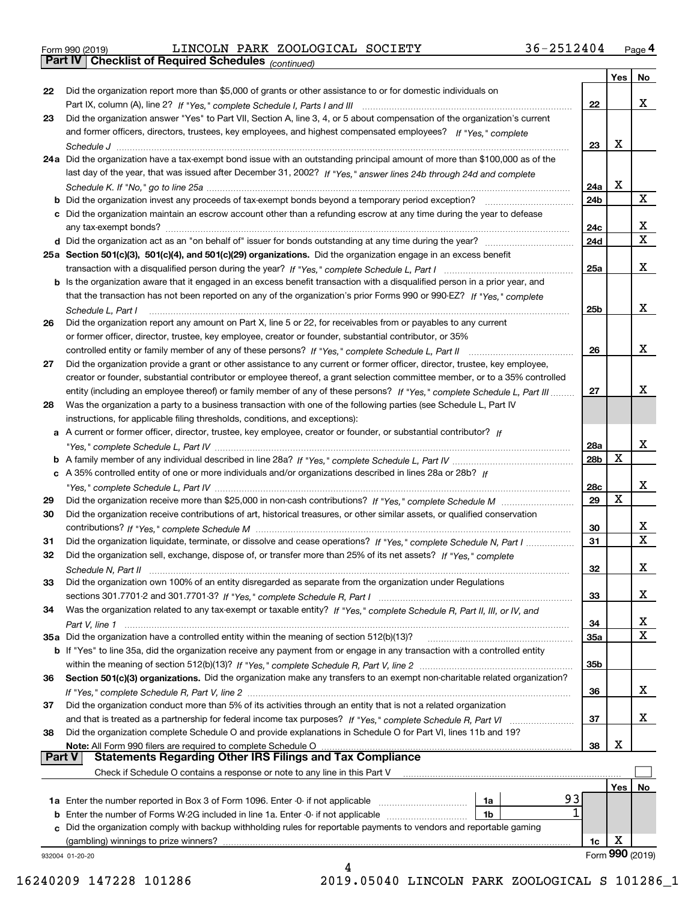|  | Form 990 (2019) |
|--|-----------------|
|  |                 |

|               |                                                                                                                                   |                 | Yes | No.             |
|---------------|-----------------------------------------------------------------------------------------------------------------------------------|-----------------|-----|-----------------|
| 22            | Did the organization report more than \$5,000 of grants or other assistance to or for domestic individuals on                     |                 |     |                 |
|               |                                                                                                                                   | 22              |     | х               |
| 23            | Did the organization answer "Yes" to Part VII, Section A, line 3, 4, or 5 about compensation of the organization's current        |                 |     |                 |
|               | and former officers, directors, trustees, key employees, and highest compensated employees? If "Yes," complete                    |                 |     |                 |
|               |                                                                                                                                   | 23              | x   |                 |
|               | 24a Did the organization have a tax-exempt bond issue with an outstanding principal amount of more than \$100,000 as of the       |                 |     |                 |
|               | last day of the year, that was issued after December 31, 2002? If "Yes," answer lines 24b through 24d and complete                |                 |     |                 |
|               |                                                                                                                                   | 24a             | х   |                 |
|               | <b>b</b> Did the organization invest any proceeds of tax-exempt bonds beyond a temporary period exception?                        | 24b             |     | x               |
|               | c Did the organization maintain an escrow account other than a refunding escrow at any time during the year to defease            |                 |     |                 |
|               | any tax-exempt bonds?                                                                                                             | 24c             |     | X               |
|               |                                                                                                                                   | 24d             |     | $\mathbf X$     |
|               | 25a Section 501(c)(3), 501(c)(4), and 501(c)(29) organizations. Did the organization engage in an excess benefit                  |                 |     |                 |
|               |                                                                                                                                   | 25a             |     | х               |
|               |                                                                                                                                   |                 |     |                 |
|               | b Is the organization aware that it engaged in an excess benefit transaction with a disqualified person in a prior year, and      |                 |     |                 |
|               | that the transaction has not been reported on any of the organization's prior Forms 990 or 990-EZ? If "Yes," complete             |                 |     |                 |
|               | Schedule L, Part I                                                                                                                | 25 <sub>b</sub> |     | х               |
| 26            | Did the organization report any amount on Part X, line 5 or 22, for receivables from or payables to any current                   |                 |     |                 |
|               | or former officer, director, trustee, key employee, creator or founder, substantial contributor, or 35%                           |                 |     |                 |
|               |                                                                                                                                   | 26              |     | х               |
| 27            | Did the organization provide a grant or other assistance to any current or former officer, director, trustee, key employee,       |                 |     |                 |
|               | creator or founder, substantial contributor or employee thereof, a grant selection committee member, or to a 35% controlled       |                 |     |                 |
|               | entity (including an employee thereof) or family member of any of these persons? If "Yes," complete Schedule L, Part III          | 27              |     | x               |
| 28            | Was the organization a party to a business transaction with one of the following parties (see Schedule L, Part IV                 |                 |     |                 |
|               | instructions, for applicable filing thresholds, conditions, and exceptions):                                                      |                 |     |                 |
|               | a A current or former officer, director, trustee, key employee, creator or founder, or substantial contributor? If                |                 |     |                 |
|               |                                                                                                                                   | 28a             |     | х               |
|               |                                                                                                                                   | 28b             | х   |                 |
|               | c A 35% controlled entity of one or more individuals and/or organizations described in lines 28a or 28b? If                       |                 |     |                 |
|               |                                                                                                                                   | 28c             |     | х               |
| 29            |                                                                                                                                   | 29              | x   |                 |
| 30            | Did the organization receive contributions of art, historical treasures, or other similar assets, or qualified conservation       |                 |     |                 |
|               |                                                                                                                                   | 30              |     | X               |
| 31            | Did the organization liquidate, terminate, or dissolve and cease operations? If "Yes," complete Schedule N, Part I                | 31              |     | $\mathbf x$     |
| 32            | Did the organization sell, exchange, dispose of, or transfer more than 25% of its net assets? If "Yes," complete                  |                 |     |                 |
|               | Schedule N, Part II                                                                                                               | 32              |     | x               |
| 33            | Did the organization own 100% of an entity disregarded as separate from the organization under Regulations                        |                 |     |                 |
|               |                                                                                                                                   | 33              |     | х               |
| 34            | Was the organization related to any tax-exempt or taxable entity? If "Yes," complete Schedule R, Part II, III, or IV, and         |                 |     |                 |
|               |                                                                                                                                   | 34              |     | х               |
|               | 35a Did the organization have a controlled entity within the meaning of section 512(b)(13)?                                       | 35a             |     | X               |
|               | b If "Yes" to line 35a, did the organization receive any payment from or engage in any transaction with a controlled entity       |                 |     |                 |
|               |                                                                                                                                   | 35b             |     |                 |
| 36            | Section 501(c)(3) organizations. Did the organization make any transfers to an exempt non-charitable related organization?        |                 |     |                 |
|               |                                                                                                                                   | 36              |     | x               |
| 37            | Did the organization conduct more than 5% of its activities through an entity that is not a related organization                  |                 |     |                 |
|               |                                                                                                                                   |                 |     | x               |
|               | and that is treated as a partnership for federal income tax purposes? If "Yes," complete Schedule R, Part VI                      | 37              |     |                 |
| 38            | Did the organization complete Schedule O and provide explanations in Schedule O for Part VI, lines 11b and 19?                    |                 | х   |                 |
| <b>Part V</b> | Note: All Form 990 filers are required to complete Schedule O<br><b>Statements Regarding Other IRS Filings and Tax Compliance</b> | 38              |     |                 |
|               |                                                                                                                                   |                 |     |                 |
|               | Check if Schedule O contains a response or note to any line in this Part V                                                        |                 |     |                 |
|               | 93                                                                                                                                |                 | Yes | No              |
|               | <b>1a</b> Enter the number reported in Box 3 of Form 1096. Enter -0- if not applicable <i>manumumumum</i><br>1a                   |                 |     |                 |
|               | 1b                                                                                                                                |                 |     |                 |
|               | c Did the organization comply with backup withholding rules for reportable payments to vendors and reportable gaming              |                 |     |                 |
|               | (gambling) winnings to prize winners?                                                                                             | 1c              | х   |                 |
|               | 932004 01-20-20                                                                                                                   |                 |     | Form 990 (2019) |
|               |                                                                                                                                   |                 |     |                 |

16240209 147228 101286 2019.05040 LINCOLN PARK ZOOLOGICAL S 101286\_1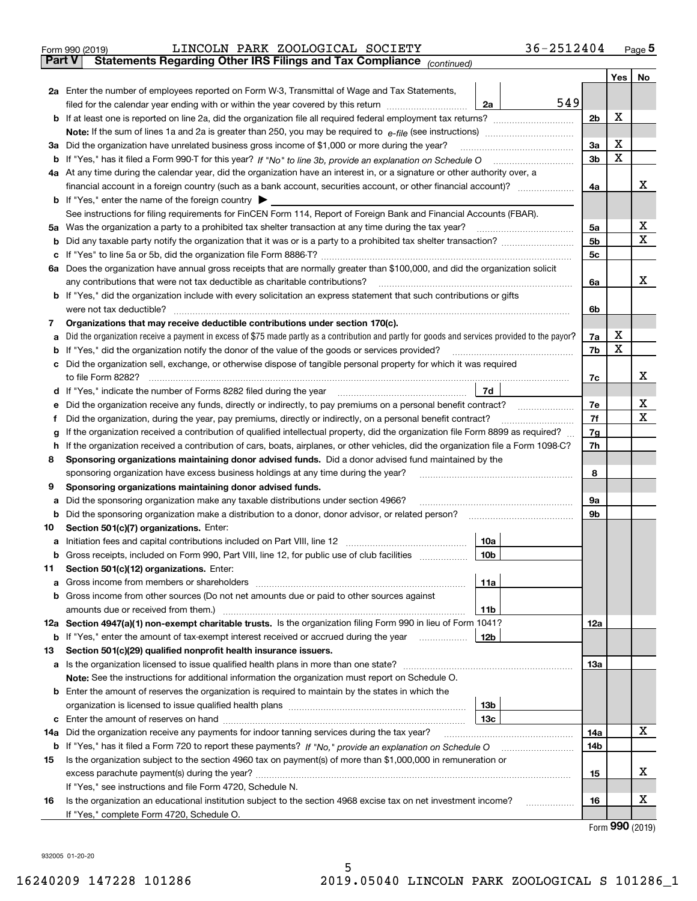| Form 990 (2019) |  | LINCOLN PARK ZOOLOGICAL SOCIETY                                                                |  | 36-2512404 | Page 5 |
|-----------------|--|------------------------------------------------------------------------------------------------|--|------------|--------|
|                 |  | <b>Part V</b> Statements Regarding Other IRS Filings and Tax Compliance <sub>(continued)</sub> |  |            |        |

|    |                                                                                                                                                                                                                                  |                 |     |                | <b>Yes</b>  | No |  |
|----|----------------------------------------------------------------------------------------------------------------------------------------------------------------------------------------------------------------------------------|-----------------|-----|----------------|-------------|----|--|
|    | 2a Enter the number of employees reported on Form W-3, Transmittal of Wage and Tax Statements,                                                                                                                                   |                 |     |                |             |    |  |
|    | filed for the calendar year ending with or within the year covered by this return                                                                                                                                                | 2a              | 549 |                |             |    |  |
|    |                                                                                                                                                                                                                                  |                 |     | 2 <sub>b</sub> | X           |    |  |
|    | Note: If the sum of lines 1a and 2a is greater than 250, you may be required to $e$ -file (see instructions) <i>marrouum</i> manu-                                                                                               |                 |     |                |             |    |  |
|    | 3a Did the organization have unrelated business gross income of \$1,000 or more during the year?                                                                                                                                 |                 |     | 3a             | X           |    |  |
|    | <b>b</b> If "Yes," has it filed a Form 990-T for this year? If "No" to line 3b, provide an explanation on Schedule O                                                                                                             |                 |     | 3b             | $\mathbf X$ |    |  |
|    | 4a At any time during the calendar year, did the organization have an interest in, or a signature or other authority over, a                                                                                                     |                 |     |                |             |    |  |
|    | financial account in a foreign country (such as a bank account, securities account, or other financial account)?                                                                                                                 |                 |     | 4a             |             | x  |  |
|    | <b>b</b> If "Yes," enter the name of the foreign country $\blacktriangleright$                                                                                                                                                   |                 |     |                |             |    |  |
|    | See instructions for filing requirements for FinCEN Form 114, Report of Foreign Bank and Financial Accounts (FBAR).                                                                                                              |                 |     |                |             |    |  |
|    | 5a Was the organization a party to a prohibited tax shelter transaction at any time during the tax year?                                                                                                                         |                 |     | 5a             |             | x  |  |
|    |                                                                                                                                                                                                                                  |                 |     | 5b             |             | X  |  |
|    |                                                                                                                                                                                                                                  |                 |     | 5c             |             |    |  |
|    | 6a Does the organization have annual gross receipts that are normally greater than \$100,000, and did the organization solicit                                                                                                   |                 |     |                |             |    |  |
|    | any contributions that were not tax deductible as charitable contributions?                                                                                                                                                      |                 |     | 6a             |             | х  |  |
|    | b If "Yes," did the organization include with every solicitation an express statement that such contributions or gifts                                                                                                           |                 |     |                |             |    |  |
|    | were not tax deductible?                                                                                                                                                                                                         |                 |     | 6b             |             |    |  |
| 7  | Organizations that may receive deductible contributions under section 170(c).<br>Did the organization receive a payment in excess of \$75 made partly as a contribution and partly for goods and services provided to the payor? |                 |     | 7a             | X           |    |  |
| а  | <b>b</b> If "Yes," did the organization notify the donor of the value of the goods or services provided?                                                                                                                         |                 |     | 7b             | X           |    |  |
|    | c Did the organization sell, exchange, or otherwise dispose of tangible personal property for which it was required                                                                                                              |                 |     |                |             |    |  |
|    | to file Form 8282?                                                                                                                                                                                                               |                 |     | 7c             |             | х  |  |
|    | d If "Yes," indicate the number of Forms 8282 filed during the year                                                                                                                                                              | 7d              |     |                |             |    |  |
| е  | Did the organization receive any funds, directly or indirectly, to pay premiums on a personal benefit contract?                                                                                                                  |                 |     | 7e             |             | х  |  |
| Ť. | Did the organization, during the year, pay premiums, directly or indirectly, on a personal benefit contract?                                                                                                                     |                 |     | 7f             |             | X  |  |
| g  | If the organization received a contribution of qualified intellectual property, did the organization file Form 8899 as required?                                                                                                 |                 |     | 7g             |             |    |  |
|    | h If the organization received a contribution of cars, boats, airplanes, or other vehicles, did the organization file a Form 1098-C?                                                                                             |                 |     |                |             |    |  |
| 8  | Sponsoring organizations maintaining donor advised funds. Did a donor advised fund maintained by the                                                                                                                             |                 |     |                |             |    |  |
|    | sponsoring organization have excess business holdings at any time during the year?                                                                                                                                               |                 |     |                |             |    |  |
| 9  | Sponsoring organizations maintaining donor advised funds.                                                                                                                                                                        |                 |     |                |             |    |  |
| а  | Did the sponsoring organization make any taxable distributions under section 4966?                                                                                                                                               |                 |     | 9а             |             |    |  |
|    | <b>b</b> Did the sponsoring organization make a distribution to a donor, donor advisor, or related person?                                                                                                                       |                 |     | 9b             |             |    |  |
| 10 | Section 501(c)(7) organizations. Enter:                                                                                                                                                                                          |                 |     |                |             |    |  |
| а  | Initiation fees and capital contributions included on Part VIII, line 12 [11] [11] [12] [12] [13] [13] [13] [1                                                                                                                   | 10a             |     |                |             |    |  |
|    | <b>b</b> Gross receipts, included on Form 990, Part VIII, line 12, for public use of club facilities <i>manument</i>                                                                                                             | 10 <sub>b</sub> |     |                |             |    |  |
| 11 | Section 501(c)(12) organizations. Enter:                                                                                                                                                                                         |                 |     |                |             |    |  |
| а  | <b>b</b> Gross income from other sources (Do not net amounts due or paid to other sources against                                                                                                                                | 11a             |     |                |             |    |  |
|    |                                                                                                                                                                                                                                  | 11b             |     |                |             |    |  |
|    | 12a Section 4947(a)(1) non-exempt charitable trusts. Is the organization filing Form 990 in lieu of Form 1041?                                                                                                                   |                 |     | 12a            |             |    |  |
|    | <b>b</b> If "Yes," enter the amount of tax-exempt interest received or accrued during the year                                                                                                                                   | 12b             |     |                |             |    |  |
| 13 | Section 501(c)(29) qualified nonprofit health insurance issuers.                                                                                                                                                                 |                 |     |                |             |    |  |
|    |                                                                                                                                                                                                                                  |                 |     | 13a            |             |    |  |
|    | <b>Note:</b> See the instructions for additional information the organization must report on Schedule O.                                                                                                                         |                 |     |                |             |    |  |
|    | <b>b</b> Enter the amount of reserves the organization is required to maintain by the states in which the                                                                                                                        |                 |     |                |             |    |  |
|    |                                                                                                                                                                                                                                  | 13 <sub>b</sub> |     |                |             |    |  |
|    |                                                                                                                                                                                                                                  | 13с             |     |                |             |    |  |
|    | 14a Did the organization receive any payments for indoor tanning services during the tax year?                                                                                                                                   |                 |     | 14a            |             | х  |  |
|    |                                                                                                                                                                                                                                  |                 |     | 14b            |             |    |  |
| 15 | Is the organization subject to the section 4960 tax on payment(s) of more than \$1,000,000 in remuneration or                                                                                                                    |                 |     |                |             |    |  |
|    |                                                                                                                                                                                                                                  |                 |     | 15             |             | х  |  |
|    | If "Yes," see instructions and file Form 4720, Schedule N.                                                                                                                                                                       |                 |     |                |             |    |  |
| 16 | Is the organization an educational institution subject to the section 4968 excise tax on net investment income?                                                                                                                  |                 | .   | 16             |             | х  |  |
|    | If "Yes," complete Form 4720, Schedule O.                                                                                                                                                                                        |                 |     |                |             |    |  |

Form (2019) **990**

932005 01-20-20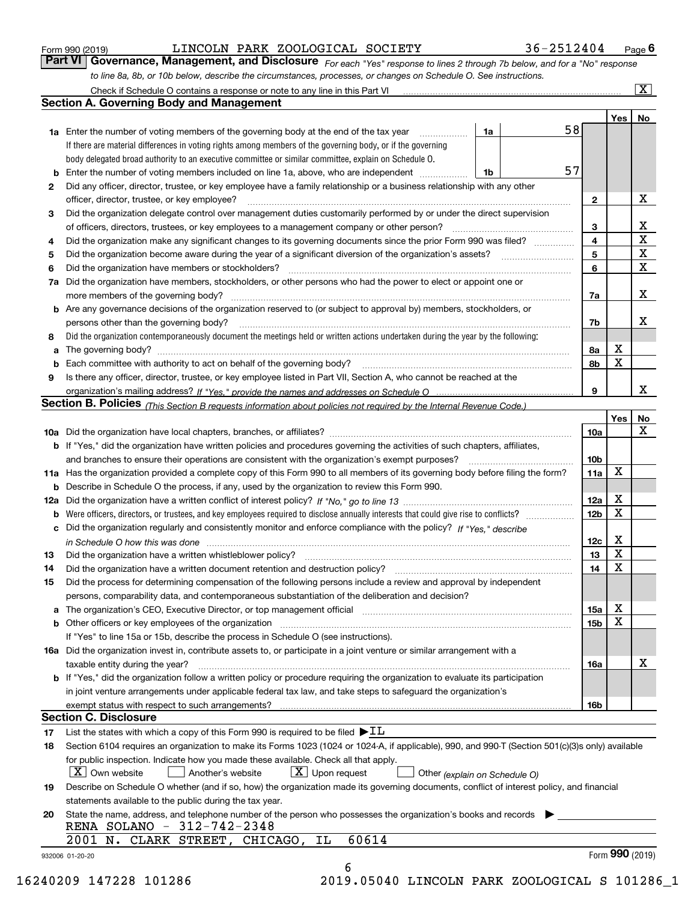| Form 990 (2019) |  |  |
|-----------------|--|--|
|                 |  |  |

*For each "Yes" response to lines 2 through 7b below, and for a "No" response to line 8a, 8b, or 10b below, describe the circumstances, processes, or changes on Schedule O. See instructions.* Form 990 (2019) **COLOGICAL EXECUM PARK 200LOGICAL SOCIETY** 36 – 251 24 04 Page 6<br>**Part VI Governance, Management, and Disclosure** For each "Yes" response to lines 2 through 7b below, and for a "No" response

|    |                                                                                                                                                                                                                                |    |  |    |                 | Yes <sub>1</sub> | No                      |  |
|----|--------------------------------------------------------------------------------------------------------------------------------------------------------------------------------------------------------------------------------|----|--|----|-----------------|------------------|-------------------------|--|
|    | <b>1a</b> Enter the number of voting members of the governing body at the end of the tax year                                                                                                                                  | 1a |  | 58 |                 |                  |                         |  |
|    | If there are material differences in voting rights among members of the governing body, or if the governing                                                                                                                    |    |  |    |                 |                  |                         |  |
|    | body delegated broad authority to an executive committee or similar committee, explain on Schedule O.                                                                                                                          |    |  |    |                 |                  |                         |  |
| b  | Enter the number of voting members included on line 1a, above, who are independent                                                                                                                                             | 1b |  | 57 |                 |                  |                         |  |
| 2  | Did any officer, director, trustee, or key employee have a family relationship or a business relationship with any other                                                                                                       |    |  |    |                 |                  |                         |  |
|    | officer, director, trustee, or key employee?                                                                                                                                                                                   |    |  |    | $\mathbf{2}$    |                  | X                       |  |
| 3  | Did the organization delegate control over management duties customarily performed by or under the direct supervision                                                                                                          |    |  |    |                 |                  |                         |  |
|    |                                                                                                                                                                                                                                |    |  |    | 3               |                  | $\mathbf{X}$            |  |
| 4  | Did the organization make any significant changes to its governing documents since the prior Form 990 was filed?                                                                                                               |    |  |    | 4               |                  | $\overline{\texttt{x}}$ |  |
| 5  |                                                                                                                                                                                                                                |    |  |    | 5               |                  | $\overline{\mathbf{x}}$ |  |
| 6  | Did the organization have members or stockholders?                                                                                                                                                                             |    |  |    | 6               |                  | $\overline{\mathbf{x}}$ |  |
| 7a | Did the organization have members, stockholders, or other persons who had the power to elect or appoint one or                                                                                                                 |    |  |    |                 |                  |                         |  |
|    |                                                                                                                                                                                                                                |    |  |    | 7a              |                  | X                       |  |
|    | <b>b</b> Are any governance decisions of the organization reserved to (or subject to approval by) members, stockholders, or                                                                                                    |    |  |    |                 |                  |                         |  |
|    | persons other than the governing body?                                                                                                                                                                                         |    |  |    | 7b              |                  | X                       |  |
| 8  | Did the organization contemporaneously document the meetings held or written actions undertaken during the year by the following:                                                                                              |    |  |    |                 |                  |                         |  |
| a  |                                                                                                                                                                                                                                |    |  |    | 8а              | X                |                         |  |
|    |                                                                                                                                                                                                                                |    |  |    | 8b              | X                |                         |  |
| 9  | Is there any officer, director, trustee, or key employee listed in Part VII, Section A, who cannot be reached at the                                                                                                           |    |  |    |                 |                  |                         |  |
|    |                                                                                                                                                                                                                                |    |  |    | 9               |                  | X                       |  |
|    | Section B. Policies <sub>(This</sub> Section B requests information about policies not required by the Internal Revenue Code.)                                                                                                 |    |  |    |                 |                  |                         |  |
|    |                                                                                                                                                                                                                                |    |  |    |                 | Yes              | No                      |  |
|    |                                                                                                                                                                                                                                |    |  |    | 10a             |                  | X                       |  |
|    | <b>b</b> If "Yes," did the organization have written policies and procedures governing the activities of such chapters, affiliates,                                                                                            |    |  |    |                 |                  |                         |  |
|    |                                                                                                                                                                                                                                |    |  |    | 10 <sub>b</sub> |                  |                         |  |
|    | 11a Has the organization provided a complete copy of this Form 990 to all members of its governing body before filing the form?                                                                                                |    |  |    | 11a             | X                |                         |  |
|    | <b>b</b> Describe in Schedule O the process, if any, used by the organization to review this Form 990.                                                                                                                         |    |  |    |                 |                  |                         |  |
|    |                                                                                                                                                                                                                                |    |  |    | 12a             | X                |                         |  |
| b  |                                                                                                                                                                                                                                |    |  |    | 12 <sub>b</sub> | X                |                         |  |
|    | c Did the organization regularly and consistently monitor and enforce compliance with the policy? If "Yes," describe                                                                                                           |    |  |    |                 |                  |                         |  |
|    | in Schedule O how this was done measured and the control of the control of the state of the control of the control of the control of the control of the control of the control of the control of the control of the control of |    |  |    | 12c             | X                |                         |  |
| 13 |                                                                                                                                                                                                                                |    |  |    | 13              | $\mathbf x$      |                         |  |
| 14 |                                                                                                                                                                                                                                |    |  |    | 14              | X                |                         |  |
| 15 | Did the process for determining compensation of the following persons include a review and approval by independent                                                                                                             |    |  |    |                 |                  |                         |  |
|    | persons, comparability data, and contemporaneous substantiation of the deliberation and decision?                                                                                                                              |    |  |    |                 |                  |                         |  |
|    | a The organization's CEO, Executive Director, or top management official manufactured content of the organization's CEO, Executive Director, or top management official                                                        |    |  |    | 15a             | х                |                         |  |
|    |                                                                                                                                                                                                                                |    |  |    | 15 <sub>b</sub> | X                |                         |  |
|    | If "Yes" to line 15a or 15b, describe the process in Schedule O (see instructions).                                                                                                                                            |    |  |    |                 |                  |                         |  |
|    | 16a Did the organization invest in, contribute assets to, or participate in a joint venture or similar arrangement with a                                                                                                      |    |  |    |                 |                  |                         |  |
|    | taxable entity during the year?                                                                                                                                                                                                |    |  |    | 16a             |                  | X                       |  |
|    | b If "Yes," did the organization follow a written policy or procedure requiring the organization to evaluate its participation                                                                                                 |    |  |    |                 |                  |                         |  |
|    | in joint venture arrangements under applicable federal tax law, and take steps to safeguard the organization's                                                                                                                 |    |  |    |                 |                  |                         |  |
|    |                                                                                                                                                                                                                                |    |  |    | 16b             |                  |                         |  |
|    | <b>Section C. Disclosure</b>                                                                                                                                                                                                   |    |  |    |                 |                  |                         |  |
| 17 | List the states with which a copy of this Form 990 is required to be filed $\blacktriangleright$ IL                                                                                                                            |    |  |    |                 |                  |                         |  |
| 18 | Section 6104 requires an organization to make its Forms 1023 (1024 or 1024-A, if applicable), 990, and 990-T (Section 501(c)(3)s only) available                                                                               |    |  |    |                 |                  |                         |  |
|    |                                                                                                                                                                                                                                |    |  |    |                 |                  |                         |  |
|    | for public inspection. Indicate how you made these available. Check all that apply.<br>$X$ Upon request                                                                                                                        |    |  |    |                 |                  |                         |  |
|    | $X$ Own website<br>Another's website<br>Other (explain on Schedule O)                                                                                                                                                          |    |  |    |                 |                  |                         |  |
| 19 | Describe on Schedule O whether (and if so, how) the organization made its governing documents, conflict of interest policy, and financial                                                                                      |    |  |    |                 |                  |                         |  |
|    | statements available to the public during the tax year.                                                                                                                                                                        |    |  |    |                 |                  |                         |  |
| 20 | State the name, address, and telephone number of the person who possesses the organization's books and records                                                                                                                 |    |  |    |                 |                  |                         |  |
|    | RENA SOLANO - 312-742-2348<br>60614                                                                                                                                                                                            |    |  |    |                 |                  |                         |  |
|    | 2001 N. CLARK STREET, CHICAGO,<br>IL                                                                                                                                                                                           |    |  |    |                 | Form 990 (2019)  |                         |  |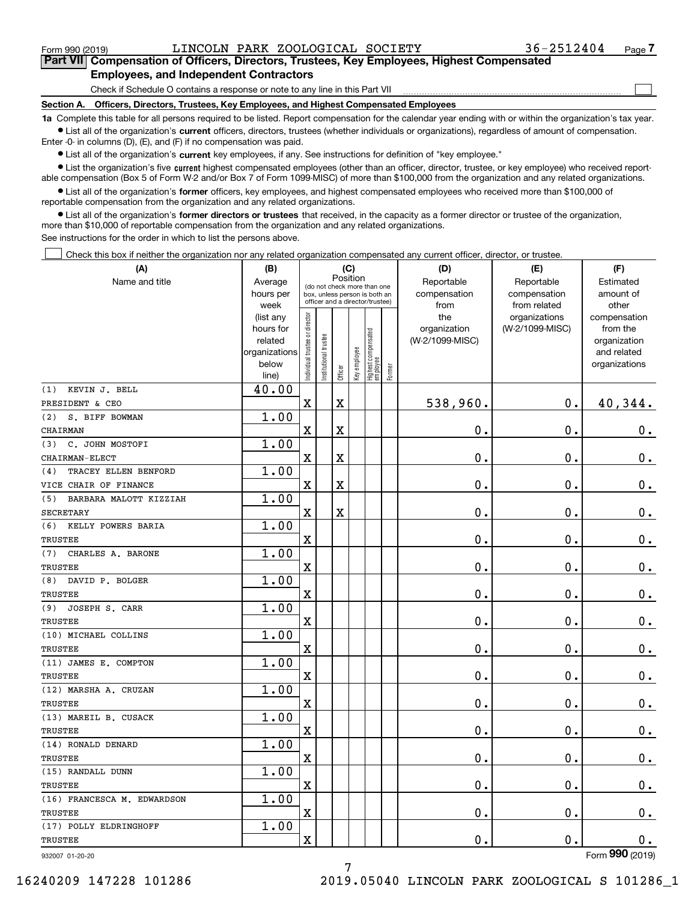$\mathcal{L}^{\text{max}}$ 

# **7Part VII Compensation of Officers, Directors, Trustees, Key Employees, Highest Compensated Employees, and Independent Contractors**

Check if Schedule O contains a response or note to any line in this Part VII

**Section A. Officers, Directors, Trustees, Key Employees, and Highest Compensated Employees**

**1a**  Complete this table for all persons required to be listed. Report compensation for the calendar year ending with or within the organization's tax year. **•** List all of the organization's current officers, directors, trustees (whether individuals or organizations), regardless of amount of compensation.

Enter -0- in columns (D), (E), and (F) if no compensation was paid.

 $\bullet$  List all of the organization's  $\,$ current key employees, if any. See instructions for definition of "key employee."

• List the organization's five current highest compensated employees (other than an officer, director, trustee, or key employee) who received report-■ List the organization's five current highest compensated employees (other than an officer, director, trustee, or key employee) who received report-<br>able compensation (Box 5 of Form W-2 and/or Box 7 of Form 1099-MISC) of

**•** List all of the organization's former officers, key employees, and highest compensated employees who received more than \$100,000 of reportable compensation from the organization and any related organizations.

**former directors or trustees**  ¥ List all of the organization's that received, in the capacity as a former director or trustee of the organization, more than \$10,000 of reportable compensation from the organization and any related organizations.

See instructions for the order in which to list the persons above.

Check this box if neither the organization nor any related organization compensated any current officer, director, or trustee.  $\mathcal{L}^{\text{max}}$ 

| (A)                           | (B)                      | (C)                                                              |                       |             |              |                                  |        | (D)             | (E)             | (F)                             |  |  |
|-------------------------------|--------------------------|------------------------------------------------------------------|-----------------------|-------------|--------------|----------------------------------|--------|-----------------|-----------------|---------------------------------|--|--|
| Name and title                | Average                  | Position<br>(do not check more than one                          |                       |             |              |                                  |        | Reportable      | Reportable      | Estimated                       |  |  |
|                               | hours per                | box, unless person is both an<br>officer and a director/trustee) |                       |             |              |                                  |        | compensation    | amount of       |                                 |  |  |
|                               | week                     |                                                                  |                       |             |              |                                  |        | from            | from related    | other                           |  |  |
|                               | (list any                |                                                                  |                       |             |              |                                  |        | the             | organizations   | compensation                    |  |  |
|                               | hours for                |                                                                  |                       |             |              |                                  |        | organization    | (W-2/1099-MISC) | from the                        |  |  |
|                               | related<br>organizations |                                                                  |                       |             |              |                                  |        | (W-2/1099-MISC) |                 | organization<br>and related     |  |  |
|                               | below                    |                                                                  |                       |             |              |                                  |        |                 |                 | organizations                   |  |  |
|                               | line)                    | Individual trustee or director                                   | Institutional trustee | Officer     | Key employee | Highest compensated<br> employee | Former |                 |                 |                                 |  |  |
| KEVIN J. BELL<br>(1)          | 40.00                    |                                                                  |                       |             |              |                                  |        |                 |                 |                                 |  |  |
| PRESIDENT & CEO               |                          | $\mathbf X$                                                      |                       | $\mathbf X$ |              |                                  |        | 538,960.        | $\mathbf 0$ .   | 40,344.                         |  |  |
| S. BIFF BOWMAN<br>(2)         | 1.00                     |                                                                  |                       |             |              |                                  |        |                 |                 |                                 |  |  |
| CHAIRMAN                      |                          | X                                                                |                       | X           |              |                                  |        | 0.              | 0.              | 0.                              |  |  |
| C. JOHN MOSTOFI<br>(3)        | 1.00                     |                                                                  |                       |             |              |                                  |        |                 |                 |                                 |  |  |
| CHAIRMAN-ELECT                |                          | $\overline{\textbf{X}}$                                          |                       | X           |              |                                  |        | 0.              | $\mathbf 0$ .   | $\mathbf 0$ .                   |  |  |
| TRACEY ELLEN BENFORD<br>(4)   | 1.00                     |                                                                  |                       |             |              |                                  |        |                 |                 |                                 |  |  |
| VICE CHAIR OF FINANCE         |                          | $\overline{\textbf{X}}$                                          |                       | X           |              |                                  |        | 0.              | $\mathbf 0$ .   | $\mathbf 0$ .                   |  |  |
| BARBARA MALOTT KIZZIAH<br>(5) | 1.00                     |                                                                  |                       |             |              |                                  |        |                 |                 |                                 |  |  |
| <b>SECRETARY</b>              |                          | $\overline{\text{X}}$                                            |                       | X           |              |                                  |        | 0.              | $\mathbf 0$ .   | $0_{.}$                         |  |  |
| KELLY POWERS BARIA<br>(6)     | 1.00                     |                                                                  |                       |             |              |                                  |        |                 |                 |                                 |  |  |
| <b>TRUSTEE</b>                |                          | X                                                                |                       |             |              |                                  |        | 0.              | 0.              | $\mathbf 0$ .                   |  |  |
| CHARLES A. BARONE<br>(7)      | 1.00                     |                                                                  |                       |             |              |                                  |        |                 |                 |                                 |  |  |
| <b>TRUSTEE</b>                |                          | X                                                                |                       |             |              |                                  |        | 0.              | $\mathbf 0$ .   | $0_{.}$                         |  |  |
| (8)<br>DAVID P. BOLGER        | 1.00                     |                                                                  |                       |             |              |                                  |        |                 |                 |                                 |  |  |
| TRUSTEE                       |                          | X                                                                |                       |             |              |                                  |        | 0.              | $\mathbf 0$ .   | $\mathbf 0$ .                   |  |  |
| JOSEPH S. CARR<br>(9)         | 1.00                     |                                                                  |                       |             |              |                                  |        |                 |                 |                                 |  |  |
| TRUSTEE                       |                          | $\overline{\textbf{X}}$                                          |                       |             |              |                                  |        | 0.              | $\mathbf 0$ .   | $\mathbf 0$ .                   |  |  |
| (10) MICHAEL COLLINS          | 1.00                     |                                                                  |                       |             |              |                                  |        |                 |                 |                                 |  |  |
| TRUSTEE                       |                          | $\mathbf x$                                                      |                       |             |              |                                  |        | $0$ .           | $\mathbf 0$ .   | 0.                              |  |  |
| (11) JAMES E. COMPTON         | 1.00                     |                                                                  |                       |             |              |                                  |        |                 |                 |                                 |  |  |
| TRUSTEE                       |                          | X                                                                |                       |             |              |                                  |        | 0.              | $\mathbf 0$ .   | $0_{.}$                         |  |  |
| (12) MARSHA A. CRUZAN         | 1.00                     |                                                                  |                       |             |              |                                  |        |                 |                 |                                 |  |  |
| TRUSTEE                       |                          | $\overline{\text{X}}$                                            |                       |             |              |                                  |        | 0.              | $\mathbf 0$ .   | $0_{.}$                         |  |  |
| (13) MAREIL B. CUSACK         | 1.00                     |                                                                  |                       |             |              |                                  |        |                 |                 |                                 |  |  |
| TRUSTEE                       |                          | X                                                                |                       |             |              |                                  |        | 0.              | 0.              | $\mathbf 0$ .                   |  |  |
| (14) RONALD DENARD            | 1.00                     |                                                                  |                       |             |              |                                  |        |                 |                 |                                 |  |  |
| TRUSTEE                       |                          | $\mathbf x$                                                      |                       |             |              |                                  |        | 0.              | $\mathbf 0$ .   | $\mathbf 0$ .                   |  |  |
| (15) RANDALL DUNN             | 1.00                     |                                                                  |                       |             |              |                                  |        |                 |                 |                                 |  |  |
| TRUSTEE                       |                          | X                                                                |                       |             |              |                                  |        | 0.              | $\mathbf 0$ .   | 0.                              |  |  |
| (16) FRANCESCA M. EDWARDSON   | 1.00                     |                                                                  |                       |             |              |                                  |        |                 |                 |                                 |  |  |
| TRUSTEE                       |                          | X                                                                |                       |             |              |                                  |        | 0.              | $\mathbf 0$ .   | $\mathbf 0$ .                   |  |  |
| (17) POLLY ELDRINGHOFF        | 1.00                     |                                                                  |                       |             |              |                                  |        |                 |                 |                                 |  |  |
| TRUSTEE                       |                          | X                                                                |                       |             |              |                                  |        | 0.              | $\mathbf 0$ .   | $\mathbf 0$ .<br>$\overline{2}$ |  |  |

932007 01-20-20

7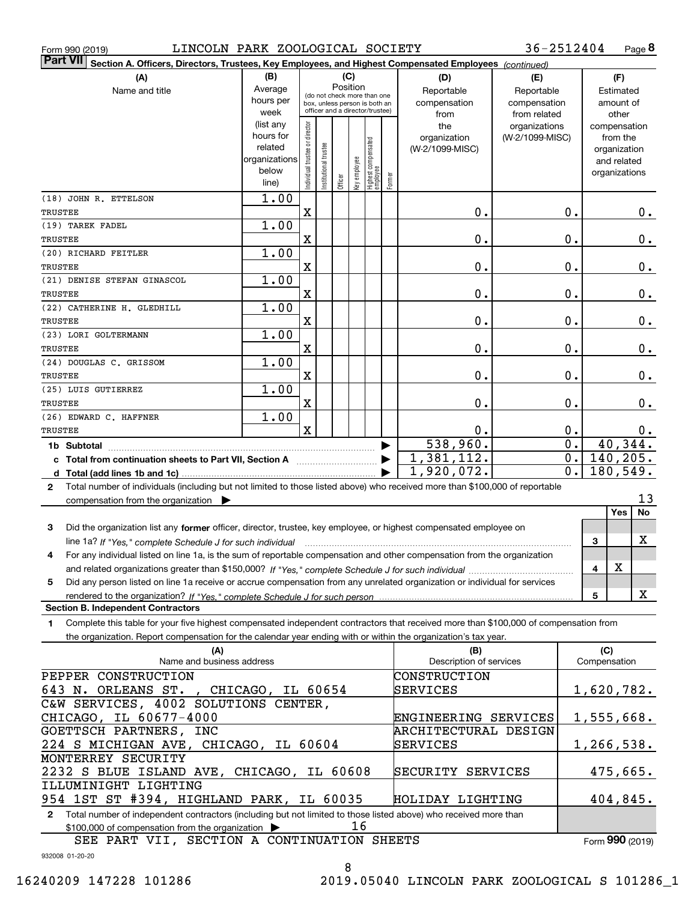|  | Form 990 (2019) |  |
|--|-----------------|--|

Form 990 (2019) LINCOLN PARK ZOOLOGICAL SOCIETY 3 6-2512404 Page **8** 

| Part VII Section A. Officers, Directors, Trustees, Key Employees, and Highest Compensated Employees (continued)                              |               |                                |                                                              |         |              |                                   |           |                         |                 |                  |     |                  |
|----------------------------------------------------------------------------------------------------------------------------------------------|---------------|--------------------------------|--------------------------------------------------------------|---------|--------------|-----------------------------------|-----------|-------------------------|-----------------|------------------|-----|------------------|
| (A)                                                                                                                                          | (B)           |                                |                                                              | (C)     |              |                                   |           | (D)                     | (E)             |                  |     | (F)              |
| Name and title                                                                                                                               | Average       | Position                       |                                                              |         | Reportable   | Reportable                        | Estimated |                         |                 |                  |     |                  |
|                                                                                                                                              | hours per     |                                | (do not check more than one<br>box, unless person is both an |         |              |                                   |           | compensation            | compensation    |                  |     | amount of        |
|                                                                                                                                              | week          |                                | officer and a director/trustee)                              |         |              |                                   |           | from                    | from related    |                  |     | other            |
|                                                                                                                                              | (list any     |                                |                                                              |         |              |                                   |           | the                     | organizations   |                  |     | compensation     |
|                                                                                                                                              | hours for     |                                |                                                              |         |              |                                   |           | organization            | (W-2/1099-MISC) |                  |     | from the         |
|                                                                                                                                              | related       |                                |                                                              |         |              |                                   |           | (W-2/1099-MISC)         |                 |                  |     | organization     |
|                                                                                                                                              | organizations |                                |                                                              |         |              |                                   |           |                         |                 |                  |     | and related      |
|                                                                                                                                              | below         | Individual trustee or director | Institutional trustee                                        |         | Key employee |                                   |           |                         |                 |                  |     | organizations    |
|                                                                                                                                              | line)         |                                |                                                              | Officer |              | Highest compensated<br>  employee | Former    |                         |                 |                  |     |                  |
| (18) JOHN R. ETTELSON                                                                                                                        | 1.00          |                                |                                                              |         |              |                                   |           |                         |                 |                  |     |                  |
| <b>TRUSTEE</b>                                                                                                                               |               | $\mathbf X$                    |                                                              |         |              |                                   |           | 0.                      |                 | 0.               |     | 0.               |
| (19) TAREK FADEL                                                                                                                             | 1.00          |                                |                                                              |         |              |                                   |           |                         |                 |                  |     |                  |
| TRUSTEE                                                                                                                                      |               | X                              |                                                              |         |              |                                   |           | 0.                      |                 | 0.               |     | $\mathbf 0$ .    |
| (20) RICHARD FEITLER                                                                                                                         | 1.00          |                                |                                                              |         |              |                                   |           |                         |                 |                  |     |                  |
| TRUSTEE                                                                                                                                      |               | X                              |                                                              |         |              |                                   |           | 0.                      |                 | 0.               |     | $\mathbf 0$ .    |
| (21) DENISE STEFAN GINASCOL                                                                                                                  | 1.00          |                                |                                                              |         |              |                                   |           |                         |                 |                  |     |                  |
| TRUSTEE                                                                                                                                      |               | X                              |                                                              |         |              |                                   |           | 0.                      |                 | 0.               |     | $\mathbf 0$ .    |
| (22) CATHERINE H. GLEDHILL                                                                                                                   | 1.00          |                                |                                                              |         |              |                                   |           |                         |                 |                  |     |                  |
|                                                                                                                                              |               |                                |                                                              |         |              |                                   |           |                         |                 |                  |     |                  |
| TRUSTEE                                                                                                                                      |               | X                              |                                                              |         |              |                                   |           | 0.                      |                 | 0.               |     | $\mathbf 0$ .    |
| (23) LORI GOLTERMANN                                                                                                                         | 1.00          |                                |                                                              |         |              |                                   |           |                         |                 |                  |     |                  |
| TRUSTEE                                                                                                                                      |               | X                              |                                                              |         |              |                                   |           | 0.                      |                 | 0.               |     | $\mathbf 0$ .    |
| (24) DOUGLAS C. GRISSOM                                                                                                                      | 1.00          |                                |                                                              |         |              |                                   |           |                         |                 |                  |     |                  |
| <b>TRUSTEE</b>                                                                                                                               |               | X                              |                                                              |         |              |                                   |           | 0.                      |                 | 0.               |     | $\mathbf 0$ .    |
| (25) LUIS GUTIERREZ                                                                                                                          | 1.00          |                                |                                                              |         |              |                                   |           |                         |                 |                  |     |                  |
| TRUSTEE                                                                                                                                      |               | X                              |                                                              |         |              |                                   |           | 0.                      |                 | 0.               |     | 0.               |
| (26) EDWARD C. HAFFNER                                                                                                                       | 1.00          |                                |                                                              |         |              |                                   |           |                         |                 |                  |     |                  |
| TRUSTEE                                                                                                                                      |               | $\mathbf x$                    |                                                              |         |              |                                   |           | 0.                      |                 | 0.               |     | 0.               |
| 1b Subtotal                                                                                                                                  |               |                                |                                                              |         |              |                                   |           | 538,960.                |                 | $\overline{0}$ . |     | 40,344.          |
| c Total from continuation sheets to Part VII, Section A [111] [11] Contains Total from continuation                                          |               |                                |                                                              |         |              |                                   |           | 1,381,112.              |                 | $\overline{0}$ . |     | 140,205.         |
|                                                                                                                                              |               |                                |                                                              |         |              |                                   |           | 1,920,072.              |                 | $\overline{0}$ . |     | 180,549.         |
|                                                                                                                                              |               |                                |                                                              |         |              |                                   |           |                         |                 |                  |     |                  |
| Total number of individuals (including but not limited to those listed above) who received more than \$100,000 of reportable<br>$\mathbf{2}$ |               |                                |                                                              |         |              |                                   |           |                         |                 |                  |     | 13               |
| compensation from the organization $\blacktriangleright$                                                                                     |               |                                |                                                              |         |              |                                   |           |                         |                 |                  |     | Yes<br><b>No</b> |
|                                                                                                                                              |               |                                |                                                              |         |              |                                   |           |                         |                 |                  |     |                  |
| Did the organization list any former officer, director, trustee, key employee, or highest compensated employee on<br>3                       |               |                                |                                                              |         |              |                                   |           |                         |                 |                  |     |                  |
| line 1a? If "Yes," complete Schedule J for such individual manufactured contains and the Yes," complete Schedule J for such individual       |               |                                |                                                              |         |              |                                   |           |                         |                 |                  | 3   | x                |
| For any individual listed on line 1a, is the sum of reportable compensation and other compensation from the organization<br>4                |               |                                |                                                              |         |              |                                   |           |                         |                 |                  |     |                  |
|                                                                                                                                              |               |                                |                                                              |         |              |                                   |           |                         |                 |                  | 4   | $\mathbf X$      |
| Did any person listed on line 1a receive or accrue compensation from any unrelated organization or individual for services<br>5              |               |                                |                                                              |         |              |                                   |           |                         |                 |                  |     |                  |
|                                                                                                                                              |               |                                |                                                              |         |              |                                   |           |                         |                 |                  | 5   | x                |
| <b>Section B. Independent Contractors</b>                                                                                                    |               |                                |                                                              |         |              |                                   |           |                         |                 |                  |     |                  |
| Complete this table for your five highest compensated independent contractors that received more than \$100,000 of compensation from<br>1.   |               |                                |                                                              |         |              |                                   |           |                         |                 |                  |     |                  |
| the organization. Report compensation for the calendar year ending with or within the organization's tax year.                               |               |                                |                                                              |         |              |                                   |           |                         |                 |                  |     |                  |
| (A)                                                                                                                                          |               |                                |                                                              |         |              |                                   |           | (B)                     |                 |                  | (C) |                  |
| Name and business address                                                                                                                    |               |                                |                                                              |         |              |                                   |           | Description of services |                 |                  |     | Compensation     |
| PEPPER CONSTRUCTION                                                                                                                          |               |                                |                                                              |         |              |                                   |           | CONSTRUCTION            |                 |                  |     |                  |
| 643 N. ORLEANS ST., CHICAGO, IL 60654                                                                                                        |               |                                |                                                              |         |              |                                   |           | SERVICES                |                 |                  |     | 1,620,782.       |
| C&W SERVICES, 4002 SOLUTIONS CENTER,                                                                                                         |               |                                |                                                              |         |              |                                   |           |                         |                 |                  |     |                  |
|                                                                                                                                              |               |                                |                                                              |         |              |                                   |           |                         |                 |                  |     |                  |
| CHICAGO, IL 60677-4000                                                                                                                       |               |                                |                                                              |         |              |                                   |           | ENGINEERING SERVICES    |                 |                  |     | 1,555,668.       |
| GOETTSCH PARTNERS, INC                                                                                                                       |               |                                |                                                              |         |              |                                   |           | ARCHITECTURAL DESIGN    |                 |                  |     |                  |
| 224 S MICHIGAN AVE, CHICAGO, IL 60604                                                                                                        |               |                                |                                                              |         |              |                                   |           | SERVICES                |                 |                  |     | 1,266,538.       |
| MONTERREY SECURITY                                                                                                                           |               |                                |                                                              |         |              |                                   |           |                         |                 |                  |     |                  |
| 2232 S BLUE ISLAND AVE, CHICAGO, IL 60608                                                                                                    |               |                                |                                                              |         |              |                                   |           | SECURITY SERVICES       |                 |                  |     | 475,665.         |
| ILLUMINIGHT LIGHTING                                                                                                                         |               |                                |                                                              |         |              |                                   |           |                         |                 |                  |     |                  |
| 954 1ST ST #394, HIGHLAND PARK, IL 60035                                                                                                     |               |                                |                                                              |         |              |                                   |           | HOLIDAY LIGHTING        |                 |                  |     | 404,845.         |
| 2 Total number of independent contractors (including but not limited to those listed above) who received more than                           |               |                                |                                                              |         |              |                                   |           |                         |                 |                  |     |                  |
| \$100,000 of compensation from the organization                                                                                              |               |                                |                                                              |         | 16           |                                   |           |                         |                 |                  |     |                  |
| SEE PART VII, SECTION A CONTINUATION SHEETS                                                                                                  |               |                                |                                                              |         |              |                                   |           |                         |                 |                  |     | Form 990 (2019)  |

932008 01-20-20

8

Form (2019) **990**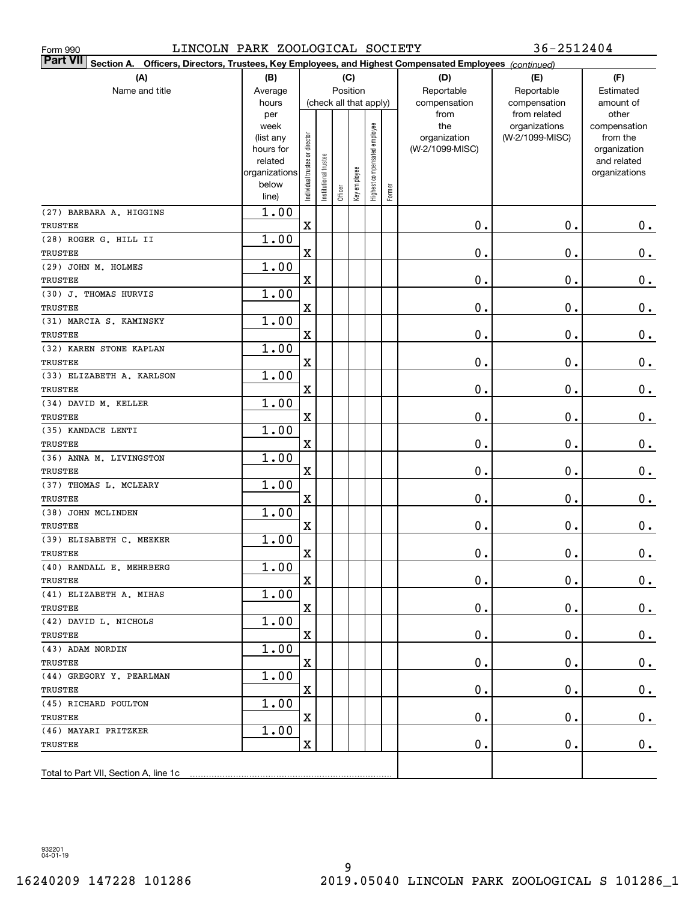| 36-2512404<br>LINCOLN PARK ZOOLOGICAL SOCIETY<br>Form 990                                                                    |               |                                |                        |             |                               |                              |           |                 |                 |               |
|------------------------------------------------------------------------------------------------------------------------------|---------------|--------------------------------|------------------------|-------------|-------------------------------|------------------------------|-----------|-----------------|-----------------|---------------|
| <b>Part VII</b><br>Section A.<br>Officers, Directors, Trustees, Key Employees, and Highest Compensated Employees (continued) |               |                                |                        |             |                               |                              |           |                 |                 |               |
| (A)                                                                                                                          | (B)           |                                |                        | (C)         |                               |                              |           | (D)             | (E)             | (F)           |
| Name and title                                                                                                               | Average       | Position                       |                        | Reportable  | Reportable                    | Estimated                    |           |                 |                 |               |
|                                                                                                                              | hours         |                                | (check all that apply) |             | compensation                  | compensation                 | amount of |                 |                 |               |
|                                                                                                                              | per           | week                           |                        | from<br>the | from related<br>organizations | other<br>compensation        |           |                 |                 |               |
|                                                                                                                              | (list any     |                                |                        |             |                               |                              |           | organization    | (W-2/1099-MISC) | from the      |
|                                                                                                                              | hours for     |                                |                        |             |                               |                              |           | (W-2/1099-MISC) |                 | organization  |
|                                                                                                                              | related       |                                |                        |             |                               |                              |           |                 |                 | and related   |
|                                                                                                                              | organizations |                                |                        |             |                               |                              |           |                 |                 | organizations |
|                                                                                                                              | below         | Individual trustee or director | Institutional trustee  | Officer     | Key employee                  | Highest compensated employee | Former    |                 |                 |               |
|                                                                                                                              | line)         |                                |                        |             |                               |                              |           |                 |                 |               |
| (27) BARBARA A. HIGGINS<br>TRUSTEE                                                                                           | 1.00          | $\mathbf X$                    |                        |             |                               |                              |           | $\mathbf 0$ .   | 0.              | 0.            |
| (28) ROGER G. HILL II                                                                                                        | 1.00          |                                |                        |             |                               |                              |           |                 |                 |               |
| TRUSTEE                                                                                                                      |               | X                              |                        |             |                               |                              |           | $\mathbf 0$ .   | 0.              | $\mathbf 0$ . |
| (29) JOHN M. HOLMES                                                                                                          | 1.00          |                                |                        |             |                               |                              |           |                 |                 |               |
| TRUSTEE                                                                                                                      |               | X                              |                        |             |                               |                              |           | $\mathbf 0$ .   | 0.              | $\mathbf 0$ . |
| (30) J. THOMAS HURVIS                                                                                                        | 1.00          |                                |                        |             |                               |                              |           |                 |                 |               |
| TRUSTEE                                                                                                                      |               | X                              |                        |             |                               |                              |           | $\mathbf 0$ .   | 0.              | $\mathbf 0$ . |
| (31) MARCIA S. KAMINSKY                                                                                                      | 1.00          |                                |                        |             |                               |                              |           |                 |                 |               |
| TRUSTEE                                                                                                                      |               | X                              |                        |             |                               |                              |           | $\mathbf 0$ .   | 0.              | $\mathbf 0$ . |
| (32) KAREN STONE KAPLAN                                                                                                      | 1.00          |                                |                        |             |                               |                              |           |                 |                 |               |
| TRUSTEE                                                                                                                      |               | X                              |                        |             |                               |                              |           | $\mathbf 0$ .   | 0.              | $\mathbf 0$ . |
| (33) ELIZABETH A. KARLSON                                                                                                    | 1.00          |                                |                        |             |                               |                              |           |                 |                 |               |
| TRUSTEE                                                                                                                      |               | X                              |                        |             |                               |                              |           | $\mathbf 0$ .   | 0.              | $\mathbf 0$ . |
| (34) DAVID M. KELLER                                                                                                         | 1.00          |                                |                        |             |                               |                              |           |                 |                 |               |
| TRUSTEE                                                                                                                      |               | X                              |                        |             |                               |                              |           | $\mathbf 0$ .   | 0.              | $\mathbf 0$ . |
| (35) KANDACE LENTI                                                                                                           | 1.00          |                                |                        |             |                               |                              |           |                 |                 |               |
| TRUSTEE                                                                                                                      |               | X                              |                        |             |                               |                              |           | $\mathbf 0$ .   | 0.              | $\mathbf 0$ . |
| (36) ANNA M. LIVINGSTON                                                                                                      | 1.00          |                                |                        |             |                               |                              |           |                 |                 |               |
| TRUSTEE                                                                                                                      |               | X                              |                        |             |                               |                              |           | $\mathbf 0$ .   | 0.              | 0.            |
| (37) THOMAS L. MCLEARY                                                                                                       | 1.00          |                                |                        |             |                               |                              |           |                 |                 |               |
| TRUSTEE                                                                                                                      |               | X                              |                        |             |                               |                              |           | $\mathbf 0$ .   | 0.              | 0.            |
| (38) JOHN MCLINDEN<br>TRUSTEE                                                                                                | 1.00          | Χ                              |                        |             |                               |                              |           | Ο.              | 0.              | 0.            |
| (39) ELISABETH C. MEEKER                                                                                                     | 1.00          |                                |                        |             |                               |                              |           |                 |                 |               |
| TRUSTEE                                                                                                                      |               | X.                             |                        |             |                               |                              |           | $\mathbf 0$ .   | $0$ .           | $\mathbf 0$ . |
| (40) RANDALL E. MEHRBERG                                                                                                     | 1.00          |                                |                        |             |                               |                              |           |                 |                 |               |
| TRUSTEE                                                                                                                      |               | X                              |                        |             |                               |                              |           | $\mathbf 0$ .   | 0.              | $0_{.}$       |
| (41) ELIZABETH A. MIHAS                                                                                                      | 1.00          |                                |                        |             |                               |                              |           |                 |                 |               |
| TRUSTEE                                                                                                                      |               | X                              |                        |             |                               |                              |           | $\mathbf 0$ .   | $\mathbf 0$ .   | 0.            |
| (42) DAVID L. NICHOLS                                                                                                        | 1.00          |                                |                        |             |                               |                              |           |                 |                 |               |
| TRUSTEE                                                                                                                      |               | Χ                              |                        |             |                               |                              |           | $\mathbf 0$ .   | 0.              | 0.            |
| (43) ADAM NORDIN                                                                                                             | 1.00          |                                |                        |             |                               |                              |           |                 |                 |               |
| TRUSTEE                                                                                                                      |               | Χ                              |                        |             |                               |                              |           | $\mathbf 0$ .   | 0.              | 0.            |
| (44) GREGORY Y. PEARLMAN                                                                                                     | 1.00          |                                |                        |             |                               |                              |           |                 |                 |               |
| TRUSTEE                                                                                                                      |               | Χ                              |                        |             |                               |                              |           | $\mathbf 0$ .   | 0.              | 0.            |
| (45) RICHARD POULTON                                                                                                         | 1.00          |                                |                        |             |                               |                              |           |                 |                 |               |
| TRUSTEE                                                                                                                      |               | X                              |                        |             |                               |                              |           | $\mathbf 0$ .   | 0.              | 0.            |
| (46) MAYARI PRITZKER                                                                                                         | 1.00          |                                |                        |             |                               |                              |           |                 |                 |               |
| TRUSTEE                                                                                                                      |               | Χ                              |                        |             |                               |                              |           | Ο.              | 0.              | 0.            |
|                                                                                                                              |               |                                |                        |             |                               |                              |           |                 |                 |               |
| Total to Part VII, Section A, line 1c                                                                                        |               |                                |                        |             |                               |                              |           |                 |                 |               |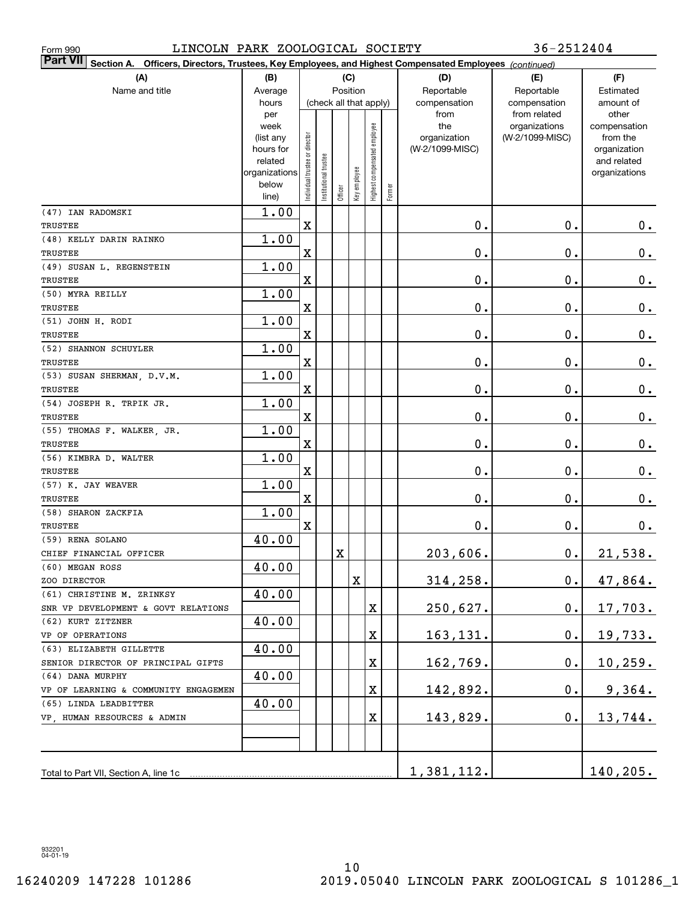| 36-2512404<br>LINCOLN PARK ZOOLOGICAL SOCIETY<br>Form 990                                                           |                |                                    |                       |              |              |                              |        |                 |                               |                       |
|---------------------------------------------------------------------------------------------------------------------|----------------|------------------------------------|-----------------------|--------------|--------------|------------------------------|--------|-----------------|-------------------------------|-----------------------|
| Part VII <br>Section A. Officers, Directors, Trustees, Key Employees, and Highest Compensated Employees (continued) |                |                                    |                       |              |              |                              |        |                 |                               |                       |
| (A)<br>(C)<br>(B)                                                                                                   |                |                                    |                       |              | (D)          | (E)                          | (F)    |                 |                               |                       |
| Name and title                                                                                                      | Average        | Position<br>(check all that apply) |                       | Reportable   | Reportable   | Estimated                    |        |                 |                               |                       |
|                                                                                                                     | hours          |                                    |                       | compensation | compensation | amount of                    |        |                 |                               |                       |
|                                                                                                                     | per<br>week    |                                    |                       |              |              |                              |        | from<br>the     | from related<br>organizations | other<br>compensation |
|                                                                                                                     | (list any      |                                    |                       |              |              |                              |        | organization    | (W-2/1099-MISC)               | from the              |
|                                                                                                                     | hours for      |                                    |                       |              |              |                              |        | (W-2/1099-MISC) |                               | organization          |
|                                                                                                                     | related        |                                    |                       |              |              |                              |        |                 |                               | and related           |
|                                                                                                                     | organizations  |                                    |                       |              |              |                              |        |                 |                               | organizations         |
|                                                                                                                     | below<br>line) | Individual trustee or director     | Institutional trustee | Officer      | Key employee | Highest compensated employee | Former |                 |                               |                       |
| (47) IAN RADOMSKI                                                                                                   | 1.00           |                                    |                       |              |              |                              |        |                 |                               |                       |
| TRUSTEE                                                                                                             |                | $\mathbf X$                        |                       |              |              |                              |        | $\mathbf 0$ .   | 0.                            | 0.                    |
| (48) KELLY DARIN RAINKO                                                                                             | 1.00           |                                    |                       |              |              |                              |        |                 |                               |                       |
| TRUSTEE                                                                                                             |                | $\mathbf X$                        |                       |              |              |                              |        | $\mathbf 0$ .   | 0.                            | $\mathbf 0$ .         |
| (49) SUSAN L. REGENSTEIN                                                                                            | 1.00           |                                    |                       |              |              |                              |        |                 |                               |                       |
| TRUSTEE                                                                                                             |                | X                                  |                       |              |              |                              |        | $\mathbf 0$ .   | 0.                            | $0_{.}$               |
| (50) MYRA REILLY                                                                                                    | 1.00           |                                    |                       |              |              |                              |        |                 |                               |                       |
| TRUSTEE                                                                                                             |                | X                                  |                       |              |              |                              |        | $\mathbf 0$ .   | 0.                            | $\mathbf 0$ .         |
| (51) JOHN H. RODI                                                                                                   | 1.00           |                                    |                       |              |              |                              |        |                 |                               |                       |
| TRUSTEE                                                                                                             |                | X                                  |                       |              |              |                              |        | $\mathbf 0$ .   | 0.                            | $\mathbf 0$ .         |
| (52) SHANNON SCHUYLER                                                                                               | 1.00           |                                    |                       |              |              |                              |        |                 |                               |                       |
| TRUSTEE                                                                                                             |                | X                                  |                       |              |              |                              |        | $\mathbf 0$ .   | 0.                            | $\mathbf 0$ .         |
| (53) SUSAN SHERMAN, D.V.M.                                                                                          | 1.00           |                                    |                       |              |              |                              |        |                 |                               |                       |
| TRUSTEE                                                                                                             |                | X                                  |                       |              |              |                              |        | $\mathbf 0$ .   | 0.                            | $\mathbf 0$ .         |
| (54) JOSEPH R. TRPIK JR.                                                                                            | 1.00           |                                    |                       |              |              |                              |        |                 |                               |                       |
| TRUSTEE                                                                                                             |                | X                                  |                       |              |              |                              |        | $\mathbf 0$ .   | 0.                            | $\mathbf 0$ .         |
| (55) THOMAS F. WALKER, JR.                                                                                          | 1.00           |                                    |                       |              |              |                              |        |                 |                               |                       |
| TRUSTEE                                                                                                             | 1.00           | X                                  |                       |              |              |                              |        | $\mathbf 0$ .   | 0.                            | 0.                    |
| (56) KIMBRA D. WALTER<br>TRUSTEE                                                                                    |                | X                                  |                       |              |              |                              |        | $\mathbf 0$ .   | 0.                            | 0.                    |
| (57) K. JAY WEAVER                                                                                                  | 1.00           |                                    |                       |              |              |                              |        |                 |                               |                       |
| TRUSTEE                                                                                                             |                | X                                  |                       |              |              |                              |        | $\mathbf 0$ .   | 0.                            | 0.                    |
| (58) SHARON ZACKFIA                                                                                                 | 1.00           |                                    |                       |              |              |                              |        |                 |                               |                       |
| TRUSTEE                                                                                                             |                | Χ                                  |                       |              |              |                              |        | $\mathbf 0$ .   | 0.                            | 0.                    |
| (59) RENA SOLANO                                                                                                    | 40.00          |                                    |                       |              |              |                              |        |                 |                               |                       |
| CHIEF FINANCIAL OFFICER                                                                                             |                |                                    |                       | X            |              |                              |        | $203,606$ .     | $\mathbf 0$ .                 | 21,538.               |
| (60) MEGAN ROSS                                                                                                     | 40.00          |                                    |                       |              |              |                              |        |                 |                               |                       |
| ZOO DIRECTOR                                                                                                        |                |                                    |                       |              | X            |                              |        | 314,258.        | $\mathbf 0$ .                 | 47,864.               |
| (61) CHRISTINE M. ZRINKSY                                                                                           | 40.00          |                                    |                       |              |              |                              |        |                 |                               |                       |
| SNR VP DEVELOPMENT & GOVT RELATIONS                                                                                 |                |                                    |                       |              |              | X                            |        | 250,627.        | $\mathbf 0$ .                 | 17,703.               |
| (62) KURT ZITZNER                                                                                                   | 40.00          |                                    |                       |              |              |                              |        |                 |                               |                       |
| VP OF OPERATIONS                                                                                                    |                |                                    |                       |              |              | X                            |        | 163,131.        | $\mathbf 0$ .                 | <u>19,733.</u>        |
| (63) ELIZABETH GILLETTE                                                                                             | 40.00          |                                    |                       |              |              |                              |        |                 |                               |                       |
| SENIOR DIRECTOR OF PRINCIPAL GIFTS                                                                                  |                |                                    |                       |              |              | X                            |        | 162,769.        | $\mathbf 0$ .                 | <u>10,259.</u>        |
| (64) DANA MURPHY                                                                                                    | 40.00          |                                    |                       |              |              |                              |        |                 |                               |                       |
| VP OF LEARNING & COMMUNITY ENGAGEMEN                                                                                |                |                                    |                       |              |              | X                            |        | 142,892.        | $\mathbf 0$ .                 | 9,364.                |
| (65) LINDA LEADBITTER                                                                                               | 40.00          |                                    |                       |              |              |                              |        |                 |                               |                       |
| VP, HUMAN RESOURCES & ADMIN                                                                                         |                |                                    |                       |              |              | X                            |        | 143,829.        | $\mathbf 0$ .                 | 13,744.               |
|                                                                                                                     |                |                                    |                       |              |              |                              |        |                 |                               |                       |
|                                                                                                                     |                |                                    |                       |              |              |                              |        |                 |                               |                       |
| Total to Part VII, Section A, line 1c                                                                               |                |                                    |                       |              |              |                              |        | 1,381,112.      |                               | 140, 205.             |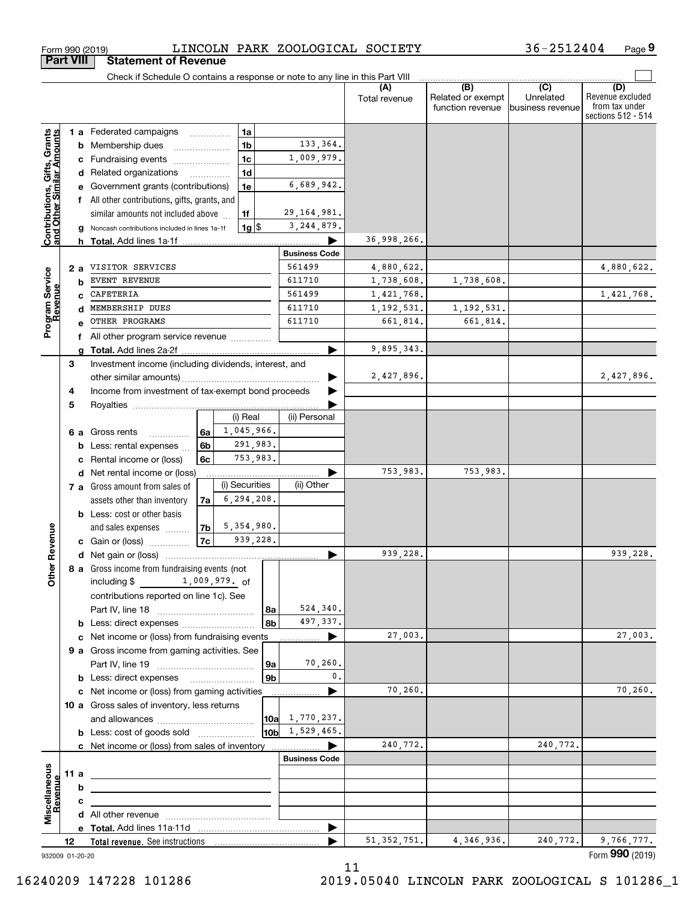|                                                                  |        |    | Check if Schedule O contains a response or note to any line in this Part VIII                                        |                          |                        |               |                                              |                                      |                                                                 |
|------------------------------------------------------------------|--------|----|----------------------------------------------------------------------------------------------------------------------|--------------------------|------------------------|---------------|----------------------------------------------|--------------------------------------|-----------------------------------------------------------------|
|                                                                  |        |    |                                                                                                                      |                          |                        | Total revenue | (B)<br>Related or exempt<br>function revenue | (C)<br>Unrelated<br>business revenue | (D)<br>Revenue excluded<br>from tax under<br>sections 512 - 514 |
|                                                                  |        |    | 1 a Federated campaigns<br>$\cdots$                                                                                  | 1a                       |                        |               |                                              |                                      |                                                                 |
| <b>Contributions, Gifts, Grants</b><br>and Other Similar Amounts |        | b  | Membership dues                                                                                                      | 1 <sub>b</sub>           | 133,364.               |               |                                              |                                      |                                                                 |
|                                                                  |        |    | Fundraising events                                                                                                   | 1 <sub>c</sub>           | 1,009,979.             |               |                                              |                                      |                                                                 |
|                                                                  |        | d  | Related organizations<br>.                                                                                           | 1 <sub>d</sub>           |                        |               |                                              |                                      |                                                                 |
|                                                                  |        |    | Government grants (contributions)                                                                                    | 1e                       | 6,689,942.             |               |                                              |                                      |                                                                 |
|                                                                  |        | f  | All other contributions, gifts, grants, and                                                                          |                          |                        |               |                                              |                                      |                                                                 |
|                                                                  |        |    | similar amounts not included above                                                                                   | 1f                       | 29, 164, 981.          |               |                                              |                                      |                                                                 |
|                                                                  |        |    | Noncash contributions included in lines 1a-1f                                                                        | $1g$ $\frac{1}{3}$       | 3, 244, 879.           |               |                                              |                                      |                                                                 |
|                                                                  |        |    | <b>h</b> Total. Add lines 1a-1f                                                                                      |                          |                        | 36,998,266.   |                                              |                                      |                                                                 |
|                                                                  |        |    |                                                                                                                      |                          | <b>Business Code</b>   |               |                                              |                                      |                                                                 |
|                                                                  | 2 a    |    | VISITOR SERVICES                                                                                                     |                          | 561499                 | 4,880,622.    |                                              |                                      | 4,880,622.                                                      |
|                                                                  |        | b  | <b>EVENT REVENUE</b>                                                                                                 |                          | 611710                 | 1,738,608.    | 1,738,608.                                   |                                      |                                                                 |
|                                                                  |        | C  | CAFETERIA                                                                                                            |                          | 561499                 | 1,421,768.    |                                              |                                      | 1,421,768.                                                      |
|                                                                  |        | d  | MEMBERSHIP DUES                                                                                                      |                          | 611710                 | 1, 192, 531.  | 1,192,531.                                   |                                      |                                                                 |
|                                                                  |        | e  | OTHER PROGRAMS                                                                                                       |                          | 611710                 | 661,814.      | 661,814.                                     |                                      |                                                                 |
| Program Service<br>Revenue                                       |        |    |                                                                                                                      |                          |                        |               |                                              |                                      |                                                                 |
|                                                                  |        | f  | All other program service revenue                                                                                    |                          |                        | 9,895,343.    |                                              |                                      |                                                                 |
|                                                                  | 3      | a  |                                                                                                                      |                          |                        |               |                                              |                                      |                                                                 |
|                                                                  |        |    | Investment income (including dividends, interest, and                                                                |                          |                        | 2,427,896.    |                                              |                                      | 2,427,896.                                                      |
|                                                                  |        |    | Income from investment of tax-exempt bond proceeds                                                                   |                          |                        |               |                                              |                                      |                                                                 |
|                                                                  | 4<br>5 |    |                                                                                                                      |                          |                        |               |                                              |                                      |                                                                 |
|                                                                  |        |    |                                                                                                                      | (i) Real                 | (ii) Personal          |               |                                              |                                      |                                                                 |
|                                                                  |        |    |                                                                                                                      | 1,045,966.               |                        |               |                                              |                                      |                                                                 |
|                                                                  |        | 6а | Gross rents<br>6а<br>.                                                                                               | 291,983.                 |                        |               |                                              |                                      |                                                                 |
|                                                                  |        | b  | 6b<br>Less: rental expenses                                                                                          | 753,983.                 |                        |               |                                              |                                      |                                                                 |
|                                                                  |        |    | Rental income or (loss)<br>6c                                                                                        |                          |                        | 753,983.      | 753,983.                                     |                                      |                                                                 |
|                                                                  |        | d  | Net rental income or (loss)                                                                                          | (i) Securities           | (ii) Other             |               |                                              |                                      |                                                                 |
|                                                                  |        |    | 7 a Gross amount from sales of                                                                                       | 6, 294, 208.             |                        |               |                                              |                                      |                                                                 |
|                                                                  |        |    | assets other than inventory<br>7a                                                                                    |                          |                        |               |                                              |                                      |                                                                 |
|                                                                  |        |    | <b>b</b> Less: cost or other basis                                                                                   |                          |                        |               |                                              |                                      |                                                                 |
|                                                                  |        |    | 7b<br>and sales expenses<br>7c                                                                                       | 5, 354, 980.<br>939,228. |                        |               |                                              |                                      |                                                                 |
| ther Revenue                                                     |        |    | c Gain or (loss)                                                                                                     |                          |                        |               |                                              |                                      |                                                                 |
|                                                                  |        |    |                                                                                                                      |                          |                        | 939,228.      |                                              |                                      | 939,228.                                                        |
|                                                                  |        |    | 8 a Gross income from fundraising events (not                                                                        |                          |                        |               |                                              |                                      |                                                                 |
| o                                                                |        |    | including $$ 1,009,979.$ of                                                                                          |                          |                        |               |                                              |                                      |                                                                 |
|                                                                  |        |    | contributions reported on line 1c). See                                                                              |                          |                        |               |                                              |                                      |                                                                 |
|                                                                  |        |    |                                                                                                                      | 8а                       | 524,340.               |               |                                              |                                      |                                                                 |
|                                                                  |        |    | <b>b</b> Less: direct expenses                                                                                       | 8b                       | 497,337.               |               |                                              |                                      |                                                                 |
|                                                                  |        |    | c Net income or (loss) from fundraising events                                                                       |                          | ▶<br>.                 | 27,003.       |                                              |                                      | 27,003.                                                         |
|                                                                  |        |    | 9 a Gross income from gaming activities. See                                                                         |                          |                        |               |                                              |                                      |                                                                 |
|                                                                  |        |    |                                                                                                                      | 9а                       | 70,260.                |               |                                              |                                      |                                                                 |
|                                                                  |        |    |                                                                                                                      | 9b                       | 0.                     |               |                                              |                                      |                                                                 |
|                                                                  |        |    | c Net income or (loss) from gaming activities                                                                        |                          | .                      | 70,260.       |                                              |                                      | 70,260.                                                         |
|                                                                  |        |    | 10 a Gross sales of inventory, less returns                                                                          |                          |                        |               |                                              |                                      |                                                                 |
|                                                                  |        |    |                                                                                                                      |                          | $10a \quad 1,770,237.$ |               |                                              |                                      |                                                                 |
|                                                                  |        |    | <b>b</b> Less: cost of goods sold                                                                                    |                          | $10b$ 1, 529, 465.     |               |                                              |                                      |                                                                 |
|                                                                  |        |    |                                                                                                                      |                          |                        | 240,772.      |                                              | 240,772.                             |                                                                 |
|                                                                  |        |    |                                                                                                                      |                          | <b>Business Code</b>   |               |                                              |                                      |                                                                 |
|                                                                  | 11 a   |    | <u> 1989 - Johann Stein, marwolaethau a bhann an t-Amhain an t-Amhain an t-Amhain an t-Amhain an t-Amhain an t-A</u> |                          |                        |               |                                              |                                      |                                                                 |
| Miscellaneous<br>evenue                                          |        | b  |                                                                                                                      |                          |                        |               |                                              |                                      |                                                                 |
|                                                                  |        | c  |                                                                                                                      |                          |                        |               |                                              |                                      |                                                                 |
|                                                                  |        |    |                                                                                                                      |                          |                        |               |                                              |                                      |                                                                 |
|                                                                  |        |    |                                                                                                                      |                          | ▶                      |               |                                              |                                      |                                                                 |
|                                                                  | 12     |    |                                                                                                                      |                          |                        | 51, 352, 751. | 4,346,936.                                   | 240,772.                             | 9,766,777.                                                      |
| 932009 01-20-20                                                  |        |    |                                                                                                                      |                          |                        | 11            |                                              |                                      | Form 990 (2019)                                                 |

11

**Part VIII Statement of Revenue**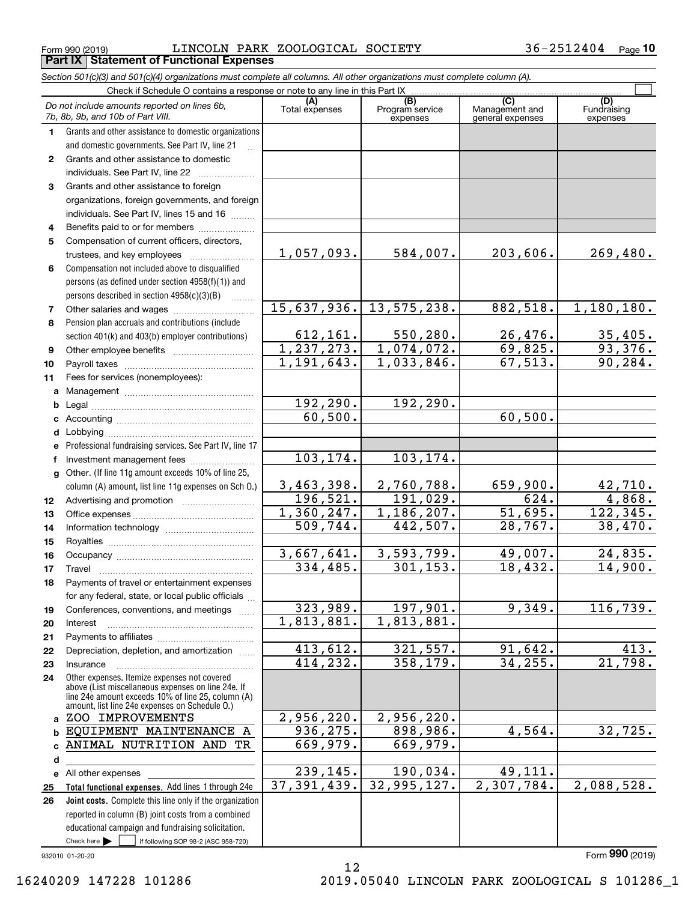$_{\rm Form}$   $_{990}$  (2019)  $_{\rm DSP}$   $_{\rm LINCOLN}$   $_{\rm PARK}$   $_{\rm ZOOLOGICAL}$   $_{\rm SOCIETY}$   $_{\rm 36-2512404}$   $_{\rm Page}$ **Part IX Statement of Functional Expenses**

|                  | Section 501(c)(3) and 501(c)(4) organizations must complete all columns. All other organizations must complete column (A).                                                                                 |                       |                                    |                                           |                                |
|------------------|------------------------------------------------------------------------------------------------------------------------------------------------------------------------------------------------------------|-----------------------|------------------------------------|-------------------------------------------|--------------------------------|
|                  | Check if Schedule O contains a response or note to any line in this Part IX                                                                                                                                |                       |                                    |                                           |                                |
|                  | Do not include amounts reported on lines 6b,<br>7b, 8b, 9b, and 10b of Part VIII.                                                                                                                          | (A)<br>Total expenses | (B)<br>Program service<br>expenses | (C)<br>Management and<br>general expenses | (D)<br>Fundraising<br>expenses |
| 1.               | Grants and other assistance to domestic organizations                                                                                                                                                      |                       |                                    |                                           |                                |
|                  | and domestic governments. See Part IV, line 21                                                                                                                                                             |                       |                                    |                                           |                                |
| $\mathbf{2}$     | Grants and other assistance to domestic                                                                                                                                                                    |                       |                                    |                                           |                                |
|                  | individuals. See Part IV, line 22                                                                                                                                                                          |                       |                                    |                                           |                                |
| 3                | Grants and other assistance to foreign                                                                                                                                                                     |                       |                                    |                                           |                                |
|                  | organizations, foreign governments, and foreign                                                                                                                                                            |                       |                                    |                                           |                                |
|                  | individuals. See Part IV, lines 15 and 16                                                                                                                                                                  |                       |                                    |                                           |                                |
| 4                | Benefits paid to or for members                                                                                                                                                                            |                       |                                    |                                           |                                |
| 5                | Compensation of current officers, directors,                                                                                                                                                               |                       |                                    |                                           |                                |
|                  | trustees, and key employees                                                                                                                                                                                | 1,057,093.            | 584,007.                           | 203,606.                                  | 269,480.                       |
| 6                | Compensation not included above to disqualified                                                                                                                                                            |                       |                                    |                                           |                                |
|                  | persons (as defined under section 4958(f)(1)) and                                                                                                                                                          |                       |                                    |                                           |                                |
|                  | persons described in section 4958(c)(3)(B)<br>1.1.1.1.1.1.1                                                                                                                                                |                       |                                    |                                           |                                |
| 7                |                                                                                                                                                                                                            | 15,637,936.           | 13,575,238.                        | 882,518.                                  | 1,180,180.                     |
| 8                | Pension plan accruals and contributions (include                                                                                                                                                           |                       |                                    |                                           |                                |
|                  | section 401(k) and 403(b) employer contributions)                                                                                                                                                          | 612, 161.             | 550, 280.                          | 26,476.                                   | $\frac{35,405}{93,376}$        |
| 9                |                                                                                                                                                                                                            | 1, 237, 273.          | 1,074,072.                         | 69,825.                                   |                                |
| 10               |                                                                                                                                                                                                            | 1,191,643.            | 1,033,846.                         | 67, 513.                                  | 90, 284.                       |
| 11               | Fees for services (nonemployees):                                                                                                                                                                          |                       |                                    |                                           |                                |
| a                |                                                                                                                                                                                                            |                       |                                    |                                           |                                |
| b                |                                                                                                                                                                                                            | 192,290.              | 192,290.                           |                                           |                                |
| c                |                                                                                                                                                                                                            | 60,500.               |                                    | 60, 500.                                  |                                |
| d                |                                                                                                                                                                                                            |                       |                                    |                                           |                                |
| е                | Professional fundraising services. See Part IV, line 17                                                                                                                                                    |                       |                                    |                                           |                                |
| f                | Investment management fees                                                                                                                                                                                 | 103, 174.             | 103,174.                           |                                           |                                |
| g                | Other. (If line 11g amount exceeds 10% of line 25,                                                                                                                                                         |                       |                                    |                                           |                                |
|                  | column (A) amount, list line 11g expenses on Sch O.)                                                                                                                                                       | 3,463,398.            | 2,760,788.                         | 659,900.                                  | $\frac{42,710}{4,868}$         |
| 12 <sup>12</sup> |                                                                                                                                                                                                            | 196, 521.             | 191,029.                           | 624.                                      |                                |
| 13               |                                                                                                                                                                                                            | 1,360,247.            | 1,186,207.                         | 51,695.                                   | 122, 345.                      |
| 14               |                                                                                                                                                                                                            | 509,744.              | 442,507.                           | 28,767.                                   | 38,470.                        |
| 15               |                                                                                                                                                                                                            |                       |                                    |                                           |                                |
| 16               |                                                                                                                                                                                                            | 3,667,641.            | 3,593,799.                         | 49,007.                                   | 24,835.                        |
| 17               |                                                                                                                                                                                                            | 334,485.              | 301, 153.                          | 18,432.                                   | 14,900.                        |
| 18               | Payments of travel or entertainment expenses                                                                                                                                                               |                       |                                    |                                           |                                |
|                  | for any federal, state, or local public officials                                                                                                                                                          |                       |                                    |                                           |                                |
| 19               | Conferences, conventions, and meetings                                                                                                                                                                     | 323,989.              | 197,901.                           | 9,349.                                    | 116,739.                       |
| 20               | Interest                                                                                                                                                                                                   | 1,813,881.            | 1,813,881.                         |                                           |                                |
| 21               |                                                                                                                                                                                                            |                       |                                    |                                           |                                |
| 22               | Depreciation, depletion, and amortization                                                                                                                                                                  | 413,612.              | 321,557.                           | 91,642.                                   | 413.                           |
| 23               | Insurance                                                                                                                                                                                                  | 414,232.              | 358,179.                           | 34, 255.                                  | $\overline{21,798.}$           |
| 24               | Other expenses. Itemize expenses not covered<br>above (List miscellaneous expenses on line 24e. If<br>line 24e amount exceeds 10% of line 25, column (A)<br>amount, list line 24e expenses on Schedule O.) |                       |                                    |                                           |                                |
|                  | a ZOO IMPROVEMENTS                                                                                                                                                                                         | 2,956,220.            | 2,956,220.                         |                                           |                                |
| b                | EQUIPMENT MAINTENANCE A                                                                                                                                                                                    | 936, 275.             | 898,986.                           | 4,564.                                    | 32,725.                        |
| c                | ANIMAL NUTRITION AND TR                                                                                                                                                                                    | 669,979.              | 669,979.                           |                                           |                                |
| d                |                                                                                                                                                                                                            |                       |                                    |                                           |                                |
|                  | e All other expenses                                                                                                                                                                                       | 239,145.              | 190,034.                           | 49,111.                                   |                                |
| 25               | Total functional expenses. Add lines 1 through 24e                                                                                                                                                         | 37, 391, 439.         | 32,995,127.                        | 2,307,784.                                | 2,088,528.                     |
| 26               | Joint costs. Complete this line only if the organization                                                                                                                                                   |                       |                                    |                                           |                                |
|                  | reported in column (B) joint costs from a combined                                                                                                                                                         |                       |                                    |                                           |                                |
|                  | educational campaign and fundraising solicitation.                                                                                                                                                         |                       |                                    |                                           |                                |
|                  | Check here $\blacktriangleright$<br>if following SOP 98-2 (ASC 958-720)                                                                                                                                    |                       |                                    |                                           |                                |

12

932010 01-20-20

Form (2019) **990**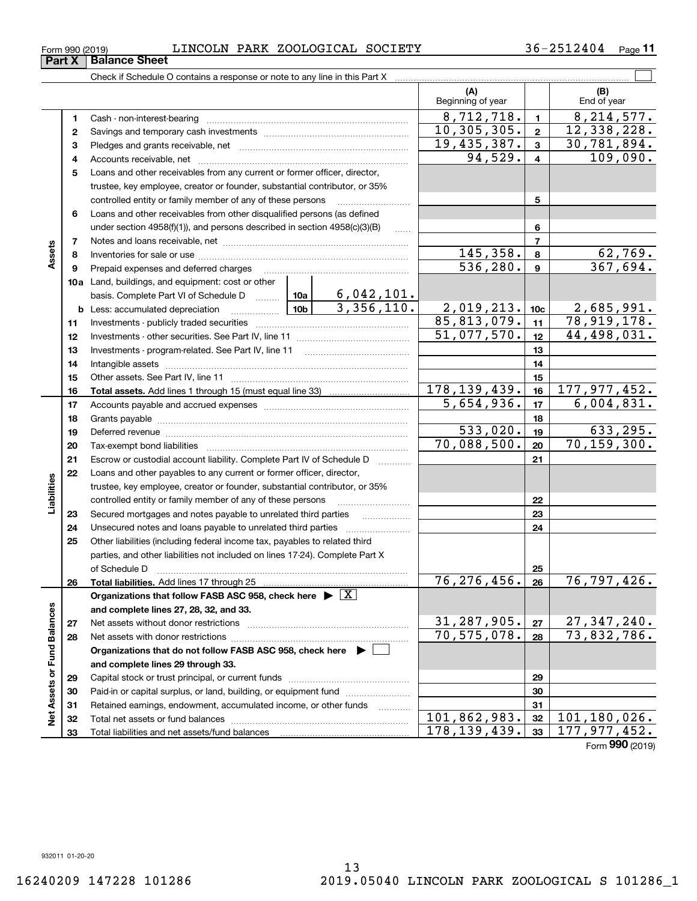**1**

**Part X** | Balance Sheet

### Form 990 (2019) LINCOLN PARK ZOOLOGICAL SOCIETY 36-2512404 <sub>Page</sub>

**(A) (B) 1 2**10,305,305. 12,338,228. **34**Check if Schedule O contains a response or note to any line in this Part X Beginning of year | | End of year Cash - non-interest-bearing ~~~~~~~~~~~~~~~~~~~~~~~~~ Savings and temporary cash investments  $\begin{array}{|c|c|c|c|c|c|}\n 8,712,718. & 1 & 8,214,577. \\
 \hline\n0,305,305. & 2 & 12,338,228. \end{array}$ 

|                    | 2  |                                                                                       |             |                                                                             | 10, 305, 305.           | $\mathbf{2}$     | 12,338,228.                                 |
|--------------------|----|---------------------------------------------------------------------------------------|-------------|-----------------------------------------------------------------------------|-------------------------|------------------|---------------------------------------------|
|                    | з  |                                                                                       | 19,435,387. | $\mathbf{3}$                                                                | 30,781,894.             |                  |                                             |
|                    | 4  |                                                                                       |             | 94,529.                                                                     | $\overline{\mathbf{4}}$ | 109,090.         |                                             |
|                    | 5  | Loans and other receivables from any current or former officer, director,             |             |                                                                             |                         |                  |                                             |
|                    |    | trustee, key employee, creator or founder, substantial contributor, or 35%            |             |                                                                             |                         |                  |                                             |
|                    |    | controlled entity or family member of any of these persons                            |             | 5                                                                           |                         |                  |                                             |
|                    | 6  | Loans and other receivables from other disqualified persons (as defined               |             |                                                                             |                         |                  |                                             |
|                    |    | under section $4958(f)(1)$ , and persons described in section $4958(c)(3)(B)$         | .           |                                                                             | 6                       |                  |                                             |
|                    | 7  |                                                                                       |             |                                                                             |                         | $\overline{7}$   |                                             |
| Assets             | 8  |                                                                                       | 145,358.    | 8                                                                           | 62,769.                 |                  |                                             |
|                    | 9  | Prepaid expenses and deferred charges                                                 |             |                                                                             | 536, 280.               | $\boldsymbol{9}$ | 367,694.                                    |
|                    |    | <b>10a</b> Land, buildings, and equipment: cost or other                              |             |                                                                             |                         |                  |                                             |
|                    |    | basis. Complete Part VI of Schedule D                                                 |             | $\begin{array}{ c c c c c }\n\hline\n10a & 6,042,101.\n\hline\n\end{array}$ |                         |                  |                                             |
|                    |    | <u> 10b</u><br><b>b</b> Less: accumulated depreciation                                |             | 3,356,110.                                                                  | 2,019,213.              | 10 <sub>c</sub>  | 2,685,991.                                  |
|                    | 11 |                                                                                       |             |                                                                             | 85,813,079.             | 11               | 78,919,178.                                 |
|                    | 12 |                                                                                       |             |                                                                             | 51,077,570.             | 12               | 44,498,031.                                 |
|                    | 13 |                                                                                       |             |                                                                             |                         | 13               |                                             |
|                    | 14 |                                                                                       |             |                                                                             |                         | 14               |                                             |
|                    | 15 |                                                                                       |             |                                                                             | 15                      |                  |                                             |
|                    | 16 |                                                                                       |             | 178, 139, 439.                                                              | 16                      | 177, 977, 452.   |                                             |
|                    | 17 |                                                                                       |             |                                                                             | 5,654,936.              | 17               | 6,004,831.                                  |
|                    | 18 |                                                                                       |             |                                                                             |                         | 18               |                                             |
|                    | 19 |                                                                                       | 533,020.    | 19                                                                          | 633,295.                |                  |                                             |
|                    | 20 |                                                                                       |             |                                                                             | 70,088,500.             | 20               | 70, 159, 300.                               |
|                    | 21 | Escrow or custodial account liability. Complete Part IV of Schedule D                 |             |                                                                             |                         | 21               |                                             |
|                    | 22 | Loans and other payables to any current or former officer, director,                  |             |                                                                             |                         |                  |                                             |
| Liabilities        |    | trustee, key employee, creator or founder, substantial contributor, or 35%            |             |                                                                             |                         |                  |                                             |
|                    |    | controlled entity or family member of any of these persons                            |             |                                                                             |                         | 22               |                                             |
|                    | 23 | Secured mortgages and notes payable to unrelated third parties                        |             |                                                                             |                         | 23               |                                             |
|                    | 24 | Unsecured notes and loans payable to unrelated third parties                          |             |                                                                             |                         | 24               |                                             |
|                    | 25 | Other liabilities (including federal income tax, payables to related third            |             |                                                                             |                         |                  |                                             |
|                    |    | parties, and other liabilities not included on lines 17-24). Complete Part X          |             |                                                                             |                         |                  |                                             |
|                    |    | of Schedule D                                                                         |             |                                                                             |                         | 25               |                                             |
|                    | 26 |                                                                                       |             |                                                                             | 76, 276, 456.           | 26               | 76,797,426.                                 |
|                    |    | Organizations that follow FASB ASC 958, check here $\triangleright \lfloor X \rfloor$ |             |                                                                             |                         |                  |                                             |
|                    |    | and complete lines 27, 28, 32, and 33.                                                |             |                                                                             |                         |                  |                                             |
| alances            | 27 |                                                                                       |             |                                                                             | 31,287,905.             | 27               | 27, 347, 240.                               |
| ≃                  | 28 |                                                                                       |             |                                                                             | $70, 575, 078.$ 28      |                  | 73,832,786.                                 |
|                    |    | Organizations that do not follow FASB ASC 958, check here $\triangleright$            |             |                                                                             |                         |                  |                                             |
| Net Assets or Fund |    | and complete lines 29 through 33.                                                     |             |                                                                             |                         |                  |                                             |
|                    | 29 |                                                                                       |             |                                                                             |                         | 29               |                                             |
|                    | 30 | Paid-in or capital surplus, or land, building, or equipment fund                      |             |                                                                             |                         | 30               |                                             |
|                    | 31 | Retained earnings, endowment, accumulated income, or other funds                      |             |                                                                             |                         | 31               |                                             |
|                    | 32 |                                                                                       |             |                                                                             | 101,862,983.            | 32               | $\overline{101}$ , 180, 026.                |
|                    | 33 |                                                                                       |             |                                                                             | 178, 139, 439.          | 33               | 177,977,452.<br>$F_{\text{arm}}$ 990 (2010) |

 $\mathcal{L}^{\text{max}}$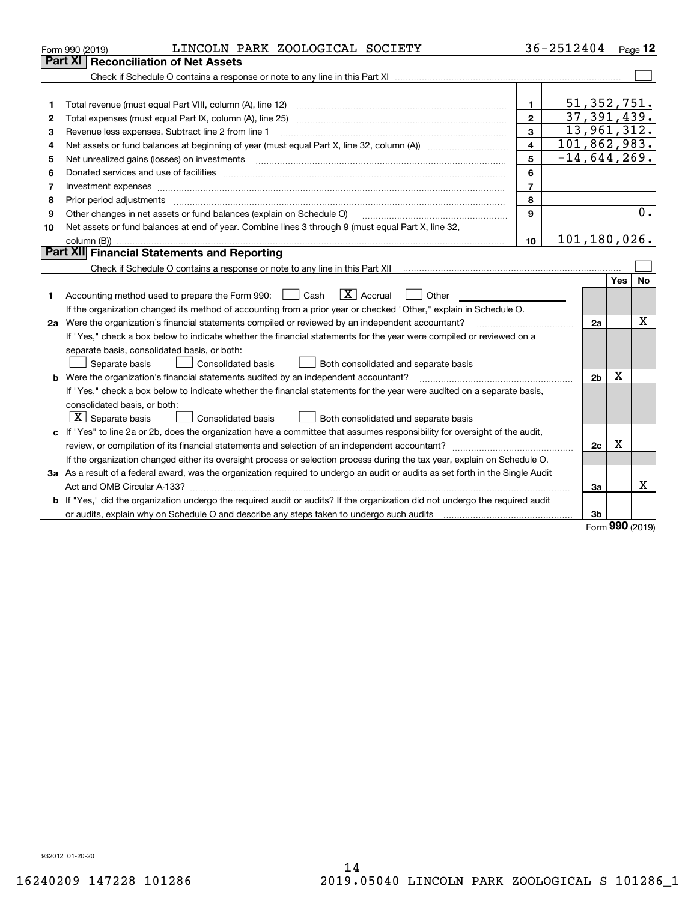|    | LINCOLN PARK ZOOLOGICAL SOCIETY<br>Form 990 (2019)                                                                                                                       |                         | 36-2512404 |                |             | Page $12$ |
|----|--------------------------------------------------------------------------------------------------------------------------------------------------------------------------|-------------------------|------------|----------------|-------------|-----------|
|    | Part XI   Reconciliation of Net Assets                                                                                                                                   |                         |            |                |             |           |
|    |                                                                                                                                                                          |                         |            |                |             |           |
|    |                                                                                                                                                                          |                         |            |                |             |           |
| 1  |                                                                                                                                                                          | 1.                      |            | 51, 352, 751.  |             |           |
| 2  | Total expenses (must equal Part IX, column (A), line 25)                                                                                                                 | $\mathbf{2}$            |            | 37, 391, 439.  |             |           |
| 3  | Revenue less expenses. Subtract line 2 from line 1                                                                                                                       | 3                       |            | 13,961,312.    |             |           |
| 4  |                                                                                                                                                                          | $\overline{\mathbf{4}}$ |            | 101,862,983.   |             |           |
| 5  | Net unrealized gains (losses) on investments                                                                                                                             | 5                       |            | $-14,644,269.$ |             |           |
| 6  |                                                                                                                                                                          | 6                       |            |                |             |           |
| 7  |                                                                                                                                                                          | $\overline{7}$          |            |                |             |           |
| 8  |                                                                                                                                                                          | 8                       |            |                |             |           |
| 9  | Other changes in net assets or fund balances (explain on Schedule O)                                                                                                     | 9                       |            |                |             | 0.        |
| 10 | Net assets or fund balances at end of year. Combine lines 3 through 9 (must equal Part X, line 32,                                                                       |                         |            |                |             |           |
|    |                                                                                                                                                                          | 10                      |            | 101,180,026.   |             |           |
|    | <b>Part XII</b> Financial Statements and Reporting                                                                                                                       |                         |            |                |             |           |
|    | Check if Schedule O contains a response or note to any line in this Part XII [11] [12] [12] Check if Schedule O contains a response or note to any line in this Part XII |                         |            |                |             |           |
|    |                                                                                                                                                                          |                         |            |                | Yes         | <b>No</b> |
| 1  | $\boxed{\mathbf{X}}$ Accrual<br>Accounting method used to prepare the Form 990: <u>[</u> Cash<br>Other                                                                   |                         |            |                |             |           |
|    | If the organization changed its method of accounting from a prior year or checked "Other," explain in Schedule O.                                                        |                         |            |                |             |           |
|    | Х<br>2a Were the organization's financial statements compiled or reviewed by an independent accountant?<br>2a                                                            |                         |            |                |             |           |
|    | If "Yes," check a box below to indicate whether the financial statements for the year were compiled or reviewed on a                                                     |                         |            |                |             |           |
|    | separate basis, consolidated basis, or both:                                                                                                                             |                         |            |                |             |           |
|    | Separate basis<br><b>Consolidated basis</b><br>Both consolidated and separate basis                                                                                      |                         |            |                |             |           |
|    | <b>b</b> Were the organization's financial statements audited by an independent accountant?                                                                              |                         |            | 2b             | х           |           |
|    | If "Yes," check a box below to indicate whether the financial statements for the year were audited on a separate basis,                                                  |                         |            |                |             |           |
|    | consolidated basis, or both:                                                                                                                                             |                         |            |                |             |           |
|    | $X$ Separate basis<br>Consolidated basis<br>Both consolidated and separate basis                                                                                         |                         |            |                |             |           |
|    | c If "Yes" to line 2a or 2b, does the organization have a committee that assumes responsibility for oversight of the audit,                                              |                         |            |                |             |           |
|    |                                                                                                                                                                          |                         |            | 2c             | $\mathbf X$ |           |
|    | If the organization changed either its oversight process or selection process during the tax year, explain on Schedule O.                                                |                         |            |                |             |           |
|    | 3a As a result of a federal award, was the organization required to undergo an audit or audits as set forth in the Single Audit                                          |                         |            |                |             |           |
|    |                                                                                                                                                                          |                         |            | За             |             | Χ         |
|    | b If "Yes," did the organization undergo the required audit or audits? If the organization did not undergo the required audit                                            |                         |            |                |             |           |
|    |                                                                                                                                                                          |                         |            | 3b             | nnn.        |           |

Form (2019) **990**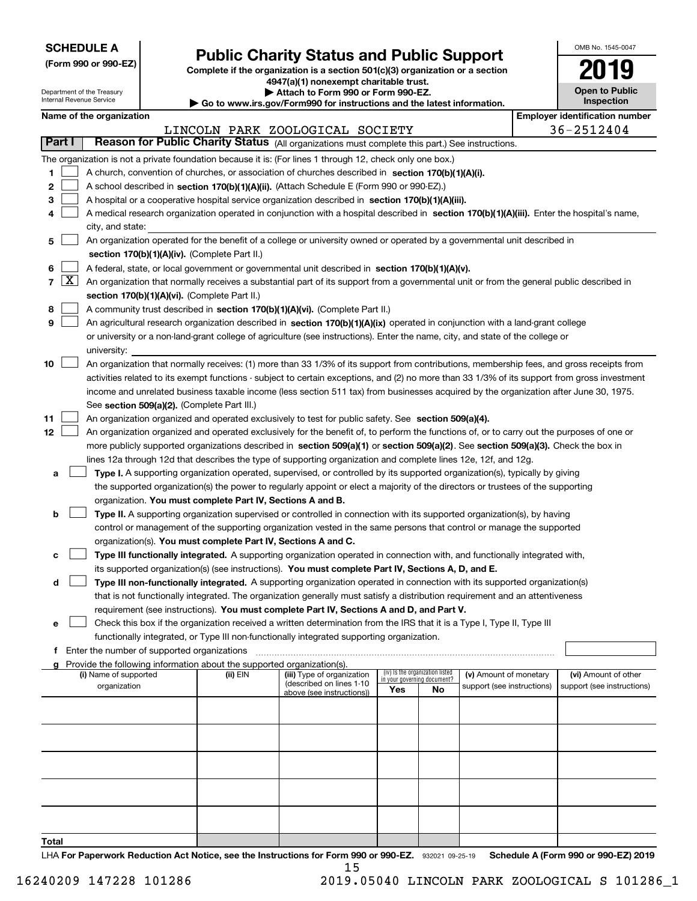| <b>SCHEDULE A</b> |
|-------------------|
|-------------------|

Department of the Treasury Internal Revenue Service

**(Form 990 or 990-EZ)**

# **Public Charity Status and Public Support**

**Complete if the organization is a section 501(c)(3) organization or a section 4947(a)(1) nonexempt charitable trust. | Attach to Form 990 or Form 990-EZ.** 

| ▶ Go to www.irs.gov/Form990 for instructions and the latest information |  |
|-------------------------------------------------------------------------|--|

| OMB No 1545-0047                    |
|-------------------------------------|
| 7079                                |
| <b>Open to Public</b><br>Inspection |

|  | Name of the organization |
|--|--------------------------|
|  |                          |

|        |                       | Name of the organization                                                                                                                      |          |                                 |                                    |                                 |                            | <b>Employer identification number</b> |
|--------|-----------------------|-----------------------------------------------------------------------------------------------------------------------------------------------|----------|---------------------------------|------------------------------------|---------------------------------|----------------------------|---------------------------------------|
|        |                       |                                                                                                                                               |          | LINCOLN PARK ZOOLOGICAL SOCIETY |                                    |                                 |                            | 36-2512404                            |
| Part I |                       | Reason for Public Charity Status (All organizations must complete this part.) See instructions.                                               |          |                                 |                                    |                                 |                            |                                       |
|        |                       | The organization is not a private foundation because it is: (For lines 1 through 12, check only one box.)                                     |          |                                 |                                    |                                 |                            |                                       |
| 1      |                       | A church, convention of churches, or association of churches described in section $170(b)(1)(A)(i)$ .                                         |          |                                 |                                    |                                 |                            |                                       |
| 2      |                       | A school described in section 170(b)(1)(A)(ii). (Attach Schedule E (Form 990 or 990-EZ).)                                                     |          |                                 |                                    |                                 |                            |                                       |
| 3      |                       | A hospital or a cooperative hospital service organization described in section 170(b)(1)(A)(iii).                                             |          |                                 |                                    |                                 |                            |                                       |
| 4      |                       | A medical research organization operated in conjunction with a hospital described in section 170(b)(1)(A)(iii). Enter the hospital's name,    |          |                                 |                                    |                                 |                            |                                       |
|        |                       | city, and state:                                                                                                                              |          |                                 |                                    |                                 |                            |                                       |
| 5      |                       | An organization operated for the benefit of a college or university owned or operated by a governmental unit described in                     |          |                                 |                                    |                                 |                            |                                       |
|        |                       | section 170(b)(1)(A)(iv). (Complete Part II.)                                                                                                 |          |                                 |                                    |                                 |                            |                                       |
| 6      |                       | A federal, state, or local government or governmental unit described in section 170(b)(1)(A)(v).                                              |          |                                 |                                    |                                 |                            |                                       |
|        | 7 $\lfloor x \rfloor$ | An organization that normally receives a substantial part of its support from a governmental unit or from the general public described in     |          |                                 |                                    |                                 |                            |                                       |
|        |                       | section 170(b)(1)(A)(vi). (Complete Part II.)                                                                                                 |          |                                 |                                    |                                 |                            |                                       |
| 8      |                       | A community trust described in section 170(b)(1)(A)(vi). (Complete Part II.)                                                                  |          |                                 |                                    |                                 |                            |                                       |
| 9      |                       | An agricultural research organization described in section 170(b)(1)(A)(ix) operated in conjunction with a land-grant college                 |          |                                 |                                    |                                 |                            |                                       |
|        |                       | or university or a non-land-grant college of agriculture (see instructions). Enter the name, city, and state of the college or                |          |                                 |                                    |                                 |                            |                                       |
|        |                       | university:                                                                                                                                   |          |                                 |                                    |                                 |                            |                                       |
| 10     |                       | An organization that normally receives: (1) more than 33 1/3% of its support from contributions, membership fees, and gross receipts from     |          |                                 |                                    |                                 |                            |                                       |
|        |                       | activities related to its exempt functions - subject to certain exceptions, and (2) no more than 33 1/3% of its support from gross investment |          |                                 |                                    |                                 |                            |                                       |
|        |                       | income and unrelated business taxable income (less section 511 tax) from businesses acquired by the organization after June 30, 1975.         |          |                                 |                                    |                                 |                            |                                       |
|        |                       | See section 509(a)(2). (Complete Part III.)                                                                                                   |          |                                 |                                    |                                 |                            |                                       |
| 11     |                       | An organization organized and operated exclusively to test for public safety. See section 509(a)(4).                                          |          |                                 |                                    |                                 |                            |                                       |
| 12     |                       | An organization organized and operated exclusively for the benefit of, to perform the functions of, or to carry out the purposes of one or    |          |                                 |                                    |                                 |                            |                                       |
|        |                       | more publicly supported organizations described in section 509(a)(1) or section 509(a)(2). See section 509(a)(3). Check the box in            |          |                                 |                                    |                                 |                            |                                       |
|        |                       | lines 12a through 12d that describes the type of supporting organization and complete lines 12e, 12f, and 12g.                                |          |                                 |                                    |                                 |                            |                                       |
| a      |                       | Type I. A supporting organization operated, supervised, or controlled by its supported organization(s), typically by giving                   |          |                                 |                                    |                                 |                            |                                       |
|        |                       | the supported organization(s) the power to regularly appoint or elect a majority of the directors or trustees of the supporting               |          |                                 |                                    |                                 |                            |                                       |
|        |                       | organization. You must complete Part IV, Sections A and B.                                                                                    |          |                                 |                                    |                                 |                            |                                       |
| b      |                       | Type II. A supporting organization supervised or controlled in connection with its supported organization(s), by having                       |          |                                 |                                    |                                 |                            |                                       |
|        |                       | control or management of the supporting organization vested in the same persons that control or manage the supported                          |          |                                 |                                    |                                 |                            |                                       |
|        |                       | organization(s). You must complete Part IV, Sections A and C.                                                                                 |          |                                 |                                    |                                 |                            |                                       |
| c      |                       | Type III functionally integrated. A supporting organization operated in connection with, and functionally integrated with,                    |          |                                 |                                    |                                 |                            |                                       |
|        |                       | its supported organization(s) (see instructions). You must complete Part IV, Sections A, D, and E.                                            |          |                                 |                                    |                                 |                            |                                       |
| d      |                       | Type III non-functionally integrated. A supporting organization operated in connection with its supported organization(s)                     |          |                                 |                                    |                                 |                            |                                       |
|        |                       | that is not functionally integrated. The organization generally must satisfy a distribution requirement and an attentiveness                  |          |                                 |                                    |                                 |                            |                                       |
|        |                       | requirement (see instructions). You must complete Part IV, Sections A and D, and Part V.                                                      |          |                                 |                                    |                                 |                            |                                       |
|        |                       | Check this box if the organization received a written determination from the IRS that it is a Type I, Type II, Type III                       |          |                                 |                                    |                                 |                            |                                       |
|        |                       | functionally integrated, or Type III non-functionally integrated supporting organization.                                                     |          |                                 |                                    |                                 |                            |                                       |
|        |                       | f Enter the number of supported organizations                                                                                                 |          |                                 |                                    |                                 |                            |                                       |
|        |                       | Provide the following information about the supported organization(s).<br>(i) Name of supported                                               | (ii) EIN | (iii) Type of organization      |                                    | (iv) Is the organization listed | (v) Amount of monetary     | (vi) Amount of other                  |
|        |                       | organization                                                                                                                                  |          | (described on lines 1-10        | in your governing document?<br>Yes | No                              | support (see instructions) | support (see instructions)            |
|        |                       |                                                                                                                                               |          | above (see instructions))       |                                    |                                 |                            |                                       |
|        |                       |                                                                                                                                               |          |                                 |                                    |                                 |                            |                                       |
|        |                       |                                                                                                                                               |          |                                 |                                    |                                 |                            |                                       |
|        |                       |                                                                                                                                               |          |                                 |                                    |                                 |                            |                                       |
|        |                       |                                                                                                                                               |          |                                 |                                    |                                 |                            |                                       |
|        |                       |                                                                                                                                               |          |                                 |                                    |                                 |                            |                                       |
|        |                       |                                                                                                                                               |          |                                 |                                    |                                 |                            |                                       |
|        |                       |                                                                                                                                               |          |                                 |                                    |                                 |                            |                                       |
|        |                       |                                                                                                                                               |          |                                 |                                    |                                 |                            |                                       |
|        |                       |                                                                                                                                               |          |                                 |                                    |                                 |                            |                                       |
| Total  |                       |                                                                                                                                               |          |                                 |                                    |                                 |                            |                                       |

LHA For Paperwork Reduction Act Notice, see the Instructions for Form 990 or 990-EZ. 932021 09-25-19 Schedule A (Form 990 or 990-EZ) 2019 15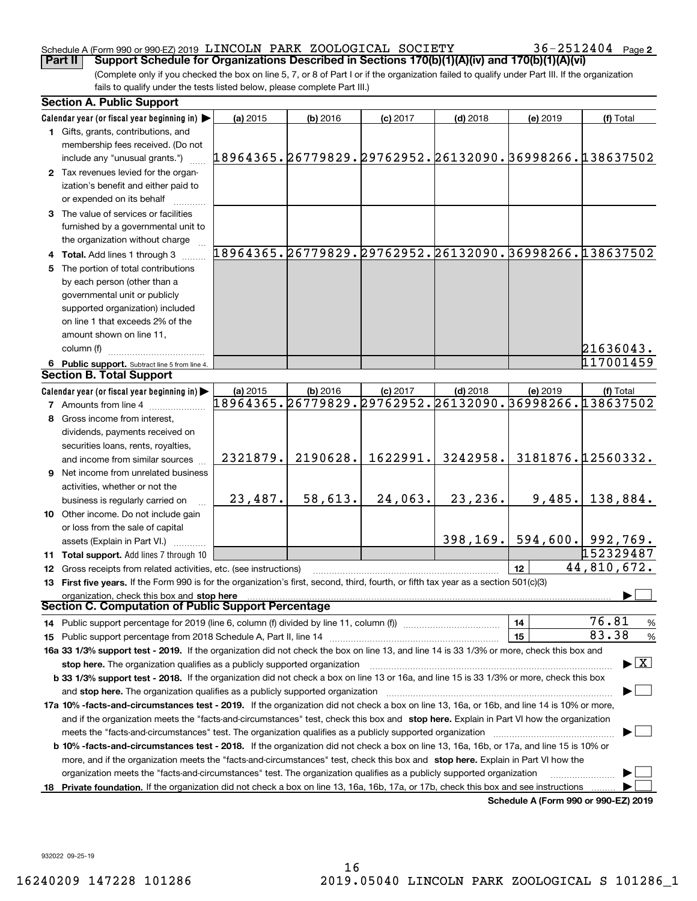#### Schedule A (Form 990 or 990-EZ) 2019  $\,$  LINCOLN PARK <code>ZOOLOGICAL</code> <code>SOCIETY</code>  $36-2512404$  <code>Page</code> **Part II** | Support Schedule for Organizations Described in Sections 170(b)(1)(A)(iv) and 170(b)(1)(A)(vi)

36-2512404 Page 2

(Complete only if you checked the box on line 5, 7, or 8 of Part I or if the organization failed to qualify under Part III. If the organization fails to qualify under the tests listed below, please complete Part III.)

|    | <b>Section A. Public Support</b>                                                                                                               |                                                        |            |            |                                                        |                                      |                                         |
|----|------------------------------------------------------------------------------------------------------------------------------------------------|--------------------------------------------------------|------------|------------|--------------------------------------------------------|--------------------------------------|-----------------------------------------|
|    | Calendar year (or fiscal year beginning in)                                                                                                    | (a) 2015                                               | (b) 2016   | $(c)$ 2017 | $(d)$ 2018                                             | (e) 2019                             | (f) Total                               |
|    | 1 Gifts, grants, contributions, and                                                                                                            |                                                        |            |            |                                                        |                                      |                                         |
|    | membership fees received. (Do not                                                                                                              |                                                        |            |            |                                                        |                                      |                                         |
|    | include any "unusual grants.")                                                                                                                 | 18964365.26779829.29762952.26132090.36998266.138637502 |            |            |                                                        |                                      |                                         |
|    | 2 Tax revenues levied for the organ-                                                                                                           |                                                        |            |            |                                                        |                                      |                                         |
|    | ization's benefit and either paid to                                                                                                           |                                                        |            |            |                                                        |                                      |                                         |
|    | or expended on its behalf                                                                                                                      |                                                        |            |            |                                                        |                                      |                                         |
|    | 3 The value of services or facilities                                                                                                          |                                                        |            |            |                                                        |                                      |                                         |
|    | furnished by a governmental unit to                                                                                                            |                                                        |            |            |                                                        |                                      |                                         |
|    | the organization without charge                                                                                                                |                                                        |            |            |                                                        |                                      |                                         |
|    | 4 Total. Add lines 1 through 3                                                                                                                 |                                                        |            |            | 18964365.26779829.29762952.26132090.36998266.138637502 |                                      |                                         |
|    | 5 The portion of total contributions                                                                                                           |                                                        |            |            |                                                        |                                      |                                         |
|    | by each person (other than a                                                                                                                   |                                                        |            |            |                                                        |                                      |                                         |
|    | governmental unit or publicly                                                                                                                  |                                                        |            |            |                                                        |                                      |                                         |
|    | supported organization) included                                                                                                               |                                                        |            |            |                                                        |                                      |                                         |
|    | on line 1 that exceeds 2% of the                                                                                                               |                                                        |            |            |                                                        |                                      |                                         |
|    |                                                                                                                                                |                                                        |            |            |                                                        |                                      |                                         |
|    | amount shown on line 11,                                                                                                                       |                                                        |            |            |                                                        |                                      |                                         |
|    | column (f)                                                                                                                                     |                                                        |            |            |                                                        |                                      | 21636043.                               |
|    | 6 Public support. Subtract line 5 from line 4.                                                                                                 |                                                        |            |            |                                                        |                                      | 117001459                               |
|    | <b>Section B. Total Support</b>                                                                                                                |                                                        |            |            |                                                        |                                      |                                         |
|    | Calendar year (or fiscal year beginning in)                                                                                                    | (a) 2015                                               | $(b)$ 2016 | $(c)$ 2017 | $(d)$ 2018                                             | (e) 2019                             | (f) Total                               |
|    | <b>7</b> Amounts from line 4                                                                                                                   |                                                        |            |            | 18964365.26779829.29762952.26132090.36998266.138637502 |                                      |                                         |
|    | 8 Gross income from interest,                                                                                                                  |                                                        |            |            |                                                        |                                      |                                         |
|    | dividends, payments received on                                                                                                                |                                                        |            |            |                                                        |                                      |                                         |
|    | securities loans, rents, royalties,                                                                                                            |                                                        |            |            |                                                        |                                      |                                         |
|    | and income from similar sources                                                                                                                | 2321879.                                               | 2190628.   | 1622991.   | 3242958.                                               |                                      | 3181876.12560332.                       |
|    | 9 Net income from unrelated business                                                                                                           |                                                        |            |            |                                                        |                                      |                                         |
|    | activities, whether or not the                                                                                                                 |                                                        |            |            |                                                        |                                      |                                         |
|    | business is regularly carried on                                                                                                               | 23,487.                                                | 58,613.    | 24,063.    | 23,236.                                                | 9,485.                               | 138,884.                                |
|    | 10 Other income. Do not include gain                                                                                                           |                                                        |            |            |                                                        |                                      |                                         |
|    | or loss from the sale of capital                                                                                                               |                                                        |            |            |                                                        |                                      |                                         |
|    | assets (Explain in Part VI.)                                                                                                                   |                                                        |            |            | 398, 169.                                              |                                      | $594,600.$ 992,769.                     |
|    | 11 Total support. Add lines 7 through 10                                                                                                       |                                                        |            |            |                                                        |                                      | 152329487                               |
|    | 12 Gross receipts from related activities, etc. (see instructions)                                                                             |                                                        |            |            |                                                        | 12                                   | 44,810,672.                             |
|    | 13 First five years. If the Form 990 is for the organization's first, second, third, fourth, or fifth tax year as a section 501(c)(3)          |                                                        |            |            |                                                        |                                      |                                         |
|    | organization, check this box and stop here                                                                                                     |                                                        |            |            |                                                        |                                      |                                         |
|    | Section C. Computation of Public Support Percentage                                                                                            |                                                        |            |            |                                                        |                                      |                                         |
|    | 14 Public support percentage for 2019 (line 6, column (f) divided by line 11, column (f) <i>manumeronominimi</i> ng.                           |                                                        |            |            |                                                        | 14                                   | 76.81<br>$\frac{9}{6}$                  |
|    |                                                                                                                                                |                                                        |            |            |                                                        | 15                                   | 83.38<br>$\frac{9}{6}$                  |
|    | 16a 33 1/3% support test - 2019. If the organization did not check the box on line 13, and line 14 is 33 1/3% or more, check this box and      |                                                        |            |            |                                                        |                                      |                                         |
|    | stop here. The organization qualifies as a publicly supported organization                                                                     |                                                        |            |            |                                                        |                                      | $\blacktriangleright$ $\vert$ X $\vert$ |
|    | b 33 1/3% support test - 2018. If the organization did not check a box on line 13 or 16a, and line 15 is 33 1/3% or more, check this box       |                                                        |            |            |                                                        |                                      |                                         |
|    | and stop here. The organization qualifies as a publicly supported organization                                                                 |                                                        |            |            |                                                        |                                      |                                         |
|    | 17a 10% -facts-and-circumstances test - 2019. If the organization did not check a box on line 13, 16a, or 16b, and line 14 is 10% or more,     |                                                        |            |            |                                                        |                                      |                                         |
|    | and if the organization meets the "facts-and-circumstances" test, check this box and stop here. Explain in Part VI how the organization        |                                                        |            |            |                                                        |                                      |                                         |
|    |                                                                                                                                                |                                                        |            |            |                                                        |                                      |                                         |
|    | meets the "facts-and-circumstances" test. The organization qualifies as a publicly supported organization <i>marroummumumumum</i>              |                                                        |            |            |                                                        |                                      |                                         |
|    | <b>b 10% -facts-and-circumstances test - 2018.</b> If the organization did not check a box on line 13, 16a, 16b, or 17a, and line 15 is 10% or |                                                        |            |            |                                                        |                                      |                                         |
|    | more, and if the organization meets the "facts-and-circumstances" test, check this box and stop here. Explain in Part VI how the               |                                                        |            |            |                                                        |                                      |                                         |
|    | organization meets the "facts-and-circumstances" test. The organization qualifies as a publicly supported organization                         |                                                        |            |            |                                                        |                                      |                                         |
| 18 | Private foundation. If the organization did not check a box on line 13, 16a, 16b, 17a, or 17b, check this box and see instructions             |                                                        |            |            |                                                        | Schedule A (Form 990 or 990-F7) 2019 |                                         |

**Schedule A (Form 990 or 990-EZ) 2019**

932022 09-25-19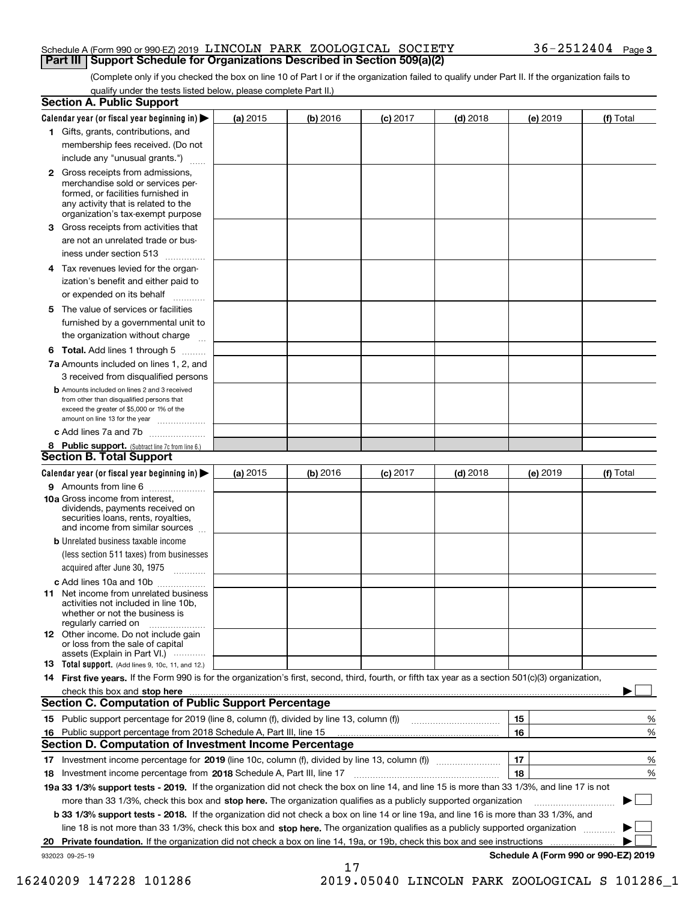#### Schedule A (Form 990 or 990-EZ) 2019  $\,$  LINCOLN PARK <code>ZOOLOGICAL</code> <code>SOCIETY</code>  $36-2512404$  <code>Page</code> **Part III** | Support Schedule for Organizations Described in Section 509(a)(2)

(Complete only if you checked the box on line 10 of Part I or if the organization failed to qualify under Part II. If the organization fails to qualify under the tests listed below, please complete Part II.)

|    | <b>Section A. Public Support</b>                                                                                                                                                                                                                      |          |            |            |            |          |                                      |
|----|-------------------------------------------------------------------------------------------------------------------------------------------------------------------------------------------------------------------------------------------------------|----------|------------|------------|------------|----------|--------------------------------------|
|    | Calendar year (or fiscal year beginning in) $\blacktriangleright$                                                                                                                                                                                     | (a) 2015 | $(b)$ 2016 | $(c)$ 2017 | $(d)$ 2018 | (e) 2019 | (f) Total                            |
|    | 1 Gifts, grants, contributions, and                                                                                                                                                                                                                   |          |            |            |            |          |                                      |
|    | membership fees received. (Do not                                                                                                                                                                                                                     |          |            |            |            |          |                                      |
|    | include any "unusual grants.")                                                                                                                                                                                                                        |          |            |            |            |          |                                      |
|    | 2 Gross receipts from admissions,<br>merchandise sold or services per-<br>formed, or facilities furnished in<br>any activity that is related to the<br>organization's tax-exempt purpose                                                              |          |            |            |            |          |                                      |
|    | 3 Gross receipts from activities that<br>are not an unrelated trade or bus-                                                                                                                                                                           |          |            |            |            |          |                                      |
|    | iness under section 513                                                                                                                                                                                                                               |          |            |            |            |          |                                      |
|    | 4 Tax revenues levied for the organ-                                                                                                                                                                                                                  |          |            |            |            |          |                                      |
|    | ization's benefit and either paid to<br>or expended on its behalf<br>.                                                                                                                                                                                |          |            |            |            |          |                                      |
|    | 5 The value of services or facilities                                                                                                                                                                                                                 |          |            |            |            |          |                                      |
|    | furnished by a governmental unit to                                                                                                                                                                                                                   |          |            |            |            |          |                                      |
|    | the organization without charge                                                                                                                                                                                                                       |          |            |            |            |          |                                      |
|    | <b>6 Total.</b> Add lines 1 through 5                                                                                                                                                                                                                 |          |            |            |            |          |                                      |
|    | 7a Amounts included on lines 1, 2, and<br>3 received from disqualified persons                                                                                                                                                                        |          |            |            |            |          |                                      |
|    | <b>b</b> Amounts included on lines 2 and 3 received<br>from other than disqualified persons that<br>exceed the greater of \$5,000 or 1% of the<br>amount on line 13 for the year                                                                      |          |            |            |            |          |                                      |
|    | c Add lines 7a and 7b                                                                                                                                                                                                                                 |          |            |            |            |          |                                      |
|    | 8 Public support. (Subtract line 7c from line 6.)                                                                                                                                                                                                     |          |            |            |            |          |                                      |
|    | <b>Section B. Total Support</b>                                                                                                                                                                                                                       |          |            |            |            |          |                                      |
|    | Calendar year (or fiscal year beginning in) $\blacktriangleright$                                                                                                                                                                                     | (a) 2015 | (b) 2016   | $(c)$ 2017 | $(d)$ 2018 | (e) 2019 | (f) Total                            |
|    | 9 Amounts from line 6                                                                                                                                                                                                                                 |          |            |            |            |          |                                      |
|    | 10a Gross income from interest,<br>dividends, payments received on<br>securities loans, rents, royalties,<br>and income from similar sources                                                                                                          |          |            |            |            |          |                                      |
|    | <b>b</b> Unrelated business taxable income<br>(less section 511 taxes) from businesses                                                                                                                                                                |          |            |            |            |          |                                      |
|    | acquired after June 30, 1975                                                                                                                                                                                                                          |          |            |            |            |          |                                      |
|    | c Add lines 10a and 10b<br>11 Net income from unrelated business<br>activities not included in line 10b,<br>whether or not the business is<br>regularly carried on                                                                                    |          |            |            |            |          |                                      |
|    | <b>12</b> Other income. Do not include gain<br>or loss from the sale of capital<br>assets (Explain in Part VI.)                                                                                                                                       |          |            |            |            |          |                                      |
|    | <b>13</b> Total support. (Add lines 9, 10c, 11, and 12.)                                                                                                                                                                                              |          |            |            |            |          |                                      |
|    | 14 First five years. If the Form 990 is for the organization's first, second, third, fourth, or fifth tax year as a section 501(c)(3) organization,                                                                                                   |          |            |            |            |          |                                      |
|    | check this box and stop here <i>machine and content and stop</i> here <i>manufacture and stop</i> here <i>manufacture</i> and <b>stop here</b> <i>manufacture manufacture and stop</i> here <i>manufacture manufacture manufacture manufacture ma</i> |          |            |            |            |          |                                      |
|    | <b>Section C. Computation of Public Support Percentage</b>                                                                                                                                                                                            |          |            |            |            |          |                                      |
|    | 15 Public support percentage for 2019 (line 8, column (f), divided by line 13, column (f))                                                                                                                                                            |          |            |            |            | 15       | %                                    |
|    | 16 Public support percentage from 2018 Schedule A, Part III, line 15                                                                                                                                                                                  |          |            |            |            | 16       | %                                    |
|    | <b>Section D. Computation of Investment Income Percentage</b>                                                                                                                                                                                         |          |            |            |            |          |                                      |
|    | 17 Investment income percentage for 2019 (line 10c, column (f), divided by line 13, column (f))                                                                                                                                                       |          |            |            |            | 17       | %                                    |
|    | <b>18</b> Investment income percentage from <b>2018</b> Schedule A, Part III, line 17                                                                                                                                                                 |          |            |            |            | 18       | %                                    |
|    | 19a 33 1/3% support tests - 2019. If the organization did not check the box on line 14, and line 15 is more than 33 1/3%, and line 17 is not                                                                                                          |          |            |            |            |          |                                      |
|    | more than 33 1/3%, check this box and stop here. The organization qualifies as a publicly supported organization                                                                                                                                      |          |            |            |            |          | ▶                                    |
|    | b 33 1/3% support tests - 2018. If the organization did not check a box on line 14 or line 19a, and line 16 is more than 33 1/3%, and                                                                                                                 |          |            |            |            |          |                                      |
|    | line 18 is not more than 33 1/3%, check this box and stop here. The organization qualifies as a publicly supported organization                                                                                                                       |          |            |            |            |          |                                      |
| 20 | <b>Private foundation.</b> If the organization did not check a box on line 14, 19a, or 19b, check this box and see instructions                                                                                                                       |          |            |            |            |          |                                      |
|    | 932023 09-25-19                                                                                                                                                                                                                                       |          | 17         |            |            |          | Schedule A (Form 990 or 990-EZ) 2019 |

 <sup>16240209 147228 101286 2019.05040</sup> LINCOLN PARK ZOOLOGICAL S 101286\_1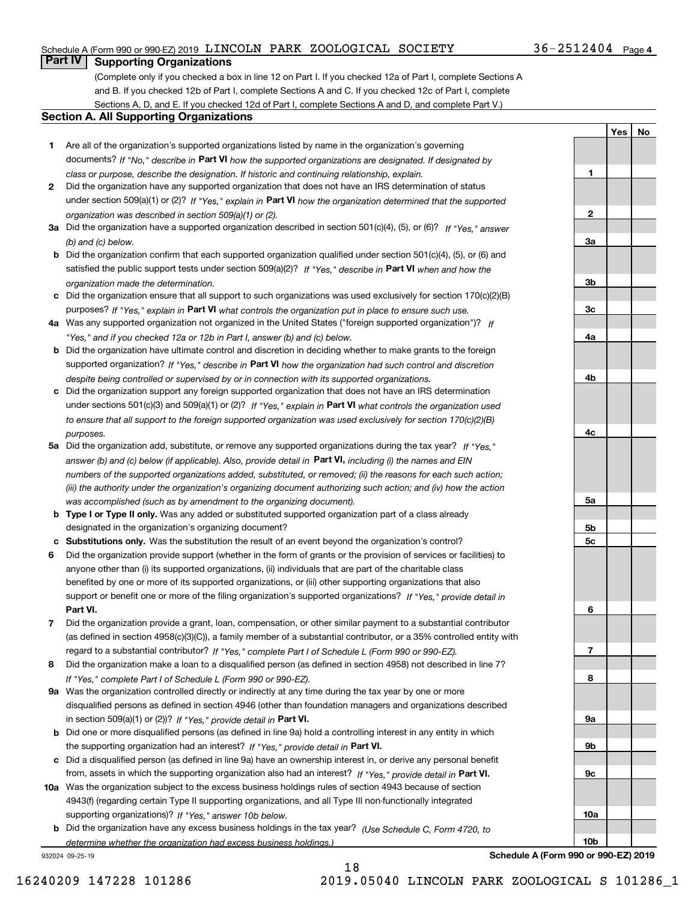### Schedule A (Form 990 or 990-EZ) 2019  $\,$  LINCOLN PARK <code>ZOOLOGICAL</code> <code>SOCIETY</code>  $36-2512404$  <code>Page</code>

### **Part IV Supporting Organizations**

(Complete only if you checked a box in line 12 on Part I. If you checked 12a of Part I, complete Sections A and B. If you checked 12b of Part I, complete Sections A and C. If you checked 12c of Part I, complete Sections A, D, and E. If you checked 12d of Part I, complete Sections A and D, and complete Part V.)

#### **Section A. All Supporting Organizations**

- **1** Are all of the organization's supported organizations listed by name in the organization's governing documents? If "No," describe in **Part VI** how the supported organizations are designated. If designated by *class or purpose, describe the designation. If historic and continuing relationship, explain.*
- **2** Did the organization have any supported organization that does not have an IRS determination of status under section 509(a)(1) or (2)? If "Yes," explain in Part VI how the organization determined that the supported *organization was described in section 509(a)(1) or (2).*
- **3a** Did the organization have a supported organization described in section 501(c)(4), (5), or (6)? If "Yes," answer *(b) and (c) below.*
- **b** Did the organization confirm that each supported organization qualified under section 501(c)(4), (5), or (6) and satisfied the public support tests under section 509(a)(2)? If "Yes," describe in **Part VI** when and how the *organization made the determination.*
- **c**Did the organization ensure that all support to such organizations was used exclusively for section 170(c)(2)(B) purposes? If "Yes," explain in **Part VI** what controls the organization put in place to ensure such use.
- **4a***If* Was any supported organization not organized in the United States ("foreign supported organization")? *"Yes," and if you checked 12a or 12b in Part I, answer (b) and (c) below.*
- **b** Did the organization have ultimate control and discretion in deciding whether to make grants to the foreign supported organization? If "Yes," describe in **Part VI** how the organization had such control and discretion *despite being controlled or supervised by or in connection with its supported organizations.*
- **c** Did the organization support any foreign supported organization that does not have an IRS determination under sections 501(c)(3) and 509(a)(1) or (2)? If "Yes," explain in **Part VI** what controls the organization used *to ensure that all support to the foreign supported organization was used exclusively for section 170(c)(2)(B) purposes.*
- **5a** Did the organization add, substitute, or remove any supported organizations during the tax year? If "Yes," answer (b) and (c) below (if applicable). Also, provide detail in **Part VI,** including (i) the names and EIN *numbers of the supported organizations added, substituted, or removed; (ii) the reasons for each such action; (iii) the authority under the organization's organizing document authorizing such action; and (iv) how the action was accomplished (such as by amendment to the organizing document).*
- **b** Type I or Type II only. Was any added or substituted supported organization part of a class already designated in the organization's organizing document?
- **cSubstitutions only.**  Was the substitution the result of an event beyond the organization's control?
- **6** Did the organization provide support (whether in the form of grants or the provision of services or facilities) to **Part VI.** *If "Yes," provide detail in* support or benefit one or more of the filing organization's supported organizations? anyone other than (i) its supported organizations, (ii) individuals that are part of the charitable class benefited by one or more of its supported organizations, or (iii) other supporting organizations that also
- **7**Did the organization provide a grant, loan, compensation, or other similar payment to a substantial contributor *If "Yes," complete Part I of Schedule L (Form 990 or 990-EZ).* regard to a substantial contributor? (as defined in section 4958(c)(3)(C)), a family member of a substantial contributor, or a 35% controlled entity with
- **8** Did the organization make a loan to a disqualified person (as defined in section 4958) not described in line 7? *If "Yes," complete Part I of Schedule L (Form 990 or 990-EZ).*
- **9a** Was the organization controlled directly or indirectly at any time during the tax year by one or more in section 509(a)(1) or (2))? If "Yes," *provide detail in* <code>Part VI.</code> disqualified persons as defined in section 4946 (other than foundation managers and organizations described
- **b** Did one or more disqualified persons (as defined in line 9a) hold a controlling interest in any entity in which the supporting organization had an interest? If "Yes," provide detail in P**art VI**.
- **c**Did a disqualified person (as defined in line 9a) have an ownership interest in, or derive any personal benefit from, assets in which the supporting organization also had an interest? If "Yes," provide detail in P**art VI.**
- **10a** Was the organization subject to the excess business holdings rules of section 4943 because of section supporting organizations)? If "Yes," answer 10b below. 4943(f) (regarding certain Type II supporting organizations, and all Type III non-functionally integrated
- **b** Did the organization have any excess business holdings in the tax year? (Use Schedule C, Form 4720, to *determine whether the organization had excess business holdings.)*

932024 09-25-19



**Schedule A (Form 990 or 990-EZ) 2019**

**Yes No**

18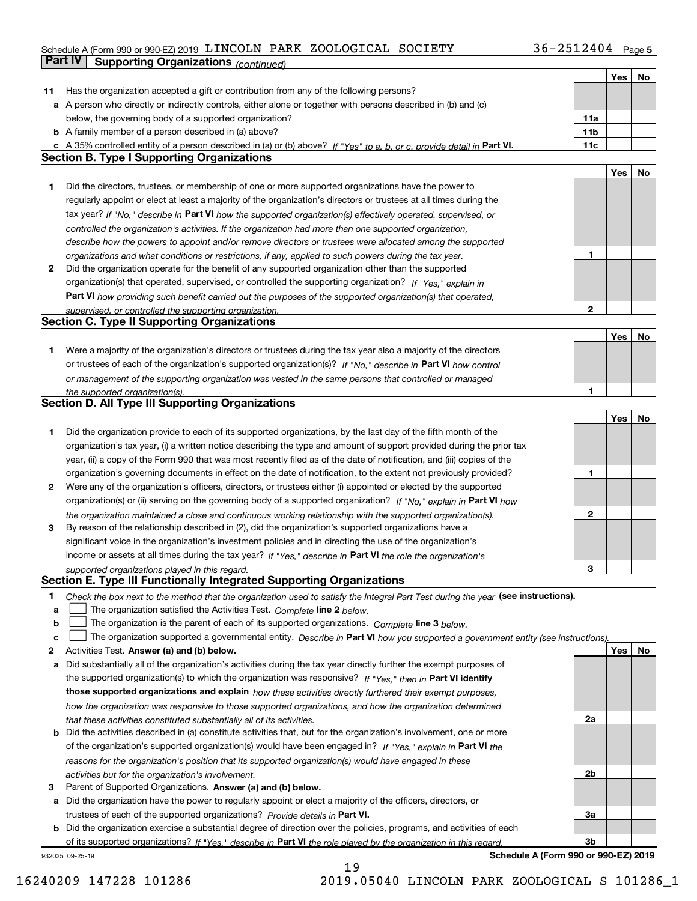### Schedule A (Form 990 or 990-EZ) 2019 <code>LINCOLN PARK ZOOLOGICAL SOCIETY</code> 36-2512404 Page 5 **Part IV Supporting Organizations** *(continued)*

|    |                                                                                                                                   |                 | Yes | No |
|----|-----------------------------------------------------------------------------------------------------------------------------------|-----------------|-----|----|
| 11 | Has the organization accepted a gift or contribution from any of the following persons?                                           |                 |     |    |
|    | a A person who directly or indirectly controls, either alone or together with persons described in (b) and (c)                    |                 |     |    |
|    | below, the governing body of a supported organization?                                                                            | 11a             |     |    |
|    | <b>b</b> A family member of a person described in (a) above?                                                                      | 11 <sub>b</sub> |     |    |
|    | c A 35% controlled entity of a person described in (a) or (b) above? If "Yes" to a, b, or c, provide detail in Part VI.           | 11c             |     |    |
|    | <b>Section B. Type I Supporting Organizations</b>                                                                                 |                 |     |    |
|    |                                                                                                                                   |                 | Yes | No |
| 1  | Did the directors, trustees, or membership of one or more supported organizations have the power to                               |                 |     |    |
|    | regularly appoint or elect at least a majority of the organization's directors or trustees at all times during the                |                 |     |    |
|    | tax year? If "No," describe in Part VI how the supported organization(s) effectively operated, supervised, or                     |                 |     |    |
|    | controlled the organization's activities. If the organization had more than one supported organization,                           |                 |     |    |
|    | describe how the powers to appoint and/or remove directors or trustees were allocated among the supported                         |                 |     |    |
|    | organizations and what conditions or restrictions, if any, applied to such powers during the tax year.                            | 1               |     |    |
| 2  | Did the organization operate for the benefit of any supported organization other than the supported                               |                 |     |    |
|    | organization(s) that operated, supervised, or controlled the supporting organization? If "Yes," explain in                        |                 |     |    |
|    | Part VI how providing such benefit carried out the purposes of the supported organization(s) that operated,                       |                 |     |    |
|    | supervised, or controlled the supporting organization.                                                                            | $\mathbf{2}$    |     |    |
|    | <b>Section C. Type II Supporting Organizations</b>                                                                                |                 |     |    |
|    |                                                                                                                                   |                 | Yes | No |
| 1  | Were a majority of the organization's directors or trustees during the tax year also a majority of the directors                  |                 |     |    |
|    | or trustees of each of the organization's supported organization(s)? If "No," describe in Part VI how control                     |                 |     |    |
|    | or management of the supporting organization was vested in the same persons that controlled or managed                            |                 |     |    |
|    | the supported organization(s).                                                                                                    | 1               |     |    |
|    | <b>Section D. All Type III Supporting Organizations</b>                                                                           |                 |     |    |
|    |                                                                                                                                   |                 | Yes | No |
| 1  | Did the organization provide to each of its supported organizations, by the last day of the fifth month of the                    |                 |     |    |
|    | organization's tax year, (i) a written notice describing the type and amount of support provided during the prior tax             |                 |     |    |
|    | year, (ii) a copy of the Form 990 that was most recently filed as of the date of notification, and (iii) copies of the            |                 |     |    |
|    | organization's governing documents in effect on the date of notification, to the extent not previously provided?                  | 1               |     |    |
| 2  | Were any of the organization's officers, directors, or trustees either (i) appointed or elected by the supported                  |                 |     |    |
|    | organization(s) or (ii) serving on the governing body of a supported organization? If "No," explain in Part VI how                |                 |     |    |
|    | the organization maintained a close and continuous working relationship with the supported organization(s).                       | $\mathbf{2}$    |     |    |
| 3  | By reason of the relationship described in (2), did the organization's supported organizations have a                             |                 |     |    |
|    | significant voice in the organization's investment policies and in directing the use of the organization's                        |                 |     |    |
|    | income or assets at all times during the tax year? If "Yes," describe in Part VI the role the organization's                      |                 |     |    |
|    | supported organizations played in this regard.                                                                                    | 3               |     |    |
|    | Section E. Type III Functionally Integrated Supporting Organizations                                                              |                 |     |    |
| 1  | Check the box next to the method that the organization used to satisfy the Integral Part Test during the year (see instructions). |                 |     |    |
| а  | The organization satisfied the Activities Test. Complete line 2 below.                                                            |                 |     |    |
| b  | The organization is the parent of each of its supported organizations. Complete line 3 below.                                     |                 |     |    |
| с  | The organization supported a governmental entity. Describe in Part VI how you supported a government entity (see instructions),   |                 |     |    |
| 2  | Activities Test. Answer (a) and (b) below.                                                                                        |                 | Yes | No |
| а  | Did substantially all of the organization's activities during the tax year directly further the exempt purposes of                |                 |     |    |
|    | the supported organization(s) to which the organization was responsive? If "Yes," then in Part VI identify                        |                 |     |    |
|    | those supported organizations and explain how these activities directly furthered their exempt purposes,                          |                 |     |    |
|    | how the organization was responsive to those supported organizations, and how the organization determined                         |                 |     |    |
|    | that these activities constituted substantially all of its activities.                                                            | 2a              |     |    |
|    | <b>b</b> Did the activities described in (a) constitute activities that, but for the organization's involvement, one or more      |                 |     |    |
|    | of the organization's supported organization(s) would have been engaged in? If "Yes," explain in Part VI the                      |                 |     |    |
|    | reasons for the organization's position that its supported organization(s) would have engaged in these                            | 2b              |     |    |
| з  | activities but for the organization's involvement.<br>Parent of Supported Organizations. Answer (a) and (b) below.                |                 |     |    |
| а  | Did the organization have the power to regularly appoint or elect a majority of the officers, directors, or                       |                 |     |    |
|    | trustees of each of the supported organizations? Provide details in Part VI.                                                      | За              |     |    |
| b  | Did the organization exercise a substantial degree of direction over the policies, programs, and activities of each               |                 |     |    |
|    | of its supported organizations? If "Yes," describe in Part VI the role played by the organization in this regard.                 | 3b              |     |    |
|    |                                                                                                                                   |                 |     |    |

19

932025 09-25-19

**Schedule A (Form 990 or 990-EZ) 2019**

16240209 147228 101286 2019.05040 LINCOLN PARK ZOOLOGICAL S 101286\_1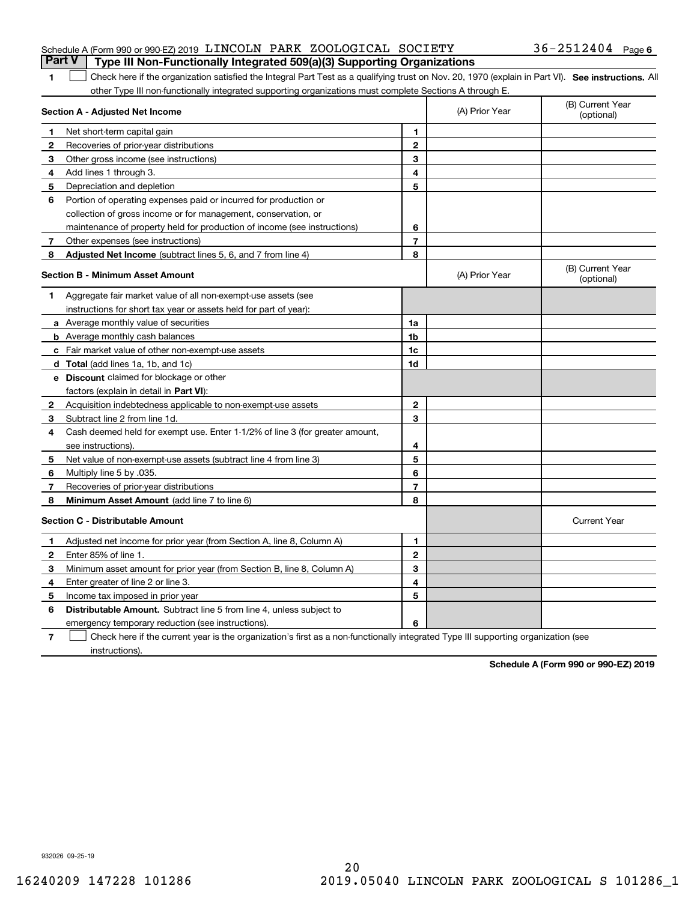| Schedule A (Form 990 or 990-EZ) 2019 LINCOLN PARK ZOOLOGICAL SOCIETY                  |  | $36 - 2512404$ Page 6 |  |
|---------------------------------------------------------------------------------------|--|-----------------------|--|
| <b>Part V</b> Type III Non-Functionally Integrated 509(a)(3) Supporting Organizations |  |                       |  |

| 1 Check here if the organization satisfied the Integral Part Test as a qualifying trust on Nov. 20, 1970 (explain in Part VI). See instructions. All |  |
|------------------------------------------------------------------------------------------------------------------------------------------------------|--|
| other Type III non-functionally integrated supporting organizations must complete Sections A through E.                                              |  |

|              | Section A - Adjusted Net Income                                              |                | (A) Prior Year | (B) Current Year<br>(optional) |
|--------------|------------------------------------------------------------------------------|----------------|----------------|--------------------------------|
| 1            | Net short-term capital gain                                                  | 1              |                |                                |
| $\mathbf{2}$ | Recoveries of prior-year distributions                                       | $\overline{2}$ |                |                                |
| 3            | Other gross income (see instructions)                                        | 3              |                |                                |
| 4            | Add lines 1 through 3.                                                       | 4              |                |                                |
| 5            | Depreciation and depletion                                                   | 5              |                |                                |
| 6            | Portion of operating expenses paid or incurred for production or             |                |                |                                |
|              | collection of gross income or for management, conservation, or               |                |                |                                |
|              | maintenance of property held for production of income (see instructions)     | 6              |                |                                |
| 7            | Other expenses (see instructions)                                            | $\overline{7}$ |                |                                |
| 8            | <b>Adjusted Net Income</b> (subtract lines 5, 6, and 7 from line 4)          | 8              |                |                                |
|              | <b>Section B - Minimum Asset Amount</b>                                      |                | (A) Prior Year | (B) Current Year<br>(optional) |
| 1            | Aggregate fair market value of all non-exempt-use assets (see                |                |                |                                |
|              | instructions for short tax year or assets held for part of year):            |                |                |                                |
|              | a Average monthly value of securities                                        | 1a             |                |                                |
|              | <b>b</b> Average monthly cash balances                                       | 1b             |                |                                |
|              | c Fair market value of other non-exempt-use assets                           | 1c             |                |                                |
|              | <b>d</b> Total (add lines 1a, 1b, and 1c)                                    | 1d             |                |                                |
|              | e Discount claimed for blockage or other                                     |                |                |                                |
|              | factors (explain in detail in Part VI):                                      |                |                |                                |
| 2            | Acquisition indebtedness applicable to non-exempt-use assets                 | $\mathbf{2}$   |                |                                |
| 3            | Subtract line 2 from line 1d.                                                | 3              |                |                                |
| 4            | Cash deemed held for exempt use. Enter 1-1/2% of line 3 (for greater amount, |                |                |                                |
|              | see instructions)                                                            | 4              |                |                                |
| 5            | Net value of non-exempt-use assets (subtract line 4 from line 3)             | 5              |                |                                |
| 6            | Multiply line 5 by .035.                                                     | 6              |                |                                |
| 7            | Recoveries of prior-year distributions                                       | $\overline{7}$ |                |                                |
| 8            | <b>Minimum Asset Amount</b> (add line 7 to line 6)                           | 8              |                |                                |
|              | <b>Section C - Distributable Amount</b>                                      |                |                | <b>Current Year</b>            |
| 1            | Adjusted net income for prior year (from Section A, line 8, Column A)        | 1              |                |                                |
| $\mathbf{2}$ | Enter 85% of line 1.                                                         | $\overline{2}$ |                |                                |
| 3            | Minimum asset amount for prior year (from Section B, line 8, Column A)       | 3              |                |                                |
| 4            | Enter greater of line 2 or line 3.                                           | 4              |                |                                |
| 5            | Income tax imposed in prior year                                             | 5              |                |                                |
| 6            | <b>Distributable Amount.</b> Subtract line 5 from line 4, unless subject to  |                |                |                                |
|              | emergency temporary reduction (see instructions).                            | 6              |                |                                |
|              |                                                                              |                |                |                                |

**7** Check here if the current year is the organization's first as a non-functionally integrated Type III supporting organization (see instructions).

**Schedule A (Form 990 or 990-EZ) 2019**

932026 09-25-19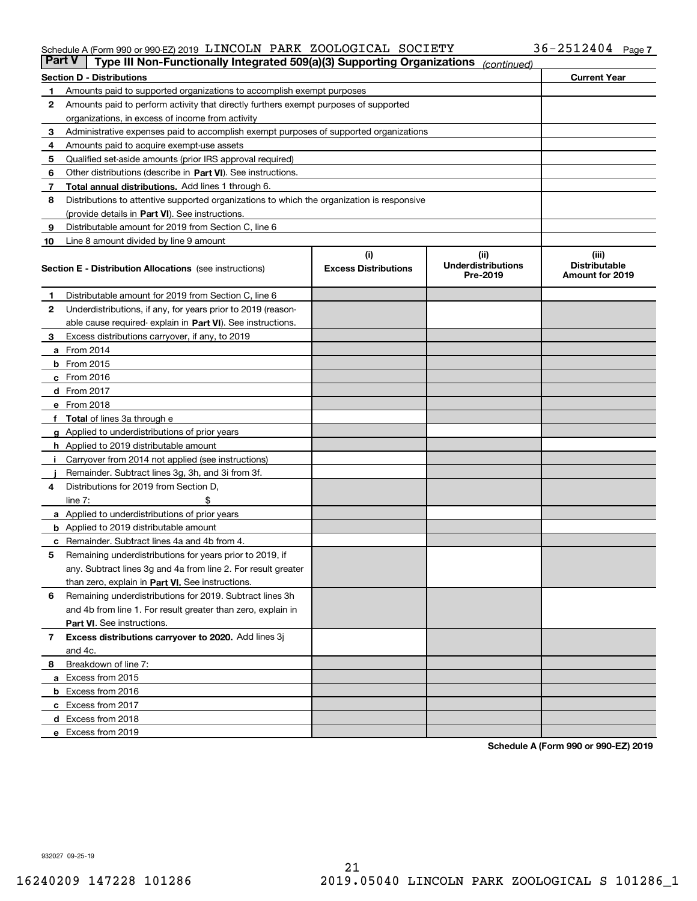#### Schedule A (Form 990 or 990-EZ) 2019 LI\_NCOLN PARK ZOOLOGICAL SOCIETY 3 b~Z 5 I Z 4 U 4 Page LINCOLN PARK ZOOLOGICAL SOCIETY 36-2512404

| <b>Part V</b> | Type III Non-Functionally Integrated 509(a)(3) Supporting Organizations                    |                                    | (continued)                        |                               |
|---------------|--------------------------------------------------------------------------------------------|------------------------------------|------------------------------------|-------------------------------|
|               | <b>Section D - Distributions</b>                                                           |                                    |                                    | <b>Current Year</b>           |
| 1             | Amounts paid to supported organizations to accomplish exempt purposes                      |                                    |                                    |                               |
| 2             | Amounts paid to perform activity that directly furthers exempt purposes of supported       |                                    |                                    |                               |
|               | organizations, in excess of income from activity                                           |                                    |                                    |                               |
| 3             | Administrative expenses paid to accomplish exempt purposes of supported organizations      |                                    |                                    |                               |
| 4             | Amounts paid to acquire exempt-use assets                                                  |                                    |                                    |                               |
| 5             | Qualified set-aside amounts (prior IRS approval required)                                  |                                    |                                    |                               |
| 6             | Other distributions (describe in Part VI). See instructions.                               |                                    |                                    |                               |
| 7             | <b>Total annual distributions.</b> Add lines 1 through 6.                                  |                                    |                                    |                               |
| 8             | Distributions to attentive supported organizations to which the organization is responsive |                                    |                                    |                               |
|               | (provide details in Part VI). See instructions.                                            |                                    |                                    |                               |
| 9             | Distributable amount for 2019 from Section C, line 6                                       |                                    |                                    |                               |
| 10            | Line 8 amount divided by line 9 amount                                                     |                                    |                                    |                               |
|               |                                                                                            | (i)<br><b>Excess Distributions</b> | (iii)<br><b>Underdistributions</b> | (iii)<br><b>Distributable</b> |
|               | <b>Section E - Distribution Allocations</b> (see instructions)                             |                                    | Pre-2019                           | Amount for 2019               |
| 1             | Distributable amount for 2019 from Section C, line 6                                       |                                    |                                    |                               |
| 2             | Underdistributions, if any, for years prior to 2019 (reason-                               |                                    |                                    |                               |
|               | able cause required- explain in Part VI). See instructions.                                |                                    |                                    |                               |
| З             | Excess distributions carryover, if any, to 2019                                            |                                    |                                    |                               |
|               | <b>a</b> From 2014                                                                         |                                    |                                    |                               |
|               | <b>b</b> From 2015                                                                         |                                    |                                    |                               |
|               | $c$ From 2016                                                                              |                                    |                                    |                               |
|               | d From 2017                                                                                |                                    |                                    |                               |
|               | e From 2018                                                                                |                                    |                                    |                               |
|               | Total of lines 3a through e                                                                |                                    |                                    |                               |
| g             | Applied to underdistributions of prior years                                               |                                    |                                    |                               |
|               | <b>h</b> Applied to 2019 distributable amount                                              |                                    |                                    |                               |
|               | Carryover from 2014 not applied (see instructions)                                         |                                    |                                    |                               |
|               | Remainder. Subtract lines 3g, 3h, and 3i from 3f.                                          |                                    |                                    |                               |
| 4             | Distributions for 2019 from Section D,                                                     |                                    |                                    |                               |
|               | line $7:$                                                                                  |                                    |                                    |                               |
|               | <b>a</b> Applied to underdistributions of prior years                                      |                                    |                                    |                               |
|               | <b>b</b> Applied to 2019 distributable amount                                              |                                    |                                    |                               |
|               | c Remainder. Subtract lines 4a and 4b from 4.                                              |                                    |                                    |                               |
| 5             | Remaining underdistributions for years prior to 2019, if                                   |                                    |                                    |                               |
|               | any. Subtract lines 3g and 4a from line 2. For result greater                              |                                    |                                    |                               |
|               | than zero, explain in Part VI. See instructions.                                           |                                    |                                    |                               |
| 6             | Remaining underdistributions for 2019. Subtract lines 3h                                   |                                    |                                    |                               |
|               | and 4b from line 1. For result greater than zero, explain in                               |                                    |                                    |                               |
|               | Part VI. See instructions.                                                                 |                                    |                                    |                               |
| 7             | Excess distributions carryover to 2020. Add lines 3j                                       |                                    |                                    |                               |
|               | and 4c.                                                                                    |                                    |                                    |                               |
| 8             | Breakdown of line 7:                                                                       |                                    |                                    |                               |
|               | a Excess from 2015                                                                         |                                    |                                    |                               |
|               | <b>b</b> Excess from 2016                                                                  |                                    |                                    |                               |
|               | c Excess from 2017                                                                         |                                    |                                    |                               |
|               | d Excess from 2018                                                                         |                                    |                                    |                               |
|               | e Excess from 2019                                                                         |                                    |                                    |                               |

**Schedule A (Form 990 or 990-EZ) 2019**

932027 09-25-19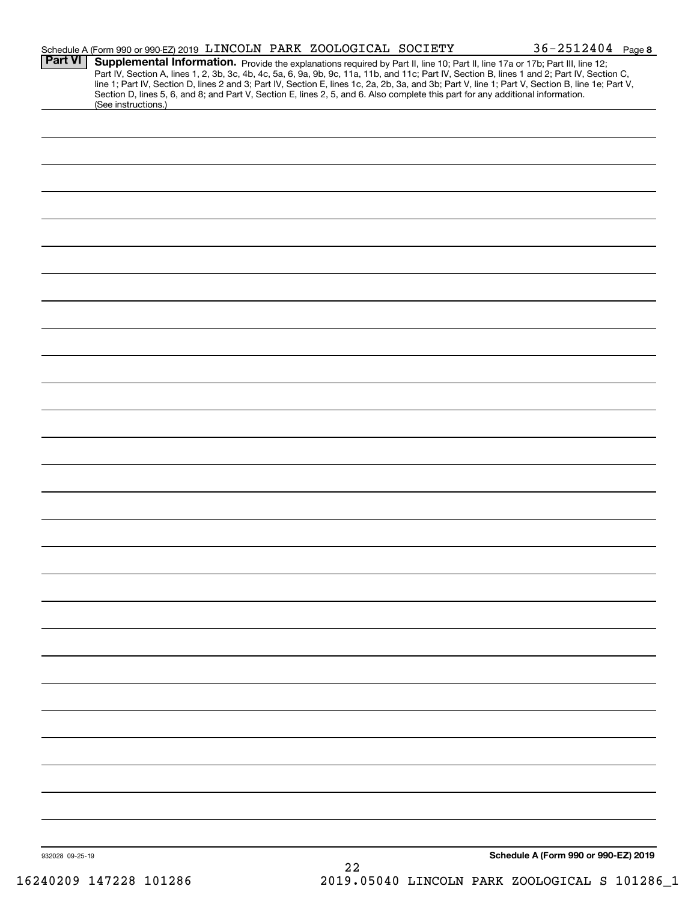|                 |                     | Schedule A (Form 990 or 990-EZ) 2019 LINCOLN PARK ZOOLOGICAL SOCIETY                                                                                                                                                                                                                                                                                                                                                              |    |  | $36 - 2512404$ Page 8                |  |
|-----------------|---------------------|-----------------------------------------------------------------------------------------------------------------------------------------------------------------------------------------------------------------------------------------------------------------------------------------------------------------------------------------------------------------------------------------------------------------------------------|----|--|--------------------------------------|--|
| <b>Part VI</b>  |                     | Supplemental Information. Provide the explanations required by Part II, line 10; Part II, line 17a or 17b; Part III, line 12;<br>Part IV, Section A, lines 1, 2, 3b, 3c, 4b, 4c, 5a, 6, 9a, 9b, 9c, 11a, 11b, and 11c; Part IV, Section B, lines 1 and 2; Part IV, Section C,<br>line 1; Part IV, Section D, lines 2 and 3; Part IV, Section E, lines 1c, 2a, 2b, 3a, and 3b; Part V, line 1; Part V, Section B, line 1e; Part V, |    |  |                                      |  |
|                 | (See instructions.) | Section D, lines 5, 6, and 8; and Part V, Section E, lines 2, 5, and 6. Also complete this part for any additional information.                                                                                                                                                                                                                                                                                                   |    |  |                                      |  |
|                 |                     |                                                                                                                                                                                                                                                                                                                                                                                                                                   |    |  |                                      |  |
|                 |                     |                                                                                                                                                                                                                                                                                                                                                                                                                                   |    |  |                                      |  |
|                 |                     |                                                                                                                                                                                                                                                                                                                                                                                                                                   |    |  |                                      |  |
|                 |                     |                                                                                                                                                                                                                                                                                                                                                                                                                                   |    |  |                                      |  |
|                 |                     |                                                                                                                                                                                                                                                                                                                                                                                                                                   |    |  |                                      |  |
|                 |                     |                                                                                                                                                                                                                                                                                                                                                                                                                                   |    |  |                                      |  |
|                 |                     |                                                                                                                                                                                                                                                                                                                                                                                                                                   |    |  |                                      |  |
|                 |                     |                                                                                                                                                                                                                                                                                                                                                                                                                                   |    |  |                                      |  |
|                 |                     |                                                                                                                                                                                                                                                                                                                                                                                                                                   |    |  |                                      |  |
|                 |                     |                                                                                                                                                                                                                                                                                                                                                                                                                                   |    |  |                                      |  |
|                 |                     |                                                                                                                                                                                                                                                                                                                                                                                                                                   |    |  |                                      |  |
|                 |                     |                                                                                                                                                                                                                                                                                                                                                                                                                                   |    |  |                                      |  |
|                 |                     |                                                                                                                                                                                                                                                                                                                                                                                                                                   |    |  |                                      |  |
|                 |                     |                                                                                                                                                                                                                                                                                                                                                                                                                                   |    |  |                                      |  |
|                 |                     |                                                                                                                                                                                                                                                                                                                                                                                                                                   |    |  |                                      |  |
|                 |                     |                                                                                                                                                                                                                                                                                                                                                                                                                                   |    |  |                                      |  |
|                 |                     |                                                                                                                                                                                                                                                                                                                                                                                                                                   |    |  |                                      |  |
|                 |                     |                                                                                                                                                                                                                                                                                                                                                                                                                                   |    |  |                                      |  |
|                 |                     |                                                                                                                                                                                                                                                                                                                                                                                                                                   |    |  |                                      |  |
|                 |                     |                                                                                                                                                                                                                                                                                                                                                                                                                                   |    |  |                                      |  |
|                 |                     |                                                                                                                                                                                                                                                                                                                                                                                                                                   |    |  |                                      |  |
|                 |                     |                                                                                                                                                                                                                                                                                                                                                                                                                                   |    |  |                                      |  |
|                 |                     |                                                                                                                                                                                                                                                                                                                                                                                                                                   |    |  |                                      |  |
|                 |                     |                                                                                                                                                                                                                                                                                                                                                                                                                                   |    |  |                                      |  |
|                 |                     |                                                                                                                                                                                                                                                                                                                                                                                                                                   |    |  |                                      |  |
|                 |                     |                                                                                                                                                                                                                                                                                                                                                                                                                                   |    |  |                                      |  |
|                 |                     |                                                                                                                                                                                                                                                                                                                                                                                                                                   |    |  |                                      |  |
|                 |                     |                                                                                                                                                                                                                                                                                                                                                                                                                                   |    |  |                                      |  |
|                 |                     |                                                                                                                                                                                                                                                                                                                                                                                                                                   |    |  |                                      |  |
|                 |                     |                                                                                                                                                                                                                                                                                                                                                                                                                                   |    |  |                                      |  |
| 932028 09-25-19 |                     |                                                                                                                                                                                                                                                                                                                                                                                                                                   | 22 |  | Schedule A (Form 990 or 990-EZ) 2019 |  |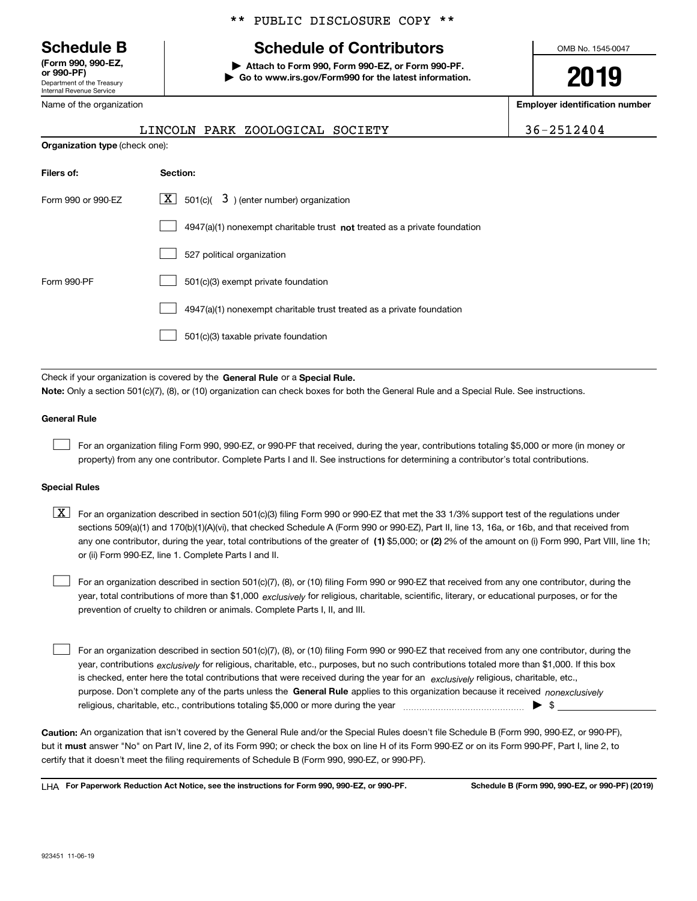Department of the Treasury Internal Revenue Service **(Form 990, 990-EZ, or 990-PF)**

Name of the organization

**Organization type** (check one):

#### \*\* PUBLIC DISCLOSURE COPY \*\*

# **Schedule B Schedule of Contributors**

**| Attach to Form 990, Form 990-EZ, or Form 990-PF. | Go to www.irs.gov/Form990 for the latest information.** OMB No. 1545-0047

# **2019**

**Employer identification number**

|  | LINCOLN PARK ZOOI |  |
|--|-------------------|--|

 $LOGICAL SOCIETY$  36-2512404

| Filers of:         | Section:                                                                    |
|--------------------|-----------------------------------------------------------------------------|
| Form 990 or 990-EZ | X  <br>$\vert$ 501(c)( $\vert$ 3) (enter number) organization               |
|                    | $4947(a)(1)$ nonexempt charitable trust not treated as a private foundation |
|                    | 527 political organization                                                  |
| Form 990-PF        | 501(c)(3) exempt private foundation                                         |
|                    | 4947(a)(1) nonexempt charitable trust treated as a private foundation       |
|                    | 501(c)(3) taxable private foundation                                        |

Check if your organization is covered by the **General Rule** or a **Special Rule.**<br>Nota: Only a section 501(c)(7), (8), or (10) erganization can chock boxes for be **Note:**  Only a section 501(c)(7), (8), or (10) organization can check boxes for both the General Rule and a Special Rule. See instructions.

#### **General Rule**

 $\mathcal{L}^{\text{max}}$ 

For an organization filing Form 990, 990-EZ, or 990-PF that received, during the year, contributions totaling \$5,000 or more (in money or property) from any one contributor. Complete Parts I and II. See instructions for determining a contributor's total contributions.

#### **Special Rules**

any one contributor, during the year, total contributions of the greater of  $\,$  (1) \$5,000; or **(2)** 2% of the amount on (i) Form 990, Part VIII, line 1h;  $\boxed{\textbf{X}}$  For an organization described in section 501(c)(3) filing Form 990 or 990-EZ that met the 33 1/3% support test of the regulations under sections 509(a)(1) and 170(b)(1)(A)(vi), that checked Schedule A (Form 990 or 990-EZ), Part II, line 13, 16a, or 16b, and that received from or (ii) Form 990-EZ, line 1. Complete Parts I and II.

year, total contributions of more than \$1,000 *exclusively* for religious, charitable, scientific, literary, or educational purposes, or for the For an organization described in section 501(c)(7), (8), or (10) filing Form 990 or 990-EZ that received from any one contributor, during the prevention of cruelty to children or animals. Complete Parts I, II, and III.  $\mathcal{L}^{\text{max}}$ 

purpose. Don't complete any of the parts unless the **General Rule** applies to this organization because it received *nonexclusively* year, contributions <sub>exclusively</sub> for religious, charitable, etc., purposes, but no such contributions totaled more than \$1,000. If this box is checked, enter here the total contributions that were received during the year for an  $\;$ exclusively religious, charitable, etc., For an organization described in section 501(c)(7), (8), or (10) filing Form 990 or 990-EZ that received from any one contributor, during the religious, charitable, etc., contributions totaling \$5,000 or more during the year  $\Box$ — $\Box$   $\Box$  $\mathcal{L}^{\text{max}}$ 

**Caution:**  An organization that isn't covered by the General Rule and/or the Special Rules doesn't file Schedule B (Form 990, 990-EZ, or 990-PF), but it **must** answer "No" on Part IV, line 2, of its Form 990; or check the box on line H of its Form 990-EZ or on its Form 990-PF, Part I, line 2, to<br>cortify that it doesn't meet the filipe requirements of Schodule B (Fer certify that it doesn't meet the filing requirements of Schedule B (Form 990, 990-EZ, or 990-PF).

**For Paperwork Reduction Act Notice, see the instructions for Form 990, 990-EZ, or 990-PF. Schedule B (Form 990, 990-EZ, or 990-PF) (2019)** LHA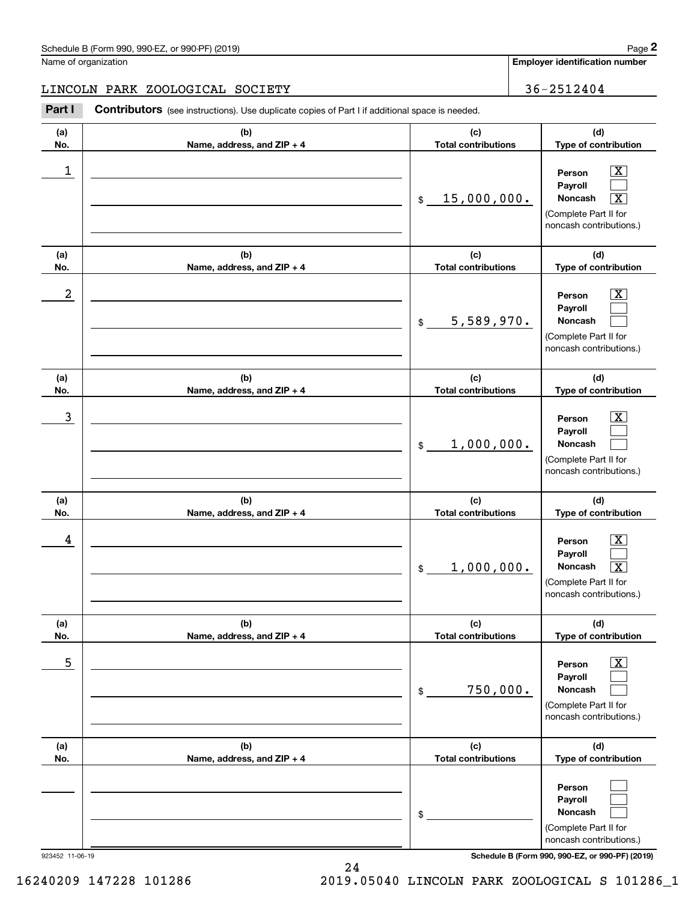**Employer identification number**

#### LINCOLN PARK ZOOLOGICAL SOCIETY 36-2512404

Contributors (see instructions). Use duplicate copies of Part I if additional space is needed. **2** Chedule B (Form 990, 990-EZ, or 990-PF) (2019)<br> **2Part I 2Part I Contributors** (see instructions). Use duplicate copies of Part I if additional space is needed.<br> **Part I Contributors** (see instructions). Use dupl

| (a)<br>No. | (b)<br>Name, address, and ZIP + 4 | (c)<br><b>Total contributions</b> | (d)<br>Type of contribution                                                                                                            |
|------------|-----------------------------------|-----------------------------------|----------------------------------------------------------------------------------------------------------------------------------------|
| 1          |                                   | 15,000,000.<br>\$                 | $\overline{\texttt{X}}$<br>Person<br>Payroll<br>Noncash<br>$\overline{\textbf{x}}$<br>(Complete Part II for<br>noncash contributions.) |
| (a)<br>No. | (b)<br>Name, address, and ZIP + 4 | (c)<br><b>Total contributions</b> | (d)<br>Type of contribution                                                                                                            |
| 2          |                                   | 5,589,970.<br>$\mathfrak{S}$      | $\overline{\text{X}}$<br>Person<br>Payroll<br>Noncash<br>(Complete Part II for<br>noncash contributions.)                              |
| (a)<br>No. | (b)<br>Name, address, and ZIP + 4 | (c)<br><b>Total contributions</b> | (d)<br>Type of contribution                                                                                                            |
| 3          |                                   | 1,000,000.<br>$\mathfrak{S}$      | $\overline{\texttt{x}}$<br>Person<br>Payroll<br><b>Noncash</b><br>(Complete Part II for<br>noncash contributions.)                     |
| (a)<br>No. | (b)<br>Name, address, and ZIP + 4 | (c)<br><b>Total contributions</b> | (d)<br>Type of contribution                                                                                                            |
| 4          |                                   | 1,000,000.<br>$\mathfrak{S}$      | $\overline{\texttt{x}}$<br>Person<br>Payroll<br>$\overline{\texttt{X}}$<br>Noncash<br>(Complete Part II for<br>noncash contributions.) |
| (a)<br>No. | (b)<br>Name, address, and ZIP + 4 | (c)<br><b>Total contributions</b> | (d)<br>Type of contribution                                                                                                            |
| 5          |                                   | 750,000.<br>$\$$                  | $\overline{\textbf{x}}$<br>Person<br>Payroll<br>Noncash<br>(Complete Part II for<br>noncash contributions.)                            |
| (a)<br>No. | (b)<br>Name, address, and ZIP + 4 | (c)<br><b>Total contributions</b> | (d)<br>Type of contribution                                                                                                            |
|            |                                   | \$                                | Person<br>Payroll<br>Noncash<br>(Complete Part II for<br>noncash contributions.)                                                       |

923452 11-06-19 **Schedule B (Form 990, 990-EZ, or 990-PF) (2019)**

16240209 147228 101286 2019.05040 LINCOLN PARK ZOOLOGICAL S 101286\_1

24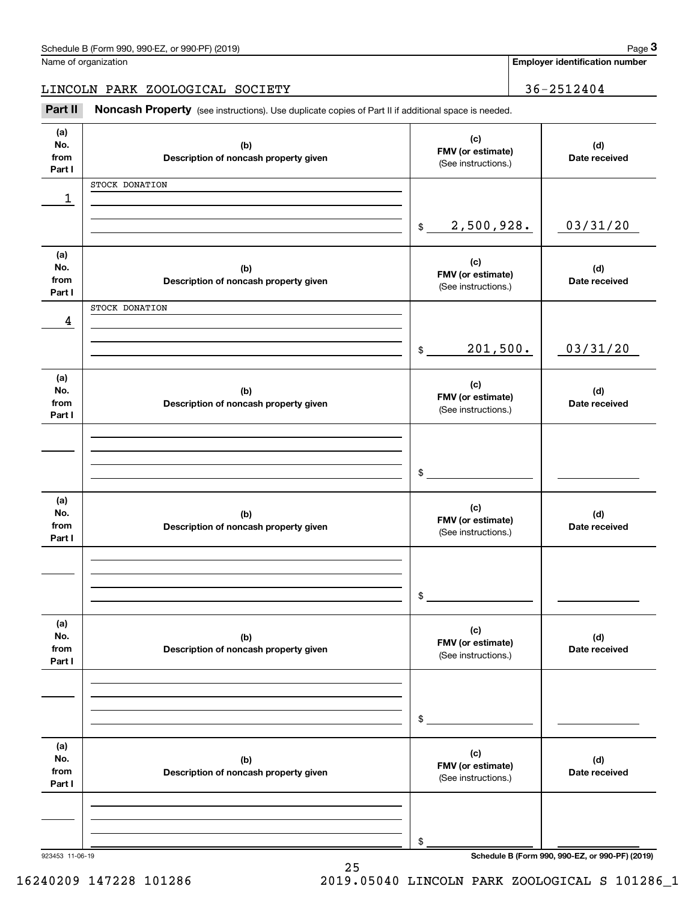|                              | Schedule B (Form 990, 990-EZ, or 990-PF) (2019)                                                     |                                                 |                                          | Page 3                                |  |
|------------------------------|-----------------------------------------------------------------------------------------------------|-------------------------------------------------|------------------------------------------|---------------------------------------|--|
|                              | Name of organization                                                                                |                                                 |                                          | <b>Employer identification number</b> |  |
|                              | LINCOLN PARK ZOOLOGICAL SOCIETY                                                                     |                                                 |                                          | 36-2512404                            |  |
| Part II                      | Noncash Property (see instructions). Use duplicate copies of Part II if additional space is needed. |                                                 |                                          |                                       |  |
| (a)<br>No.<br>from<br>Part I | (b)<br>Description of noncash property given                                                        | (c)<br>FMV (or estimate)<br>(See instructions.) |                                          | (d)<br>Date received                  |  |
|                              | STOCK DONATION                                                                                      |                                                 |                                          |                                       |  |
| 1                            |                                                                                                     |                                                 |                                          |                                       |  |
|                              |                                                                                                     | 2,500,928.<br>$\frac{1}{2}$                     |                                          | 03/31/20                              |  |
| (a)<br>No.<br>from<br>Part I | (b)<br>Description of noncash property given                                                        | (c)<br>FMV (or estimate)<br>(See instructions.) |                                          | (d)<br>Date received                  |  |
|                              | STOCK DONATION                                                                                      |                                                 |                                          |                                       |  |
| 4                            |                                                                                                     | 201,500.<br>$$\mathbb{S}$$                      |                                          | 03/31/20                              |  |
| (a)<br>No.<br>from<br>Part I | (b)<br>Description of noncash property given                                                        | (c)                                             | FMV (or estimate)<br>(See instructions.) |                                       |  |
|                              |                                                                                                     | \$                                              |                                          |                                       |  |
| (a)<br>No.<br>from<br>Part I | (b)<br>Description of noncash property given                                                        | (c)<br>FMV (or estimate)<br>(See instructions.) |                                          | (d)<br>Date received                  |  |
|                              |                                                                                                     | \$                                              |                                          |                                       |  |
| (a)<br>No.<br>from<br>Part I | (b)<br>Description of noncash property given                                                        | (c)<br>FMV (or estimate)<br>(See instructions.) |                                          | (d)<br>Date received                  |  |
|                              |                                                                                                     | \$                                              |                                          |                                       |  |
| (a)<br>No.<br>from<br>Part I | (b)<br>Description of noncash property given                                                        | (c)<br>FMV (or estimate)<br>(See instructions.) |                                          | (d)<br>Date received                  |  |
|                              |                                                                                                     | \$                                              |                                          |                                       |  |

16240209 147228 101286 2019.05040 LINCOLN PARK ZOOLOGICAL S 101286\_1

25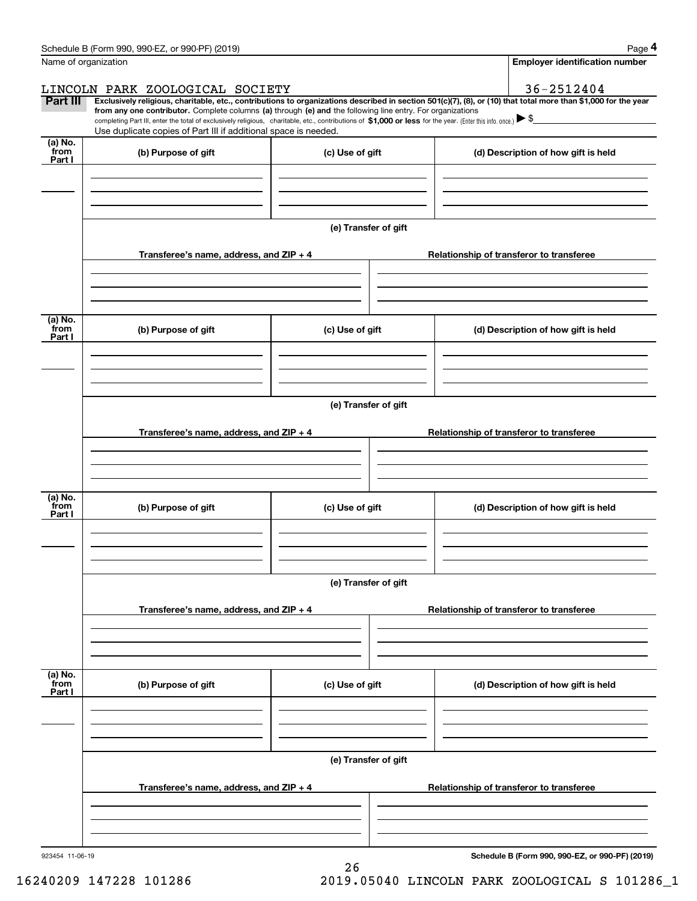|                            | Schedule B (Form 990, 990-EZ, or 990-PF) (2019)                                                                                                                                                                                                                                                 |                      | Page 4                                                                                                                                                         |  |  |  |  |  |
|----------------------------|-------------------------------------------------------------------------------------------------------------------------------------------------------------------------------------------------------------------------------------------------------------------------------------------------|----------------------|----------------------------------------------------------------------------------------------------------------------------------------------------------------|--|--|--|--|--|
|                            | Name of organization                                                                                                                                                                                                                                                                            |                      | <b>Employer identification number</b>                                                                                                                          |  |  |  |  |  |
|                            | LINCOLN PARK ZOOLOGICAL SOCIETY                                                                                                                                                                                                                                                                 |                      | 36-2512404                                                                                                                                                     |  |  |  |  |  |
| Part III                   | from any one contributor. Complete columns (a) through (e) and the following line entry. For organizations<br>completing Part III, enter the total of exclusively religious, charitable, etc., contributions of \$1,000 or less for the year. (Enter this info. once.) $\blacktriangleright$ \$ |                      | Exclusively religious, charitable, etc., contributions to organizations described in section 501(c)(7), (8), or (10) that total more than \$1,000 for the year |  |  |  |  |  |
|                            | Use duplicate copies of Part III if additional space is needed.                                                                                                                                                                                                                                 |                      |                                                                                                                                                                |  |  |  |  |  |
| (a) No.<br>from<br>Part I  | (b) Purpose of gift                                                                                                                                                                                                                                                                             | (c) Use of gift      | (d) Description of how gift is held                                                                                                                            |  |  |  |  |  |
|                            |                                                                                                                                                                                                                                                                                                 |                      |                                                                                                                                                                |  |  |  |  |  |
|                            |                                                                                                                                                                                                                                                                                                 |                      |                                                                                                                                                                |  |  |  |  |  |
|                            |                                                                                                                                                                                                                                                                                                 | (e) Transfer of gift |                                                                                                                                                                |  |  |  |  |  |
|                            | Transferee's name, address, and ZIP + 4                                                                                                                                                                                                                                                         |                      | Relationship of transferor to transferee                                                                                                                       |  |  |  |  |  |
|                            |                                                                                                                                                                                                                                                                                                 |                      |                                                                                                                                                                |  |  |  |  |  |
| (a) No.<br>from<br>Part I  | (b) Purpose of gift                                                                                                                                                                                                                                                                             | (c) Use of gift      | (d) Description of how gift is held                                                                                                                            |  |  |  |  |  |
|                            |                                                                                                                                                                                                                                                                                                 |                      |                                                                                                                                                                |  |  |  |  |  |
|                            |                                                                                                                                                                                                                                                                                                 | (e) Transfer of gift |                                                                                                                                                                |  |  |  |  |  |
|                            |                                                                                                                                                                                                                                                                                                 |                      |                                                                                                                                                                |  |  |  |  |  |
|                            | Transferee's name, address, and ZIP + 4                                                                                                                                                                                                                                                         |                      | Relationship of transferor to transferee                                                                                                                       |  |  |  |  |  |
|                            |                                                                                                                                                                                                                                                                                                 |                      |                                                                                                                                                                |  |  |  |  |  |
| (a) No.<br>from<br>Part I  | (b) Purpose of gift                                                                                                                                                                                                                                                                             | (c) Use of gift      | (d) Description of how gift is held                                                                                                                            |  |  |  |  |  |
|                            |                                                                                                                                                                                                                                                                                                 |                      |                                                                                                                                                                |  |  |  |  |  |
|                            |                                                                                                                                                                                                                                                                                                 | (e) Transfer of gift |                                                                                                                                                                |  |  |  |  |  |
|                            | Transferee's name, address, and $ZIP + 4$                                                                                                                                                                                                                                                       |                      | Relationship of transferor to transferee                                                                                                                       |  |  |  |  |  |
|                            |                                                                                                                                                                                                                                                                                                 |                      |                                                                                                                                                                |  |  |  |  |  |
| (a) No.<br>`from<br>Part I | (b) Purpose of gift                                                                                                                                                                                                                                                                             | (c) Use of gift      | (d) Description of how gift is held                                                                                                                            |  |  |  |  |  |
|                            |                                                                                                                                                                                                                                                                                                 |                      |                                                                                                                                                                |  |  |  |  |  |
|                            |                                                                                                                                                                                                                                                                                                 |                      |                                                                                                                                                                |  |  |  |  |  |
|                            | (e) Transfer of gift                                                                                                                                                                                                                                                                            |                      |                                                                                                                                                                |  |  |  |  |  |
|                            | Transferee's name, address, and $ZIP + 4$                                                                                                                                                                                                                                                       |                      | Relationship of transferor to transferee                                                                                                                       |  |  |  |  |  |
|                            |                                                                                                                                                                                                                                                                                                 |                      |                                                                                                                                                                |  |  |  |  |  |
|                            |                                                                                                                                                                                                                                                                                                 |                      |                                                                                                                                                                |  |  |  |  |  |

26

923454 11-06-19

**Schedule B (Form 990, 990-EZ, or 990-PF) (2019)**

16240209 147228 101286 2019.05040 LINCOLN PARK ZOOLOGICAL S 101286\_1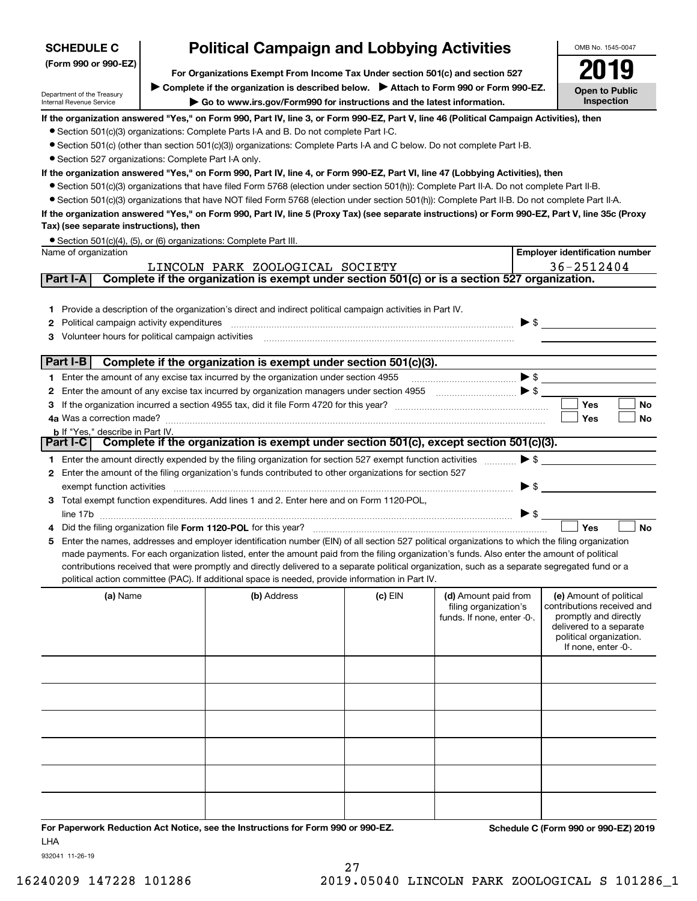| <b>SCHEDULE C</b>                                      | <b>Political Campaign and Lobbying Activities</b>                                                                                                                                                                                 |           |                                                                                                                                                                                                                                                                                                                                                                             |                          | OMB No. 1545-0047                                     |
|--------------------------------------------------------|-----------------------------------------------------------------------------------------------------------------------------------------------------------------------------------------------------------------------------------|-----------|-----------------------------------------------------------------------------------------------------------------------------------------------------------------------------------------------------------------------------------------------------------------------------------------------------------------------------------------------------------------------------|--------------------------|-------------------------------------------------------|
| (Form 990 or 990-EZ)                                   |                                                                                                                                                                                                                                   |           |                                                                                                                                                                                                                                                                                                                                                                             |                          |                                                       |
|                                                        | For Organizations Exempt From Income Tax Under section 501(c) and section 527                                                                                                                                                     |           |                                                                                                                                                                                                                                                                                                                                                                             |                          |                                                       |
| Department of the Treasury<br>Internal Revenue Service | Complete if the organization is described below. Attach to Form 990 or Form 990-EZ.<br>$\blacktriangleright$ Go to www.irs.gov/Form990 for instructions and the latest information.                                               |           |                                                                                                                                                                                                                                                                                                                                                                             |                          | <b>Open to Public</b><br>Inspection                   |
|                                                        |                                                                                                                                                                                                                                   |           |                                                                                                                                                                                                                                                                                                                                                                             |                          |                                                       |
|                                                        | If the organization answered "Yes," on Form 990, Part IV, line 3, or Form 990-EZ, Part V, line 46 (Political Campaign Activities), then<br>• Section 501(c)(3) organizations: Complete Parts I-A and B. Do not complete Part I-C. |           |                                                                                                                                                                                                                                                                                                                                                                             |                          |                                                       |
|                                                        | • Section 501(c) (other than section 501(c)(3)) organizations: Complete Parts I-A and C below. Do not complete Part I-B.                                                                                                          |           |                                                                                                                                                                                                                                                                                                                                                                             |                          |                                                       |
| • Section 527 organizations: Complete Part I-A only.   |                                                                                                                                                                                                                                   |           |                                                                                                                                                                                                                                                                                                                                                                             |                          |                                                       |
|                                                        | If the organization answered "Yes," on Form 990, Part IV, line 4, or Form 990-EZ, Part VI, line 47 (Lobbying Activities), then                                                                                                    |           |                                                                                                                                                                                                                                                                                                                                                                             |                          |                                                       |
|                                                        | • Section 501(c)(3) organizations that have filed Form 5768 (election under section 501(h)): Complete Part II-A. Do not complete Part II-B.                                                                                       |           |                                                                                                                                                                                                                                                                                                                                                                             |                          |                                                       |
|                                                        | • Section 501(c)(3) organizations that have NOT filed Form 5768 (election under section 501(h)): Complete Part II-B. Do not complete Part II-A.                                                                                   |           |                                                                                                                                                                                                                                                                                                                                                                             |                          |                                                       |
|                                                        | If the organization answered "Yes," on Form 990, Part IV, line 5 (Proxy Tax) (see separate instructions) or Form 990-EZ, Part V, line 35c (Proxy                                                                                  |           |                                                                                                                                                                                                                                                                                                                                                                             |                          |                                                       |
| Tax) (see separate instructions), then                 |                                                                                                                                                                                                                                   |           |                                                                                                                                                                                                                                                                                                                                                                             |                          |                                                       |
|                                                        | • Section 501(c)(4), (5), or (6) organizations: Complete Part III.                                                                                                                                                                |           |                                                                                                                                                                                                                                                                                                                                                                             |                          |                                                       |
| Name of organization                                   |                                                                                                                                                                                                                                   |           |                                                                                                                                                                                                                                                                                                                                                                             |                          | <b>Employer identification number</b>                 |
| Part I-A                                               | LINCOLN PARK ZOOLOGICAL SOCIETY<br>Complete if the organization is exempt under section 501(c) or is a section 527 organization.                                                                                                  |           |                                                                                                                                                                                                                                                                                                                                                                             |                          | 36-2512404                                            |
|                                                        |                                                                                                                                                                                                                                   |           |                                                                                                                                                                                                                                                                                                                                                                             |                          |                                                       |
|                                                        | 1 Provide a description of the organization's direct and indirect political campaign activities in Part IV.                                                                                                                       |           |                                                                                                                                                                                                                                                                                                                                                                             |                          |                                                       |
|                                                        |                                                                                                                                                                                                                                   |           |                                                                                                                                                                                                                                                                                                                                                                             | $\blacktriangleright$ \$ |                                                       |
|                                                        |                                                                                                                                                                                                                                   |           |                                                                                                                                                                                                                                                                                                                                                                             |                          |                                                       |
|                                                        |                                                                                                                                                                                                                                   |           |                                                                                                                                                                                                                                                                                                                                                                             |                          |                                                       |
| Part I-B                                               | Complete if the organization is exempt under section 501(c)(3).                                                                                                                                                                   |           |                                                                                                                                                                                                                                                                                                                                                                             |                          |                                                       |
|                                                        | 1 Enter the amount of any excise tax incurred by the organization under section 4955                                                                                                                                              |           | $\begin{picture}(20,10) \put(0,0){\vector(1,0){10}} \put(15,0){\vector(1,0){10}} \put(15,0){\vector(1,0){10}} \put(15,0){\vector(1,0){10}} \put(15,0){\vector(1,0){10}} \put(15,0){\vector(1,0){10}} \put(15,0){\vector(1,0){10}} \put(15,0){\vector(1,0){10}} \put(15,0){\vector(1,0){10}} \put(15,0){\vector(1,0){10}} \put(15,0){\vector(1,0){10}} \put(15,0){\vector(1$ |                          |                                                       |
|                                                        |                                                                                                                                                                                                                                   |           |                                                                                                                                                                                                                                                                                                                                                                             |                          |                                                       |
|                                                        |                                                                                                                                                                                                                                   |           |                                                                                                                                                                                                                                                                                                                                                                             |                          | <b>Yes</b><br>No                                      |
| 4a Was a correction made?                              |                                                                                                                                                                                                                                   |           |                                                                                                                                                                                                                                                                                                                                                                             |                          | Yes<br>No                                             |
| <b>b</b> If "Yes," describe in Part IV.                | Part I-C Complete if the organization is exempt under section 501(c), except section 501(c)(3).                                                                                                                                   |           |                                                                                                                                                                                                                                                                                                                                                                             |                          |                                                       |
|                                                        | 1 Enter the amount directly expended by the filing organization for section 527 exempt function activities                                                                                                                        |           |                                                                                                                                                                                                                                                                                                                                                                             | $\blacktriangleright$ \$ |                                                       |
|                                                        | 2 Enter the amount of the filing organization's funds contributed to other organizations for section 527                                                                                                                          |           |                                                                                                                                                                                                                                                                                                                                                                             |                          |                                                       |
| exempt function activities                             |                                                                                                                                                                                                                                   |           |                                                                                                                                                                                                                                                                                                                                                                             | $\blacktriangleright$ \$ |                                                       |
|                                                        | 3 Total exempt function expenditures. Add lines 1 and 2. Enter here and on Form 1120-POL,                                                                                                                                         |           |                                                                                                                                                                                                                                                                                                                                                                             |                          |                                                       |
|                                                        |                                                                                                                                                                                                                                   |           |                                                                                                                                                                                                                                                                                                                                                                             | $\blacktriangleright$ \$ |                                                       |
|                                                        |                                                                                                                                                                                                                                   |           |                                                                                                                                                                                                                                                                                                                                                                             |                          | Yes<br><b>No</b>                                      |
|                                                        | 5 Enter the names, addresses and employer identification number (EIN) of all section 527 political organizations to which the filing organization                                                                                 |           |                                                                                                                                                                                                                                                                                                                                                                             |                          |                                                       |
|                                                        | made payments. For each organization listed, enter the amount paid from the filing organization's funds. Also enter the amount of political                                                                                       |           |                                                                                                                                                                                                                                                                                                                                                                             |                          |                                                       |
|                                                        | contributions received that were promptly and directly delivered to a separate political organization, such as a separate segregated fund or a                                                                                    |           |                                                                                                                                                                                                                                                                                                                                                                             |                          |                                                       |
|                                                        | political action committee (PAC). If additional space is needed, provide information in Part IV.                                                                                                                                  |           |                                                                                                                                                                                                                                                                                                                                                                             |                          |                                                       |
| (a) Name                                               | (b) Address                                                                                                                                                                                                                       | $(c)$ EIN | (d) Amount paid from<br>filing organization's                                                                                                                                                                                                                                                                                                                               |                          | (e) Amount of political<br>contributions received and |
|                                                        |                                                                                                                                                                                                                                   |           | funds. If none, enter -0-.                                                                                                                                                                                                                                                                                                                                                  |                          | promptly and directly                                 |
|                                                        |                                                                                                                                                                                                                                   |           |                                                                                                                                                                                                                                                                                                                                                                             |                          | delivered to a separate                               |
|                                                        |                                                                                                                                                                                                                                   |           |                                                                                                                                                                                                                                                                                                                                                                             |                          | political organization.<br>If none, enter -0-.        |
|                                                        |                                                                                                                                                                                                                                   |           |                                                                                                                                                                                                                                                                                                                                                                             |                          |                                                       |
|                                                        |                                                                                                                                                                                                                                   |           |                                                                                                                                                                                                                                                                                                                                                                             |                          |                                                       |
|                                                        |                                                                                                                                                                                                                                   |           |                                                                                                                                                                                                                                                                                                                                                                             |                          |                                                       |
|                                                        |                                                                                                                                                                                                                                   |           |                                                                                                                                                                                                                                                                                                                                                                             |                          |                                                       |
|                                                        |                                                                                                                                                                                                                                   |           |                                                                                                                                                                                                                                                                                                                                                                             |                          |                                                       |
|                                                        |                                                                                                                                                                                                                                   |           |                                                                                                                                                                                                                                                                                                                                                                             |                          |                                                       |
|                                                        |                                                                                                                                                                                                                                   |           |                                                                                                                                                                                                                                                                                                                                                                             |                          |                                                       |
|                                                        |                                                                                                                                                                                                                                   |           |                                                                                                                                                                                                                                                                                                                                                                             |                          |                                                       |
|                                                        |                                                                                                                                                                                                                                   |           |                                                                                                                                                                                                                                                                                                                                                                             |                          |                                                       |
|                                                        |                                                                                                                                                                                                                                   |           |                                                                                                                                                                                                                                                                                                                                                                             |                          |                                                       |

**For Paperwork Reduction Act Notice, see the Instructions for Form 990 or 990-EZ. Schedule C (Form 990 or 990-EZ) 2019** LHA

 $\blacksquare$ 

932041 11-26-19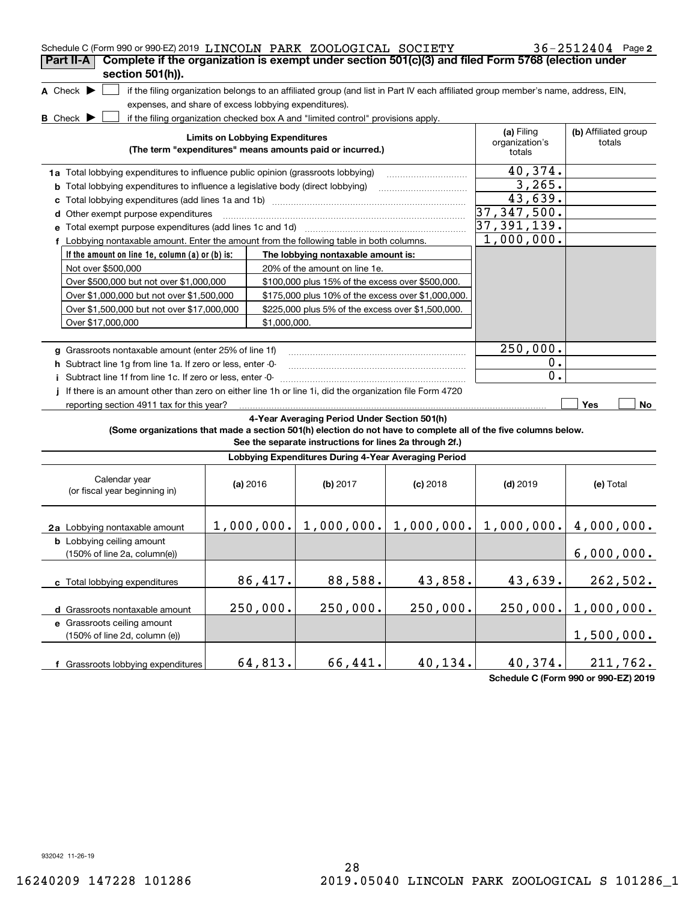| Schedule C (Form 990 or 990-EZ) 2019 LINCOLN PARK ZOOLOGICAL SOCIETY<br>Complete if the organization is exempt under section 501(c)(3) and filed Form 5768 (election under<br>Part II-A<br>section 501(h)). |                                                             |              |                                                                                                         |            |                                                                                                                                   | $36 - 2512404$ Page 2          |
|-------------------------------------------------------------------------------------------------------------------------------------------------------------------------------------------------------------|-------------------------------------------------------------|--------------|---------------------------------------------------------------------------------------------------------|------------|-----------------------------------------------------------------------------------------------------------------------------------|--------------------------------|
| A Check $\blacktriangleright$<br>expenses, and share of excess lobbying expenditures).<br><b>B</b> Check $\blacktriangleright$                                                                              |                                                             |              | if the filing organization checked box A and "limited control" provisions apply.                        |            | if the filing organization belongs to an affiliated group (and list in Part IV each affiliated group member's name, address, EIN, |                                |
|                                                                                                                                                                                                             | <b>Limits on Lobbying Expenditures</b>                      |              | (The term "expenditures" means amounts paid or incurred.)                                               |            | (a) Filing<br>organization's<br>totals                                                                                            | (b) Affiliated group<br>totals |
| 1a Total lobbying expenditures to influence public opinion (grassroots lobbying)                                                                                                                            |                                                             |              |                                                                                                         |            | 40,374.                                                                                                                           |                                |
| <b>b</b> Total lobbying expenditures to influence a legislative body (direct lobbying)                                                                                                                      |                                                             |              |                                                                                                         |            | 3,265.                                                                                                                            |                                |
|                                                                                                                                                                                                             |                                                             |              |                                                                                                         |            | 43,639.                                                                                                                           |                                |
| d Other exempt purpose expenditures                                                                                                                                                                         |                                                             |              |                                                                                                         |            | 37, 347, 500.                                                                                                                     |                                |
| e Total exempt purpose expenditures (add lines 1c and 1d)                                                                                                                                                   |                                                             |              |                                                                                                         |            | 37,391,139.                                                                                                                       |                                |
| f Lobbying nontaxable amount. Enter the amount from the following table in both columns.                                                                                                                    | 1,000,000.                                                  |              |                                                                                                         |            |                                                                                                                                   |                                |
| If the amount on line 1e, column (a) or (b) is:                                                                                                                                                             |                                                             |              | The lobbying nontaxable amount is:                                                                      |            |                                                                                                                                   |                                |
| Not over \$500,000                                                                                                                                                                                          |                                                             |              | 20% of the amount on line 1e.                                                                           |            |                                                                                                                                   |                                |
| Over \$500,000 but not over \$1,000,000                                                                                                                                                                     |                                                             |              | \$100,000 plus 15% of the excess over \$500,000.                                                        |            |                                                                                                                                   |                                |
| Over \$1,000,000 but not over \$1,500,000                                                                                                                                                                   |                                                             |              | \$175,000 plus 10% of the excess over \$1,000,000.                                                      |            |                                                                                                                                   |                                |
| Over \$1,500,000 but not over \$17,000,000                                                                                                                                                                  |                                                             |              | \$225,000 plus 5% of the excess over \$1,500,000.                                                       |            |                                                                                                                                   |                                |
| Over \$17,000,000                                                                                                                                                                                           |                                                             | \$1,000,000. |                                                                                                         |            |                                                                                                                                   |                                |
|                                                                                                                                                                                                             |                                                             |              |                                                                                                         |            |                                                                                                                                   |                                |
| g Grassroots nontaxable amount (enter 25% of line 1f)                                                                                                                                                       |                                                             |              |                                                                                                         |            | 250,000.                                                                                                                          |                                |
|                                                                                                                                                                                                             | h Subtract line 1g from line 1a. If zero or less, enter -0- |              |                                                                                                         |            |                                                                                                                                   |                                |
| Subtract line 1f from line 1c. If zero or less, enter -0-<br>Ť.                                                                                                                                             |                                                             |              |                                                                                                         |            | 0.                                                                                                                                |                                |
| If there is an amount other than zero on either line 1h or line 1i, did the organization file Form 4720                                                                                                     |                                                             |              |                                                                                                         |            |                                                                                                                                   |                                |
| reporting section 4911 tax for this year?                                                                                                                                                                   |                                                             |              |                                                                                                         |            |                                                                                                                                   | Yes<br>No.                     |
| (Some organizations that made a section 501(h) election do not have to complete all of the five columns below.                                                                                              |                                                             |              | 4-Year Averaging Period Under Section 501(h)<br>See the separate instructions for lines 2a through 2f.) |            |                                                                                                                                   |                                |
|                                                                                                                                                                                                             |                                                             |              | Lobbying Expenditures During 4-Year Averaging Period                                                    |            |                                                                                                                                   |                                |
| Calendar year<br>(or fiscal year beginning in)                                                                                                                                                              | (a) 2016                                                    |              | (b) 2017                                                                                                | $(c)$ 2018 | $(d)$ 2019                                                                                                                        | (e) Total                      |
| 2a Lobbying nontaxable amount                                                                                                                                                                               |                                                             |              |                                                                                                         |            | $1,000,000$ , $1,000,000$ , $1,000,000$ , $1,000$ , $000$ , $4,000,000$ .                                                         |                                |
| <b>b</b> Lobbying ceiling amount<br>(150% of line 2a, column(e))                                                                                                                                            |                                                             |              |                                                                                                         |            |                                                                                                                                   | 6,000,000.                     |
| c Total lobbying expenditures                                                                                                                                                                               | 86,417.                                                     |              | 88,588.                                                                                                 | 43,858.    | 43,639.                                                                                                                           | 262,502.                       |
| d Grassroots nontaxable amount                                                                                                                                                                              | 250,000.                                                    |              | 250,000.                                                                                                | 250,000.   | 250,000.                                                                                                                          | 1,000,000.                     |
| e Grassroots ceiling amount<br>(150% of line 2d, column (e))                                                                                                                                                |                                                             |              |                                                                                                         |            |                                                                                                                                   | 1,500,000.                     |
| f Grassroots lobbying expenditures                                                                                                                                                                          | 64,813.                                                     |              | 66, 441.                                                                                                | 40,134.    | 40,374.                                                                                                                           | 211,762.                       |

**Schedule C (Form 990 or 990-EZ) 2019**

932042 11-26-19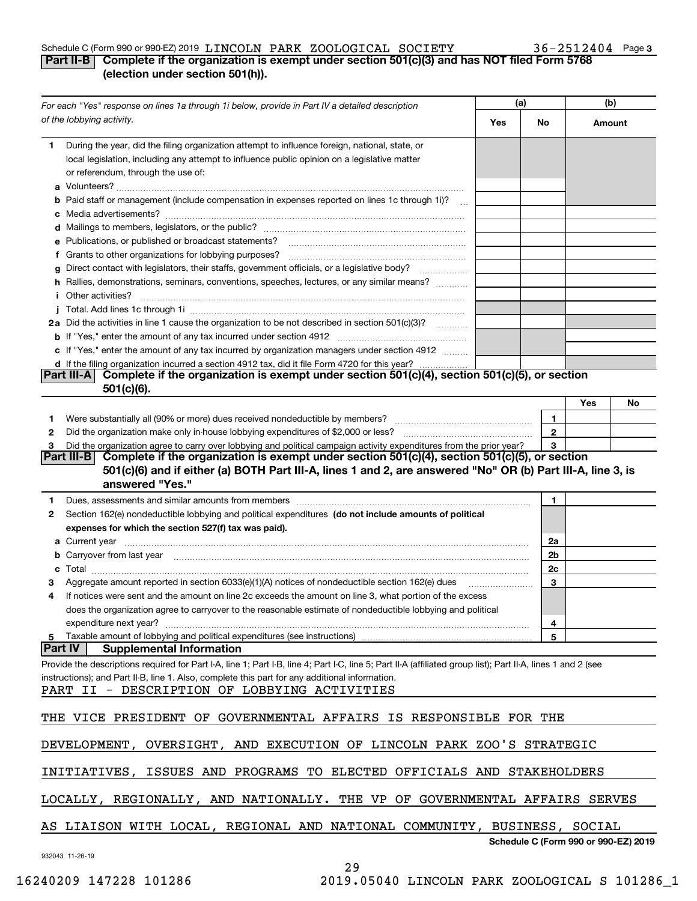#### Schedule C (Form 990 or 990-EZ) 2019 Page LINCOLN PARK ZOOLOGICAL SOCIETY 36-2512404

### **3**

### **Part II-B Complete if the organization is exempt under section 501(c)(3) and has NOT filed Form 5768 (election under section 501(h)).**

|    | For each "Yes" response on lines 1a through 1i below, provide in Part IV a detailed description                                                                                                                                                                                                                | (a) |              | (b)    |                                      |
|----|----------------------------------------------------------------------------------------------------------------------------------------------------------------------------------------------------------------------------------------------------------------------------------------------------------------|-----|--------------|--------|--------------------------------------|
|    | of the lobbying activity.                                                                                                                                                                                                                                                                                      | Yes | No           | Amount |                                      |
| 1. | During the year, did the filing organization attempt to influence foreign, national, state, or<br>local legislation, including any attempt to influence public opinion on a legislative matter<br>or referendum, through the use of:                                                                           |     |              |        |                                      |
| а  |                                                                                                                                                                                                                                                                                                                |     |              |        |                                      |
|    | Paid staff or management (include compensation in expenses reported on lines 1c through 1i)?                                                                                                                                                                                                                   |     |              |        |                                      |
|    |                                                                                                                                                                                                                                                                                                                |     |              |        |                                      |
|    |                                                                                                                                                                                                                                                                                                                |     |              |        |                                      |
|    | e Publications, or published or broadcast statements?                                                                                                                                                                                                                                                          |     |              |        |                                      |
|    | f Grants to other organizations for lobbying purposes?                                                                                                                                                                                                                                                         |     |              |        |                                      |
|    | Direct contact with legislators, their staffs, government officials, or a legislative body?                                                                                                                                                                                                                    |     |              |        |                                      |
|    | h Rallies, demonstrations, seminars, conventions, speeches, lectures, or any similar means?                                                                                                                                                                                                                    |     |              |        |                                      |
|    | <i>i</i> Other activities?                                                                                                                                                                                                                                                                                     |     |              |        |                                      |
|    | 2a Did the activities in line 1 cause the organization to be not described in section 501(c)(3)?                                                                                                                                                                                                               |     |              |        |                                      |
|    |                                                                                                                                                                                                                                                                                                                |     |              |        |                                      |
|    | c If "Yes," enter the amount of any tax incurred by organization managers under section 4912                                                                                                                                                                                                                   |     |              |        |                                      |
|    | d If the filing organization incurred a section 4912 tax, did it file Form 4720 for this year?                                                                                                                                                                                                                 |     |              |        |                                      |
|    | Complete if the organization is exempt under section 501(c)(4), section 501(c)(5), or section<br><b>Part III-A</b>                                                                                                                                                                                             |     |              |        |                                      |
|    | $501(c)(6)$ .                                                                                                                                                                                                                                                                                                  |     |              | Yes    | No                                   |
| 1  |                                                                                                                                                                                                                                                                                                                |     | 1            |        |                                      |
| 2  |                                                                                                                                                                                                                                                                                                                |     | $\mathbf{2}$ |        |                                      |
| з  | Did the organization agree to carry over lobbying and political campaign activity expenditures from the prior year?                                                                                                                                                                                            |     | 3            |        |                                      |
|    | Complete if the organization is exempt under section $501(c)(4)$ , section $501(c)(5)$ , or section<br> Part III-B                                                                                                                                                                                             |     |              |        |                                      |
|    | 501(c)(6) and if either (a) BOTH Part III-A, lines 1 and 2, are answered "No" OR (b) Part III-A, line 3, is<br>answered "Yes."                                                                                                                                                                                 |     |              |        |                                      |
| 1  | Dues, assessments and similar amounts from members [111] matter continuum matter and similar amounts and similar amounts from members [11] matter continuum matter and similar amounts from members [11] matter and similar an                                                                                 |     | 1            |        |                                      |
| 2  | Section 162(e) nondeductible lobbying and political expenditures (do not include amounts of political                                                                                                                                                                                                          |     |              |        |                                      |
|    | expenses for which the section 527(f) tax was paid).                                                                                                                                                                                                                                                           |     |              |        |                                      |
| а  |                                                                                                                                                                                                                                                                                                                |     | 2a           |        |                                      |
|    | b Carryover from last year manufactured and contract the contract of the contract of the contract of the contract of the contract of the contract of the contract of the contract of the contract of contract of contract of c                                                                                 |     | 2b           |        |                                      |
|    |                                                                                                                                                                                                                                                                                                                |     | 2c           |        |                                      |
| з  | Aggregate amount reported in section 6033(e)(1)(A) notices of nondeductible section 162(e) dues                                                                                                                                                                                                                |     | 3            |        |                                      |
|    | If notices were sent and the amount on line 2c exceeds the amount on line 3, what portion of the excess                                                                                                                                                                                                        |     |              |        |                                      |
|    | does the organization agree to carryover to the reasonable estimate of nondeductible lobbying and political                                                                                                                                                                                                    |     |              |        |                                      |
|    | expenditure next year?                                                                                                                                                                                                                                                                                         |     | 4            |        |                                      |
| 5  | Taxable amount of lobbying and political expenditures (see instructions)                                                                                                                                                                                                                                       |     | 5            |        |                                      |
|    | Part IV<br><b>Supplemental Information</b>                                                                                                                                                                                                                                                                     |     |              |        |                                      |
|    | Provide the descriptions required for Part I-A, line 1; Part I-B, line 4; Part I-C, line 5; Part II-A (affiliated group list); Part II-A, lines 1 and 2 (see<br>instructions); and Part II-B, line 1. Also, complete this part for any additional information.<br>PART II - DESCRIPTION OF LOBBYING ACTIVITIES |     |              |        |                                      |
|    | THE VICE PRESIDENT OF GOVERNMENTAL AFFAIRS IS RESPONSIBLE FOR THE                                                                                                                                                                                                                                              |     |              |        |                                      |
|    | DEVELOPMENT, OVERSIGHT, AND EXECUTION OF LINCOLN PARK ZOO'S STRATEGIC                                                                                                                                                                                                                                          |     |              |        |                                      |
|    | ISSUES AND PROGRAMS TO ELECTED OFFICIALS AND STAKEHOLDERS<br>INITIATIVES,                                                                                                                                                                                                                                      |     |              |        |                                      |
|    | LOCALLY, REGIONALLY, AND NATIONALLY. THE VP OF GOVERNMENTAL AFFAIRS SERVES                                                                                                                                                                                                                                     |     |              |        |                                      |
|    | AS LIAISON WITH LOCAL, REGIONAL AND NATIONAL COMMUNITY, BUSINESS, SOCIAL                                                                                                                                                                                                                                       |     |              |        |                                      |
|    | 932043 11-26-19                                                                                                                                                                                                                                                                                                |     |              |        | Schedule C (Form 990 or 990-EZ) 2019 |

29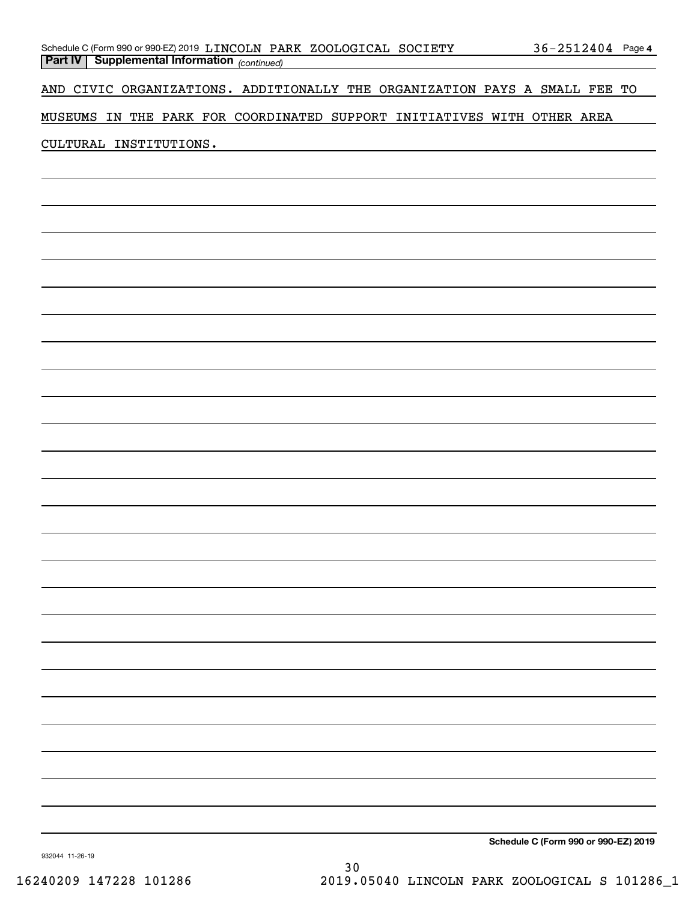|  | Schedule C (Form 990 or 990-EZ) 2019 LINCOLN PARK ZOOLOGICAL SOCIETY |  |  | $36 - 2512404$ Page 4 |  |
|--|----------------------------------------------------------------------|--|--|-----------------------|--|
|  | <b>Part IV   Supplemental Information</b> (continued)                |  |  |                       |  |

AND CIVIC ORGANIZATIONS. ADDITIONALLY THE ORGANIZATION PAYS A SMALL FEE TO

MUSEUMS IN THE PARK FOR COORDINATED SUPPORT INITIATIVES WITH OTHER AREA

#### CULTURAL INSTITUTIONS.

**Schedule C (Form 990 or 990-EZ) 2019**

932044 11-26-19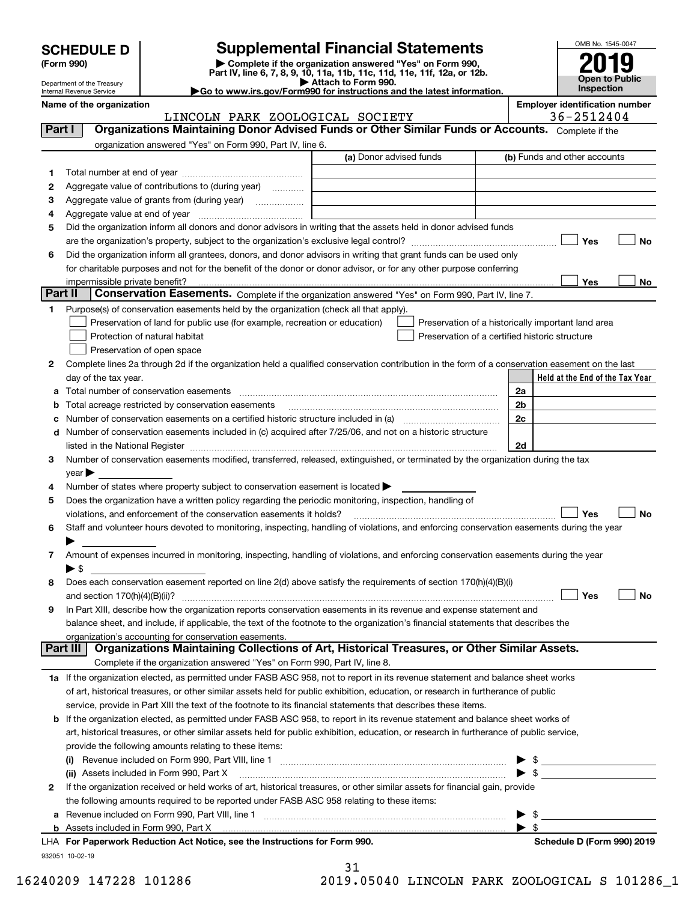| <b>SCHEDULE D</b> |
|-------------------|
|-------------------|

| (Form 990) |  |
|------------|--|
|------------|--|

## **Supplemental Financial Statements**

(Form 990)<br>
Pepartment of the Treasury<br>
Department of the Treasury<br>
Department of the Treasury<br>
Department of the Treasury<br> **Co to www.irs.gov/Form990 for instructions and the latest information.**<br> **Co to www.irs.gov/Form9** 



Department of the Treasury Internal Revenue Service

**Name of the organization Employer identification number**

|          | LINCOLN PARK ZOOLOGICAL SOCIETY                                                                                                                | 36-2512404                                         |
|----------|------------------------------------------------------------------------------------------------------------------------------------------------|----------------------------------------------------|
| Part I   | Organizations Maintaining Donor Advised Funds or Other Similar Funds or Accounts. Complete if the                                              |                                                    |
|          | organization answered "Yes" on Form 990, Part IV, line 6.                                                                                      |                                                    |
|          | (a) Donor advised funds                                                                                                                        | (b) Funds and other accounts                       |
| 1        |                                                                                                                                                |                                                    |
|          | Aggregate value of contributions to (during year)                                                                                              |                                                    |
| 2        |                                                                                                                                                |                                                    |
| з        | Aggregate value of grants from (during year)                                                                                                   |                                                    |
| 4        |                                                                                                                                                |                                                    |
| 5        | Did the organization inform all donors and donor advisors in writing that the assets held in donor advised funds                               |                                                    |
|          |                                                                                                                                                | Yes<br>No                                          |
| 6        | Did the organization inform all grantees, donors, and donor advisors in writing that grant funds can be used only                              |                                                    |
|          | for charitable purposes and not for the benefit of the donor or donor advisor, or for any other purpose conferring                             |                                                    |
|          | impermissible private benefit? использовании положительно положительно положительно положительно положительно                                  | Yes<br>No                                          |
| Part II  | Conservation Easements. Complete if the organization answered "Yes" on Form 990, Part IV, line 7.                                              |                                                    |
| 1.       | Purpose(s) of conservation easements held by the organization (check all that apply).                                                          |                                                    |
|          | Preservation of land for public use (for example, recreation or education)                                                                     | Preservation of a historically important land area |
|          | Protection of natural habitat                                                                                                                  | Preservation of a certified historic structure     |
|          | Preservation of open space                                                                                                                     |                                                    |
| 2        | Complete lines 2a through 2d if the organization held a qualified conservation contribution in the form of a conservation easement on the last |                                                    |
|          | day of the tax year.                                                                                                                           | Held at the End of the Tax Year                    |
| а        |                                                                                                                                                | 2a                                                 |
| b        | Total acreage restricted by conservation easements                                                                                             | 2b                                                 |
| c        | Number of conservation easements on a certified historic structure included in (a) manufacture included in (a)                                 | 2c                                                 |
| d        | Number of conservation easements included in (c) acquired after 7/25/06, and not on a historic structure                                       |                                                    |
|          |                                                                                                                                                | 2d                                                 |
| З.       | Number of conservation easements modified, transferred, released, extinguished, or terminated by the organization during the tax               |                                                    |
|          | year                                                                                                                                           |                                                    |
| 4        | Number of states where property subject to conservation easement is located >                                                                  |                                                    |
| 5        | Does the organization have a written policy regarding the periodic monitoring, inspection, handling of                                         |                                                    |
|          | violations, and enforcement of the conservation easements it holds?                                                                            | Yes<br>No                                          |
| 6        | Staff and volunteer hours devoted to monitoring, inspecting, handling of violations, and enforcing conservation easements during the year      |                                                    |
|          |                                                                                                                                                |                                                    |
| 7        | Amount of expenses incurred in monitoring, inspecting, handling of violations, and enforcing conservation easements during the year            |                                                    |
|          | $\blacktriangleright$ S                                                                                                                        |                                                    |
| 8        | Does each conservation easement reported on line 2(d) above satisfy the requirements of section 170(h)(4)(B)(i)                                |                                                    |
|          | and section $170(h)(4)(B)(ii)?$                                                                                                                | Yes<br>No                                          |
| 9        | In Part XIII, describe how the organization reports conservation easements in its revenue and expense statement and                            |                                                    |
|          | balance sheet, and include, if applicable, the text of the footnote to the organization's financial statements that describes the              |                                                    |
|          | organization's accounting for conservation easements.                                                                                          |                                                    |
| Part III | Organizations Maintaining Collections of Art, Historical Treasures, or Other Similar Assets.                                                   |                                                    |
|          | Complete if the organization answered "Yes" on Form 990, Part IV, line 8.                                                                      |                                                    |
|          | 1a If the organization elected, as permitted under FASB ASC 958, not to report in its revenue statement and balance sheet works                |                                                    |
|          | of art, historical treasures, or other similar assets held for public exhibition, education, or research in furtherance of public              |                                                    |
|          | service, provide in Part XIII the text of the footnote to its financial statements that describes these items.                                 |                                                    |
| b        | If the organization elected, as permitted under FASB ASC 958, to report in its revenue statement and balance sheet works of                    |                                                    |
|          | art, historical treasures, or other similar assets held for public exhibition, education, or research in furtherance of public service,        |                                                    |
|          | provide the following amounts relating to these items:                                                                                         |                                                    |
|          |                                                                                                                                                | \$                                                 |
|          | (ii) Assets included in Form 990, Part X                                                                                                       | \$                                                 |
| 2        | If the organization received or held works of art, historical treasures, or other similar assets for financial gain, provide                   |                                                    |
|          |                                                                                                                                                |                                                    |
|          | the following amounts required to be reported under FASB ASC 958 relating to these items:                                                      | \$                                                 |
| а        |                                                                                                                                                | -\$                                                |
|          | <b>b</b> Assets included in Form 990, Part X<br>LHA For Paperwork Reduction Act Notice, see the Instructions for Form 990.                     |                                                    |
|          |                                                                                                                                                | Schedule D (Form 990) 2019                         |

932051 10-02-19

| 31 |  |             |  |
|----|--|-------------|--|
| ⌒  |  | $- - - - -$ |  |

16240209 147228 101286 2019.05040 LINCOLN PARK ZOOLOGICAL S 101286\_1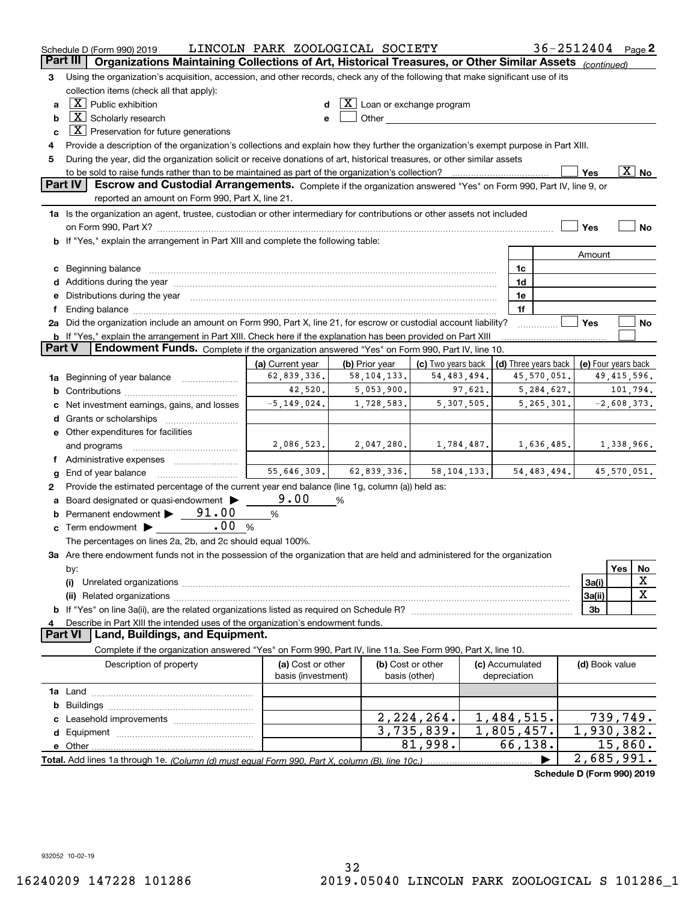|               | Schedule D (Form 990) 2019                                                                                                                                                                                                     | LINCOLN PARK ZOOLOGICAL SOCIETY         |                |             |                                                                                                                                                                                                                               |            |                                 | 36-2512404 Page 2          |                     |     |                          |
|---------------|--------------------------------------------------------------------------------------------------------------------------------------------------------------------------------------------------------------------------------|-----------------------------------------|----------------|-------------|-------------------------------------------------------------------------------------------------------------------------------------------------------------------------------------------------------------------------------|------------|---------------------------------|----------------------------|---------------------|-----|--------------------------|
|               | Part III<br>Organizations Maintaining Collections of Art, Historical Treasures, or Other Similar Assets (continued)                                                                                                            |                                         |                |             |                                                                                                                                                                                                                               |            |                                 |                            |                     |     |                          |
| 3             | Using the organization's acquisition, accession, and other records, check any of the following that make significant use of its                                                                                                |                                         |                |             |                                                                                                                                                                                                                               |            |                                 |                            |                     |     |                          |
|               | collection items (check all that apply):                                                                                                                                                                                       |                                         |                |             |                                                                                                                                                                                                                               |            |                                 |                            |                     |     |                          |
| a             | $X$ Public exhibition                                                                                                                                                                                                          |                                         |                |             | $\lfloor \texttt{X} \rfloor$ Loan or exchange program                                                                                                                                                                         |            |                                 |                            |                     |     |                          |
| b             | $\boxed{\text{X}}$ Scholarly research                                                                                                                                                                                          |                                         |                |             | Other and the contract of the contract of the contract of the contract of the contract of the contract of the contract of the contract of the contract of the contract of the contract of the contract of the contract of the |            |                                 |                            |                     |     |                          |
| c             | $X$ Preservation for future generations                                                                                                                                                                                        |                                         |                |             |                                                                                                                                                                                                                               |            |                                 |                            |                     |     |                          |
| 4             | Provide a description of the organization's collections and explain how they further the organization's exempt purpose in Part XIII.                                                                                           |                                         |                |             |                                                                                                                                                                                                                               |            |                                 |                            |                     |     |                          |
| 5             | During the year, did the organization solicit or receive donations of art, historical treasures, or other similar assets                                                                                                       |                                         |                |             |                                                                                                                                                                                                                               |            |                                 |                            |                     |     |                          |
|               | to be sold to raise funds rather than to be maintained as part of the organization's collection?                                                                                                                               |                                         |                |             |                                                                                                                                                                                                                               |            |                                 |                            | Yes                 |     | $\overline{\text{X}}$ No |
|               | Part IV<br>Escrow and Custodial Arrangements. Complete if the organization answered "Yes" on Form 990, Part IV, line 9, or                                                                                                     |                                         |                |             |                                                                                                                                                                                                                               |            |                                 |                            |                     |     |                          |
|               | reported an amount on Form 990, Part X, line 21.                                                                                                                                                                               |                                         |                |             |                                                                                                                                                                                                                               |            |                                 |                            |                     |     |                          |
|               | 1a Is the organization an agent, trustee, custodian or other intermediary for contributions or other assets not included                                                                                                       |                                         |                |             |                                                                                                                                                                                                                               |            |                                 |                            |                     |     |                          |
|               | on Form 990, Part X? [11] matter and the contract of the contract of the contract of the contract of the contract of the contract of the contract of the contract of the contract of the contract of the contract of the contr |                                         |                |             |                                                                                                                                                                                                                               |            |                                 |                            | Yes                 |     | No                       |
|               | <b>b</b> If "Yes," explain the arrangement in Part XIII and complete the following table:                                                                                                                                      |                                         |                |             |                                                                                                                                                                                                                               |            |                                 |                            |                     |     |                          |
|               |                                                                                                                                                                                                                                |                                         |                |             |                                                                                                                                                                                                                               |            |                                 |                            | Amount              |     |                          |
|               | c Beginning balance measurements and the contract of the contract of the contract of the contract of the contract of the contract of the contract of the contract of the contract of the contract of the contract of the contr |                                         |                |             |                                                                                                                                                                                                                               |            | 1c                              |                            |                     |     |                          |
|               |                                                                                                                                                                                                                                |                                         |                |             |                                                                                                                                                                                                                               |            | 1d<br>1e                        |                            |                     |     |                          |
|               | e Distributions during the year manufactured and an according to the distributions during the year manufactured and the state of the state of the state of the state of the state of the state of the state of the state of th |                                         |                |             |                                                                                                                                                                                                                               |            | 1f                              |                            |                     |     |                          |
|               | 2a Did the organization include an amount on Form 990, Part X, line 21, for escrow or custodial account liability?                                                                                                             |                                         |                |             |                                                                                                                                                                                                                               |            |                                 |                            | Yes                 |     | No                       |
|               | <b>b</b> If "Yes," explain the arrangement in Part XIII. Check here if the explanation has been provided on Part XIII                                                                                                          |                                         |                |             |                                                                                                                                                                                                                               |            |                                 |                            |                     |     |                          |
| <b>Part V</b> | Endowment Funds. Complete if the organization answered "Yes" on Form 990, Part IV, line 10.                                                                                                                                    |                                         |                |             |                                                                                                                                                                                                                               |            |                                 |                            |                     |     |                          |
|               |                                                                                                                                                                                                                                | (a) Current year                        | (b) Prior year |             | (c) Two years back                                                                                                                                                                                                            |            |                                 | (d) Three years back       | (e) Four years back |     |                          |
|               | 1a Beginning of year balance                                                                                                                                                                                                   | 62,839,336.                             |                | 58,104,133. | 54,483,494.                                                                                                                                                                                                                   |            |                                 | 45,570,051.                |                     |     | 49,415,596.              |
|               |                                                                                                                                                                                                                                | 42,520.                                 |                | 5,053,900.  |                                                                                                                                                                                                                               | 97,621.    |                                 | 5,284,627.                 |                     |     | 101,794.                 |
| c             | Net investment earnings, gains, and losses                                                                                                                                                                                     | $-5, 149, 024.$                         |                | 1,728,583.  |                                                                                                                                                                                                                               | 5,307,505. |                                 | 5,265,301.                 |                     |     | $-2,608,373.$            |
|               |                                                                                                                                                                                                                                |                                         |                |             |                                                                                                                                                                                                                               |            |                                 |                            |                     |     |                          |
|               | e Other expenditures for facilities                                                                                                                                                                                            |                                         |                |             |                                                                                                                                                                                                                               |            |                                 |                            |                     |     |                          |
|               | and programs                                                                                                                                                                                                                   | 2,086,523.                              |                | 2,047,280.  |                                                                                                                                                                                                                               | 1,784,487. |                                 | 1,636,485.                 |                     |     | 1,338,966.               |
|               | f Administrative expenses                                                                                                                                                                                                      |                                         |                |             |                                                                                                                                                                                                                               |            |                                 |                            |                     |     |                          |
| g             |                                                                                                                                                                                                                                | 55,646,309.                             |                | 62,839,336. | 58, 104, 133.                                                                                                                                                                                                                 |            |                                 | 54, 483, 494.              |                     |     | 45,570,051.              |
| 2             | Provide the estimated percentage of the current year end balance (line 1g, column (a)) held as:                                                                                                                                |                                         |                |             |                                                                                                                                                                                                                               |            |                                 |                            |                     |     |                          |
| a             | Board designated or quasi-endowment                                                                                                                                                                                            | 9.00                                    | %              |             |                                                                                                                                                                                                                               |            |                                 |                            |                     |     |                          |
|               | <b>b</b> Permanent endowment $\triangleright$ __91.00                                                                                                                                                                          | %                                       |                |             |                                                                                                                                                                                                                               |            |                                 |                            |                     |     |                          |
|               | .00<br><b>c</b> Term endowment $\blacktriangleright$                                                                                                                                                                           | %                                       |                |             |                                                                                                                                                                                                                               |            |                                 |                            |                     |     |                          |
|               | The percentages on lines 2a, 2b, and 2c should equal 100%.                                                                                                                                                                     |                                         |                |             |                                                                                                                                                                                                                               |            |                                 |                            |                     |     |                          |
|               | 3a Are there endowment funds not in the possession of the organization that are held and administered for the organization                                                                                                     |                                         |                |             |                                                                                                                                                                                                                               |            |                                 |                            |                     |     |                          |
|               | by:                                                                                                                                                                                                                            |                                         |                |             |                                                                                                                                                                                                                               |            |                                 |                            |                     | Yes | No                       |
|               | (i)                                                                                                                                                                                                                            |                                         |                |             |                                                                                                                                                                                                                               |            |                                 |                            | 3a(i)               |     | x                        |
|               |                                                                                                                                                                                                                                |                                         |                |             |                                                                                                                                                                                                                               |            |                                 |                            | 3a(ii)              |     | X                        |
|               |                                                                                                                                                                                                                                |                                         |                |             |                                                                                                                                                                                                                               |            |                                 |                            | 3b                  |     |                          |
| 4             | Describe in Part XIII the intended uses of the organization's endowment funds.<br>Land, Buildings, and Equipment.<br>Part VI                                                                                                   |                                         |                |             |                                                                                                                                                                                                                               |            |                                 |                            |                     |     |                          |
|               |                                                                                                                                                                                                                                |                                         |                |             |                                                                                                                                                                                                                               |            |                                 |                            |                     |     |                          |
|               | Complete if the organization answered "Yes" on Form 990, Part IV, line 11a. See Form 990, Part X, line 10.                                                                                                                     |                                         |                |             |                                                                                                                                                                                                                               |            |                                 |                            |                     |     |                          |
|               | Description of property                                                                                                                                                                                                        | (a) Cost or other<br>basis (investment) |                |             | (b) Cost or other<br>basis (other)                                                                                                                                                                                            |            | (c) Accumulated<br>depreciation |                            | (d) Book value      |     |                          |
|               |                                                                                                                                                                                                                                |                                         |                |             |                                                                                                                                                                                                                               |            |                                 |                            |                     |     |                          |
|               |                                                                                                                                                                                                                                |                                         |                |             |                                                                                                                                                                                                                               |            |                                 |                            |                     |     |                          |
| b             |                                                                                                                                                                                                                                |                                         |                |             | 2,224,264.                                                                                                                                                                                                                    |            | 1,484,515.                      |                            |                     |     | 739,749.                 |
|               |                                                                                                                                                                                                                                |                                         |                |             | 3,735,839.                                                                                                                                                                                                                    |            | 1,805,457.                      |                            | 1,930,382.          |     |                          |
|               |                                                                                                                                                                                                                                |                                         |                |             | 81,998.                                                                                                                                                                                                                       |            | 66,138.                         |                            |                     |     | 15,860.                  |
|               |                                                                                                                                                                                                                                |                                         |                |             |                                                                                                                                                                                                                               |            |                                 |                            | 2,685,991.          |     |                          |
|               |                                                                                                                                                                                                                                |                                         |                |             |                                                                                                                                                                                                                               |            |                                 | Schedule D (Form 990) 2019 |                     |     |                          |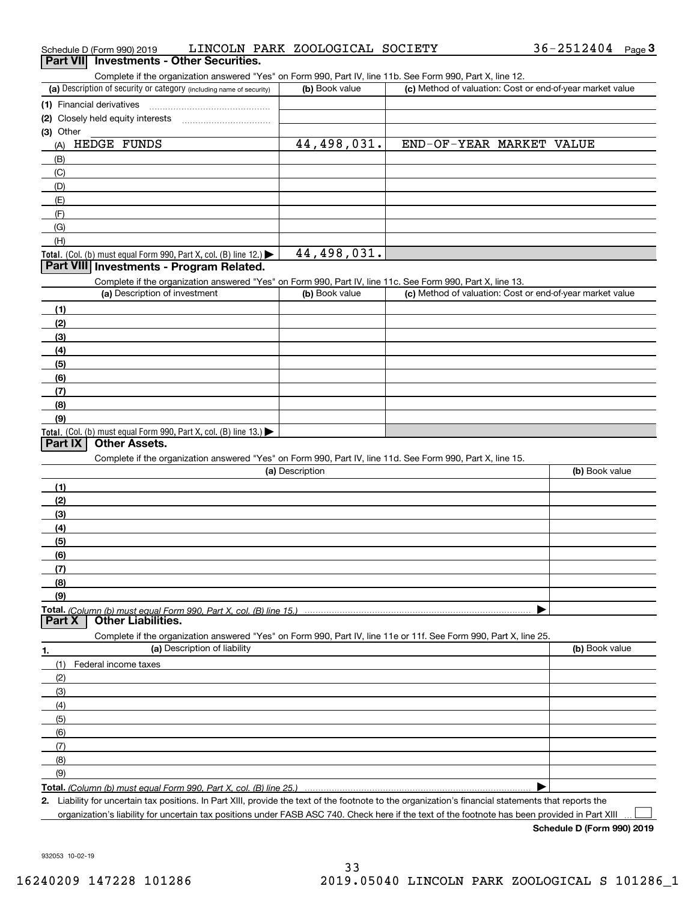| Schedule D (Form 990) 2019<br><b>Investments - Other Securities.</b><br><b>Part VII</b>                                                                                                                                    | LINCOLN PARK ZOOLOGICAL SOCIETY | $36 - 2512404$ Page 3                                     |
|----------------------------------------------------------------------------------------------------------------------------------------------------------------------------------------------------------------------------|---------------------------------|-----------------------------------------------------------|
|                                                                                                                                                                                                                            |                                 |                                                           |
| Complete if the organization answered "Yes" on Form 990, Part IV, line 11b. See Form 990, Part X, line 12.<br>(a) Description of security or category (including name of security)                                         | (b) Book value                  | (c) Method of valuation: Cost or end-of-year market value |
| (1) Financial derivatives                                                                                                                                                                                                  |                                 |                                                           |
| (2) Closely held equity interests                                                                                                                                                                                          |                                 |                                                           |
| (3) Other                                                                                                                                                                                                                  |                                 |                                                           |
| HEDGE FUNDS<br>(A)                                                                                                                                                                                                         | 44,498,031.                     | END-OF-YEAR MARKET VALUE                                  |
| (B)                                                                                                                                                                                                                        |                                 |                                                           |
| (C)                                                                                                                                                                                                                        |                                 |                                                           |
| (D)                                                                                                                                                                                                                        |                                 |                                                           |
| (E)                                                                                                                                                                                                                        |                                 |                                                           |
| (F)                                                                                                                                                                                                                        |                                 |                                                           |
| (G)                                                                                                                                                                                                                        |                                 |                                                           |
| (H)                                                                                                                                                                                                                        |                                 |                                                           |
| Total. (Col. (b) must equal Form 990, Part X, col. (B) line 12.)                                                                                                                                                           | 44,498,031.                     |                                                           |
| Part VIII Investments - Program Related.                                                                                                                                                                                   |                                 |                                                           |
| Complete if the organization answered "Yes" on Form 990, Part IV, line 11c. See Form 990, Part X, line 13.                                                                                                                 |                                 |                                                           |
| (a) Description of investment                                                                                                                                                                                              | (b) Book value                  | (c) Method of valuation: Cost or end-of-year market value |
| (1)                                                                                                                                                                                                                        |                                 |                                                           |
| (2)                                                                                                                                                                                                                        |                                 |                                                           |
| (3)                                                                                                                                                                                                                        |                                 |                                                           |
| (4)                                                                                                                                                                                                                        |                                 |                                                           |
| (5)                                                                                                                                                                                                                        |                                 |                                                           |
| (6)                                                                                                                                                                                                                        |                                 |                                                           |
| (7)                                                                                                                                                                                                                        |                                 |                                                           |
| (8)                                                                                                                                                                                                                        |                                 |                                                           |
| (9)                                                                                                                                                                                                                        |                                 |                                                           |
| Total. (Col. (b) must equal Form 990, Part X, col. (B) line 13.)                                                                                                                                                           |                                 |                                                           |
| <b>Other Assets.</b><br>Part IX                                                                                                                                                                                            |                                 |                                                           |
| Complete if the organization answered "Yes" on Form 990, Part IV, line 11d. See Form 990, Part X, line 15.                                                                                                                 |                                 |                                                           |
|                                                                                                                                                                                                                            | (a) Description                 | (b) Book value                                            |
|                                                                                                                                                                                                                            |                                 |                                                           |
| (1)<br>(2)                                                                                                                                                                                                                 |                                 |                                                           |
|                                                                                                                                                                                                                            |                                 |                                                           |
| (3)                                                                                                                                                                                                                        |                                 |                                                           |
| (4)<br>(5)                                                                                                                                                                                                                 |                                 |                                                           |
| (6)                                                                                                                                                                                                                        |                                 |                                                           |
| (7)                                                                                                                                                                                                                        |                                 |                                                           |
| (8)                                                                                                                                                                                                                        |                                 |                                                           |
| (9)                                                                                                                                                                                                                        |                                 |                                                           |
|                                                                                                                                                                                                                            |                                 |                                                           |
| <b>Other Liabilities.</b><br>Part X                                                                                                                                                                                        |                                 |                                                           |
| Complete if the organization answered "Yes" on Form 990, Part IV, line 11e or 11f. See Form 990, Part X, line 25.                                                                                                          |                                 |                                                           |
| (a) Description of liability<br>1.                                                                                                                                                                                         |                                 | (b) Book value                                            |
| (1)<br>Federal income taxes                                                                                                                                                                                                |                                 |                                                           |
| (2)                                                                                                                                                                                                                        |                                 |                                                           |
| (3)                                                                                                                                                                                                                        |                                 |                                                           |
| (4)                                                                                                                                                                                                                        |                                 |                                                           |
| (5)                                                                                                                                                                                                                        |                                 |                                                           |
| (6)                                                                                                                                                                                                                        |                                 |                                                           |
| (7)                                                                                                                                                                                                                        |                                 |                                                           |
| (8)                                                                                                                                                                                                                        |                                 |                                                           |
| (9)                                                                                                                                                                                                                        |                                 |                                                           |
|                                                                                                                                                                                                                            |                                 |                                                           |
| Total. (Column (b) must equal Form 990, Part X, col. (B) line 25.)<br>2. Liability for uncertain tax positions. In Part XIII, provide the text of the footnote to the organization's financial statements that reports the |                                 |                                                           |
|                                                                                                                                                                                                                            |                                 |                                                           |

organization's liability for uncertain tax positions under FASB ASC 740. Check here if the text of the footnote has been provided in Part XIII

**Schedule D (Form 990) 2019**

36-2512404 Page 3

 $\mathcal{L}^{\text{max}}$ 

932053 10-02-19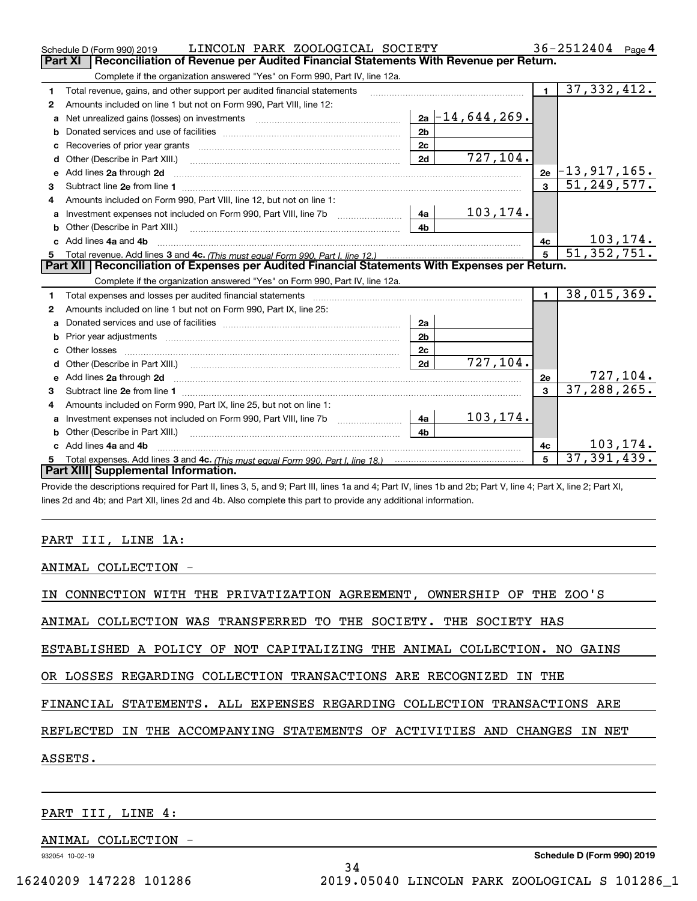|    | LINCOLN PARK ZOOLOGICAL SOCIETY<br>Schedule D (Form 990) 2019                                                                                                                                                                        |                |  | $36 - 2512404$ Page 4 |                |                     |
|----|--------------------------------------------------------------------------------------------------------------------------------------------------------------------------------------------------------------------------------------|----------------|--|-----------------------|----------------|---------------------|
|    | Reconciliation of Revenue per Audited Financial Statements With Revenue per Return.<br>Part XI                                                                                                                                       |                |  |                       |                |                     |
|    | Complete if the organization answered "Yes" on Form 990, Part IV, line 12a.                                                                                                                                                          |                |  |                       |                |                     |
| 1  | Total revenue, gains, and other support per audited financial statements                                                                                                                                                             |                |  |                       | $\blacksquare$ | 37,332,412.         |
| 2  | Amounts included on line 1 but not on Form 990, Part VIII, line 12:                                                                                                                                                                  |                |  |                       |                |                     |
| a  | Net unrealized gains (losses) on investments [11] matter contracts and the unrealized gains (losses) on investments                                                                                                                  |                |  | $2a - 14, 644, 269$ . |                |                     |
| b  |                                                                                                                                                                                                                                      | 2 <sub>b</sub> |  |                       |                |                     |
| c  | Recoveries of prior year grants [111] Martin March 1997 (120) March 1997 (120) March 1997 (120) March 1997 (12                                                                                                                       | 2c             |  |                       |                |                     |
| d  | Other (Describe in Part XIII.) [100] [100] [100] [100] [100] [100] [100] [100] [100] [100] [100] [100] [100] [                                                                                                                       | 2d             |  | 727,104.              |                |                     |
| e  | Add lines 2a through 2d                                                                                                                                                                                                              |                |  |                       | 2e             | $\mid$ -13,917,165. |
| 3  | Subtract line 2e from line 1 <b>Manual Community and Community</b> and Table 1 and Table 1 and Table 1 and Table 1 and Table 1 and Table 1 and Table 1 and Table 1 and Table 1 and Table 1 and Table 1 and Table 1 and Table 1 and   |                |  |                       |                | 51, 249, 577.       |
| 4  | Amounts included on Form 990, Part VIII, line 12, but not on line 1:                                                                                                                                                                 |                |  |                       |                |                     |
| а  | Investment expenses not included on Form 990, Part VIII, line 7b [1000000000000000000000000000000000                                                                                                                                 | 4a             |  | 103,174.              |                |                     |
| b  |                                                                                                                                                                                                                                      | 4 <sub>b</sub> |  |                       |                |                     |
| C. | Add lines 4a and 4b                                                                                                                                                                                                                  |                |  |                       | 4c             | 103, 174.           |
| 5. |                                                                                                                                                                                                                                      |                |  |                       | 5              | 51,352,751.         |
|    | Part XII   Reconciliation of Expenses per Audited Financial Statements With Expenses per Return.                                                                                                                                     |                |  |                       |                |                     |
|    | Complete if the organization answered "Yes" on Form 990, Part IV, line 12a.                                                                                                                                                          |                |  |                       |                |                     |
| 1  | Total expenses and losses per audited financial statements [11] [11] Total expenses and losses per audited financial statements [11] [11] Total expenses and losses per audited financial statements                                 |                |  |                       | $\blacksquare$ | 38,015,369.         |
| 2  | Amounts included on line 1 but not on Form 990, Part IX, line 25:                                                                                                                                                                    |                |  |                       |                |                     |
| a  |                                                                                                                                                                                                                                      | 2a             |  |                       |                |                     |
| b  |                                                                                                                                                                                                                                      | 2 <sub>b</sub> |  |                       |                |                     |
|    |                                                                                                                                                                                                                                      | 2c             |  |                       |                |                     |
| d  |                                                                                                                                                                                                                                      | 2d             |  | 727,104.              |                |                     |
| e  | Add lines 2a through 2d <b>continuum contract and all contract and all contract and all contract and all contract and all contract and all contract and all contract and all contract and all contract and all contract and all </b> |                |  |                       | 2e             | 727,104.            |
| з  |                                                                                                                                                                                                                                      |                |  |                       | $\mathbf{a}$   | 37, 288, 265.       |
| 4  | Amounts included on Form 990, Part IX, line 25, but not on line 1:                                                                                                                                                                   |                |  |                       |                |                     |
| a  |                                                                                                                                                                                                                                      | 4a             |  | 103,174.              |                |                     |
| b  | Other (Describe in Part XIII.) <b>Construction Contract Construction</b> Chern Construction Chern Chern Chern Chern Chern Chern Chern Chern Chern Chern Chern Chern Chern Chern Chern Chern Chern Chern Chern Chern Chern Chern Che  | 4 <sub>b</sub> |  |                       |                |                     |
|    | Add lines 4a and 4b                                                                                                                                                                                                                  |                |  |                       | 4с             | 103, 174.           |
| 5. |                                                                                                                                                                                                                                      |                |  |                       | 5              | 37, 391, 439.       |
|    | Part XIII Supplemental Information.                                                                                                                                                                                                  |                |  |                       |                |                     |
|    | Provide the descriptions required for Part II, lines 3, 5, and 9; Part III, lines 1a and 4; Part IV, lines 1b and 2b; Part V, line 4; Part X, line 2; Part XI,                                                                       |                |  |                       |                |                     |

lines 2d and 4b; and Part XII, lines 2d and 4b. Also complete this part to provide any additional information.

### PART III, LINE 1A:

ANIMAL COLLECTION -

IN CONNECTION WITH THE PRIVATIZATION AGREEMENT, OWNERSHIP OF THE ZOO'S

ANIMAL COLLECTION WAS TRANSFERRED TO THE SOCIETY. THE SOCIETY HAS

ESTABLISHED A POLICY OF NOT CAPITALIZING THE ANIMAL COLLECTION. NO GAINS

OR LOSSES REGARDING COLLECTION TRANSACTIONS ARE RECOGNIZED IN THE

FINANCIAL STATEMENTS. ALL EXPENSES REGARDING COLLECTION TRANSACTIONS ARE

REFLECTED IN THE ACCOMPANYING STATEMENTS OF ACTIVITIES AND CHANGES IN NET

34

ASSETS.

PART III, LINE 4:

ANIMAL COLLECTION -

932054 10-02-19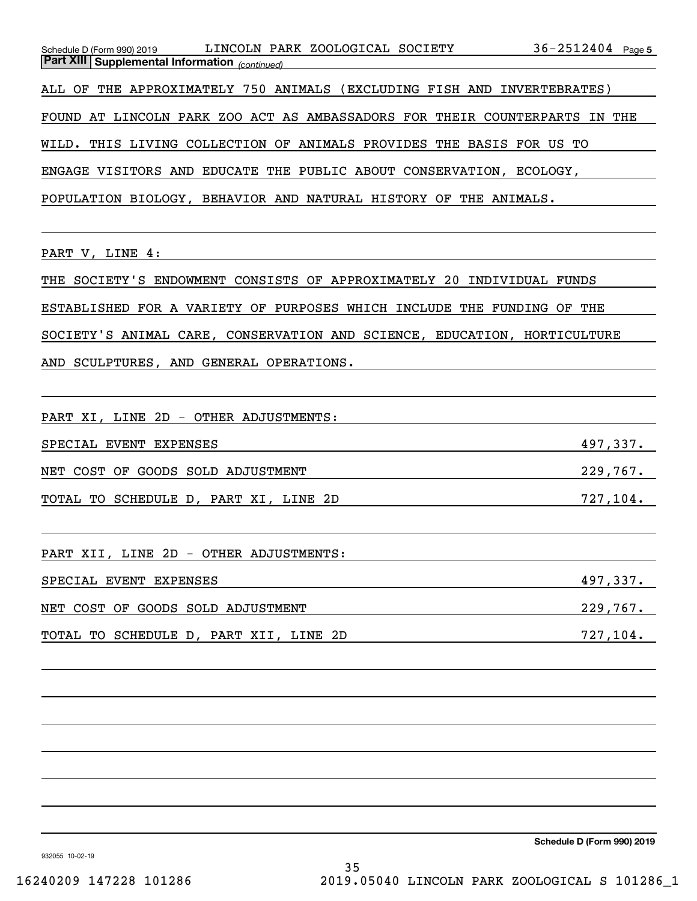|       |  | Schedule D (Form 990) 2019                            |  |  | LINCOLN PARK ZOOLOGICAL SOCIETY                            |  |                                                                            | $36 - 2512404$ Page 5 |  |
|-------|--|-------------------------------------------------------|--|--|------------------------------------------------------------|--|----------------------------------------------------------------------------|-----------------------|--|
|       |  | <b>Part XIII Supplemental Information</b> (continued) |  |  |                                                            |  |                                                                            |                       |  |
|       |  |                                                       |  |  |                                                            |  | ALL OF THE APPROXIMATELY 750 ANIMALS (EXCLUDING FISH AND INVERTEBRATES)    |                       |  |
|       |  |                                                       |  |  |                                                            |  | FOUND AT LINCOLN PARK ZOO ACT AS AMBASSADORS FOR THEIR COUNTERPARTS IN THE |                       |  |
| WILD. |  |                                                       |  |  |                                                            |  | THIS LIVING COLLECTION OF ANIMALS PROVIDES THE BASIS FOR US TO             |                       |  |
|       |  |                                                       |  |  | ENGAGE VISITORS AND EDUCATE THE PUBLIC ABOUT CONSERVATION, |  | ECOLOGY.                                                                   |                       |  |
|       |  |                                                       |  |  |                                                            |  | POPULATION BIOLOGY, BEHAVIOR AND NATURAL HISTORY OF THE ANIMALS.           |                       |  |
|       |  |                                                       |  |  |                                                            |  |                                                                            |                       |  |

PART V, LINE 4:

THE SOCIETY'S ENDOWMENT CONSISTS OF APPROXIMATELY 20 INDIVIDUAL FUNDS

ESTABLISHED FOR A VARIETY OF PURPOSES WHICH INCLUDE THE FUNDING OF THE

SOCIETY'S ANIMAL CARE, CONSERVATION AND SCIENCE, EDUCATION, HORTICULTURE

AND SCULPTURES, AND GENERAL OPERATIONS.

PART XI, LINE 2D - OTHER ADJUSTMENTS:

SPECIAL EVENT EXPENSES 2008 and the set of the set of the set of the set of the set of the set of the set of the set of the set of the set of the set of the set of the set of the set of the set of the set of the set of the

NET COST OF GOODS SOLD ADJUSTMENT NET RESOLD 229,767.

TOTAL TO SCHEDULE D, PART XI, LINE 2D 727,104.

PART XII, LINE 2D - OTHER ADJUSTMENTS:

| SPECIAL EVENT EXPENSES |  |                                   | 497,337. |
|------------------------|--|-----------------------------------|----------|
|                        |  | NET COST OF GOODS SOLD ADJUSTMENT | 229,767. |

TOTAL TO SCHEDULE D, PART XII, LINE 2D 727,104.

**Schedule D (Form 990) 2019**

932055 10-02-19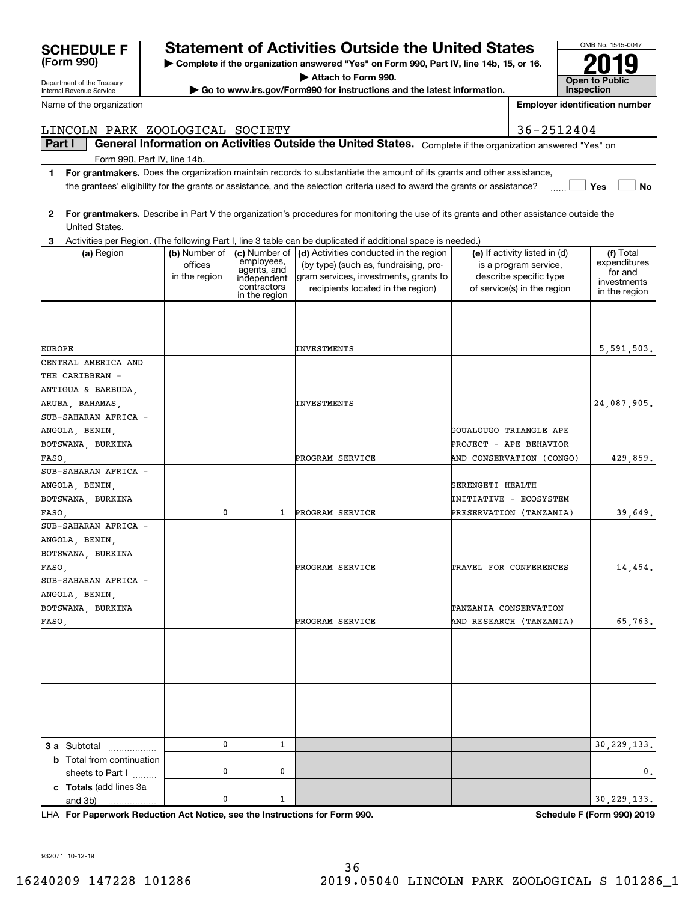**(Form 990)**

Department of the Treasury Internal Revenue Service

Name of the organization

# **SCHEDULE F Statement of Activities Outside the United States**

**| Complete if the organization answered "Yes" on Form 990, Part IV, line 14b, 15, or 16.**

**| Attach to Form 990. | Go to www.irs.gov/Form990 for instructions and the latest information.**

**InspectionEmployer identification number**

|                                                             |                                           |                                                                                           | the grantees' eligibility for the grants or assistance, and the selection criteria used to award the grants or assistance?                                    |                                                                                                                 | Yes<br><b>No</b>                                                     |
|-------------------------------------------------------------|-------------------------------------------|-------------------------------------------------------------------------------------------|---------------------------------------------------------------------------------------------------------------------------------------------------------------|-----------------------------------------------------------------------------------------------------------------|----------------------------------------------------------------------|
| $\mathbf{2}$                                                |                                           |                                                                                           | For grantmakers. Describe in Part V the organization's procedures for monitoring the use of its grants and other assistance outside the                       |                                                                                                                 |                                                                      |
| United States.                                              |                                           |                                                                                           |                                                                                                                                                               |                                                                                                                 |                                                                      |
| 3                                                           |                                           |                                                                                           | Activities per Region. (The following Part I, line 3 table can be duplicated if additional space is needed.)                                                  |                                                                                                                 |                                                                      |
| (a) Region                                                  | (b) Number of<br>offices<br>in the region | (c) Number of<br>employees,<br>agents, and<br>independent<br>contractors<br>in the region | (d) Activities conducted in the region<br>(by type) (such as, fundraising, pro-<br>gram services, investments, grants to<br>recipients located in the region) | (e) If activity listed in (d)<br>is a program service,<br>describe specific type<br>of service(s) in the region | (f) Total<br>expenditures<br>for and<br>investments<br>in the region |
| EUROPE                                                      |                                           |                                                                                           | INVESTMENTS                                                                                                                                                   |                                                                                                                 | 5,591,503.                                                           |
| CENTRAL AMERICA AND                                         |                                           |                                                                                           |                                                                                                                                                               |                                                                                                                 |                                                                      |
| THE CARIBBEAN -                                             |                                           |                                                                                           |                                                                                                                                                               |                                                                                                                 |                                                                      |
| ANTIGUA & BARBUDA,                                          |                                           |                                                                                           |                                                                                                                                                               |                                                                                                                 |                                                                      |
| ARUBA, BAHAMAS,                                             |                                           |                                                                                           | INVESTMENTS                                                                                                                                                   |                                                                                                                 | 24,087,905.                                                          |
| SUB-SAHARAN AFRICA -                                        |                                           |                                                                                           |                                                                                                                                                               |                                                                                                                 |                                                                      |
| ANGOLA, BENIN,                                              |                                           |                                                                                           |                                                                                                                                                               | GOUALOUGO TRIANGLE APE                                                                                          |                                                                      |
| BOTSWANA, BURKINA                                           |                                           |                                                                                           |                                                                                                                                                               | PROJECT - APE BEHAVIOR                                                                                          |                                                                      |
| FASO,                                                       |                                           |                                                                                           | PROGRAM SERVICE                                                                                                                                               | AND CONSERVATION (CONGO)                                                                                        | 429,859.                                                             |
| SUB-SAHARAN AFRICA -                                        |                                           |                                                                                           |                                                                                                                                                               |                                                                                                                 |                                                                      |
| ANGOLA, BENIN,                                              |                                           |                                                                                           |                                                                                                                                                               | SERENGETI HEALTH                                                                                                |                                                                      |
| BOTSWANA, BURKINA                                           |                                           |                                                                                           |                                                                                                                                                               | INITIATIVE - ECOSYSTEM                                                                                          |                                                                      |
| FASO,                                                       | 0                                         | 1                                                                                         | PROGRAM SERVICE                                                                                                                                               | PRESERVATION (TANZANIA)                                                                                         | 39,649.                                                              |
| SUB-SAHARAN AFRICA -<br>ANGOLA, BENIN,<br>BOTSWANA, BURKINA |                                           |                                                                                           |                                                                                                                                                               |                                                                                                                 |                                                                      |
| FASO,                                                       |                                           |                                                                                           | PROGRAM SERVICE                                                                                                                                               | TRAVEL FOR CONFERENCES                                                                                          | 14,454.                                                              |
| SUB-SAHARAN AFRICA -                                        |                                           |                                                                                           |                                                                                                                                                               |                                                                                                                 |                                                                      |
| ANGOLA, BENIN,                                              |                                           |                                                                                           |                                                                                                                                                               |                                                                                                                 |                                                                      |
| BOTSWANA, BURKINA                                           |                                           |                                                                                           |                                                                                                                                                               | TANZANIA CONSERVATION                                                                                           |                                                                      |
| FASO.                                                       |                                           |                                                                                           | PROGRAM SERVICE                                                                                                                                               | AND RESEARCH (TANZANIA)                                                                                         | 65,763.                                                              |
|                                                             |                                           |                                                                                           |                                                                                                                                                               |                                                                                                                 |                                                                      |
| <b>3 a</b> Subtotal                                         | 0                                         | 1                                                                                         |                                                                                                                                                               |                                                                                                                 | 30, 229, 133,                                                        |

#### **Part I | General Information on Activities Outside the United States.** Complete if the organization answered "Yes" on<br>Form 990, Part IV, line 14b Form 990, Part IV, line 14b. LINCOLN PARK ZOOLOGICAL SOCIETY 36-2512404

**1For grantmakers.**  Does the organization maintain records to substantiate the amount of its grants and other assistance,  $\mathcal{L}^{\text{max}}$ 

**a** Subtotal *................*...<br>**b** Total from continuation **c Totals**  (add lines 3a sheets to Part  $1$  ........ 0 0. 0

932071 10-12-19

30,229,133.

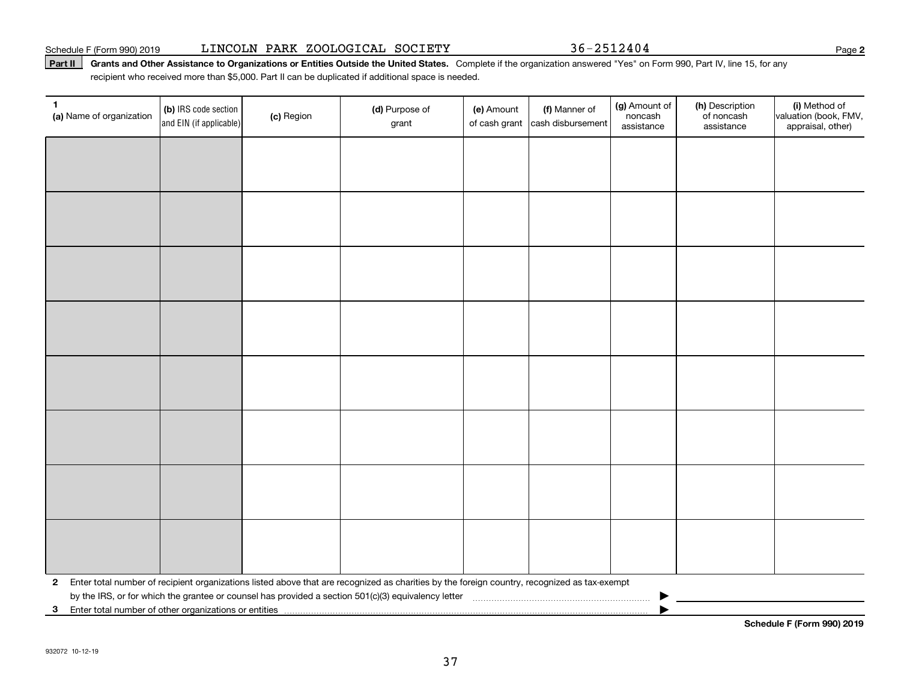#### Schedule F (Form 990) 2019 Page LINCOLN PARK ZOOLOGICAL SOCIETY 36-2512404

#### **Part II** Grants and Other Assistance to Organizations or Entities Outside the United States. Complete if the organization answered "Yes" on Form 990, Part IV, line 15, for any<br>recisiont who received more than \$5,000. Part recipient who received more than \$5,000. Part II can be duplicated if additional space is needed.

| 1.<br>(a) Name of organization                             | (b) IRS code section<br>and EIN (if applicable) | (c) Region | (d) Purpose of<br>grant                                                                                                                      | (e) Amount<br>of cash grant | (f) Manner of<br>cash disbursement | (g) Amount of<br>noncash<br>assistance | (h) Description<br>of noncash<br>assistance | (i) Method of<br>valuation (book, FMV,<br>appraisal, other) |
|------------------------------------------------------------|-------------------------------------------------|------------|----------------------------------------------------------------------------------------------------------------------------------------------|-----------------------------|------------------------------------|----------------------------------------|---------------------------------------------|-------------------------------------------------------------|
|                                                            |                                                 |            |                                                                                                                                              |                             |                                    |                                        |                                             |                                                             |
|                                                            |                                                 |            |                                                                                                                                              |                             |                                    |                                        |                                             |                                                             |
|                                                            |                                                 |            |                                                                                                                                              |                             |                                    |                                        |                                             |                                                             |
|                                                            |                                                 |            |                                                                                                                                              |                             |                                    |                                        |                                             |                                                             |
|                                                            |                                                 |            |                                                                                                                                              |                             |                                    |                                        |                                             |                                                             |
|                                                            |                                                 |            |                                                                                                                                              |                             |                                    |                                        |                                             |                                                             |
|                                                            |                                                 |            |                                                                                                                                              |                             |                                    |                                        |                                             |                                                             |
|                                                            |                                                 |            |                                                                                                                                              |                             |                                    |                                        |                                             |                                                             |
|                                                            |                                                 |            |                                                                                                                                              |                             |                                    |                                        |                                             |                                                             |
|                                                            |                                                 |            |                                                                                                                                              |                             |                                    |                                        |                                             |                                                             |
|                                                            |                                                 |            |                                                                                                                                              |                             |                                    |                                        |                                             |                                                             |
|                                                            |                                                 |            |                                                                                                                                              |                             |                                    |                                        |                                             |                                                             |
|                                                            |                                                 |            |                                                                                                                                              |                             |                                    |                                        |                                             |                                                             |
|                                                            |                                                 |            |                                                                                                                                              |                             |                                    |                                        |                                             |                                                             |
|                                                            |                                                 |            |                                                                                                                                              |                             |                                    |                                        |                                             |                                                             |
|                                                            |                                                 |            |                                                                                                                                              |                             |                                    |                                        |                                             |                                                             |
| $\mathbf{2}$                                               |                                                 |            | Enter total number of recipient organizations listed above that are recognized as charities by the foreign country, recognized as tax-exempt |                             |                                    |                                        |                                             |                                                             |
| Enter total number of other organizations or entities<br>3 |                                                 |            |                                                                                                                                              |                             |                                    |                                        |                                             | Peheelije E (Ferma 000) 0040                                |

**Schedule F (Form 990) 2019**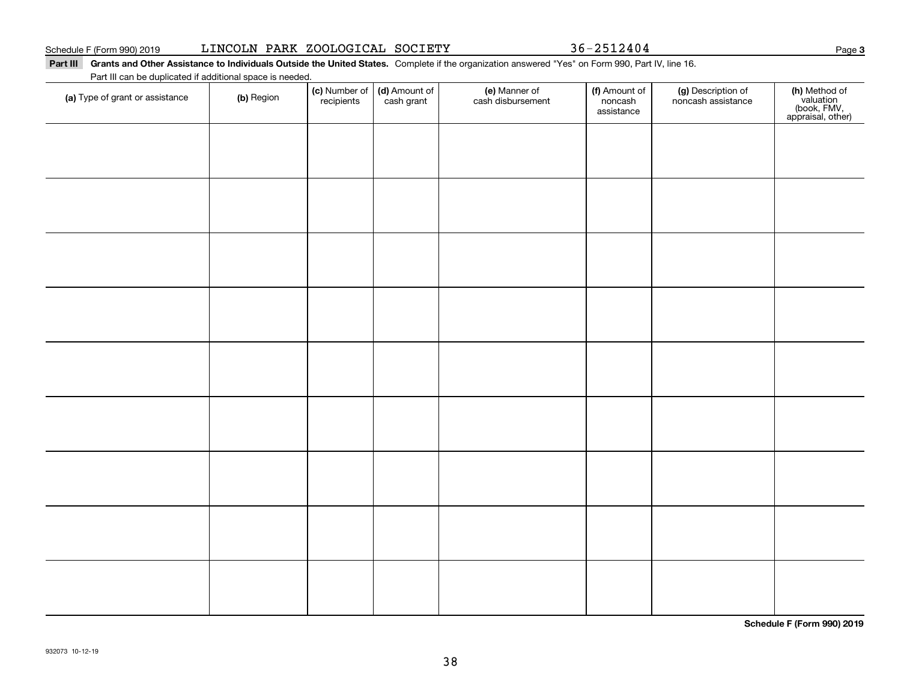**Part III Grants and Other Assistance to Individuals Outside the United States.**  Complete if the organization answered "Yes" on Form 990, Part IV, line 16. Part III can be duplicated if additional space is needed.

**(c)** Number of **| (d)** Amount of **| (e)** Manner of **| (f)** Amount of **| (g)** Description of **| (h) (a)** Type of grant or assistance  $\qquad$  **(b)** Region (c) Number of *recipients* (d) Amount of cash grant (e) Manner of cash disbursement (f) Amount of noncash assistancenoncash assistance **(h)** Method of<br>valuation<br>(book, FMV,<br>appraisal, other)

**Schedule F (Form 990) 2019**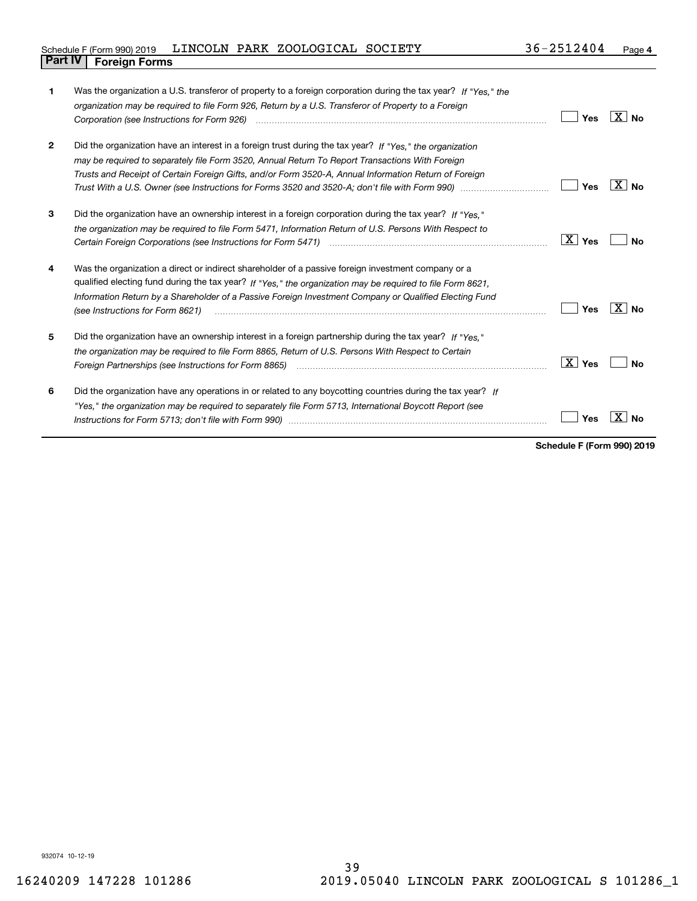#### Schedule F (Form 990) 2019  ${\rm LINCOLN}$  PARK ZOO ${\rm LOGICAL}$   ${\rm SOCIETY}$   $36-2512404$   ${\rm Page}$ **Part IV Foreign Forms**

| 1              | Was the organization a U.S. transferor of property to a foreign corporation during the tax year? If "Yes." the<br>organization may be required to file Form 926, Return by a U.S. Transferor of Property to a Foreign                                                                                                                                          | <b>Yes</b> | ∣X∣no           |
|----------------|----------------------------------------------------------------------------------------------------------------------------------------------------------------------------------------------------------------------------------------------------------------------------------------------------------------------------------------------------------------|------------|-----------------|
| $\overline{2}$ | Did the organization have an interest in a foreign trust during the tax year? If "Yes." the organization<br>may be required to separately file Form 3520, Annual Return To Report Transactions With Foreign<br>Trusts and Receipt of Certain Foreign Gifts, and/or Form 3520-A, Annual Information Return of Foreign                                           | Yes        | ΧI<br><b>No</b> |
| 3              | Did the organization have an ownership interest in a foreign corporation during the tax year? If "Yes."<br>the organization may be required to file Form 5471, Information Return of U.S. Persons With Respect to                                                                                                                                              | ∣ X ∣ Yes  | No              |
| 4              | Was the organization a direct or indirect shareholder of a passive foreign investment company or a<br>qualified electing fund during the tax year? If "Yes," the organization may be required to file Form 8621,<br>Information Return by a Shareholder of a Passive Foreign Investment Company or Qualified Electing Fund<br>(see Instructions for Form 8621) | Yes        | X∣No            |
| 5              | Did the organization have an ownership interest in a foreign partnership during the tax year? If "Yes."<br>the organization may be required to file Form 8865, Return of U.S. Persons With Respect to Certain<br>Foreign Partnerships (see Instructions for Form 8865)                                                                                         | ∣ X ∣ Yes  | N٥              |
| 6              | Did the organization have any operations in or related to any boycotting countries during the tax year? If<br>"Yes," the organization may be required to separately file Form 5713, International Boycott Report (see                                                                                                                                          | Yes        |                 |

**Schedule F (Form 990) 2019**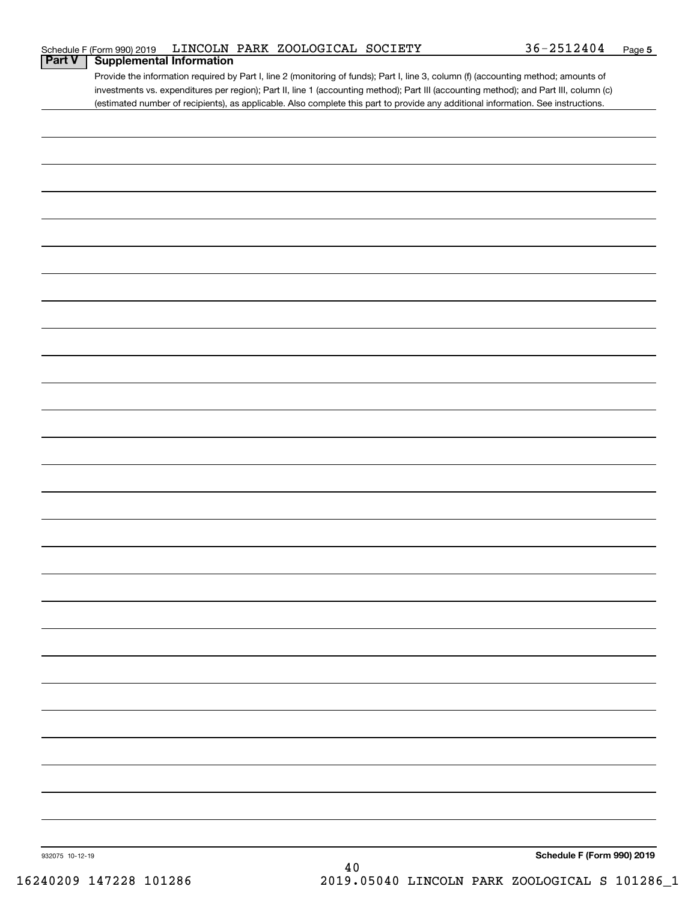| Schedule F (Form 990) 2019 |  | LINCOLN PARK ZOOLOGICAL SOCIETY | 36-2512404 | Page |
|----------------------------|--|---------------------------------|------------|------|
|----------------------------|--|---------------------------------|------------|------|

Provide the information required by Part I, line 2 (monitoring of funds); Part I, line 3, column (f) (accounting method; amounts of investments vs. expenditures per region); Part II, line 1 (accounting method); Part III (accounting method); and Part III, column (c) (estimated number of recipients), as applicable. Also complete this part to provide any additional information. See instructions. **Part V Supplemental Information**

| 932075 10-12-19 | 40 | Schedule F (Form 990) 2019 |
|-----------------|----|----------------------------|
|                 |    |                            |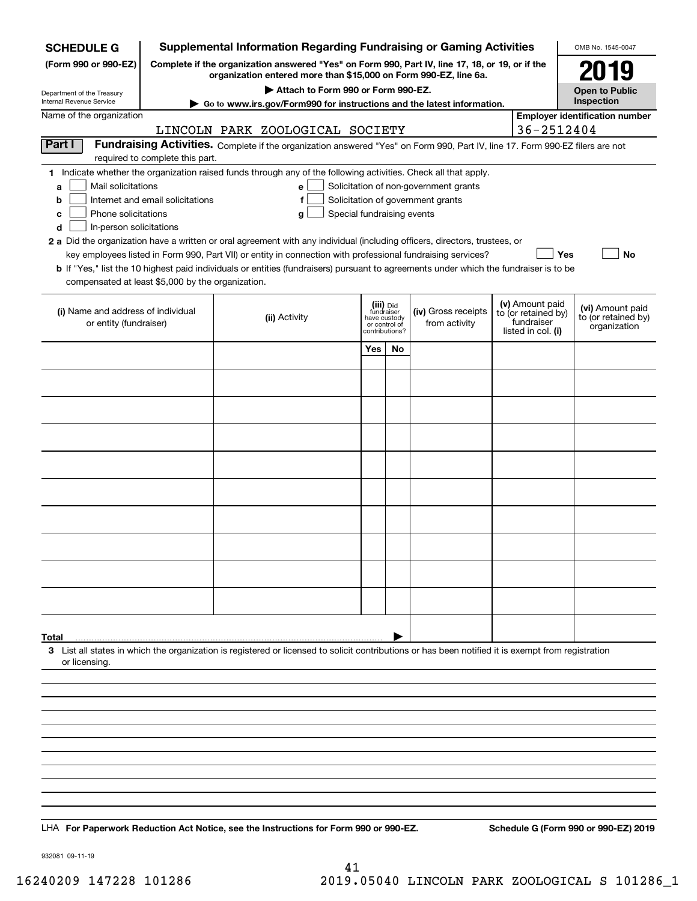| <b>SCHEDULE G</b>                                                                                                                             |                                                                     | <b>Supplemental Information Regarding Fundraising or Gaming Activities</b>                                                                                                                                                                                                                                                                                                                                                                                                                                                                         |                                                                            |    |                                                                            |                                                                            | OMB No. 1545-0047                                       |
|-----------------------------------------------------------------------------------------------------------------------------------------------|---------------------------------------------------------------------|----------------------------------------------------------------------------------------------------------------------------------------------------------------------------------------------------------------------------------------------------------------------------------------------------------------------------------------------------------------------------------------------------------------------------------------------------------------------------------------------------------------------------------------------------|----------------------------------------------------------------------------|----|----------------------------------------------------------------------------|----------------------------------------------------------------------------|---------------------------------------------------------|
| (Form 990 or 990-EZ)                                                                                                                          |                                                                     | Complete if the organization answered "Yes" on Form 990, Part IV, line 17, 18, or 19, or if the<br>organization entered more than \$15,000 on Form 990-EZ, line 6a.                                                                                                                                                                                                                                                                                                                                                                                |                                                                            |    |                                                                            |                                                                            | 2019                                                    |
| Department of the Treasury                                                                                                                    |                                                                     | Attach to Form 990 or Form 990-EZ.                                                                                                                                                                                                                                                                                                                                                                                                                                                                                                                 |                                                                            |    |                                                                            |                                                                            | <b>Open to Public</b>                                   |
| Internal Revenue Service                                                                                                                      |                                                                     | Go to www.irs.gov/Form990 for instructions and the latest information.                                                                                                                                                                                                                                                                                                                                                                                                                                                                             |                                                                            |    |                                                                            |                                                                            | Inspection                                              |
| Name of the organization                                                                                                                      |                                                                     | LINCOLN PARK ZOOLOGICAL SOCIETY                                                                                                                                                                                                                                                                                                                                                                                                                                                                                                                    |                                                                            |    |                                                                            | 36-2512404                                                                 | <b>Employer identification number</b>                   |
| Part I                                                                                                                                        |                                                                     | Fundraising Activities. Complete if the organization answered "Yes" on Form 990, Part IV, line 17. Form 990-EZ filers are not                                                                                                                                                                                                                                                                                                                                                                                                                      |                                                                            |    |                                                                            |                                                                            |                                                         |
| Mail solicitations<br>a<br>b<br>Phone solicitations<br>c<br>In-person solicitations<br>d<br>compensated at least \$5,000 by the organization. | required to complete this part.<br>Internet and email solicitations | 1 Indicate whether the organization raised funds through any of the following activities. Check all that apply.<br>e<br>f<br>Special fundraising events<br>g<br>2 a Did the organization have a written or oral agreement with any individual (including officers, directors, trustees, or<br>key employees listed in Form 990, Part VII) or entity in connection with professional fundraising services?<br>b If "Yes," list the 10 highest paid individuals or entities (fundraisers) pursuant to agreements under which the fundraiser is to be |                                                                            |    | Solicitation of non-government grants<br>Solicitation of government grants | <b>Yes</b>                                                                 | No                                                      |
| (i) Name and address of individual<br>or entity (fundraiser)                                                                                  |                                                                     | (ii) Activity                                                                                                                                                                                                                                                                                                                                                                                                                                                                                                                                      | (iii) Did<br>fundraiser<br>have custody<br>or control of<br>contributions? |    | (iv) Gross receipts<br>from activity                                       | (v) Amount paid<br>to (or retained by)<br>fundraiser<br>listed in col. (i) | (vi) Amount paid<br>to (or retained by)<br>organization |
|                                                                                                                                               |                                                                     |                                                                                                                                                                                                                                                                                                                                                                                                                                                                                                                                                    | Yes                                                                        | No |                                                                            |                                                                            |                                                         |
|                                                                                                                                               |                                                                     |                                                                                                                                                                                                                                                                                                                                                                                                                                                                                                                                                    |                                                                            |    |                                                                            |                                                                            |                                                         |
|                                                                                                                                               |                                                                     |                                                                                                                                                                                                                                                                                                                                                                                                                                                                                                                                                    |                                                                            |    |                                                                            |                                                                            |                                                         |
|                                                                                                                                               |                                                                     |                                                                                                                                                                                                                                                                                                                                                                                                                                                                                                                                                    |                                                                            |    |                                                                            |                                                                            |                                                         |
|                                                                                                                                               |                                                                     |                                                                                                                                                                                                                                                                                                                                                                                                                                                                                                                                                    |                                                                            |    |                                                                            |                                                                            |                                                         |
|                                                                                                                                               |                                                                     |                                                                                                                                                                                                                                                                                                                                                                                                                                                                                                                                                    |                                                                            |    |                                                                            |                                                                            |                                                         |
|                                                                                                                                               |                                                                     |                                                                                                                                                                                                                                                                                                                                                                                                                                                                                                                                                    |                                                                            |    |                                                                            |                                                                            |                                                         |
|                                                                                                                                               |                                                                     |                                                                                                                                                                                                                                                                                                                                                                                                                                                                                                                                                    |                                                                            |    |                                                                            |                                                                            |                                                         |
|                                                                                                                                               |                                                                     |                                                                                                                                                                                                                                                                                                                                                                                                                                                                                                                                                    |                                                                            |    |                                                                            |                                                                            |                                                         |
|                                                                                                                                               |                                                                     |                                                                                                                                                                                                                                                                                                                                                                                                                                                                                                                                                    |                                                                            |    |                                                                            |                                                                            |                                                         |
|                                                                                                                                               |                                                                     |                                                                                                                                                                                                                                                                                                                                                                                                                                                                                                                                                    |                                                                            |    |                                                                            |                                                                            |                                                         |
|                                                                                                                                               |                                                                     |                                                                                                                                                                                                                                                                                                                                                                                                                                                                                                                                                    |                                                                            |    |                                                                            |                                                                            |                                                         |
| Total                                                                                                                                         |                                                                     |                                                                                                                                                                                                                                                                                                                                                                                                                                                                                                                                                    |                                                                            |    |                                                                            |                                                                            |                                                         |
| or licensing.                                                                                                                                 |                                                                     | 3 List all states in which the organization is registered or licensed to solicit contributions or has been notified it is exempt from registration                                                                                                                                                                                                                                                                                                                                                                                                 |                                                                            |    |                                                                            |                                                                            |                                                         |
|                                                                                                                                               |                                                                     |                                                                                                                                                                                                                                                                                                                                                                                                                                                                                                                                                    |                                                                            |    |                                                                            |                                                                            |                                                         |
|                                                                                                                                               |                                                                     |                                                                                                                                                                                                                                                                                                                                                                                                                                                                                                                                                    |                                                                            |    |                                                                            |                                                                            |                                                         |
|                                                                                                                                               |                                                                     |                                                                                                                                                                                                                                                                                                                                                                                                                                                                                                                                                    |                                                                            |    |                                                                            |                                                                            |                                                         |
|                                                                                                                                               |                                                                     |                                                                                                                                                                                                                                                                                                                                                                                                                                                                                                                                                    |                                                                            |    |                                                                            |                                                                            |                                                         |
|                                                                                                                                               |                                                                     |                                                                                                                                                                                                                                                                                                                                                                                                                                                                                                                                                    |                                                                            |    |                                                                            |                                                                            |                                                         |
|                                                                                                                                               |                                                                     |                                                                                                                                                                                                                                                                                                                                                                                                                                                                                                                                                    |                                                                            |    |                                                                            |                                                                            |                                                         |
| LHA For Paperwork Reduction Act Notice, see the Instructions for Form 990 or 990-EZ.                                                          |                                                                     |                                                                                                                                                                                                                                                                                                                                                                                                                                                                                                                                                    |                                                                            |    |                                                                            |                                                                            | Schedule G (Form 990 or 990-EZ) 2019                    |

932081 09-11-19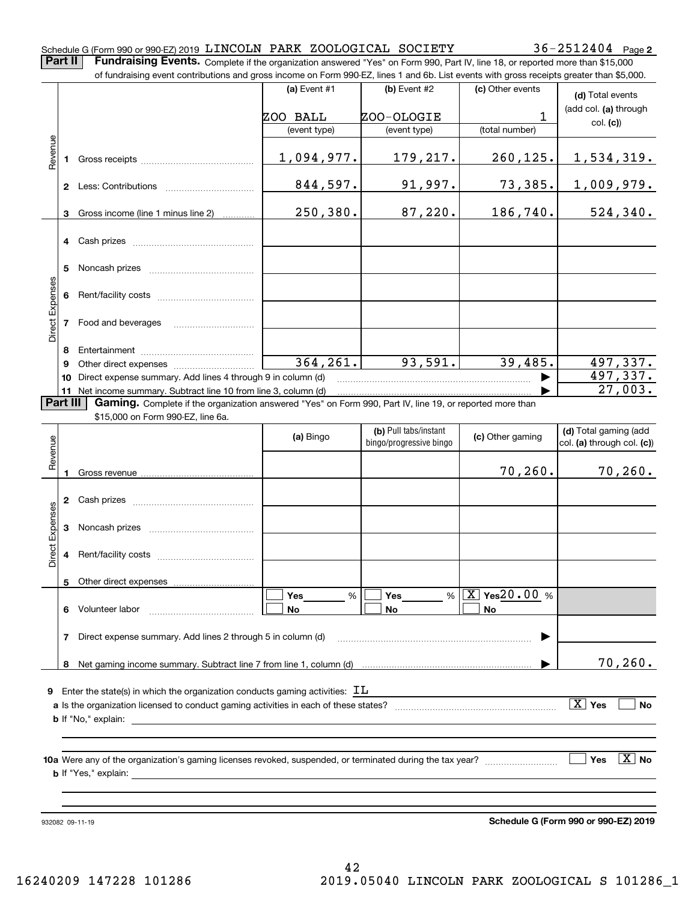| Schedule G (Form 990 or 990-EZ) 2019 LINCOLN PARK ZOOLOGICAL SOCIETY |  |  | $36 - 2512404$ Page 2 |  |
|----------------------------------------------------------------------|--|--|-----------------------|--|
|                                                                      |  |  |                       |  |

**Part II Fundraising Events.** Complete if the organization answered "Yes" on Form 990, Part IV, line 18, or reported more than \$15,000<br>15.000 of fundraising event contributions and gross income on Form 990-EZ. lines 1 an

|                 |          | of fundraising event contributions and gross income on Form 990-EZ, lines 1 and 6b. List events with gross receipts greater than \$5,000.                                                                                                 |                |                         |                                |                              |
|-----------------|----------|-------------------------------------------------------------------------------------------------------------------------------------------------------------------------------------------------------------------------------------------|----------------|-------------------------|--------------------------------|------------------------------|
|                 |          |                                                                                                                                                                                                                                           | (a) Event $#1$ | (b) Event #2            | (c) Other events               | (d) Total events             |
|                 |          |                                                                                                                                                                                                                                           | ZOO BALL       | ZOO-OLOGIE              | 1                              | (add col. (a) through        |
|                 |          |                                                                                                                                                                                                                                           | (event type)   | (event type)            | (total number)                 | col. (c)                     |
|                 |          |                                                                                                                                                                                                                                           |                |                         |                                |                              |
| Revenue         |          |                                                                                                                                                                                                                                           | 1,094,977.     | 179,217.                | 260, 125.                      | <u>1,534,319.</u>            |
|                 |          |                                                                                                                                                                                                                                           | 844,597.       | 91,997.                 | 73,385.                        | <u>1,009,979.</u>            |
|                 |          |                                                                                                                                                                                                                                           |                |                         |                                |                              |
|                 | 3        | Gross income (line 1 minus line 2)                                                                                                                                                                                                        | 250, 380.      | 87,220.                 | 186, 740.                      | 524,340.                     |
|                 |          |                                                                                                                                                                                                                                           |                |                         |                                |                              |
|                 |          |                                                                                                                                                                                                                                           |                |                         |                                |                              |
|                 |          |                                                                                                                                                                                                                                           |                |                         |                                |                              |
| Direct Expenses |          |                                                                                                                                                                                                                                           |                |                         |                                |                              |
|                 |          |                                                                                                                                                                                                                                           |                |                         |                                |                              |
|                 |          | 7 Food and beverages                                                                                                                                                                                                                      |                |                         |                                |                              |
|                 | 8        |                                                                                                                                                                                                                                           |                |                         |                                |                              |
|                 | 9        |                                                                                                                                                                                                                                           | 364, 261.      | 93,591.                 | 39,485.                        | 497,337.                     |
|                 | 10       | Direct expense summary. Add lines 4 through 9 in column (d)                                                                                                                                                                               |                |                         |                                | 497, 337.<br>27,003.         |
|                 | Part III | 11 Net income summary. Subtract line 10 from line 3, column (d)<br>Gaming. Complete if the organization answered "Yes" on Form 990, Part IV, line 19, or reported more than                                                               |                |                         |                                |                              |
|                 |          | \$15,000 on Form 990-EZ, line 6a.                                                                                                                                                                                                         |                |                         |                                |                              |
|                 |          |                                                                                                                                                                                                                                           |                | (b) Pull tabs/instant   |                                | (d) Total gaming (add        |
|                 |          |                                                                                                                                                                                                                                           | (a) Bingo      | bingo/progressive bingo | (c) Other gaming               | col. (a) through col. (c))   |
| Revenue         |          |                                                                                                                                                                                                                                           |                |                         |                                |                              |
|                 |          |                                                                                                                                                                                                                                           |                |                         | 70, 260.                       | 70, 260.                     |
|                 |          |                                                                                                                                                                                                                                           |                |                         |                                |                              |
|                 |          |                                                                                                                                                                                                                                           |                |                         |                                |                              |
| Expenses        |          |                                                                                                                                                                                                                                           |                |                         |                                |                              |
|                 |          |                                                                                                                                                                                                                                           |                |                         |                                |                              |
| Direct          |          |                                                                                                                                                                                                                                           |                |                         |                                |                              |
|                 |          | 5 Other direct expenses                                                                                                                                                                                                                   |                |                         |                                |                              |
|                 |          |                                                                                                                                                                                                                                           | %<br>Yes       | %<br>Yes                | $\boxed{\text{X}}$ Yes 20.00 % |                              |
|                 |          | 6 Volunteer labor                                                                                                                                                                                                                         | No             | No                      | No                             |                              |
|                 | 7        | Direct expense summary. Add lines 2 through 5 in column (d)                                                                                                                                                                               |                |                         |                                |                              |
|                 |          |                                                                                                                                                                                                                                           |                |                         |                                |                              |
|                 |          |                                                                                                                                                                                                                                           |                |                         |                                | 70, 260.                     |
|                 |          |                                                                                                                                                                                                                                           |                |                         |                                |                              |
| 9               |          | Enter the state(s) in which the organization conducts gaming activities: $\,$ II $\,$                                                                                                                                                     |                |                         |                                |                              |
|                 |          |                                                                                                                                                                                                                                           |                |                         |                                | $\boxed{\text{X}}$ Yes<br>No |
|                 |          | <b>b</b> If "No," explain: <u>example and the set of the set of the set of the set of the set of the set of the set of the set of the set of the set of the set of the set of the set of the set of the set of the set of the set of </u> |                |                         |                                |                              |
|                 |          |                                                                                                                                                                                                                                           |                |                         |                                |                              |
|                 |          |                                                                                                                                                                                                                                           |                |                         |                                | $\boxed{\text{X}}$ No<br>Yes |
|                 |          |                                                                                                                                                                                                                                           |                |                         |                                |                              |
|                 |          |                                                                                                                                                                                                                                           |                |                         |                                |                              |
|                 |          |                                                                                                                                                                                                                                           |                |                         |                                |                              |

932082 09-11-19

**Schedule G (Form 990 or 990-EZ) 2019**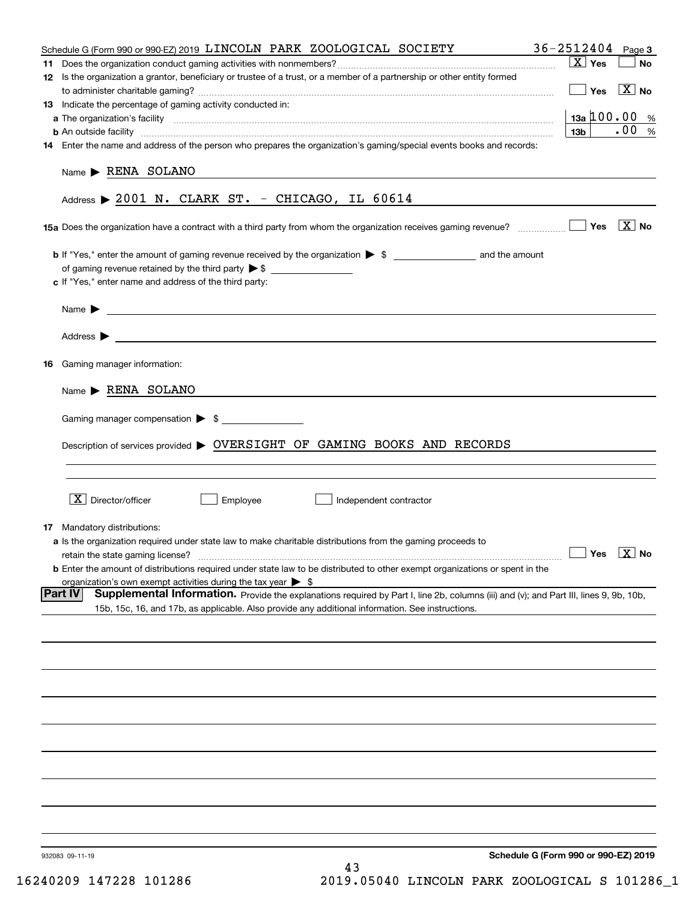|    | Schedule G (Form 990 or 990-EZ) 2019 LINCOLN PARK ZOOLOGICAL SOCIETY                                                                                                                                                                 | 36-2512404                           | Page 3                |
|----|--------------------------------------------------------------------------------------------------------------------------------------------------------------------------------------------------------------------------------------|--------------------------------------|-----------------------|
| 11 |                                                                                                                                                                                                                                      | $\boxed{\text{X}}$ Yes               | No                    |
|    | 12 Is the organization a grantor, beneficiary or trustee of a trust, or a member of a partnership or other entity formed                                                                                                             | Yes                                  | $\boxed{\text{X}}$ No |
|    | 13 Indicate the percentage of gaming activity conducted in:                                                                                                                                                                          |                                      |                       |
|    |                                                                                                                                                                                                                                      | $13a \, 100.00 \, %$                 |                       |
|    |                                                                                                                                                                                                                                      | 13 <sub>b</sub>                      | .00%                  |
|    | 14 Enter the name and address of the person who prepares the organization's gaming/special events books and records:                                                                                                                 |                                      |                       |
|    | Name RENA SOLANO                                                                                                                                                                                                                     |                                      |                       |
|    | Address $\triangleright$ 2001 N. CLARK ST. - CHICAGO, IL 60614                                                                                                                                                                       |                                      |                       |
|    | 15a Does the organization have a contract with a third party from whom the organization receives gaming revenue?                                                                                                                     |                                      | Yes $\boxed{X}$ No    |
|    |                                                                                                                                                                                                                                      |                                      |                       |
|    | of gaming revenue retained by the third party $\triangleright$ \$ $\_\_\_\_\_\_\_\_\_\_\_\_\_\_\_\_\_\_\_\_\_\_\_\_\_\_\_$                                                                                                           |                                      |                       |
|    | c If "Yes," enter name and address of the third party:                                                                                                                                                                               |                                      |                       |
|    | Name $\blacktriangleright$ $\lrcorner$                                                                                                                                                                                               |                                      |                       |
|    | Address <b>Department of the Contract Contract Contract Contract Contract Contract Contract Contract Contract Contract Contract Contract Contract Contract Contract Contract Contract Contract Contract Contract Contract Contra</b> |                                      |                       |
|    | 16 Gaming manager information:                                                                                                                                                                                                       |                                      |                       |
|    |                                                                                                                                                                                                                                      |                                      |                       |
|    | Name RENA SOLANO                                                                                                                                                                                                                     |                                      |                       |
|    | Gaming manager compensation > \$                                                                                                                                                                                                     |                                      |                       |
|    | Description of services provided > OVERSIGHT OF GAMING BOOKS AND RECORDS                                                                                                                                                             |                                      |                       |
|    |                                                                                                                                                                                                                                      |                                      |                       |
|    | $X$ Director/officer<br>Employee<br>Independent contractor                                                                                                                                                                           |                                      |                       |
|    |                                                                                                                                                                                                                                      |                                      |                       |
|    | <b>17</b> Mandatory distributions:                                                                                                                                                                                                   |                                      |                       |
|    | a Is the organization required under state law to make charitable distributions from the gaming proceeds to                                                                                                                          | $\sqrt{Y}$ Yes $\boxed{X}$ No        |                       |
|    | retain the state gaming license?                                                                                                                                                                                                     |                                      |                       |
|    | <b>b</b> Enter the amount of distributions required under state law to be distributed to other exempt organizations or spent in the<br>organization's own exempt activities during the tax year $\triangleright$ \$                  |                                      |                       |
|    | <b>Part IV</b><br>Supplemental Information. Provide the explanations required by Part I, line 2b, columns (iii) and (v); and Part III, lines 9, 9b, 10b,                                                                             |                                      |                       |
|    | 15b, 15c, 16, and 17b, as applicable. Also provide any additional information. See instructions.                                                                                                                                     |                                      |                       |
|    |                                                                                                                                                                                                                                      |                                      |                       |
|    |                                                                                                                                                                                                                                      |                                      |                       |
|    |                                                                                                                                                                                                                                      |                                      |                       |
|    |                                                                                                                                                                                                                                      |                                      |                       |
|    |                                                                                                                                                                                                                                      |                                      |                       |
|    |                                                                                                                                                                                                                                      |                                      |                       |
|    |                                                                                                                                                                                                                                      |                                      |                       |
|    |                                                                                                                                                                                                                                      |                                      |                       |
|    |                                                                                                                                                                                                                                      |                                      |                       |
|    | 932083 09-11-19                                                                                                                                                                                                                      | Schedule G (Form 990 or 990-EZ) 2019 |                       |
|    | 43                                                                                                                                                                                                                                   |                                      |                       |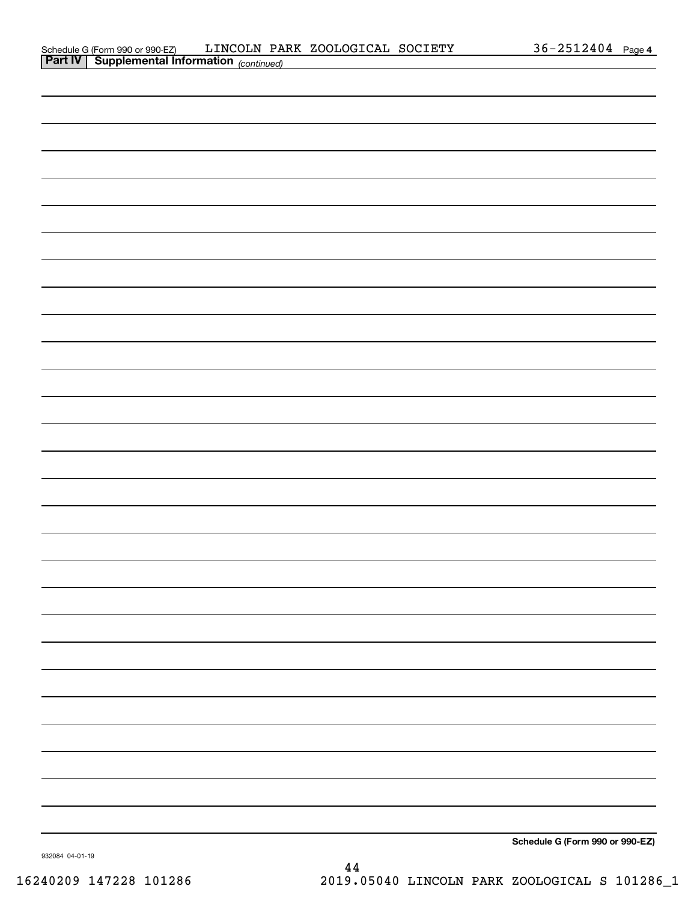| Schedule G (Form 990 or 990-EZ)                       |  | LINCOLN PARK ZOOLOGICAL SOCIETY | $36 - 2512404$ | Page 4 |
|-------------------------------------------------------|--|---------------------------------|----------------|--------|
| <b>Part IV   Supplemental Information</b> (continued) |  |                                 |                |        |

| <b>Part IV   Supplemental Information</b> (continued) |                              |
|-------------------------------------------------------|------------------------------|
|                                                       |                              |
|                                                       |                              |
|                                                       |                              |
|                                                       |                              |
|                                                       |                              |
|                                                       |                              |
|                                                       |                              |
|                                                       |                              |
|                                                       |                              |
|                                                       |                              |
|                                                       |                              |
|                                                       |                              |
|                                                       |                              |
|                                                       |                              |
|                                                       |                              |
|                                                       |                              |
|                                                       |                              |
|                                                       |                              |
|                                                       |                              |
|                                                       |                              |
|                                                       |                              |
|                                                       |                              |
|                                                       |                              |
|                                                       |                              |
|                                                       |                              |
|                                                       |                              |
|                                                       |                              |
|                                                       |                              |
|                                                       |                              |
|                                                       | $2 + 1 + 2 = 200 - 200 = 77$ |

**Schedule G (Form 990 or 990-EZ)**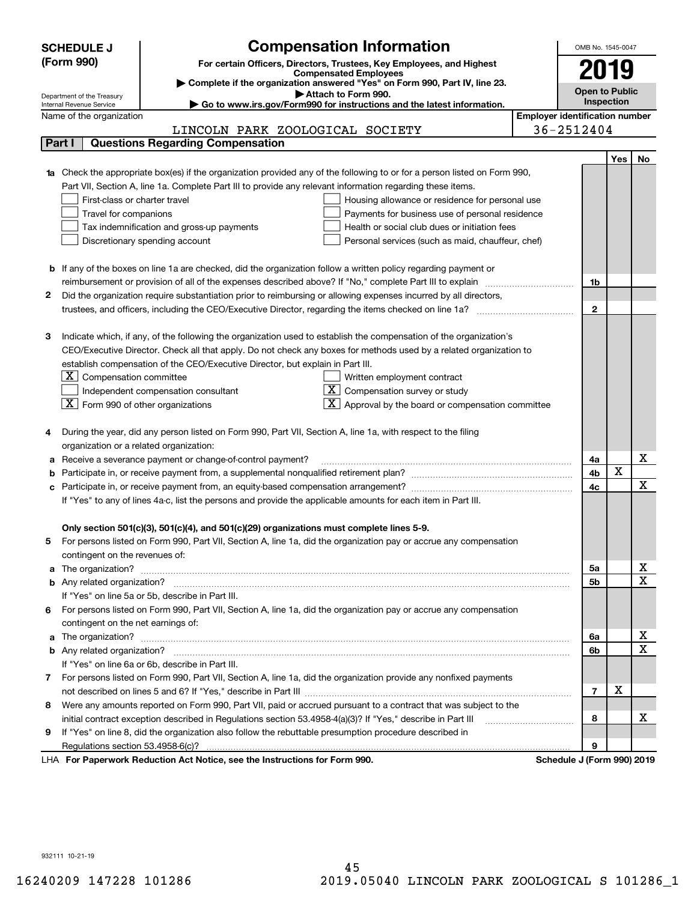|   | <b>SCHEDULE J</b>                                      | <b>Compensation Information</b>                                                                                                                                                                               |                                       | OMB No. 1545-0047          |            |                         |
|---|--------------------------------------------------------|---------------------------------------------------------------------------------------------------------------------------------------------------------------------------------------------------------------|---------------------------------------|----------------------------|------------|-------------------------|
|   | (Form 990)                                             | For certain Officers, Directors, Trustees, Key Employees, and Highest                                                                                                                                         |                                       |                            |            |                         |
|   |                                                        | <b>Compensated Employees</b>                                                                                                                                                                                  |                                       | 2019                       |            |                         |
|   |                                                        | Complete if the organization answered "Yes" on Form 990, Part IV, line 23.                                                                                                                                    |                                       | <b>Open to Public</b>      |            |                         |
|   | Department of the Treasury<br>Internal Revenue Service | Attach to Form 990.<br>Go to www.irs.gov/Form990 for instructions and the latest information.                                                                                                                 |                                       |                            | Inspection |                         |
|   | Name of the organization                               |                                                                                                                                                                                                               | <b>Employer identification number</b> |                            |            |                         |
|   |                                                        | LINCOLN PARK ZOOLOGICAL SOCIETY                                                                                                                                                                               | 36-2512404                            |                            |            |                         |
|   | Part I                                                 | <b>Questions Regarding Compensation</b>                                                                                                                                                                       |                                       |                            |            |                         |
|   |                                                        |                                                                                                                                                                                                               |                                       |                            | Yes        | No                      |
|   |                                                        | <b>1a</b> Check the appropriate box(es) if the organization provided any of the following to or for a person listed on Form 990,                                                                              |                                       |                            |            |                         |
|   |                                                        | Part VII, Section A, line 1a. Complete Part III to provide any relevant information regarding these items.                                                                                                    |                                       |                            |            |                         |
|   | First-class or charter travel                          | Housing allowance or residence for personal use                                                                                                                                                               |                                       |                            |            |                         |
|   | Travel for companions                                  | Payments for business use of personal residence                                                                                                                                                               |                                       |                            |            |                         |
|   |                                                        | Tax indemnification and gross-up payments<br>Health or social club dues or initiation fees                                                                                                                    |                                       |                            |            |                         |
|   |                                                        | Discretionary spending account<br>Personal services (such as maid, chauffeur, chef)                                                                                                                           |                                       |                            |            |                         |
|   |                                                        |                                                                                                                                                                                                               |                                       |                            |            |                         |
|   |                                                        | <b>b</b> If any of the boxes on line 1a are checked, did the organization follow a written policy regarding payment or                                                                                        |                                       |                            |            |                         |
|   |                                                        |                                                                                                                                                                                                               |                                       | 1b                         |            |                         |
| 2 |                                                        | Did the organization require substantiation prior to reimbursing or allowing expenses incurred by all directors,                                                                                              |                                       |                            |            |                         |
|   |                                                        |                                                                                                                                                                                                               |                                       | $\overline{2}$             |            |                         |
|   |                                                        |                                                                                                                                                                                                               |                                       |                            |            |                         |
| з |                                                        | Indicate which, if any, of the following the organization used to establish the compensation of the organization's                                                                                            |                                       |                            |            |                         |
|   |                                                        | CEO/Executive Director. Check all that apply. Do not check any boxes for methods used by a related organization to                                                                                            |                                       |                            |            |                         |
|   |                                                        | establish compensation of the CEO/Executive Director, but explain in Part III.                                                                                                                                |                                       |                            |            |                         |
|   | $X$ Compensation committee                             | Written employment contract                                                                                                                                                                                   |                                       |                            |            |                         |
|   |                                                        | Compensation survey or study<br>Independent compensation consultant                                                                                                                                           |                                       |                            |            |                         |
|   | $ \mathbf{X} $ Form 990 of other organizations         | Approval by the board or compensation committee                                                                                                                                                               |                                       |                            |            |                         |
|   |                                                        |                                                                                                                                                                                                               |                                       |                            |            |                         |
|   |                                                        | During the year, did any person listed on Form 990, Part VII, Section A, line 1a, with respect to the filing                                                                                                  |                                       |                            |            |                         |
|   | organization or a related organization:                |                                                                                                                                                                                                               |                                       |                            |            |                         |
| а |                                                        | Receive a severance payment or change-of-control payment?                                                                                                                                                     |                                       | 4a                         |            | x                       |
|   |                                                        |                                                                                                                                                                                                               |                                       | 4b                         | X          | $\mathbf X$             |
|   |                                                        |                                                                                                                                                                                                               |                                       | 4c                         |            |                         |
|   |                                                        | If "Yes" to any of lines 4a-c, list the persons and provide the applicable amounts for each item in Part III.                                                                                                 |                                       |                            |            |                         |
|   |                                                        |                                                                                                                                                                                                               |                                       |                            |            |                         |
|   |                                                        | Only section 501(c)(3), 501(c)(4), and 501(c)(29) organizations must complete lines 5-9.<br>For persons listed on Form 990, Part VII, Section A, line 1a, did the organization pay or accrue any compensation |                                       |                            |            |                         |
| 5 | contingent on the revenues of:                         |                                                                                                                                                                                                               |                                       |                            |            |                         |
|   |                                                        |                                                                                                                                                                                                               |                                       | 5a                         |            | x                       |
|   |                                                        |                                                                                                                                                                                                               |                                       | 5b                         |            | $\overline{\mathbf{x}}$ |
|   |                                                        | If "Yes" on line 5a or 5b, describe in Part III.                                                                                                                                                              |                                       |                            |            |                         |
|   |                                                        | 6 For persons listed on Form 990, Part VII, Section A, line 1a, did the organization pay or accrue any compensation                                                                                           |                                       |                            |            |                         |
|   | contingent on the net earnings of:                     |                                                                                                                                                                                                               |                                       |                            |            |                         |
|   |                                                        |                                                                                                                                                                                                               |                                       | 6a                         |            | х                       |
|   |                                                        |                                                                                                                                                                                                               |                                       | 6b                         |            | $\overline{\mathbf{x}}$ |
|   |                                                        | If "Yes" on line 6a or 6b, describe in Part III.                                                                                                                                                              |                                       |                            |            |                         |
|   |                                                        | 7 For persons listed on Form 990, Part VII, Section A, line 1a, did the organization provide any nonfixed payments                                                                                            |                                       |                            |            |                         |
|   |                                                        |                                                                                                                                                                                                               |                                       | $\overline{7}$             | х          |                         |
| 8 |                                                        | Were any amounts reported on Form 990, Part VII, paid or accrued pursuant to a contract that was subject to the                                                                                               |                                       |                            |            |                         |
|   |                                                        |                                                                                                                                                                                                               |                                       | 8                          |            | x                       |
| 9 |                                                        | If "Yes" on line 8, did the organization also follow the rebuttable presumption procedure described in                                                                                                        |                                       |                            |            |                         |
|   |                                                        |                                                                                                                                                                                                               |                                       | 9                          |            |                         |
|   |                                                        | LHA For Paperwork Reduction Act Notice, see the Instructions for Form 990.                                                                                                                                    |                                       | Schedule J (Form 990) 2019 |            |                         |

932111 10-21-19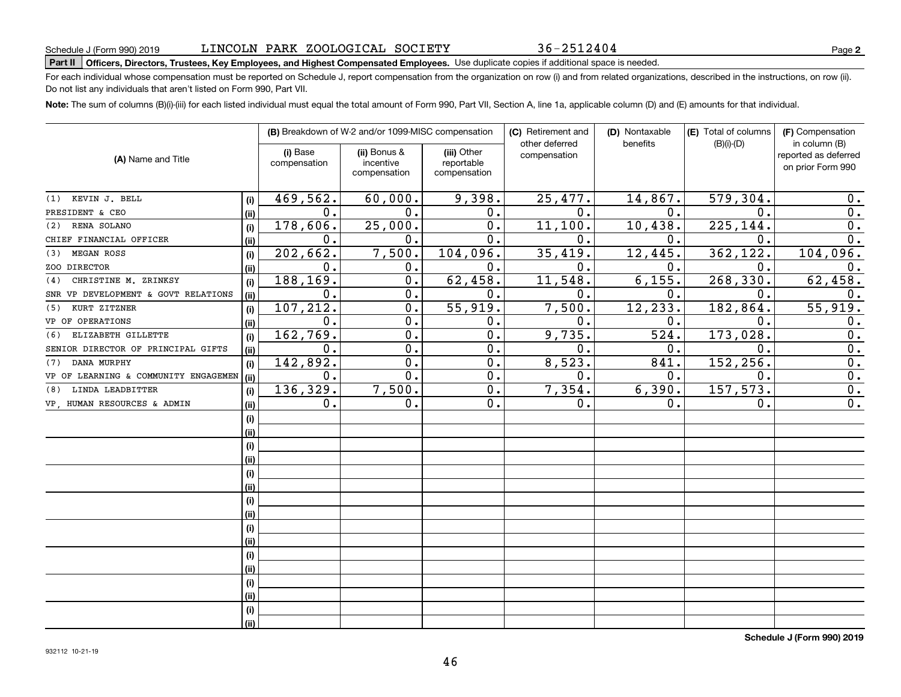36-2512404

# **Part II Officers, Directors, Trustees, Key Employees, and Highest Compensated Employees.**  Schedule J (Form 990) 2019 Page Use duplicate copies if additional space is needed.

For each individual whose compensation must be reported on Schedule J, report compensation from the organization on row (i) and from related organizations, described in the instructions, on row (ii). Do not list any individuals that aren't listed on Form 990, Part VII.

**Note:**  The sum of columns (B)(i)-(iii) for each listed individual must equal the total amount of Form 990, Part VII, Section A, line 1a, applicable column (D) and (E) amounts for that individual.

|                                      |      |                          | (B) Breakdown of W-2 and/or 1099-MISC compensation |                                           | (C) Retirement and             | (D) Nontaxable | (E) Total of columns | (F) Compensation                                           |
|--------------------------------------|------|--------------------------|----------------------------------------------------|-------------------------------------------|--------------------------------|----------------|----------------------|------------------------------------------------------------|
| (A) Name and Title                   |      | (i) Base<br>compensation | (ii) Bonus &<br>incentive<br>compensation          | (iii) Other<br>reportable<br>compensation | other deferred<br>compensation | benefits       | $(B)(i)-(D)$         | in column (B)<br>reported as deferred<br>on prior Form 990 |
| KEVIN J. BELL<br>(1)                 | (i)  | 469,562.                 | 60,000.                                            | 9,398.                                    | 25,477.                        | 14,867.        | 579,304.             | 0.                                                         |
| PRESIDENT & CEO                      | (ii) | $\mathbf{0}$ .           | 0.                                                 | 0.                                        | $\mathbf{0}$ .                 | 0.             | $\Omega$ .           | 0.                                                         |
| RENA SOLANO<br>(2)                   | (i)  | 178,606.                 | 25,000.                                            | 0.                                        | 11,100.                        | 10,438.        | 225,144.             | 0.                                                         |
| CHIEF FINANCIAL OFFICER              | (ii) | 0.                       | 0.                                                 | 0.                                        | 0.                             | $\mathbf 0$ .  | 0.                   | 0.                                                         |
| MEGAN ROSS<br>(3)                    | (i)  | 202,662.                 | 7,500.                                             | 104,096.                                  | 35,419.                        | 12,445.        | 362,122.             | 104,096.                                                   |
| ZOO DIRECTOR                         | (i)  | $\mathbf 0$ .            | 0.                                                 | 0.                                        | 0.                             | 0.             | 0.                   | 0.                                                         |
| CHRISTINE M. ZRINKSY<br>(4)          | (i)  | 188,169.                 | 0.                                                 | 62,458.                                   | 11,548.                        | 6,155.         | 268,330              | 62,458.                                                    |
| SNR VP DEVELOPMENT & GOVT RELATIONS  | (ii) | $\mathbf 0$ .            | 0.                                                 | 0.                                        | $\mathbf{0}$ .                 | 0.             | $\mathbf 0$ .        | 0.                                                         |
| KURT ZITZNER<br>(5)                  | (i)  | 107,212.                 | $\overline{0}$ .                                   | 55,919.                                   | 7,500.                         | 12,233.        | 182, 864.            | 55,919.                                                    |
| VP OF OPERATIONS                     | (ii) | $\mathbf 0$ .            | 0.                                                 | 0.                                        | $\mathbf 0$ .                  | $\mathbf 0$ .  | $\mathbf 0$ .        | 0.                                                         |
| ELIZABETH GILLETTE<br>(6)            | (i)  | 162,769.                 | $\overline{0}$ .                                   | $\overline{0}$ .                          | 9,735.                         | 524.           | 173,028.             | $\overline{0}$ .                                           |
| SENIOR DIRECTOR OF PRINCIPAL GIFTS   | (ii) | 0.                       | $\overline{0}$ .                                   | 0.                                        | $\mathbf 0$ .                  | 0.             | $\mathbf 0$ .        | $\overline{0}$ .                                           |
| DANA MURPHY<br>(7)                   | (i)  | 142,892.                 | $\mathbf 0$ .                                      | 0.                                        | 8,523.                         | 841.           | 152,256              | $\overline{0}$ .                                           |
| VP OF LEARNING & COMMUNITY ENGAGEMEN | (ii) | 0.                       | $\overline{0}$ .                                   | 0.                                        | $\mathbf 0$ .                  | $\mathbf 0$ .  | $\mathbf 0$          | $\overline{0}$ .                                           |
| LINDA LEADBITTER<br>(8)              | (i)  | 136,329.                 | 7,500.                                             | 0.                                        | 7,354.                         | 6,390.         | 157,573.             | 0.                                                         |
| VP, HUMAN RESOURCES & ADMIN          | (ii) | 0.                       | 0.                                                 | 0.                                        | 0.                             | 0.             | 0.                   | 0.                                                         |
|                                      | (i)  |                          |                                                    |                                           |                                |                |                      |                                                            |
|                                      | (i)  |                          |                                                    |                                           |                                |                |                      |                                                            |
|                                      | (i)  |                          |                                                    |                                           |                                |                |                      |                                                            |
|                                      | (i)  |                          |                                                    |                                           |                                |                |                      |                                                            |
|                                      | (i)  |                          |                                                    |                                           |                                |                |                      |                                                            |
|                                      | (ii) |                          |                                                    |                                           |                                |                |                      |                                                            |
|                                      | (i)  |                          |                                                    |                                           |                                |                |                      |                                                            |
|                                      | (ii) |                          |                                                    |                                           |                                |                |                      |                                                            |
|                                      | (i)  |                          |                                                    |                                           |                                |                |                      |                                                            |
|                                      | (i)  |                          |                                                    |                                           |                                |                |                      |                                                            |
|                                      | (i)  |                          |                                                    |                                           |                                |                |                      |                                                            |
|                                      | (i)  |                          |                                                    |                                           |                                |                |                      |                                                            |
|                                      | (i)  |                          |                                                    |                                           |                                |                |                      |                                                            |
|                                      | (i)  |                          |                                                    |                                           |                                |                |                      |                                                            |
|                                      | (i)  |                          |                                                    |                                           |                                |                |                      |                                                            |
|                                      | (ii) |                          |                                                    |                                           |                                |                |                      |                                                            |

**Schedule J (Form 990) 2019**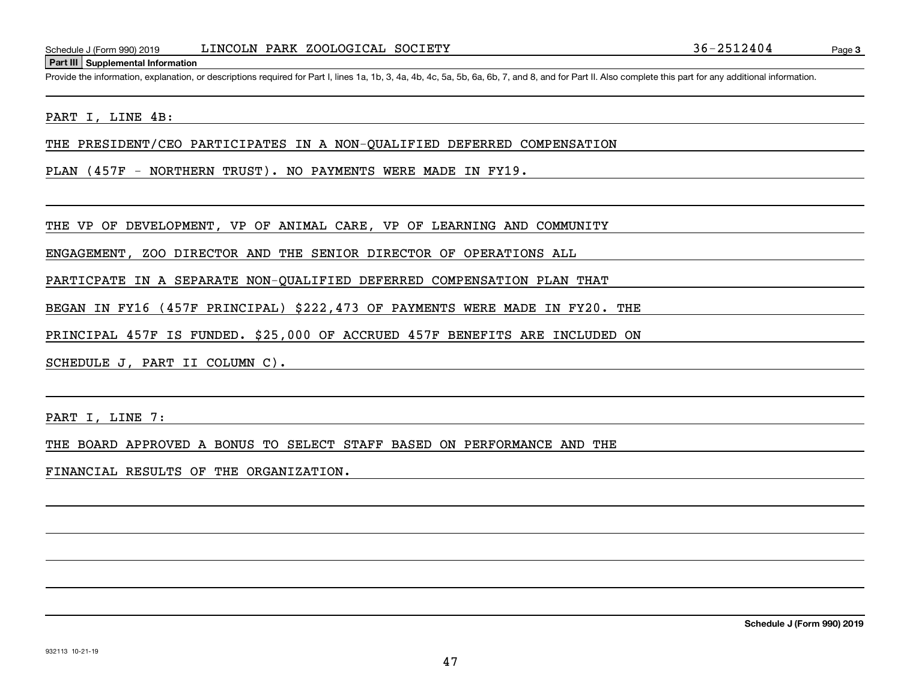#### **Part III Supplemental Information**

Schedule J (Form 990) 2019 LINCOLN PARK ZOOLOGICAL SOCIETY<br>Part III Supplemental Information<br>Provide the information, explanation, or descriptions required for Part I, lines 1a, 1b, 3, 4a, 4b, 4c, 5a, 5b, 6a, 6b, 7, and 8,

#### PART I, LINE 4B:

THE PRESIDENT/CEO PARTICIPATES IN A NON-QUALIFIED DEFERRED COMPENSATION

PLAN (457F - NORTHERN TRUST). NO PAYMENTS WERE MADE IN FY19.

THE VP OF DEVELOPMENT, VP OF ANIMAL CARE, VP OF LEARNING AND COMMUNITY

ENGAGEMENT, ZOO DIRECTOR AND THE SENIOR DIRECTOR OF OPERATIONS ALL

PARTICPATE IN A SEPARATE NON-QUALIFIED DEFERRED COMPENSATION PLAN THAT

BEGAN IN FY16 (457F PRINCIPAL) \$222,473 OF PAYMENTS WERE MADE IN FY20. THE

PRINCIPAL 457F IS FUNDED. \$25,000 OF ACCRUED 457F BENEFITS ARE INCLUDED ON

SCHEDULE J, PART II COLUMN C).

PART I, LINE 7:

THE BOARD APPROVED A BONUS TO SELECT STAFF BASED ON PERFORMANCE AND THE

FINANCIAL RESULTS OF THE ORGANIZATION.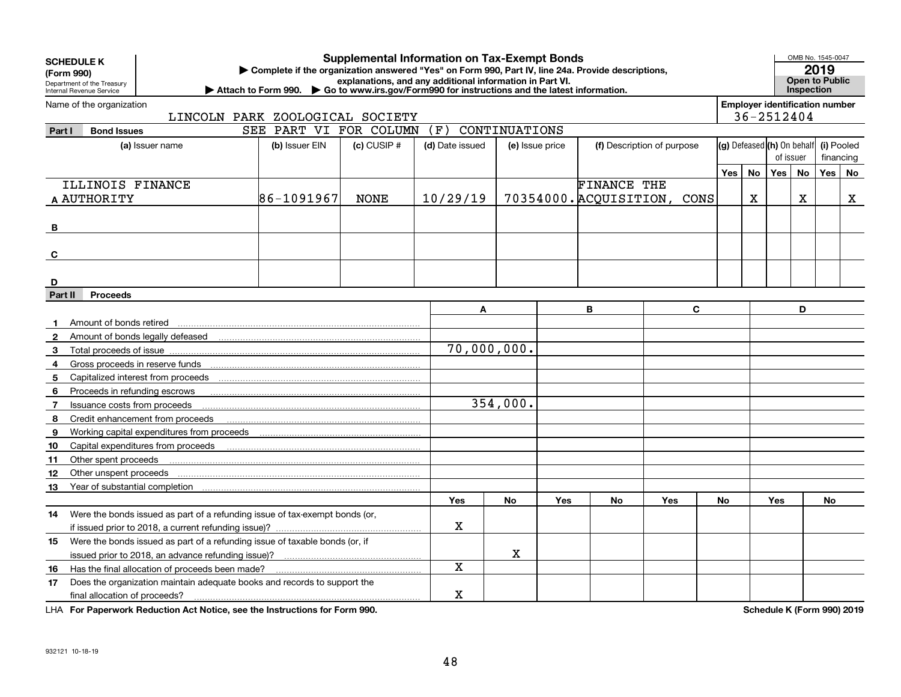| <b>SCHEDULE K</b> |                                                                                                                                                                                                                                                                                                                                                                                              |                        |                 | <b>Supplemental Information on Tax-Exempt Bonds</b> |                 |     |                    |                             |     |    |                                       | OMB No. 1545-0047 |            |             |
|-------------------|----------------------------------------------------------------------------------------------------------------------------------------------------------------------------------------------------------------------------------------------------------------------------------------------------------------------------------------------------------------------------------------------|------------------------|-----------------|-----------------------------------------------------|-----------------|-----|--------------------|-----------------------------|-----|----|---------------------------------------|-------------------|------------|-------------|
| (Form 990)        | 2019<br>Complete if the organization answered "Yes" on Form 990, Part IV, line 24a. Provide descriptions,<br>explanations, and any additional information in Part VI.<br><b>Open to Public</b><br>Department of the Treasury<br>Attach to Form 990. $\triangleright$ Go to www.irs.gov/Form990 for instructions and the latest information.<br><b>Inspection</b><br>Internal Revenue Service |                        |                 |                                                     |                 |     |                    |                             |     |    |                                       |                   |            |             |
|                   |                                                                                                                                                                                                                                                                                                                                                                                              |                        |                 |                                                     |                 |     |                    |                             |     |    |                                       |                   |            |             |
|                   | Name of the organization                                                                                                                                                                                                                                                                                                                                                                     |                        |                 |                                                     |                 |     |                    |                             |     |    | <b>Employer identification number</b> |                   |            |             |
|                   | LINCOLN PARK ZOOLOGICAL SOCIETY                                                                                                                                                                                                                                                                                                                                                              |                        |                 |                                                     |                 |     |                    |                             |     |    | 36-2512404                            |                   |            |             |
| Part I            | <b>Bond Issues</b>                                                                                                                                                                                                                                                                                                                                                                           | SEE PART VI FOR COLUMN |                 | (F)                                                 | CONTINUATIONS   |     |                    |                             |     |    |                                       |                   |            |             |
|                   | (a) Issuer name                                                                                                                                                                                                                                                                                                                                                                              | (b) Issuer EIN         | $(c)$ CUSIP $#$ | (d) Date issued                                     | (e) Issue price |     |                    | (f) Description of purpose  |     |    | (g) Defeased (h) On behalf            |                   | (i) Pooled |             |
|                   |                                                                                                                                                                                                                                                                                                                                                                                              |                        |                 |                                                     |                 |     |                    |                             |     |    | of issuer                             |                   | financing  |             |
|                   |                                                                                                                                                                                                                                                                                                                                                                                              |                        |                 |                                                     |                 |     |                    |                             | Yes | No | Yes                                   | No                | Yes        | <b>No</b>   |
|                   | ILLINOIS FINANCE                                                                                                                                                                                                                                                                                                                                                                             |                        |                 |                                                     |                 |     | <b>FINANCE THE</b> |                             |     |    |                                       |                   |            |             |
| A AUTHORITY       |                                                                                                                                                                                                                                                                                                                                                                                              | 86-1091967             | <b>NONE</b>     | 10/29/19                                            |                 |     |                    | 70354000. ACQUISITION, CONS |     | X  |                                       | x                 |            | $\mathbf X$ |
|                   |                                                                                                                                                                                                                                                                                                                                                                                              |                        |                 |                                                     |                 |     |                    |                             |     |    |                                       |                   |            |             |
| B                 |                                                                                                                                                                                                                                                                                                                                                                                              |                        |                 |                                                     |                 |     |                    |                             |     |    |                                       |                   |            |             |
|                   |                                                                                                                                                                                                                                                                                                                                                                                              |                        |                 |                                                     |                 |     |                    |                             |     |    |                                       |                   |            |             |
| C                 |                                                                                                                                                                                                                                                                                                                                                                                              |                        |                 |                                                     |                 |     |                    |                             |     |    |                                       |                   |            |             |
|                   |                                                                                                                                                                                                                                                                                                                                                                                              |                        |                 |                                                     |                 |     |                    |                             |     |    |                                       |                   |            |             |
| D                 |                                                                                                                                                                                                                                                                                                                                                                                              |                        |                 |                                                     |                 |     |                    |                             |     |    |                                       |                   |            |             |
| Part II           | <b>Proceeds</b>                                                                                                                                                                                                                                                                                                                                                                              |                        |                 |                                                     |                 |     |                    |                             |     |    |                                       |                   |            |             |
|                   |                                                                                                                                                                                                                                                                                                                                                                                              |                        |                 | A                                                   |                 |     | B                  | $\mathbf{C}$                |     |    |                                       | D                 |            |             |
|                   | Amount of bonds retired                                                                                                                                                                                                                                                                                                                                                                      |                        |                 |                                                     |                 |     |                    |                             |     |    |                                       |                   |            |             |
| $\mathbf{2}$      |                                                                                                                                                                                                                                                                                                                                                                                              |                        |                 |                                                     |                 |     |                    |                             |     |    |                                       |                   |            |             |
| 3                 | Total proceeds of issue                                                                                                                                                                                                                                                                                                                                                                      |                        |                 | 70,000,000.                                         |                 |     |                    |                             |     |    |                                       |                   |            |             |
| 4                 | Gross proceeds in reserve funds                                                                                                                                                                                                                                                                                                                                                              |                        |                 |                                                     |                 |     |                    |                             |     |    |                                       |                   |            |             |
| 5                 |                                                                                                                                                                                                                                                                                                                                                                                              |                        |                 |                                                     |                 |     |                    |                             |     |    |                                       |                   |            |             |
| 6                 | Proceeds in refunding escrows                                                                                                                                                                                                                                                                                                                                                                |                        |                 |                                                     |                 |     |                    |                             |     |    |                                       |                   |            |             |
| 7                 | Issuance costs from proceeds                                                                                                                                                                                                                                                                                                                                                                 |                        |                 |                                                     | 354,000.        |     |                    |                             |     |    |                                       |                   |            |             |
| 8                 | Credit enhancement from proceeds                                                                                                                                                                                                                                                                                                                                                             |                        |                 |                                                     |                 |     |                    |                             |     |    |                                       |                   |            |             |
| 9                 |                                                                                                                                                                                                                                                                                                                                                                                              |                        |                 |                                                     |                 |     |                    |                             |     |    |                                       |                   |            |             |
| 10                |                                                                                                                                                                                                                                                                                                                                                                                              |                        |                 |                                                     |                 |     |                    |                             |     |    |                                       |                   |            |             |
| 11                | Other spent proceeds                                                                                                                                                                                                                                                                                                                                                                         |                        |                 |                                                     |                 |     |                    |                             |     |    |                                       |                   |            |             |
| 12                | Other unspent proceeds                                                                                                                                                                                                                                                                                                                                                                       |                        |                 |                                                     |                 |     |                    |                             |     |    |                                       |                   |            |             |
| 13                | Year of substantial completion [11] Year of substantial completion [11] Wear of substantial completion                                                                                                                                                                                                                                                                                       |                        |                 |                                                     |                 |     |                    |                             |     |    |                                       |                   |            |             |
|                   |                                                                                                                                                                                                                                                                                                                                                                                              |                        |                 | <b>Yes</b>                                          | <b>No</b>       | Yes | No                 | Yes                         | No  |    | Yes                                   |                   | No         |             |
| 14.               | Were the bonds issued as part of a refunding issue of tax-exempt bonds (or,                                                                                                                                                                                                                                                                                                                  |                        |                 |                                                     |                 |     |                    |                             |     |    |                                       |                   |            |             |
|                   | if issued prior to 2018, a current refunding issue)?                                                                                                                                                                                                                                                                                                                                         |                        |                 | $\mathbf X$                                         |                 |     |                    |                             |     |    |                                       |                   |            |             |
| 15                | Were the bonds issued as part of a refunding issue of taxable bonds (or, if                                                                                                                                                                                                                                                                                                                  |                        |                 |                                                     |                 |     |                    |                             |     |    |                                       |                   |            |             |
|                   |                                                                                                                                                                                                                                                                                                                                                                                              |                        | $\mathbf X$     |                                                     |                 |     |                    |                             |     |    |                                       |                   |            |             |
| 16                | Has the final allocation of proceeds been made?                                                                                                                                                                                                                                                                                                                                              |                        | X               |                                                     |                 |     |                    |                             |     |    |                                       |                   |            |             |
| 17                | Does the organization maintain adequate books and records to support the                                                                                                                                                                                                                                                                                                                     |                        |                 |                                                     |                 |     |                    |                             |     |    |                                       |                   |            |             |
|                   | final allocation of proceeds?                                                                                                                                                                                                                                                                                                                                                                |                        |                 | $\mathbf X$                                         |                 |     |                    |                             |     |    |                                       |                   |            |             |

**For Paperwork Reduction Act Notice, see the Instructions for Form 990. Schedule K (Form 990) 2019** LHA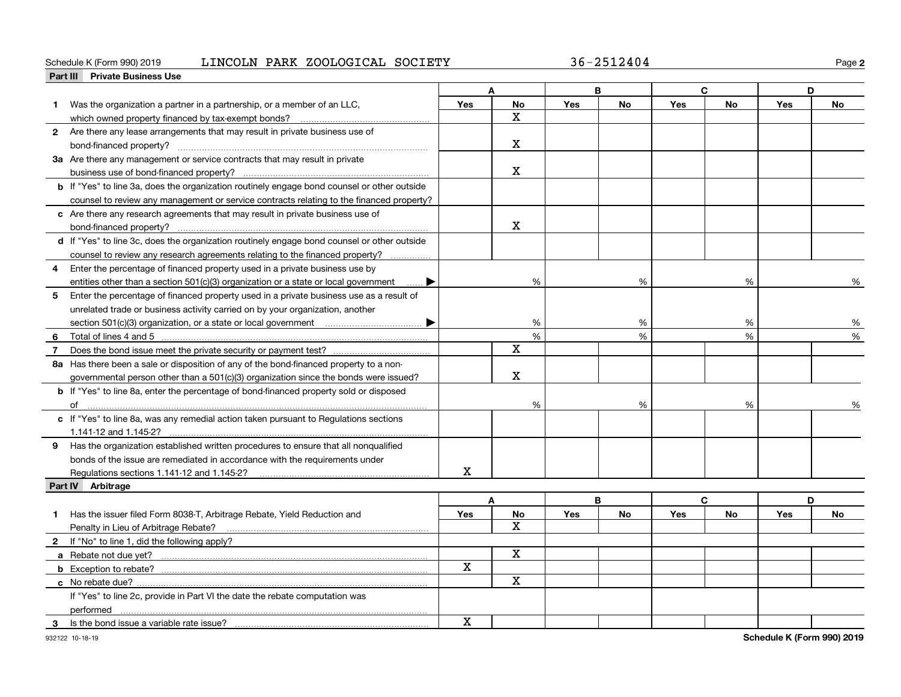#### **Part III Private Business Use** Schedule K (Form 990) 2019 LINCOLN PARK ZOOLOGICAL SOCIETY 36-2512404 Page

**2**

|    |                                                                                                    |             | A                       |            | B         |            | $\mathbf C$ |                             | D         |
|----|----------------------------------------------------------------------------------------------------|-------------|-------------------------|------------|-----------|------------|-------------|-----------------------------|-----------|
| 1. | Was the organization a partner in a partnership, or a member of an LLC,                            | Yes         | No                      | Yes        | No        | <b>Yes</b> | No          | Yes                         | <b>No</b> |
|    |                                                                                                    |             | $\mathbf{x}$            |            |           |            |             |                             |           |
|    | 2 Are there any lease arrangements that may result in private business use of                      |             |                         |            |           |            |             |                             |           |
|    |                                                                                                    |             | X                       |            |           |            |             |                             |           |
|    | 3a Are there any management or service contracts that may result in private                        |             |                         |            |           |            |             |                             |           |
|    |                                                                                                    |             | X                       |            |           |            |             |                             |           |
|    | <b>b</b> If "Yes" to line 3a, does the organization routinely engage bond counsel or other outside |             |                         |            |           |            |             |                             |           |
|    | counsel to review any management or service contracts relating to the financed property?           |             |                         |            |           |            |             |                             |           |
|    | c Are there any research agreements that may result in private business use of                     |             |                         |            |           |            |             |                             |           |
|    | bond-financed property?                                                                            |             | X                       |            |           |            |             |                             |           |
|    | d If "Yes" to line 3c, does the organization routinely engage bond counsel or other outside        |             |                         |            |           |            |             |                             |           |
|    | counsel to review any research agreements relating to the financed property?                       |             |                         |            |           |            |             |                             |           |
| 4  | Enter the percentage of financed property used in a private business use by                        |             |                         |            |           |            |             |                             |           |
|    | entities other than a section $501(c)(3)$ organization or a state or local government              |             | %                       |            | %         |            | %           |                             | %         |
| 5  | Enter the percentage of financed property used in a private business use as a result of            |             |                         |            |           |            |             |                             |           |
|    | unrelated trade or business activity carried on by your organization, another                      |             |                         |            |           |            |             |                             |           |
|    | ▶                                                                                                  |             | %                       |            | $\%$      |            | %           |                             | %         |
| 6  | Total of lines 4 and 5 <b>Martin Communities</b> Total of lines 4 and 5                            |             | %                       |            | %         |            | %           |                             | $\%$      |
| 7  | Does the bond issue meet the private security or payment test?                                     |             | X                       |            |           |            |             |                             |           |
|    | 8a Has there been a sale or disposition of any of the bond-financed property to a non-             |             |                         |            |           |            |             |                             |           |
|    | governmental person other than a 501(c)(3) organization since the bonds were issued?               |             | X                       |            |           |            |             |                             |           |
|    | b If "Yes" to line 8a, enter the percentage of bond-financed property sold or disposed             |             |                         |            |           |            |             |                             |           |
| of |                                                                                                    |             | %                       |            | %         |            | %           |                             |           |
|    | c If "Yes" to line 8a, was any remedial action taken pursuant to Regulations sections              |             |                         |            |           |            |             |                             |           |
|    |                                                                                                    |             |                         |            |           |            |             |                             |           |
|    | 9 Has the organization established written procedures to ensure that all nonqualified              |             |                         |            |           |            |             |                             |           |
|    | bonds of the issue are remediated in accordance with the requirements under                        |             |                         |            |           |            |             |                             |           |
|    |                                                                                                    | X           |                         |            |           |            |             |                             |           |
|    | Part IV Arbitrage                                                                                  |             |                         |            |           |            |             |                             |           |
|    |                                                                                                    |             | A                       |            | В         |            | C           |                             | D         |
| 1  | Has the issuer filed Form 8038-T, Arbitrage Rebate, Yield Reduction and                            | Yes         | <b>No</b>               | <b>Yes</b> | <b>No</b> | <b>Yes</b> | No          | <b>Yes</b>                  | No        |
|    |                                                                                                    |             | $\overline{\mathbf{x}}$ |            |           |            |             |                             |           |
|    | 2 If "No" to line 1, did the following apply?                                                      |             |                         |            |           |            |             |                             |           |
|    |                                                                                                    |             | $\mathbf x$             |            |           |            |             |                             |           |
|    |                                                                                                    | $\mathbf x$ |                         |            |           |            |             |                             |           |
|    |                                                                                                    |             | $\mathbf x$             |            |           |            |             |                             |           |
|    | If "Yes" to line 2c, provide in Part VI the date the rebate computation was                        |             |                         |            |           |            |             |                             |           |
|    | performed                                                                                          |             |                         |            |           |            |             |                             |           |
| 3  |                                                                                                    | $\mathbf x$ |                         |            |           |            |             |                             |           |
|    |                                                                                                    |             |                         |            |           |            |             | Cabadula V (Faunt 000) 0046 |           |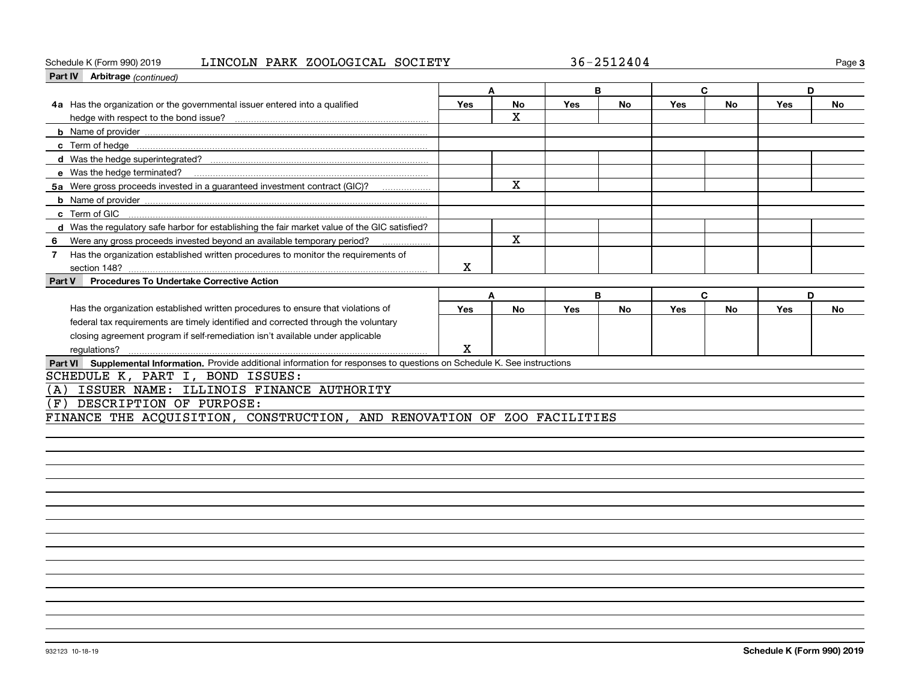#### Schedule K (Form 990) 2019 LINCOLN PARK ZOOLOGICAL SOCIETY 36-2512404 Page

| Part IV Arbitrage (continued)                                                                                               |                                                                         |           |            |           |            |           |     |           |  |  |
|-----------------------------------------------------------------------------------------------------------------------------|-------------------------------------------------------------------------|-----------|------------|-----------|------------|-----------|-----|-----------|--|--|
|                                                                                                                             |                                                                         |           |            | B         |            | C         | D   |           |  |  |
| Has the organization or the governmental issuer entered into a qualified<br>4a                                              | Yes                                                                     | No        | <b>Yes</b> | No        | Yes        | No        | Yes | <b>No</b> |  |  |
|                                                                                                                             |                                                                         | x         |            |           |            |           |     |           |  |  |
|                                                                                                                             |                                                                         |           |            |           |            |           |     |           |  |  |
|                                                                                                                             |                                                                         |           |            |           |            |           |     |           |  |  |
|                                                                                                                             |                                                                         |           |            |           |            |           |     |           |  |  |
|                                                                                                                             |                                                                         |           |            |           |            |           |     |           |  |  |
| 5a Were gross proceeds invested in a guaranteed investment contract (GIC)?                                                  |                                                                         | x         |            |           |            |           |     |           |  |  |
|                                                                                                                             |                                                                         |           |            |           |            |           |     |           |  |  |
|                                                                                                                             |                                                                         |           |            |           |            |           |     |           |  |  |
| d Was the requlatory safe harbor for establishing the fair market value of the GIC satisfied?                               |                                                                         |           |            |           |            |           |     |           |  |  |
| Were any gross proceeds invested beyond an available temporary period?<br>6                                                 |                                                                         | x         |            |           |            |           |     |           |  |  |
| Has the organization established written procedures to monitor the requirements of<br>7                                     |                                                                         |           |            |           |            |           |     |           |  |  |
| section 148?                                                                                                                | х                                                                       |           |            |           |            |           |     |           |  |  |
| <b>Procedures To Undertake Corrective Action</b><br>Part V                                                                  |                                                                         |           |            |           |            |           |     |           |  |  |
|                                                                                                                             | A                                                                       |           |            | B         |            | C         | D   |           |  |  |
| Has the organization established written procedures to ensure that violations of                                            | Yes                                                                     | <b>No</b> | <b>Yes</b> | <b>No</b> | <b>Yes</b> | <b>No</b> | Yes | No        |  |  |
| federal tax requirements are timely identified and corrected through the voluntary                                          |                                                                         |           |            |           |            |           |     |           |  |  |
| closing agreement program if self-remediation isn't available under applicable                                              |                                                                         |           |            |           |            |           |     |           |  |  |
| regulations?                                                                                                                | X                                                                       |           |            |           |            |           |     |           |  |  |
| Part VI Supplemental Information. Provide additional information for responses to questions on Schedule K. See instructions |                                                                         |           |            |           |            |           |     |           |  |  |
| SCHEDULE K, PART I, BOND ISSUES:                                                                                            |                                                                         |           |            |           |            |           |     |           |  |  |
| ISSUER NAME: ILLINOIS FINANCE AUTHORITY<br>(A)                                                                              |                                                                         |           |            |           |            |           |     |           |  |  |
| DESCRIPTION OF PURPOSE:<br>(F)                                                                                              |                                                                         |           |            |           |            |           |     |           |  |  |
|                                                                                                                             | FINANCE THE ACQUISITION, CONSTRUCTION, AND RENOVATION OF ZOO FACILITIES |           |            |           |            |           |     |           |  |  |
|                                                                                                                             |                                                                         |           |            |           |            |           |     |           |  |  |

**3**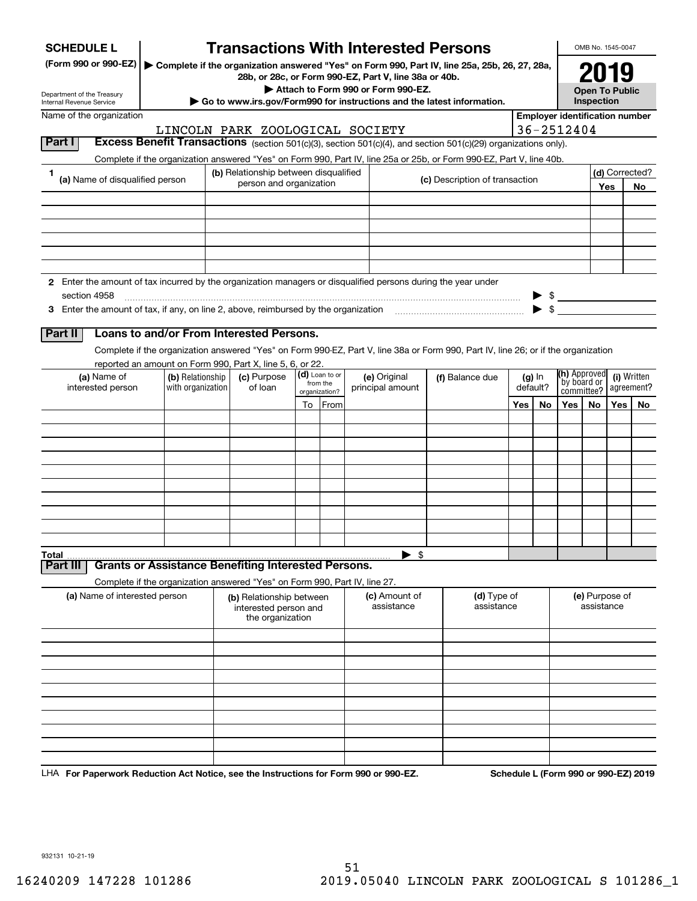| <b>SCHEDULE L</b>                                                                                                    |                                                                            |                                                                       |                            | <b>Transactions With Interested Persons</b>                                                                                                            |                                |     |          |                          | OMB No. 1545-0047            |                  |                                       |
|----------------------------------------------------------------------------------------------------------------------|----------------------------------------------------------------------------|-----------------------------------------------------------------------|----------------------------|--------------------------------------------------------------------------------------------------------------------------------------------------------|--------------------------------|-----|----------|--------------------------|------------------------------|------------------|---------------------------------------|
| (Form 990 or 990-EZ)                                                                                                 |                                                                            |                                                                       |                            | Complete if the organization answered "Yes" on Form 990, Part IV, line 25a, 25b, 26, 27, 28a,<br>28b, or 28c, or Form 990-EZ, Part V, line 38a or 40b. |                                |     |          |                          |                              |                  |                                       |
| Department of the Treasury                                                                                           |                                                                            |                                                                       |                            | Attach to Form 990 or Form 990-EZ.                                                                                                                     |                                |     |          |                          | <b>Open To Public</b>        |                  |                                       |
| Internal Revenue Service                                                                                             |                                                                            |                                                                       |                            | Go to www.irs.gov/Form990 for instructions and the latest information.                                                                                 |                                |     |          |                          | Inspection                   |                  |                                       |
| Name of the organization                                                                                             |                                                                            |                                                                       |                            |                                                                                                                                                        |                                |     |          | 36-2512404               |                              |                  | <b>Employer identification number</b> |
| Part I                                                                                                               |                                                                            | LINCOLN PARK ZOOLOGICAL SOCIETY                                       |                            | Excess Benefit Transactions (section 501(c)(3), section 501(c)(4), and section 501(c)(29) organizations only).                                         |                                |     |          |                          |                              |                  |                                       |
|                                                                                                                      |                                                                            |                                                                       |                            | Complete if the organization answered "Yes" on Form 990, Part IV, line 25a or 25b, or Form 990-EZ, Part V, line 40b.                                   |                                |     |          |                          |                              |                  |                                       |
| 1                                                                                                                    |                                                                            | (b) Relationship between disqualified                                 |                            |                                                                                                                                                        |                                |     |          |                          |                              |                  | (d) Corrected?                        |
| (a) Name of disqualified person                                                                                      |                                                                            | person and organization                                               |                            |                                                                                                                                                        | (c) Description of transaction |     |          |                          |                              | Yes              | No                                    |
|                                                                                                                      |                                                                            |                                                                       |                            |                                                                                                                                                        |                                |     |          |                          |                              |                  |                                       |
|                                                                                                                      |                                                                            |                                                                       |                            |                                                                                                                                                        |                                |     |          |                          |                              |                  |                                       |
|                                                                                                                      |                                                                            |                                                                       |                            |                                                                                                                                                        |                                |     |          |                          |                              |                  |                                       |
|                                                                                                                      |                                                                            |                                                                       |                            |                                                                                                                                                        |                                |     |          |                          |                              |                  |                                       |
|                                                                                                                      |                                                                            |                                                                       |                            |                                                                                                                                                        |                                |     |          |                          |                              |                  |                                       |
| 2 Enter the amount of tax incurred by the organization managers or disqualified persons during the year under        |                                                                            |                                                                       |                            |                                                                                                                                                        |                                |     |          |                          |                              |                  |                                       |
| section 4958                                                                                                         |                                                                            |                                                                       |                            |                                                                                                                                                        |                                |     |          | $\triangleright$ \$      |                              |                  |                                       |
| 3 Enter the amount of tax, if any, on line 2, above, reimbursed by the organization match match match and the stress |                                                                            |                                                                       |                            |                                                                                                                                                        |                                |     |          | $\blacktriangleright$ \$ |                              |                  |                                       |
| Part II                                                                                                              | Loans to and/or From Interested Persons.                                   |                                                                       |                            |                                                                                                                                                        |                                |     |          |                          |                              |                  |                                       |
|                                                                                                                      |                                                                            |                                                                       |                            | Complete if the organization answered "Yes" on Form 990-EZ, Part V, line 38a or Form 990, Part IV, line 26; or if the organization                     |                                |     |          |                          |                              |                  |                                       |
|                                                                                                                      | reported an amount on Form 990, Part X, line 5, 6, or 22.                  |                                                                       |                            |                                                                                                                                                        |                                |     |          |                          |                              |                  |                                       |
| (a) Name of                                                                                                          | (b) Relationship                                                           | (c) Purpose                                                           | (d) Loan to or<br>from the | (e) Original                                                                                                                                           | (f) Balance due                |     | $(g)$ In |                          | (h) Approved<br>by board or  |                  | (i) Written                           |
| interested person                                                                                                    | with organization                                                          | of loan                                                               | organization?              | principal amount                                                                                                                                       |                                |     | default? |                          | committee?                   |                  | agreement?                            |
|                                                                                                                      |                                                                            |                                                                       | To From                    |                                                                                                                                                        |                                | Yes | No.      | Yes                      | No                           | Yes <sub>1</sub> | No                                    |
|                                                                                                                      |                                                                            |                                                                       |                            |                                                                                                                                                        |                                |     |          |                          |                              |                  |                                       |
|                                                                                                                      |                                                                            |                                                                       |                            |                                                                                                                                                        |                                |     |          |                          |                              |                  |                                       |
|                                                                                                                      |                                                                            |                                                                       |                            |                                                                                                                                                        |                                |     |          |                          |                              |                  |                                       |
|                                                                                                                      |                                                                            |                                                                       |                            |                                                                                                                                                        |                                |     |          |                          |                              |                  |                                       |
|                                                                                                                      |                                                                            |                                                                       |                            |                                                                                                                                                        |                                |     |          |                          |                              |                  |                                       |
|                                                                                                                      |                                                                            |                                                                       |                            |                                                                                                                                                        |                                |     |          |                          |                              |                  |                                       |
|                                                                                                                      |                                                                            |                                                                       |                            |                                                                                                                                                        |                                |     |          |                          |                              |                  |                                       |
|                                                                                                                      |                                                                            |                                                                       |                            |                                                                                                                                                        |                                |     |          |                          |                              |                  |                                       |
| Total                                                                                                                |                                                                            |                                                                       |                            | $\blacktriangleright$ \$                                                                                                                               |                                |     |          |                          |                              |                  |                                       |
| Part II                                                                                                              | <b>Grants or Assistance Benefiting Interested Persons.</b>                 |                                                                       |                            |                                                                                                                                                        |                                |     |          |                          |                              |                  |                                       |
|                                                                                                                      | Complete if the organization answered "Yes" on Form 990, Part IV, line 27. |                                                                       |                            |                                                                                                                                                        |                                |     |          |                          |                              |                  |                                       |
| (a) Name of interested person                                                                                        |                                                                            | (b) Relationship between<br>interested person and<br>the organization |                            | (c) Amount of<br>assistance                                                                                                                            | (d) Type of<br>assistance      |     |          |                          | (e) Purpose of<br>assistance |                  |                                       |
|                                                                                                                      |                                                                            |                                                                       |                            |                                                                                                                                                        |                                |     |          |                          |                              |                  |                                       |
|                                                                                                                      |                                                                            |                                                                       |                            |                                                                                                                                                        |                                |     |          |                          |                              |                  |                                       |
|                                                                                                                      |                                                                            |                                                                       |                            |                                                                                                                                                        |                                |     |          |                          |                              |                  |                                       |
|                                                                                                                      |                                                                            |                                                                       |                            |                                                                                                                                                        |                                |     |          |                          |                              |                  |                                       |
|                                                                                                                      |                                                                            |                                                                       |                            |                                                                                                                                                        |                                |     |          |                          |                              |                  |                                       |
|                                                                                                                      |                                                                            |                                                                       |                            |                                                                                                                                                        |                                |     |          |                          |                              |                  |                                       |
|                                                                                                                      |                                                                            |                                                                       |                            |                                                                                                                                                        |                                |     |          |                          |                              |                  |                                       |
|                                                                                                                      |                                                                            |                                                                       |                            |                                                                                                                                                        |                                |     |          |                          |                              |                  |                                       |
|                                                                                                                      |                                                                            |                                                                       |                            |                                                                                                                                                        |                                |     |          |                          |                              |                  |                                       |

LHA For Paperwork Reduction Act Notice, see the Instructions for Form 990 or 990-EZ. Schedule L (Form 990 or 990-EZ) 2019

932131 10-21-19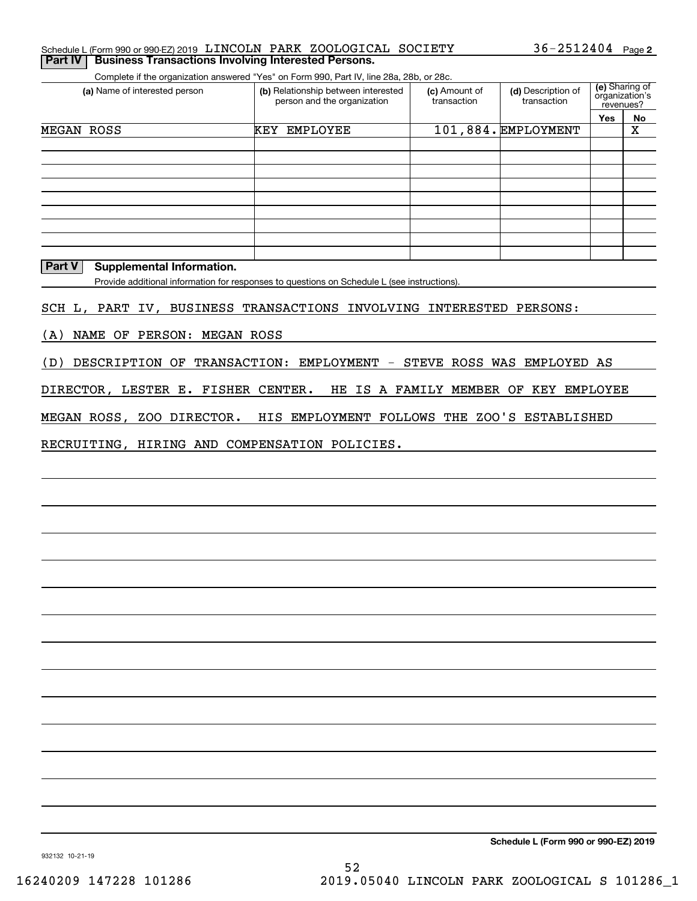#### Schedule L (Form 990 or 990-EZ) 2019  $\,$  LINCOLN PARK <code>ZOOLOGICAL</code> <code>SOCIETY</code>  $36$  –  $2512404$  <code>Page</code> **Part IV** Business Transactions Involving Interested Persons.

Complete if the organization answered "Yes" on Form 990, Part IV, line 28a, 28b, or 28c.

| (a) Name of interested person | (b) Relationship between interested<br>person and the organization | (c) Amount of<br>transaction | (d) Description of<br>transaction | revenues? | (e) Sharing of<br>organization's |
|-------------------------------|--------------------------------------------------------------------|------------------------------|-----------------------------------|-----------|----------------------------------|
|                               |                                                                    |                              |                                   | Yes       | No                               |
| <b>MEGAN</b><br>ROSS          | <b>EMPLOYEE</b><br>KEY                                             |                              | 101,884. EMPLOYMENT               |           | х                                |
|                               |                                                                    |                              |                                   |           |                                  |
|                               |                                                                    |                              |                                   |           |                                  |
|                               |                                                                    |                              |                                   |           |                                  |
|                               |                                                                    |                              |                                   |           |                                  |
|                               |                                                                    |                              |                                   |           |                                  |
|                               |                                                                    |                              |                                   |           |                                  |
|                               |                                                                    |                              |                                   |           |                                  |
|                               |                                                                    |                              |                                   |           |                                  |
|                               |                                                                    |                              |                                   |           |                                  |

#### **Part V** Supplemental Information.

Provide additional information for responses to questions on Schedule L (see instructions).

SCH L, PART IV, BUSINESS TRANSACTIONS INVOLVING INTERESTED PERSONS:

(A) NAME OF PERSON: MEGAN ROSS

(D) DESCRIPTION OF TRANSACTION: EMPLOYMENT - STEVE ROSS WAS EMPLOYED AS

DIRECTOR, LESTER E. FISHER CENTER. HE IS A FAMILY MEMBER OF KEY EMPLOYEE

MEGAN ROSS, ZOO DIRECTOR. HIS EMPLOYMENT FOLLOWS THE ZOO'S ESTABLISHED

RECRUITING, HIRING AND COMPENSATION POLICIES.

**Schedule L (Form 990 or 990-EZ) 2019**

932132 10-21-19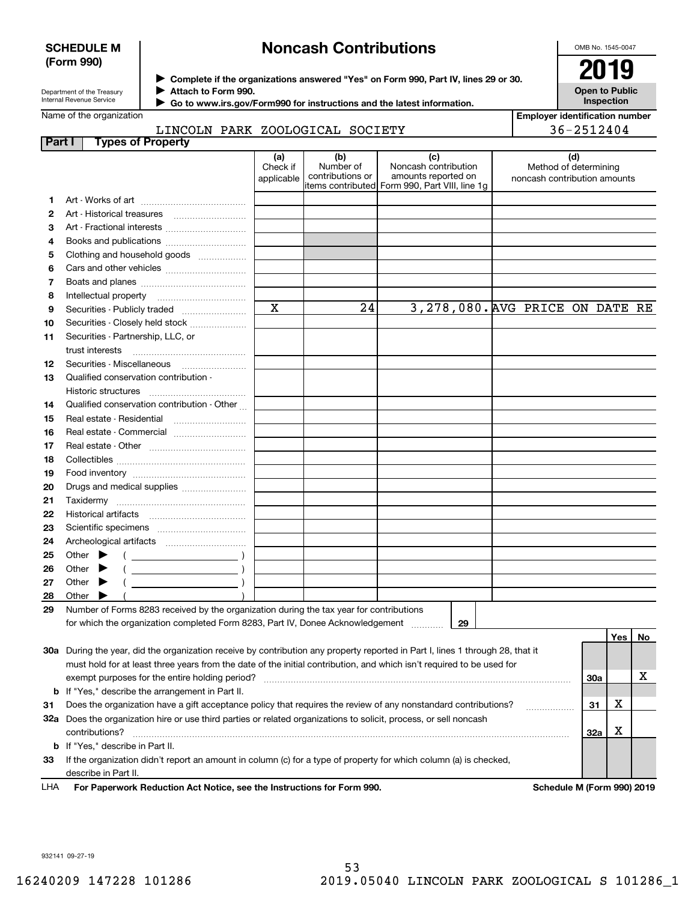#### **SCHEDULE M (Form 990)**

# **Noncash Contributions**

OMB No. 1545-0047

**Open to Public Inspection**

Department of the Treasury Internal Revenue Service

**Complete if the organizations answered "Yes" on Form 990, Part IV, lines 29 or 30.** <sup>J</sup>**2019 Attach to Form 990.** J

 **Go to www.irs.gov/Form990 for instructions and the latest information.** J

### Name of the organization

| <b>Employer identification number</b> |  |
|---------------------------------------|--|
| 36-2512404                            |  |

|                                 | LINCOLN PARK ZOOLOGICAL SOCIETY |  |
|---------------------------------|---------------------------------|--|
| <b>Part I</b> Types of Property |                                 |  |

|    | .                                                                                                                              | (a)                     | (b)              | (c)                                            | (d)                             |            |    |
|----|--------------------------------------------------------------------------------------------------------------------------------|-------------------------|------------------|------------------------------------------------|---------------------------------|------------|----|
|    |                                                                                                                                | Check if                | Number of        | Noncash contribution                           | Method of determining           |            |    |
|    |                                                                                                                                | applicable              | contributions or | amounts reported on                            | noncash contribution amounts    |            |    |
|    |                                                                                                                                |                         |                  | items contributed Form 990, Part VIII, line 1g |                                 |            |    |
| 1. |                                                                                                                                |                         |                  |                                                |                                 |            |    |
| 2  |                                                                                                                                |                         |                  |                                                |                                 |            |    |
| 3  | Art - Fractional interests                                                                                                     |                         |                  |                                                |                                 |            |    |
| 4  |                                                                                                                                |                         |                  |                                                |                                 |            |    |
| 5  | Clothing and household goods                                                                                                   |                         |                  |                                                |                                 |            |    |
| 6  |                                                                                                                                |                         |                  |                                                |                                 |            |    |
| 7  |                                                                                                                                |                         |                  |                                                |                                 |            |    |
| 8  | Intellectual property                                                                                                          | $\overline{\mathbf{x}}$ | 24               |                                                |                                 |            |    |
| 9  | Securities - Publicly traded                                                                                                   |                         |                  |                                                | 3,278,080. AVG PRICE ON DATE RE |            |    |
| 10 | Securities - Closely held stock                                                                                                |                         |                  |                                                |                                 |            |    |
| 11 | Securities - Partnership, LLC, or                                                                                              |                         |                  |                                                |                                 |            |    |
|    | trust interests                                                                                                                |                         |                  |                                                |                                 |            |    |
| 12 | Securities - Miscellaneous                                                                                                     |                         |                  |                                                |                                 |            |    |
| 13 | Qualified conservation contribution -                                                                                          |                         |                  |                                                |                                 |            |    |
|    | Historic structures                                                                                                            |                         |                  |                                                |                                 |            |    |
| 14 | Qualified conservation contribution - Other                                                                                    |                         |                  |                                                |                                 |            |    |
| 15 | Real estate - Residential                                                                                                      |                         |                  |                                                |                                 |            |    |
| 16 | Real estate - Commercial                                                                                                       |                         |                  |                                                |                                 |            |    |
| 17 |                                                                                                                                |                         |                  |                                                |                                 |            |    |
| 18 |                                                                                                                                |                         |                  |                                                |                                 |            |    |
| 19 |                                                                                                                                |                         |                  |                                                |                                 |            |    |
| 20 | Drugs and medical supplies                                                                                                     |                         |                  |                                                |                                 |            |    |
| 21 |                                                                                                                                |                         |                  |                                                |                                 |            |    |
| 22 |                                                                                                                                |                         |                  |                                                |                                 |            |    |
| 23 |                                                                                                                                |                         |                  |                                                |                                 |            |    |
| 24 |                                                                                                                                |                         |                  |                                                |                                 |            |    |
| 25 | Other                                                                                                                          |                         |                  |                                                |                                 |            |    |
| 26 | Other                                                                                                                          |                         |                  |                                                |                                 |            |    |
| 27 | Other                                                                                                                          |                         |                  |                                                |                                 |            |    |
| 28 | Other                                                                                                                          |                         |                  |                                                |                                 |            |    |
| 29 | Number of Forms 8283 received by the organization during the tax year for contributions                                        |                         |                  |                                                |                                 |            |    |
|    | for which the organization completed Form 8283, Part IV, Donee Acknowledgement                                                 |                         |                  | 29                                             |                                 |            |    |
|    |                                                                                                                                |                         |                  |                                                |                                 | Yes        | No |
|    | 30a During the year, did the organization receive by contribution any property reported in Part I, lines 1 through 28, that it |                         |                  |                                                |                                 |            |    |
|    | must hold for at least three years from the date of the initial contribution, and which isn't required to be used for          |                         |                  |                                                |                                 |            |    |
|    | exempt purposes for the entire holding period?                                                                                 |                         |                  |                                                |                                 | <b>30a</b> | х  |
|    | <b>b</b> If "Yes," describe the arrangement in Part II.                                                                        |                         |                  |                                                |                                 |            |    |
| 31 | Does the organization have a gift acceptance policy that requires the review of any nonstandard contributions?                 |                         |                  |                                                |                                 | х<br>31    |    |
|    | 32a Does the organization hire or use third parties or related organizations to solicit, process, or sell noncash              |                         |                  |                                                |                                 |            |    |
|    | contributions?                                                                                                                 |                         |                  |                                                |                                 | X<br>32a   |    |
|    | <b>b</b> If "Yes," describe in Part II.                                                                                        |                         |                  |                                                |                                 |            |    |
| 33 | If the organization didn't report an amount in column (c) for a type of property for which column (a) is checked,              |                         |                  |                                                |                                 |            |    |
|    | describe in Part II.                                                                                                           |                         |                  |                                                |                                 |            |    |

**For Paperwork Reduction Act Notice, see the Instructions for Form 990. Schedule M (Form 990) 2019** LHA

932141 09-27-19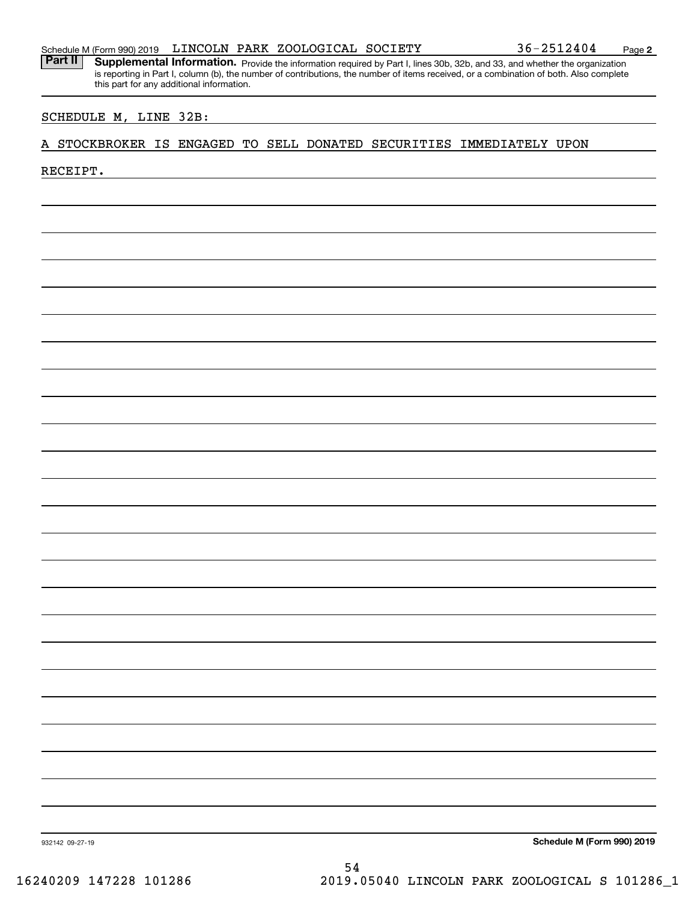Part II | Supplemental Information. Provide the information required by Part I, lines 30b, 32b, and 33, and whether the organization is reporting in Part I, column (b), the number of contributions, the number of items received, or a combination of both. Also complete this part for any additional information.

#### SCHEDULE M, LINE 32B:

#### A STOCKBROKER IS ENGAGED TO SELL DONATED SECURITIES IMMEDIATELY UPON

#### RECEIPT.

**Schedule M (Form 990) 2019**

932142 09-27-19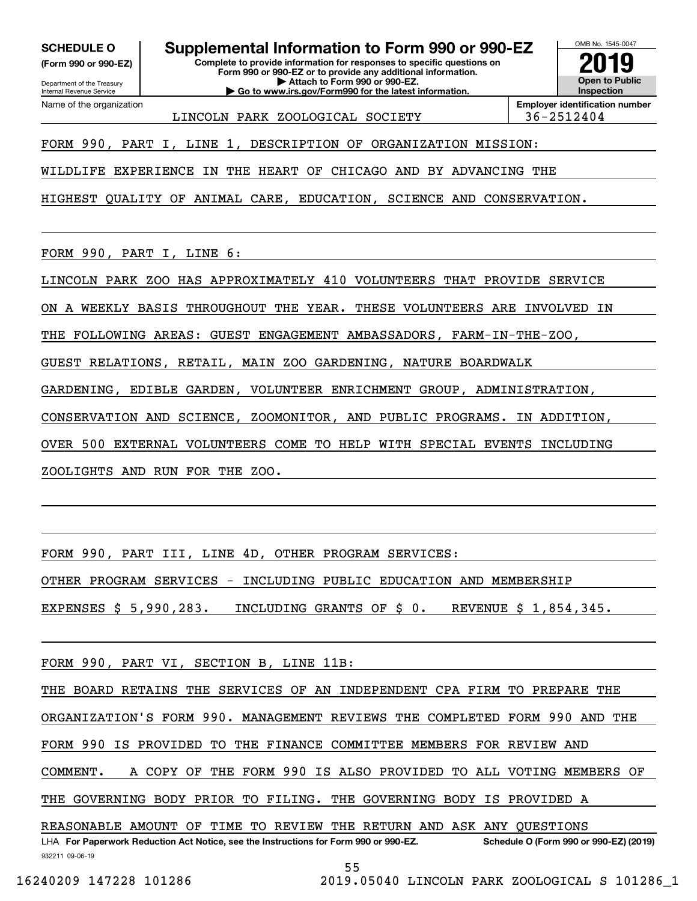**(Form 990 or 990-EZ)**

Department of the Treasury Internal Revenue Service Name of the organization

**SCHEDULE O Supplemental Information to Form 990 or 990-EZ**

**Complete to provide information for responses to specific questions on Form 990 or 990-EZ or to provide any additional information. | Attach to Form 990 or 990-EZ.**

**| Go to www.irs.gov/Form990 for the latest information.**



LINCOLN PARK ZOOLOGICAL SOCIETY 36-2512404

FORM 990, PART I, LINE 1, DESCRIPTION OF ORGANIZATION MISSION:

WILDLIFE EXPERIENCE IN THE HEART OF CHICAGO AND BY ADVANCING THE

HIGHEST QUALITY OF ANIMAL CARE, EDUCATION, SCIENCE AND CONSERVATION.

FORM 990, PART I, LINE 6:

LINCOLN PARK ZOO HAS APPROXIMATELY 410 VOLUNTEERS THAT PROVIDE SERVICE

ON A WEEKLY BASIS THROUGHOUT THE YEAR. THESE VOLUNTEERS ARE INVOLVED IN

THE FOLLOWING AREAS: GUEST ENGAGEMENT AMBASSADORS, FARM-IN-THE-ZOO,

GUEST RELATIONS, RETAIL, MAIN ZOO GARDENING, NATURE BOARDWALK

GARDENING, EDIBLE GARDEN, VOLUNTEER ENRICHMENT GROUP, ADMINISTRATION,

CONSERVATION AND SCIENCE, ZOOMONITOR, AND PUBLIC PROGRAMS. IN ADDITION,

OVER 500 EXTERNAL VOLUNTEERS COME TO HELP WITH SPECIAL EVENTS INCLUDING

ZOOLIGHTS AND RUN FOR THE ZOO.

FORM 990, PART III, LINE 4D, OTHER PROGRAM SERVICES:

OTHER PROGRAM SERVICES - INCLUDING PUBLIC EDUCATION AND MEMBERSHIP

EXPENSES \$ 5,990,283. INCLUDING GRANTS OF \$ 0. REVENUE \$ 1,854,345.

FORM 990, PART VI, SECTION B, LINE 11B:

THE BOARD RETAINS THE SERVICES OF AN INDEPENDENT CPA FIRM TO PREPARE THE

ORGANIZATION'S FORM 990. MANAGEMENT REVIEWS THE COMPLETED FORM 990 AND THE

FORM 990 IS PROVIDED TO THE FINANCE COMMITTEE MEMBERS FOR REVIEW AND

COMMENT. A COPY OF THE FORM 990 IS ALSO PROVIDED TO ALL VOTING MEMBERS OF

THE GOVERNING BODY PRIOR TO FILING. THE GOVERNING BODY IS PROVIDED A

932211 09-06-19 LHA For Paperwork Reduction Act Notice, see the Instructions for Form 990 or 990-EZ. Schedule O (Form 990 or 990-EZ) (2019) REASONABLE AMOUNT OF TIME TO REVIEW THE RETURN AND ASK ANY QUESTIONS

55

16240209 147228 101286 2019.05040 LINCOLN PARK ZOOLOGICAL S 101286\_1